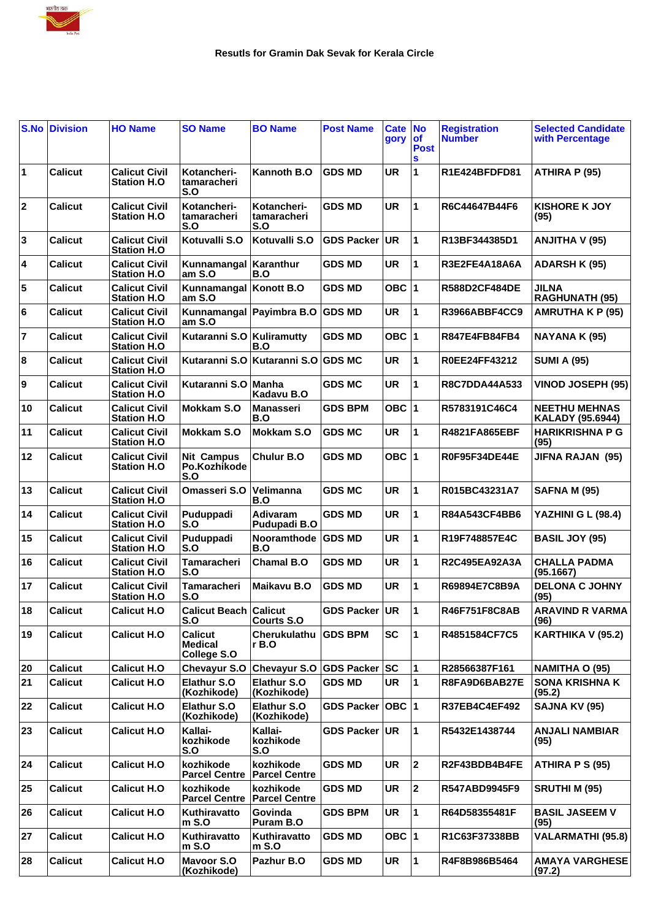

|           | <b>S.No Division</b> | <b>HO Name</b>                              | <b>SO Name</b>                                  | <b>BO Name</b>                     | <b>Post Name</b>     | <b>Cate</b><br>gory | $\overline{\mathsf{No}}$<br><b>of</b><br><b>Post</b><br>S | <b>Registration</b><br><b>Number</b> | <b>Selected Candidate</b><br>with Percentage    |
|-----------|----------------------|---------------------------------------------|-------------------------------------------------|------------------------------------|----------------------|---------------------|-----------------------------------------------------------|--------------------------------------|-------------------------------------------------|
| $\vert$ 1 | <b>Calicut</b>       | <b>Calicut Civil</b><br><b>Station H.O.</b> | Kotancheri-<br>tamaracheri<br>S.O               | Kannoth B.O                        | <b>GDS MD</b>        | <b>UR</b>           | 1                                                         | R1E424BFDFD81                        | ATHIRA P (95)                                   |
| 2         | <b>Calicut</b>       | <b>Calicut Civil</b><br><b>Station H.O</b>  | Kotancheri-<br>tamaracheri<br>S.O               | Kotancheri-<br>tamaracheri<br>S.O  | <b>GDS MD</b>        | <b>UR</b>           | 1                                                         | R6C44647B44F6                        | <b>KISHORE K JOY</b><br>(95)                    |
| 3         | <b>Calicut</b>       | <b>Calicut Civil</b><br><b>Station H.O</b>  | Kotuvalli S.O                                   | Kotuvalli S.O                      | <b>GDS Packer</b>    | UR                  | 1                                                         | R13BF344385D1                        | ANJITHA V (95)                                  |
| 4         | <b>Calicut</b>       | <b>Calicut Civil</b><br><b>Station H.O</b>  | Kunnamangal<br>am S.O                           | Karanthur<br>B.O                   | <b>GDS MD</b>        | UR                  | 1                                                         | R3E2FE4A18A6A                        | <b>ADARSH K (95)</b>                            |
| 5         | <b>Calicut</b>       | <b>Calicut Civil</b><br><b>Station H.O</b>  | Kunnamangal Konott B.O<br>am S.O                |                                    | <b>GDS MD</b>        | OBC $ 1$            |                                                           | <b>R588D2CF484DE</b>                 | JILNA<br><b>RAGHUNATH (95)</b>                  |
| 6         | <b>Calicut</b>       | <b>Calicut Civil</b><br><b>Station H.O</b>  | am S.O                                          | Kunnamangal Payimbra B.O GDS MD    |                      | <b>UR</b>           | 1                                                         | R3966ABBF4CC9                        | <b>AMRUTHA K P (95)</b>                         |
| 7         | <b>Calicut</b>       | <b>Calicut Civil</b><br><b>Station H.O</b>  | Kutaranni S.O                                   | Kuliramutty<br>B.O                 | <b>GDS MD</b>        | OBC $ 1$            |                                                           | R847E4FB84FB4                        | NAYANA K (95)                                   |
| 8         | <b>Calicut</b>       | <b>Calicut Civil</b><br><b>Station H.O</b>  |                                                 | Kutaranni S.O Kutaranni S.O GDS MC |                      | <b>UR</b>           | 1                                                         | R0EE24FF43212                        | <b>SUMI A (95)</b>                              |
| Ι9        | <b>Calicut</b>       | <b>Calicut Civil</b><br><b>Station H.O</b>  | Kutaranni S.O                                   | Manha<br>Kadavu B.O                | <b>GDS MC</b>        | <b>UR</b>           | 1                                                         | <b>R8C7DDA44A533</b>                 | <b>VINOD JOSEPH (95)</b>                        |
| 10        | <b>Calicut</b>       | <b>Calicut Civil</b><br><b>Station H.O</b>  | <b>Mokkam S.O</b>                               | <b>Manasseri</b><br>B.O            | <b>GDS BPM</b>       | OBC $ 1$            |                                                           | R5783191C46C4                        | <b>NEETHU MEHNAS</b><br><b>KALADY (95.6944)</b> |
| 11        | <b>Calicut</b>       | <b>Calicut Civil</b><br><b>Station H.O</b>  | Mokkam S.O                                      | Mokkam S.O                         | <b>GDS MC</b>        | <b>UR</b>           | 1                                                         | R4821FA865EBF                        | <b>HARIKRISHNA P G</b><br>(95)                  |
| 12        | <b>Calicut</b>       | <b>Calicut Civil</b><br><b>Station H.O</b>  | <b>Nit Campus</b><br>Po.Kozhikode<br>S.O        | <b>Chulur B.O</b>                  | <b>GDS MD</b>        | OBC $ 1$            |                                                           | R0F95F34DE44E                        | JIFNA RAJAN (95)                                |
| 13        | <b>Calicut</b>       | <b>Calicut Civil</b><br><b>Station H.O</b>  | Omasseri S.O                                    | Velimanna<br>B.O                   | <b>GDS MC</b>        | <b>UR</b>           | 1                                                         | R015BC43231A7                        | <b>SAFNA M (95)</b>                             |
| 14        | <b>Calicut</b>       | <b>Calicut Civil</b><br><b>Station H.O</b>  | Puduppadi<br>S.O                                | <b>Adivaram</b><br>Pudupadi B.O    | <b>GDS MD</b>        | <b>UR</b>           | 1                                                         | R84A543CF4BB6                        | YAZHINI G L (98.4)                              |
| 15        | <b>Calicut</b>       | <b>Calicut Civil</b><br><b>Station H.O</b>  | Puduppadi<br>S.O                                | Nooramthode<br>B.O                 | <b>GDS MD</b>        | <b>UR</b>           | 1                                                         | R19F748857E4C                        | <b>BASIL JOY (95)</b>                           |
| 16        | <b>Calicut</b>       | <b>Calicut Civil</b><br><b>Station H.O</b>  | <b>Tamaracheri</b><br>S.O                       | <b>Chamal B.O</b>                  | <b>GDS MD</b>        | <b>UR</b>           | 1                                                         | R2C495EA92A3A                        | <b>CHALLA PADMA</b><br>(95.1667)                |
| 17        | <b>Calicut</b>       | <b>Calicut Civil</b><br><b>Station H.O</b>  | <b>Tamaracheri</b><br>S.O                       | Maikavu B.O                        | <b>GDS MD</b>        | <b>UR</b>           | 1                                                         | R69894E7C8B9A                        | <b>DELONA C JOHNY</b><br>(95)                   |
| 18        | <b>Calicut</b>       | <b>Calicut H.O</b>                          | <b>Calicut Beach Calicut</b><br>S.O             | <b>Courts S.O.</b>                 | GDS Packer UR        |                     | 11.                                                       | R46F751F8C8AB                        | <b>ARAVIND R VARMA</b><br>(96)                  |
| 19        | <b>Calicut</b>       | <b>Calicut H.O</b>                          | <b>Calicut</b><br><b>Medical</b><br>College S.O | Cherukulathu<br>r B.O              | <b>GDS BPM</b>       | <b>SC</b>           | $\mathbf{1}$                                              | R4851584CF7C5                        | KARTHIKA V (95.2)                               |
| 20        | <b>Calicut</b>       | <b>Calicut H.O</b>                          | Chevayur S.O                                    | Chevayur S.O GDS Packer SC         |                      |                     | 1                                                         | R28566387F161                        | <b>NAMITHA O (95)</b>                           |
| 21        | <b>Calicut</b>       | <b>Calicut H.O</b>                          | <b>Elathur S.O</b><br>(Kozhikode)               | <b>Elathur S.O</b><br>(Kozhikode)  | <b>GDS MD</b>        | <b>UR</b>           | 1                                                         | R8FA9D6BAB27E                        | <b>SONA KRISHNA K</b><br>(95.2)                 |
| 22        | <b>Calicut</b>       | <b>Calicut H.O</b>                          | <b>Elathur S.O</b><br>(Kozhikode)               | Elathur S.O<br>(Kozhikode)         | GDS Packer   OBC   1 |                     |                                                           | <b>R37EB4C4EF492</b>                 | SAJNA KV (95)                                   |
| 23        | <b>Calicut</b>       | <b>Calicut H.O</b>                          | Kallai-<br>kozhikode<br>S.O                     | Kallai-<br>kozhikode<br>S.O        | GDS Packer UR        |                     | $\mathbf{1}$                                              | R5432E1438744                        | ANJALI NAMBIAR<br>(95)                          |
| 24        | <b>Calicut</b>       | <b>Calicut H.O</b>                          | kozhikode<br><b>Parcel Centre</b>               | kozhikode<br><b>Parcel Centre</b>  | <b>GDS MD</b>        | UR                  | $\mathbf 2$                                               | R2F43BDB4B4FE                        | ATHIRA P S (95)                                 |
| 25        | Calicut              | <b>Calicut H.O</b>                          | kozhikode<br><b>Parcel Centre</b>               | kozhikode<br><b>Parcel Centre</b>  | <b>GDS MD</b>        | UR                  | $\mathbf 2$                                               | R547ABD9945F9                        | <b>SRUTHI M (95)</b>                            |
| 26        | <b>Calicut</b>       | <b>Calicut H.O</b>                          | Kuthiravatto<br>$m$ S.O                         | Govinda<br>Puram B.O               | <b>GDS BPM</b>       | <b>UR</b>           | 1                                                         | R64D58355481F                        | <b>BASIL JASEEM V</b><br>(95)                   |
| 27        | <b>Calicut</b>       | <b>Calicut H.O</b>                          | Kuthiravatto<br>$m$ S.O                         | Kuthiravatto<br>m S.O              | <b>GDS MD</b>        | OBC $ 1$            |                                                           | R1C63F37338BB                        | VALARMATHI (95.8)                               |
| 28        | <b>Calicut</b>       | <b>Calicut H.O</b>                          | Mayoor S.O<br>(Kozhikode)                       | Pazhur B.O                         | <b>GDS MD</b>        | UR                  | 1                                                         | R4F8B986B5464                        | <b>AMAYA VARGHESE</b><br>(97.2)                 |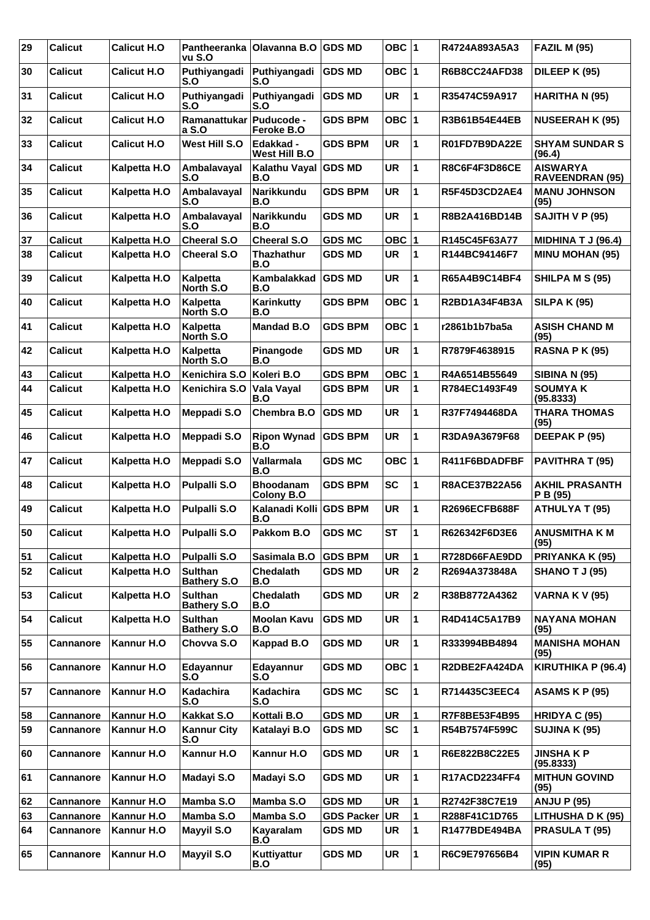| 29 | <b>Calicut</b>   | <b>Calicut H.O</b>  | vu S.O                               | Pantheeranka   Olavanna B.O   GDS MD  |                   | OBC $ 1$  |                | R4724A893A5A3        | <b>FAZIL M (95)</b>                       |
|----|------------------|---------------------|--------------------------------------|---------------------------------------|-------------------|-----------|----------------|----------------------|-------------------------------------------|
| 30 | <b>Calicut</b>   | <b>Calicut H.O.</b> | Puthiyangadi<br>S.O                  | Puthiyangadi<br>S.O                   | <b>GDS MD</b>     | OBC $ 1$  |                | <b>R6B8CC24AFD38</b> | DILEEP K (95)                             |
| 31 | <b>Calicut</b>   | <b>Calicut H.O</b>  | Puthiyangadi<br>S.O                  | Puthiyangadi<br>S.O                   | <b>GDS MD</b>     | <b>UR</b> | 1              | R35474C59A917        | HARITHA N (95)                            |
| 32 | <b>Calicut</b>   | <b>Calicut H.O.</b> | Ramanattukar<br>a S.O                | Puducode -<br>Feroke B.O              | <b>GDS BPM</b>    | OBC $ 1$  |                | R3B61B54E44EB        | <b>NUSEERAH K (95)</b>                    |
| 33 | <b>Calicut</b>   | <b>Calicut H.O</b>  | West Hill S.O                        | Edakkad -<br>West Hill B.O            | <b>GDS BPM</b>    | <b>UR</b> | 1              | R01FD7B9DA22E        | <b>SHYAM SUNDAR S</b><br>(96.4)           |
| 34 | <b>Calicut</b>   | Kalpetta H.O        | Ambalavayal<br>S.O                   | Kalathu Vayal<br>B.O                  | <b>GDS MD</b>     | <b>UR</b> | 1              | <b>R8C6F4F3D86CE</b> | <b>AISWARYA</b><br><b>RAVEENDRAN (95)</b> |
| 35 | <b>Calicut</b>   | Kalpetta H.O        | Ambalavayal<br>S.O                   | <b>Narikkundu</b><br>B.O              | <b>GDS BPM</b>    | <b>UR</b> | 1              | R5F45D3CD2AE4        | <b>MANU JOHNSON</b><br>(95)               |
| 36 | <b>Calicut</b>   | Kalpetta H.O        | Ambalavayal<br>S.O                   | Narikkundu<br>B.O                     | <b>GDS MD</b>     | <b>UR</b> | 1              | R8B2A416BD14B        | SAJITH V P (95)                           |
| 37 | <b>Calicut</b>   | Kalpetta H.O        | <b>Cheeral S.O</b>                   | <b>Cheeral S.O</b>                    | <b>GDS MC</b>     | OBC $ 1$  |                | R145C45F63A77        | <b>MIDHINA T J (96.4)</b>                 |
| 38 | <b>Calicut</b>   | Kalpetta H.O        | <b>Cheeral S.O</b>                   | <b>Thazhathur</b><br>B.O              | <b>GDS MD</b>     | <b>UR</b> | 1              | R144BC94146F7        | <b>MINU MOHAN (95)</b>                    |
| 39 | <b>Calicut</b>   | Kalpetta H.O        | Kalpetta<br>North S.O                | Kambalakkad<br>B.O                    | <b>GDS MD</b>     | <b>UR</b> | 1              | R65A4B9C14BF4        | SHILPA M S (95)                           |
| 40 | <b>Calicut</b>   | Kalpetta H.O        | Kalpetta<br>North S.O                | Karinkutty<br>B.O                     | <b>GDS BPM</b>    | OBC $ 1$  |                | <b>R2BD1A34F4B3A</b> | <b>SILPA K (95)</b>                       |
| 41 | <b>Calicut</b>   | Kalpetta H.O        | Kalpetta<br>North S.O                | <b>Mandad B.O</b>                     | <b>GDS BPM</b>    | OBC $ 1$  |                | r2861b1b7ba5a        | <b>ASISH CHAND M</b><br>(95)              |
| 42 | <b>Calicut</b>   | Kalpetta H.O        | Kalpetta<br>North S.O                | Pinangode<br>B.O                      | <b>GDS MD</b>     | <b>UR</b> | 1              | R7879F4638915        | <b>RASNA P K (95)</b>                     |
| 43 | <b>Calicut</b>   | Kalpetta H.O        | Kenichira S.O                        | Koleri B.O                            | <b>GDS BPM</b>    | OBC $ 1$  |                | R4A6514B55649        | <b>SIBINA N (95)</b>                      |
| 44 | <b>Calicut</b>   | Kalpetta H.O        | Kenichira S.O                        | Vala Vayal<br>B.O                     | <b>GDS BPM</b>    | <b>UR</b> | 1              | R784EC1493F49        | <b>SOUMYAK</b><br>(95.8333)               |
| 45 | <b>Calicut</b>   | Kalpetta H.O        | <b>Meppadi S.O</b>                   | Chembra B.O                           | <b>GDS MD</b>     | <b>UR</b> | 1              | R37F7494468DA        | <b>THARA THOMAS</b><br>(95)               |
| 46 | <b>Calicut</b>   | Kalpetta H.O        | Meppadi S.O                          | <b>Ripon Wynad</b><br>B.O             | <b>GDS BPM</b>    | <b>UR</b> | 1              | R3DA9A3679F68        | DEEPAK P (95)                             |
| 47 | <b>Calicut</b>   | Kalpetta H.O        | <b>Meppadi S.O</b>                   | Vallarmala<br>B.O                     | <b>GDS MC</b>     | OBC $ 1$  |                | R411F6BDADFBF        | PAVITHRA T (95)                           |
| 48 | <b>Calicut</b>   | Kalpetta H.O        | <b>Pulpalli S.O</b>                  | <b>Bhoodanam</b><br><b>Colony B.O</b> | <b>GDS BPM</b>    | <b>SC</b> | 1              | <b>R8ACE37B22A56</b> | <b>AKHIL PRASANTH</b><br>P B (95)         |
| 49 | <b>Calicut</b>   | Kalpetta H.O        | <b>Pulpalli S.O</b>                  | Kalanadi Kolli<br>B.O                 | <b>GDS BPM</b>    | <b>UR</b> | 1              | <b>R2696ECFB688F</b> | <b>ATHULYA T (95)</b>                     |
| 50 | <b>Calicut</b>   | Kalpetta H.O        | Pulpalli S.O                         | Pakkom B.O                            | <b>GDS MC</b>     | <b>ST</b> | ∣1             | R626342F6D3E6        | <b>ANUSMITHA K M</b><br>(95)              |
| 51 | <b>Calicut</b>   | Kalpetta H.O        | Pulpalli S.O                         | Sasimala B.O                          | <b>GDS BPM</b>    | <b>UR</b> | 1              | R728D66FAE9DD        | PRIYANKA K (95)                           |
| 52 | <b>Calicut</b>   | Kalpetta H.O        | <b>Sulthan</b><br><b>Bathery S.O</b> | Chedalath<br>B.O                      | <b>GDS MD</b>     | <b>UR</b> | $\mathbf{2}$   | R2694A373848A        | <b>SHANO T J (95)</b>                     |
| 53 | <b>Calicut</b>   | Kalpetta H.O        | <b>Sulthan</b><br><b>Bathery S.O</b> | Chedalath<br>B.O                      | <b>GDS MD</b>     | <b>UR</b> | $\overline{2}$ | R38B8772A4362        | <b>VARNA K V (95)</b>                     |
| 54 | <b>Calicut</b>   | Kalpetta H.O        | <b>Sulthan</b><br><b>Bathery S.O</b> | <b>Moolan Kavu</b><br>B.O             | <b>GDS MD</b>     | UR        | 1              | R4D414C5A17B9        | <b>NAYANA MOHAN</b><br>(95)               |
| 55 | <b>Cannanore</b> | Kannur H.O          | Chovva S.O                           | Kappad B.O                            | <b>GDS MD</b>     | <b>UR</b> | 1              | R333994BB4894        | <b>MANISHA MOHAN</b><br>(95)              |
| 56 | Cannanore        | Kannur H.O          | Edayannur<br>S.O                     | Edayannur<br>S.O                      | <b>GDS MD</b>     | OBC $ 1$  |                | R2DBE2FA424DA        | KIRUTHIKA P (96.4)                        |
| 57 | <b>Cannanore</b> | Kannur H.O          | Kadachira<br>S.O                     | Kadachira<br>S.O                      | <b>GDS MC</b>     | <b>SC</b> | 1              | R714435C3EEC4        | <b>ASAMS K P (95)</b>                     |
| 58 | Cannanore        | Kannur H.O          | <b>Kakkat S.O</b>                    | Kottali B.O                           | <b>GDS MD</b>     | <b>UR</b> | 1              | R7F8BE53F4B95        | HRIDYA C (95)                             |
| 59 | <b>Cannanore</b> | Kannur H.O          | <b>Kannur City</b><br>S.O            | Katalayi B.O                          | <b>GDS MD</b>     | <b>SC</b> | 1              | R54B7574F599C        | <b>SUJINA K (95)</b>                      |
| 60 | <b>Cannanore</b> | Kannur H.O          | Kannur H.O                           | Kannur H.O                            | <b>GDS MD</b>     | <b>UR</b> | 1              | R6E822B8C22E5        | <b>JINSHAKP</b><br>(95.8333)              |
| 61 | Cannanore        | Kannur H.O          | Madayi S.O                           | Madayi S.O                            | <b>GDS MD</b>     | <b>UR</b> | 1              | R17ACD2234FF4        | <b>MITHUN GOVIND</b><br>(95)              |
| 62 | Cannanore        | Kannur H.O          | Mamba S.O                            | Mamba S.O                             | <b>GDS MD</b>     | <b>UR</b> | 1              | R2742F38C7E19        | <b>ANJU P (95)</b>                        |
| 63 | <b>Cannanore</b> | Kannur H.O          | Mamba S.O                            | Mamba S.O                             | <b>GDS Packer</b> | UR        | 1              | R288F41C1D765        | LITHUSHA D K (95)                         |
| 64 | <b>Cannanore</b> | Kannur H.O          | Mayyil S.O                           | Kayaralam<br>B.O                      | <b>GDS MD</b>     | <b>UR</b> | 1              | R1477BDE494BA        | <b>PRASULA T (95)</b>                     |
| 65 | <b>Cannanore</b> | Kannur H.O          | Mayyil S.O                           | Kuttiyattur<br>B.O                    | <b>GDS MD</b>     | <b>UR</b> | 1              | R6C9E797656B4        | <b>VIPIN KUMAR R</b><br>(95)              |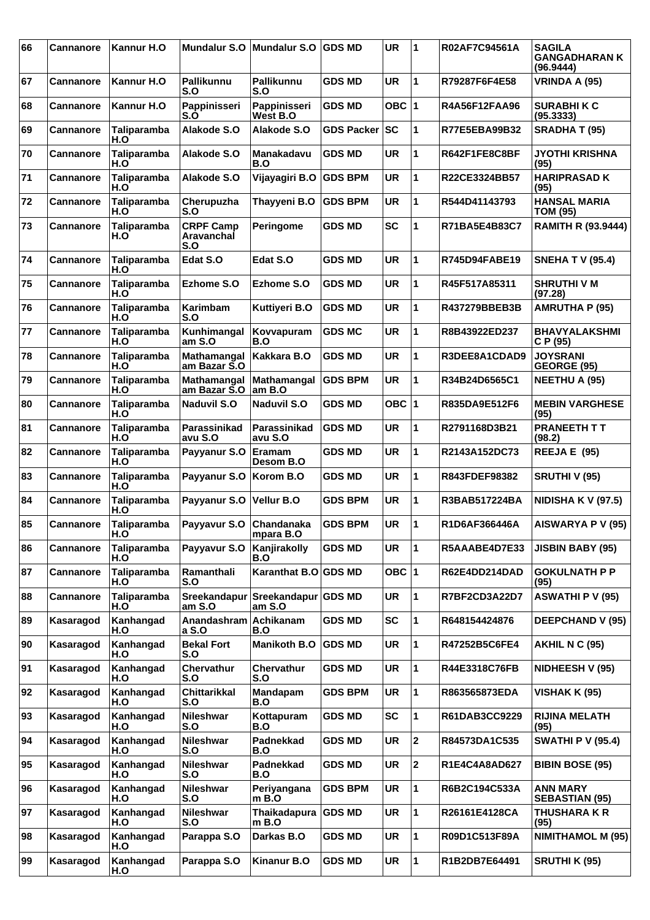| 66 | Cannanore        | Kannur H.O         | <b>Mundalur S.O</b>                   | Mundalur S.O                   | <b>GDS MD</b>     | <b>UR</b> | 1                       | R02AF7C94561A        | <b>SAGILA</b><br><b>GANGADHARAN K</b><br>(96.9444) |
|----|------------------|--------------------|---------------------------------------|--------------------------------|-------------------|-----------|-------------------------|----------------------|----------------------------------------------------|
| 67 | <b>Cannanore</b> | Kannur H.O         | <b>Pallikunnu</b><br>S.O              | Pallikunnu<br>S.O              | <b>GDS MD</b>     | <b>UR</b> | 1                       | R79287F6F4E58        | VRINDA A (95)                                      |
| 68 | <b>Cannanore</b> | Kannur H.O         | Pappinisseri<br>S.O                   | Pappinisseri<br>West B.O       | <b>GDS MD</b>     | OBC $ 1$  |                         | R4A56F12FAA96        | <b>SURABHIKC</b><br>(95.3333)                      |
| 69 | Cannanore        | Taliparamba<br>H.O | Alakode S.O                           | Alakode S.O                    | <b>GDS Packer</b> | SC        | 1                       | R77E5EBA99B32        | <b>SRADHA T (95)</b>                               |
| 70 | Cannanore        | Taliparamba<br>H.O | Alakode S.O                           | Manakadavu<br>B.O              | <b>GDS MD</b>     | <b>UR</b> | 1                       | R642F1FE8C8BF        | <b>JYOTHI KRISHNA</b><br>(95)                      |
| 71 | <b>Cannanore</b> | Taliparamba<br>H.O | Alakode S.O                           | Vijayagiri B.O                 | <b>GDS BPM</b>    | <b>UR</b> | 1                       | R22CE3324BB57        | <b>HARIPRASAD K</b><br>(95)                        |
| 72 | Cannanore        | Taliparamba<br>H.O | Cherupuzha<br>S.O                     | Thayyeni B.O                   | <b>GDS BPM</b>    | <b>UR</b> | 1                       | R544D41143793        | <b>HANSAL MARIA</b><br><b>TOM (95)</b>             |
| 73 | Cannanore        | Taliparamba<br>H.O | <b>CRPF Camp</b><br>Aravanchal<br>S.O | Peringome                      | <b>GDS MD</b>     | <b>SC</b> | 1                       | R71BA5E4B83C7        | <b>RAMITH R (93.9444)</b>                          |
| 74 | Cannanore        | Taliparamba<br>H.O | Edat S.O                              | Edat S.O                       | <b>GDS MD</b>     | <b>UR</b> | 1                       | <b>R745D94FABE19</b> | <b>SNEHA T V (95.4)</b>                            |
| 75 | Cannanore        | Taliparamba<br>H.O | Ezhome S.O                            | Ezhome S.O                     | <b>GDS MD</b>     | <b>UR</b> | 1                       | R45F517A85311        | <b>SHRUTHIVM</b><br>(97.28)                        |
| 76 | Cannanore        | Taliparamba<br>H.O | Karimbam<br>S.O                       | Kuttiyeri B.O                  | <b>GDS MD</b>     | <b>UR</b> | 1                       | R437279BBEB3B        | <b>AMRUTHA P (95)</b>                              |
| 77 | Cannanore        | Taliparamba<br>H.O | Kunhimangal<br>am S.O                 | Kovvapuram<br>B.O              | <b>GDS MC</b>     | <b>UR</b> | 1                       | R8B43922ED237        | <b>BHAVYALAKSHMI</b><br>C P (95)                   |
| 78 | <b>Cannanore</b> | Taliparamba<br>H.O | Mathamangal<br>am Bazar S.O           | Kakkara B.O                    | <b>GDS MD</b>     | <b>UR</b> | 1                       | R3DEE8A1CDAD9        | <b>JOYSRANI</b><br>GEORGE (95)                     |
| 79 | Cannanore        | Taliparamba<br>H.O | Mathamangal<br>am Bazar S.O           | Mathamangal<br>am B.O          | <b>GDS BPM</b>    | <b>UR</b> | $\mathbf{1}$            | R34B24D6565C1        | <b>NEETHU A (95)</b>                               |
| 80 | Cannanore        | Taliparamba<br>H.O | <b>Naduvil S.O</b>                    | <b>Naduvil S.O</b>             | <b>GDS MD</b>     | OBC $ 1$  |                         | R835DA9E512F6        | <b>MEBIN VARGHESE</b><br>(95)                      |
| 81 | <b>Cannanore</b> | Taliparamba<br>H.O | Parassinikad<br>avu S.O               | Parassinikad<br>avu S.O        | <b>GDS MD</b>     | <b>UR</b> | 1                       | R2791168D3B21        | <b>PRANEETH T T</b><br>(98.2)                      |
| 82 | Cannanore        | Taliparamba<br>H.O | Payyanur S.O                          | <b>Eramam</b><br>Desom B.O     | <b>GDS MD</b>     | <b>UR</b> | 1                       | R2143A152DC73        | REEJA E (95)                                       |
| 83 | Cannanore        | Taliparamba<br>H.O | Payyanur S.O                          | Korom B.O                      | <b>GDS MD</b>     | <b>UR</b> | 1                       | R843FDEF98382        | SRUTHI V (95)                                      |
| 84 | <b>Cannanore</b> | Taliparamba<br>H.O | Payyanur S.O                          | <b>Vellur B.O</b>              | <b>GDS BPM</b>    | <b>UR</b> | 1                       | R3BAB517224BA        | <b>NIDISHA K V (97.5)</b>                          |
| 85 | <b>Cannanore</b> | Taliparamba<br>H.O | Payyavur S.O Chandanaka               | mpara B.O                      | <b>GDS BPM</b>    | <b>UR</b> | $\mathbf{1}$            | R1D6AF366446A        | AISWARYA P V (95)                                  |
| 86 | Cannanore        | Taliparamba<br>H.O | Payyavur S.O                          | Kanjirakolly<br>B.O            | <b>GDS MD</b>     | <b>UR</b> | $\mathbf{1}$            | R5AAABE4D7E33        | <b>JISBIN BABY (95)</b>                            |
| 87 | <b>Cannanore</b> | Taliparamba<br>H.O | Ramanthali<br>S.O                     | Karanthat B.O GDS MD           |                   | OBC $ 1$  |                         | R62E4DD214DAD        | <b>GOKULNATH P P</b><br>(95)                       |
| 88 | Cannanore        | Taliparamba<br>H.O | Sreekandapur<br>am S.O                | Sreekandapur   GDS MD<br>amS.O |                   | <b>UR</b> | 1                       | R7BF2CD3A22D7        | <b>ASWATHI P V (95)</b>                            |
| 89 | Kasaragod        | Kanhangad<br>H.O   | Anandashram<br>a S.O                  | Achikanam<br>B.O               | <b>GDS MD</b>     | <b>SC</b> | 1                       | R648154424876        | <b>DEEPCHAND V (95)</b>                            |
| 90 | Kasaragod        | Kanhangad<br>H.O   | <b>Bekal Fort</b><br>S.O              | <b>Manikoth B.O</b>            | <b>GDS MD</b>     | UR        | 1                       | R47252B5C6FE4        | <b>AKHIL N C (95)</b>                              |
| 91 | Kasaragod        | Kanhangad<br>H.O   | Chervathur<br>S.O                     | Chervathur<br>S.O              | <b>GDS MD</b>     | <b>UR</b> | 1                       | R44E3318C76FB        | NIDHEESH V (95)                                    |
| 92 | Kasaragod        | Kanhangad<br>H.O   | <b>Chittarikkal</b><br>S.O            | Mandapam<br>B.O                | <b>GDS BPM</b>    | <b>UR</b> | 1                       | R863565873EDA        | VISHAK K (95)                                      |
| 93 | Kasaragod        | Kanhangad<br>H.O   | <b>Nileshwar</b><br>S.O               | Kottapuram<br>B.O              | <b>GDS MD</b>     | <b>SC</b> | 1                       | R61DAB3CC9229        | <b>RIJINA MELATH</b><br>(95)                       |
| 94 | Kasaragod        | Kanhangad<br>H.O   | <b>Nileshwar</b><br>S.O               | Padnekkad<br>B.O               | <b>GDS MD</b>     | <b>UR</b> | $\overline{\mathbf{2}}$ | R84573DA1C535        | <b>SWATHI P V (95.4)</b>                           |
| 95 | Kasaragod        | Kanhangad<br>H.O   | <b>Nileshwar</b><br>S.O               | Padnekkad<br>B.O               | <b>GDS MD</b>     | <b>UR</b> | 2                       | R1E4C4A8AD627        | <b>BIBIN BOSE (95)</b>                             |
| 96 | Kasaragod        | Kanhangad<br>H.O   | Nileshwar<br>S.O                      | Periyangana<br>$m$ B.O         | <b>GDS BPM</b>    | UR        | 1                       | R6B2C194C533A        | <b>ANN MARY</b><br><b>SEBASTIAN (95)</b>           |
| 97 | Kasaragod        | Kanhangad<br>H.O   | <b>Nileshwar</b><br>S.O               | Thaikadapura GDS MD<br>m B.O   |                   | <b>UR</b> | 1                       | R26161E4128CA        | <b>THUSHARA K R</b><br>(95)                        |
| 98 | Kasaragod        | Kanhangad<br>H.O   | Parappa S.O                           | Darkas B.O                     | <b>GDS MD</b>     | <b>UR</b> | 1                       | R09D1C513F89A        | <b>NIMITHAMOL M (95)</b>                           |
| 99 | Kasaragod        | Kanhangad<br>H.O   | Parappa S.O                           | <b>Kinanur B.O</b>             | <b>GDS MD</b>     | UR        | 1                       | R1B2DB7E64491        | <b>SRUTHI K (95)</b>                               |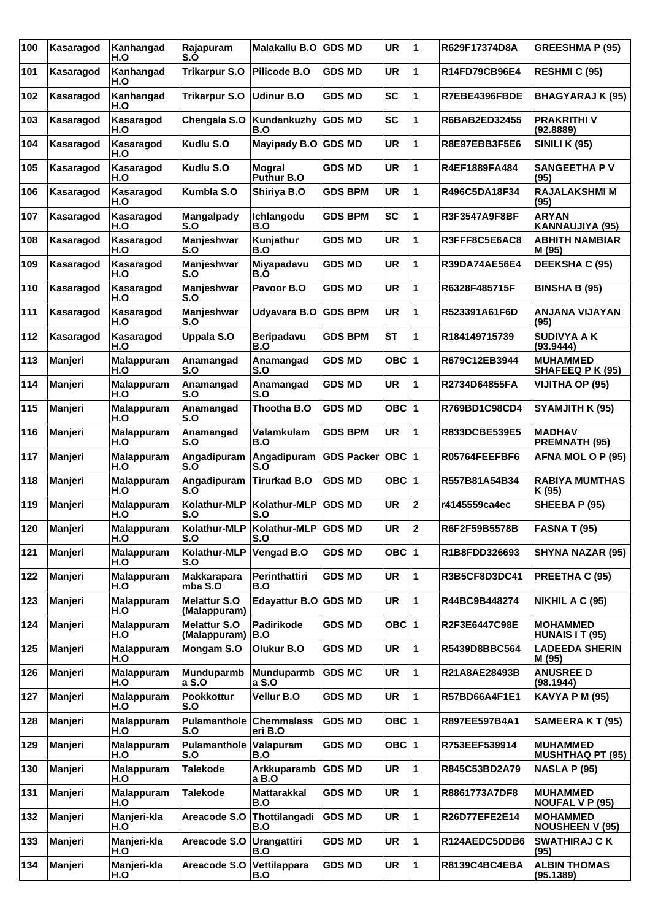| 100 | Kasaragod | Kanhangad<br>H.O         | Rajapuram<br>S.O                      | Malakallu B.O                               | <b>GDS MD</b>     | <b>UR</b> | 1            | R629F17374D8A        | <b>GREESHMA P (95)</b>                    |
|-----|-----------|--------------------------|---------------------------------------|---------------------------------------------|-------------------|-----------|--------------|----------------------|-------------------------------------------|
| 101 | Kasaragod | Kanhangad<br>H.O         | <b>Trikarpur S.O</b>                  | <b>Pilicode B.O</b>                         | <b>GDS MD</b>     | <b>UR</b> | 1            | R14FD79CB96E4        | <b>RESHMIC (95)</b>                       |
| 102 | Kasaragod | Kanhangad<br>H.O         | <b>Trikarpur S.O</b>                  | Udinur B.O                                  | <b>GDS MD</b>     | <b>SC</b> | 1            | R7EBE4396FBDE        | <b>BHAGYARAJ K (95)</b>                   |
| 103 | Kasaragod | Kasaragod<br>H.O         | Chengala S.O                          | Kundankuzhy<br>B.O                          | <b>GDS MD</b>     | <b>SC</b> | 1            | R6BAB2ED32455        | <b>PRAKRITHI V</b><br>(92.8889)           |
| 104 | Kasaragod | Kasaragod<br>H.O         | Kudlu S.O                             | Mayipady B.O                                | <b>GDS MD</b>     | <b>UR</b> | 1            | R8E97EBB3F5E6        | <b>SINILI K (95)</b>                      |
| 105 | Kasaragod | Kasaragod<br>H.O         | Kudlu S.O                             | <b>Mogral</b><br>Puthur B.O                 | <b>GDS MD</b>     | <b>UR</b> | 1            | R4EF1889FA484        | <b>SANGEETHA PV</b><br>(95)               |
| 106 | Kasaragod | Kasaragod<br>H.O         | Kumbla S.O                            | Shiriya B.O                                 | <b>GDS BPM</b>    | <b>UR</b> | 1            | R496C5DA18F34        | <b>RAJALAKSHMI M</b><br>(95)              |
| 107 | Kasaragod | Kasaragod<br>H.O         | Mangalpady<br>S.O                     | Ichlangodu<br>B.O                           | <b>GDS BPM</b>    | <b>SC</b> | 1            | R3F3547A9F8BF        | <b>ARYAN</b><br>KANNAUJIYA (95)           |
| 108 | Kasaragod | Kasaragod<br>H.O         | Manjeshwar<br>S.O                     | Kunjathur<br>B.O                            | <b>GDS MD</b>     | <b>UR</b> | 1            | R3FFF8C5E6AC8        | <b>ABHITH NAMBIAR</b><br>M (95)           |
| 109 | Kasaragod | Kasaragod<br>H.O         | Manjeshwar<br>S.O                     | Miyapadavu<br>B.O                           | <b>GDS MD</b>     | <b>UR</b> | 1            | <b>R39DA74AE56E4</b> | <b>DEEKSHA C (95)</b>                     |
| 110 | Kasaragod | Kasaragod<br>H.O         | Manjeshwar<br>S.O                     | Pavoor B.O                                  | <b>GDS MD</b>     | <b>UR</b> | 1            | R6328F485715F        | <b>BINSHA B (95)</b>                      |
| 111 | Kasaragod | Kasaragod<br>H.O         | Manjeshwar<br>S.O                     | Udyavara B.O                                | <b>GDS BPM</b>    | <b>UR</b> | 1            | R523391A61F6D        | <b>ANJANA VIJAYAN</b><br>(95)             |
| 112 | Kasaragod | Kasaragod<br>H.O         | <b>Uppala S.O</b>                     | <b>Beripadavu</b><br>B.O                    | GDS BPM           | <b>ST</b> | 1            | R184149715739        | <b>SUDIVYA A K</b><br>(93.9444)           |
| 113 | Manjeri   | <b>Malappuram</b><br>H.O | Anamangad<br>S.O                      | Anamangad<br>S.O                            | <b>GDS MD</b>     | OBC  1    |              | R679C12EB3944        | <b>MUHAMMED</b><br>SHAFEEQ P K (95)       |
| 114 | Manjeri   | Malappuram<br>H.O        | Anamangad<br>S.O                      | Anamangad<br>S.O                            | <b>GDS MD</b>     | <b>UR</b> | 1            | R2734D64855FA        | VIJITHA OP (95)                           |
| 115 | Manjeri   | <b>Malappuram</b><br>H.O | Anamangad<br>S.O                      | Thootha B.O                                 | <b>GDS MD</b>     | OBC ∣1    |              | R769BD1C98CD4        | SYAMJITH K (95)                           |
| 116 | Manjeri   | <b>Malappuram</b><br>H.O | Anamangad<br>S.O                      | Valamkulam<br>B.O                           | <b>GDS BPM</b>    | <b>UR</b> | 1            | R833DCBE539E5        | <b>MADHAV</b><br><b>PREMNATH (95)</b>     |
| 117 | Manjeri   | Malappuram<br>H.O        | Angadipuram<br>S.O                    | Angadipuram<br>S.O                          | <b>GDS Packer</b> | OBC  1    |              | R05764FEEFBF6        | AFNA MOL O P (95)                         |
| 118 | Manjeri   | <b>Malappuram</b><br>H.O | Angadipuram<br>S.O                    | <b>Tirurkad B.O</b>                         | <b>GDS MD</b>     | OBC ∣1    |              | R557B81A54B34        | <b>RABIYA MUMTHAS</b><br>K (95)           |
| 119 | Manjeri   | <b>Malappuram</b><br>H.O | Kolathur-MLP<br>S.O                   | Kolathur-MLP<br>S.O                         | <b>GDS MD</b>     | <b>UR</b> | $\mathbf{2}$ | r4145559ca4ec        | SHEEBA P (95)                             |
| 120 | Manjeri   | Malappuram<br>H.O        | S.O                                   | Kolathur-MLP   Kolathur-MLP   GDS MD<br>S.O |                   | <b>UR</b> | 2            | R6F2F59B5578B        | <b>FASNA T (95)</b>                       |
| 121 | Manjeri   | <b>Malappuram</b><br>H.O | Kolathur-MLP<br>S.O                   | Vengad B.O                                  | <b>GDS MD</b>     | OBC 1     |              | R1B8FDD326693        | <b>SHYNA NAZAR (95)</b>                   |
| 122 | Manjeri   | Malappuram<br>H.O        | <b>Makkarapara</b><br>mba S.O         | Perinthattiri<br>B.O                        | <b>GDS MD</b>     | <b>UR</b> | 1            | R3B5CF8D3DC41        | PREETHA C (95)                            |
| 123 | Manjeri   | Malappuram<br>H.O        | <b>Melattur S.O</b><br>(Malappuram)   | Edayattur B.O GDS MD                        |                   | <b>UR</b> | 1            | R44BC9B448274        | NIKHIL A C (95)                           |
| 124 | Manjeri   | Malappuram<br>H.O        | <b>Melattur S.O</b><br>(Malappuram)   | <b>Padirikode</b><br>B.O                    | <b>GDS MD</b>     | OBC ∣1    |              | R2F3E6447C98E        | <b>MOHAMMED</b><br>HUNAIS IT (95)         |
| 125 | Manjeri   | Malappuram<br>H.O        | Mongam S.O                            | Olukur B.O                                  | <b>GDS MD</b>     | <b>UR</b> | 1            | R5439D8BBC564        | <b>LADEEDA SHERIN</b><br>M (95)           |
| 126 | Manjeri   | <b>Malappuram</b><br>H.O | Munduparmb<br>a S.O                   | Munduparmb<br>a S.O                         | <b>GDS MC</b>     | <b>UR</b> | 1            | R21A8AE28493B        | <b>ANUSREE D</b><br>(98.1944)             |
| 127 | Manjeri   | Malappuram<br>H.O        | Pookkottur<br>S.O                     | Vellur B.O                                  | <b>GDS MD</b>     | UR        | 1            | R57BD66A4F1E1        | <b>KAVYA P M (95)</b>                     |
| 128 | Manjeri   | <b>Malappuram</b><br>H.O | <b>Pulamanthole Chemmalass</b><br>S.O | eri B.O                                     | <b>GDS MD</b>     | OBC 1     |              | R897EE597B4A1        | <b>SAMEERA K T (95)</b>                   |
| 129 | Manjeri   | Malappuram<br>H.O        | Pulamanthole<br>S.O                   | Valapuram<br>B.O                            | <b>GDS MD</b>     | OBC 1     |              | R753EEF539914        | <b>MUHAMMED</b><br>MUSHTHAQ PT (95)       |
| 130 | Manjeri   | <b>Malappuram</b><br>H.O | <b>Talekode</b>                       | Arkkuparamb<br>a B.O                        | <b>GDS MD</b>     | <b>UR</b> | 1            | R845C53BD2A79        | <b>NASLA P (95)</b>                       |
| 131 | Manjeri   | Malappuram<br>H.O        | <b>Talekode</b>                       | <b>Mattarakkal</b><br>B.O                   | <b>GDS MD</b>     | <b>UR</b> | 1            | R8861773A7DF8        | <b>MUHAMMED</b><br><b>NOUFAL V P (95)</b> |
| 132 | Manjeri   | Manjeri-kla<br>H.O       | Areacode S.O                          | Thottilangadi<br>B.O                        | <b>GDS MD</b>     | <b>UR</b> | 1            | R26D77EFE2E14        | <b>MOHAMMED</b><br><b>NOUSHEEN V (95)</b> |
| 133 | Manjeri   | Manjeri-kla<br>H.O       | Areacode S.O                          | <b>Urangattiri</b><br>B.O                   | <b>GDS MD</b>     | UR        | 1            | R124AEDC5DDB6        | <b>SWATHIRAJ CK</b><br>(95)               |
| 134 | Manjeri   | Manjeri-kla<br>H.O       | Areacode S.O Vettilappara             | B.O                                         | <b>GDS MD</b>     | UR        | 1            | R8139C4BC4EBA        | <b>ALBIN THOMAS</b><br>(95.1389)          |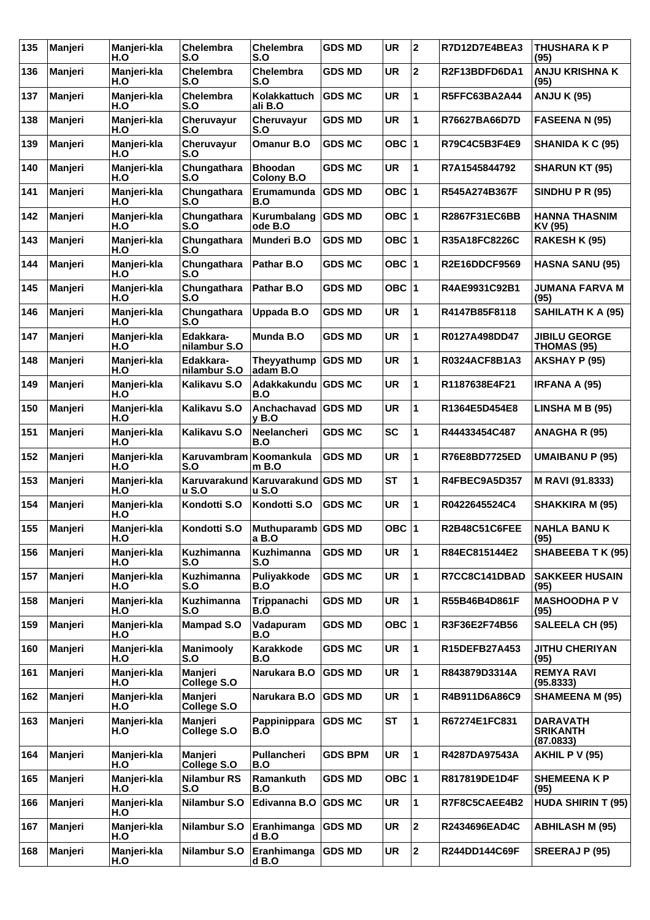| Chelembra<br>$\mathbf 2$<br>136<br><b>Chelembra</b><br><b>UR</b><br><b>ANJU KRISHNA K</b><br>Manjeri<br>Manjeri-kla<br>GDS MD<br>R2F13BDFD6DA1<br>H.O<br>S.O<br>S.O<br>(95)<br>1<br>Manjeri-kla<br><b>Chelembra</b><br>Kolakkattuch<br><b>GDS MC</b><br><b>UR</b><br><b>ANJU K (95)</b><br>137<br>R5FFC63BA2A44<br>Manjeri<br>H.O<br>S.O<br>ali B.O<br>Manjeri-kla<br>Cheruvayur<br>Cheruvayur<br><b>GDS MD</b><br><b>UR</b><br>1<br>138<br>Manjeri<br>R76627BA66D7D<br><b>FASEENA N (95)</b><br>H.O<br>S.O<br>S.O<br>OBC $ 1$<br>139<br>Cheruvayur<br>Omanur B.O<br>Manjeri<br>Manjeri-kla<br><b>GDS MC</b><br>R79C4C5B3F4E9<br><b>SHANIDA K C (95)</b><br>H.O<br>S.O<br>1<br>Manjeri-kla<br>Chungathara<br><b>GDS MC</b><br><b>UR</b><br>140<br>Manjeri<br><b>Bhoodan</b><br>R7A1545844792<br><b>SHARUN KT (95)</b><br>H.O<br>S.O<br>Colony B.O<br>Chungathara<br><b>GDS MD</b><br>OBC $ 1$<br>141<br>Manjeri-kla<br>Erumamunda<br>R545A274B367F<br><b>SINDHU P R (95)</b><br>Manjeri<br>S.O<br>H.O<br>B.O<br>Kurumbalang<br>OBC $ 1$<br>142<br>Manjeri-kla<br>Chungathara<br><b>GDS MD</b><br>R2867F31EC6BB<br><b>HANNA THASNIM</b><br>Manjeri<br>H.O<br>ode B.O<br>S.O<br>KV (95)<br>Manjeri-kla<br>Chungathara<br>Munderi B.O<br>OBC $ 1$<br>143<br>GDS MD<br>R35A18FC8226C<br>RAKESH K (95)<br>Manjeri<br>H.O<br>S.O<br>Manjeri-kla<br>Chungathara<br>Pathar B.O<br><b>GDS MC</b><br>OBC $ 1$<br><b>R2E16DDCF9569</b><br>144<br>Manjeri<br><b>HASNA SANU (95)</b><br>H.O<br>S.O<br>Chungathara<br>Pathar B.O<br>OBC $ 1$<br>145<br>Manjeri<br>Manjeri-kla<br>GDS MD<br>R4AE9931C92B1<br>JUMANA FARVA M<br>H.O<br>S.O<br>(95)<br>1<br>Manjeri-kla<br>Chungathara<br><b>GDS MD</b><br><b>UR</b><br>SAHILATH K A (95)<br>146<br>Manjeri<br>Uppada B.O<br>R4147B85F8118<br>H.O<br>S.O<br>Manjeri-kla<br>Edakkara-<br><b>GDS MD</b><br><b>UR</b><br>1<br>147<br>Manjeri<br>Munda B.O<br>R0127A498DD47<br><b>JIBILU GEORGE</b><br>H.O<br>nilambur S.O<br>THOMAS (95)<br>Edakkara-<br>Theyyathump GDS MD<br><b>UR</b><br>1<br>148<br>Manjeri-kla<br><b>R0324ACF8B1A3</b><br><b>AKSHAY P (95)</b><br>Manjeri<br>H.O<br>adam B.O<br>nilambur S.O<br><b>UR</b><br>1<br>Manjeri-kla<br>Kalikavu S.O<br><b>GDS MC</b><br>149<br>Adakkakundu<br>R1187638E4F21<br><b>IRFANA A (95)</b><br>Manjeri<br>H.O<br>B.O<br>Manjeri-kla<br>Kalikavu S.O<br><b>GDS MD</b><br><b>UR</b><br>1<br>150<br>Manjeri<br>Anchachavad<br>R1364E5D454E8<br>LINSHA M B (95)<br>H.O<br>$v$ B.O<br><b>SC</b><br>151<br>Kalikavu S.O<br>Neelancheri<br><b>GDS MC</b><br>1<br>Manjeri<br>Manjeri-kla<br>R44433454C487<br>ANAGHA R (95)<br>H.O<br>B.O<br>1<br>Manjeri-kla<br>Karuvambram<br>Koomankula<br><b>UR</b><br>152<br>Manjeri<br><b>GDS MD</b><br>R76E8BD7725ED<br><b>UMAIBANU P (95)</b><br>H.O<br>S.O<br>$m$ B.O<br><b>ST</b><br>Manjeri-kla<br>Karuvarakund<br>Karuvarakund GDS MD<br>1<br>153<br>Manjeri<br>R4FBEC9A5D357<br>M RAVI (91.8333)<br><b>u S.O</b><br>H.O<br>u S.O<br>Kondotti S.O<br>Kondotti S.O<br><b>UR</b><br>1<br>154<br>Manjeri<br>Manjeri-kla<br><b>GDS MC</b><br>R0422645524C4<br>SHAKKIRA M (95)<br>H.O<br>OBC $ 1$<br>155<br>Kondotti S.O<br>Muthuparamb GDS MD<br><b>R2B48C51C6FEE</b><br>Manjeri<br>Manjeri-kla<br><b>NAHLA BANUK</b><br>(95)<br>H.O<br>a B.O<br><b>GDS MD</b><br>Manjeri-kla<br>Kuzhimanna<br>Kuzhimanna<br><b>UR</b><br>1<br>R84EC815144E2<br>156<br>Manjeri<br>S.O<br>H.O<br>S.O<br>Kuzhimanna<br>Puliyakkode<br><b>GDS MC</b><br><b>UR</b><br>1<br>R7CC8C141DBAD<br>157<br>Manjeri<br>Manjeri-kla<br><b>SAKKEER HUSAIN</b><br>H.O<br>S.O<br>B.O<br>(95)<br><b>UR</b><br>1<br>Manjeri-kla<br><b>Kuzhimanna</b><br>Trippanachi<br><b>GDS MD</b><br>R55B46B4D861F<br><b>MASHOODHA PV</b><br>158<br>Manjeri<br>H.O<br>S.O<br>B.O<br>(95)<br>OBC $ 1$<br>Manjeri-kla<br><b>Mampad S.O</b><br>Vadapuram<br><b>GDS MD</b><br>R3F36E2F74B56<br><b>SALEELA CH (95)</b><br>159<br>Manjeri<br>H.O<br>B.O<br>Karakkode<br>Manjeri-kla<br><b>Manimooly</b><br><b>GDS MC</b><br><b>UR</b><br>1<br>160<br>Manjeri<br>R15DEFB27A453<br><b>JITHU CHERIYAN</b><br>H.O<br>S.O<br>B.O<br>(95)<br>Manjeri<br>1<br>Manjeri-kla<br>Narukara B.O<br><b>GDS MD</b><br><b>UR</b><br><b>REMYA RAVI</b><br>161<br>Manjeri<br>R843879D3314A<br>College S.O<br>H.O<br>(95.8333)<br>Manjeri<br><b>GDS MD</b><br><b>UR</b><br>1<br>R4B911D6A86C9<br><b>SHAMEENA M (95)</b><br>162<br>Manjeri<br>Manjeri-kla<br>Narukara B.O<br>H.O<br><b>College S.O</b><br><b>ST</b><br>1<br>163<br>Manjeri<br><b>GDS MC</b><br>Manjeri<br>Manjeri-kla<br>Pappinippara<br>R67274E1FC831<br><b>DARAVATH</b><br>H.O<br><b>SRIKANTH</b><br>College S.O<br>B.O<br>(87.0833)<br>1<br>Manjeri-kla<br>Pullancheri<br><b>GDS BPM</b><br><b>UR</b><br>164<br>Manjeri<br>Manjeri<br>R4287DA97543A<br><b>AKHIL P V (95)</b><br>College S.O<br>H.O<br>B.O<br><b>GDS MD</b><br>OBC $ 1$<br>165<br>Manjeri-kla<br><b>Nilambur RS</b><br>Ramankuth<br><b>SHEMEENAKP</b><br>Manjeri<br>R817819DE1D4F<br>H.O<br>S.O<br>B.O<br>(95)<br>Manjeri-kla<br>Nilambur S.O<br>Edivanna B.O<br><b>GDS MC</b><br><b>UR</b><br>1<br>166<br>Manjeri<br>R7F8C5CAEE4B2<br>H.O<br>$\mathbf{2}$<br>Manjeri-kla<br>Nilambur S.O<br>Eranhimanga<br><b>GDS MD</b><br><b>UR</b><br><b>ABHILASH M (95)</b><br>167<br>Manjeri<br>R2434696EAD4C<br>H.O<br>d B.O<br>Manjeri-kla<br>Eranhimanga<br><b>GDS MD</b><br><b>UR</b><br>2<br>168<br>Manjeri<br>Nilambur S.O<br>R244DD144C69F<br><b>SREERAJ P (95)</b><br>H.O<br>d B.O | 135 | Manjeri | Manjeri-kla<br>H.O | <b>Chelembra</b><br>S.O | Chelembra<br>S.O | <b>GDS MD</b> | <b>UR</b> | $\mathbf{2}$ | R7D12D7E4BEA3 | <b>THUSHARA K P</b><br>(95) |
|------------------------------------------------------------------------------------------------------------------------------------------------------------------------------------------------------------------------------------------------------------------------------------------------------------------------------------------------------------------------------------------------------------------------------------------------------------------------------------------------------------------------------------------------------------------------------------------------------------------------------------------------------------------------------------------------------------------------------------------------------------------------------------------------------------------------------------------------------------------------------------------------------------------------------------------------------------------------------------------------------------------------------------------------------------------------------------------------------------------------------------------------------------------------------------------------------------------------------------------------------------------------------------------------------------------------------------------------------------------------------------------------------------------------------------------------------------------------------------------------------------------------------------------------------------------------------------------------------------------------------------------------------------------------------------------------------------------------------------------------------------------------------------------------------------------------------------------------------------------------------------------------------------------------------------------------------------------------------------------------------------------------------------------------------------------------------------------------------------------------------------------------------------------------------------------------------------------------------------------------------------------------------------------------------------------------------------------------------------------------------------------------------------------------------------------------------------------------------------------------------------------------------------------------------------------------------------------------------------------------------------------------------------------------------------------------------------------------------------------------------------------------------------------------------------------------------------------------------------------------------------------------------------------------------------------------------------------------------------------------------------------------------------------------------------------------------------------------------------------------------------------------------------------------------------------------------------------------------------------------------------------------------------------------------------------------------------------------------------------------------------------------------------------------------------------------------------------------------------------------------------------------------------------------------------------------------------------------------------------------------------------------------------------------------------------------------------------------------------------------------------------------------------------------------------------------------------------------------------------------------------------------------------------------------------------------------------------------------------------------------------------------------------------------------------------------------------------------------------------------------------------------------------------------------------------------------------------------------------------------------------------------------------------------------------------------------------------------------------------------------------------------------------------------------------------------------------------------------------------------------------------------------------------------------------------------------------------------------------------------------------------------------------------------------------------------------------------------------------------------------------------------------------------------------------------------------------------------------------------------------------------------------------------------------------------------------------------------------------------------------------------------------------------------------------------------------------------------------------------------------------------------------------------------------------------------------------------------------------------------------------------------------------------------------------------------------------------------------------------------------------------------------------------------------------------------------------|-----|---------|--------------------|-------------------------|------------------|---------------|-----------|--------------|---------------|-----------------------------|
|                                                                                                                                                                                                                                                                                                                                                                                                                                                                                                                                                                                                                                                                                                                                                                                                                                                                                                                                                                                                                                                                                                                                                                                                                                                                                                                                                                                                                                                                                                                                                                                                                                                                                                                                                                                                                                                                                                                                                                                                                                                                                                                                                                                                                                                                                                                                                                                                                                                                                                                                                                                                                                                                                                                                                                                                                                                                                                                                                                                                                                                                                                                                                                                                                                                                                                                                                                                                                                                                                                                                                                                                                                                                                                                                                                                                                                                                                                                                                                                                                                                                                                                                                                                                                                                                                                                                                                                                                                                                                                                                                                                                                                                                                                                                                                                                                                                                                                                                                                                                                                                                                                                                                                                                                                                                                                                                                                                                                                                            |     |         |                    |                         |                  |               |           |              |               |                             |
|                                                                                                                                                                                                                                                                                                                                                                                                                                                                                                                                                                                                                                                                                                                                                                                                                                                                                                                                                                                                                                                                                                                                                                                                                                                                                                                                                                                                                                                                                                                                                                                                                                                                                                                                                                                                                                                                                                                                                                                                                                                                                                                                                                                                                                                                                                                                                                                                                                                                                                                                                                                                                                                                                                                                                                                                                                                                                                                                                                                                                                                                                                                                                                                                                                                                                                                                                                                                                                                                                                                                                                                                                                                                                                                                                                                                                                                                                                                                                                                                                                                                                                                                                                                                                                                                                                                                                                                                                                                                                                                                                                                                                                                                                                                                                                                                                                                                                                                                                                                                                                                                                                                                                                                                                                                                                                                                                                                                                                                            |     |         |                    |                         |                  |               |           |              |               |                             |
|                                                                                                                                                                                                                                                                                                                                                                                                                                                                                                                                                                                                                                                                                                                                                                                                                                                                                                                                                                                                                                                                                                                                                                                                                                                                                                                                                                                                                                                                                                                                                                                                                                                                                                                                                                                                                                                                                                                                                                                                                                                                                                                                                                                                                                                                                                                                                                                                                                                                                                                                                                                                                                                                                                                                                                                                                                                                                                                                                                                                                                                                                                                                                                                                                                                                                                                                                                                                                                                                                                                                                                                                                                                                                                                                                                                                                                                                                                                                                                                                                                                                                                                                                                                                                                                                                                                                                                                                                                                                                                                                                                                                                                                                                                                                                                                                                                                                                                                                                                                                                                                                                                                                                                                                                                                                                                                                                                                                                                                            |     |         |                    |                         |                  |               |           |              |               |                             |
|                                                                                                                                                                                                                                                                                                                                                                                                                                                                                                                                                                                                                                                                                                                                                                                                                                                                                                                                                                                                                                                                                                                                                                                                                                                                                                                                                                                                                                                                                                                                                                                                                                                                                                                                                                                                                                                                                                                                                                                                                                                                                                                                                                                                                                                                                                                                                                                                                                                                                                                                                                                                                                                                                                                                                                                                                                                                                                                                                                                                                                                                                                                                                                                                                                                                                                                                                                                                                                                                                                                                                                                                                                                                                                                                                                                                                                                                                                                                                                                                                                                                                                                                                                                                                                                                                                                                                                                                                                                                                                                                                                                                                                                                                                                                                                                                                                                                                                                                                                                                                                                                                                                                                                                                                                                                                                                                                                                                                                                            |     |         |                    |                         |                  |               |           |              |               |                             |
|                                                                                                                                                                                                                                                                                                                                                                                                                                                                                                                                                                                                                                                                                                                                                                                                                                                                                                                                                                                                                                                                                                                                                                                                                                                                                                                                                                                                                                                                                                                                                                                                                                                                                                                                                                                                                                                                                                                                                                                                                                                                                                                                                                                                                                                                                                                                                                                                                                                                                                                                                                                                                                                                                                                                                                                                                                                                                                                                                                                                                                                                                                                                                                                                                                                                                                                                                                                                                                                                                                                                                                                                                                                                                                                                                                                                                                                                                                                                                                                                                                                                                                                                                                                                                                                                                                                                                                                                                                                                                                                                                                                                                                                                                                                                                                                                                                                                                                                                                                                                                                                                                                                                                                                                                                                                                                                                                                                                                                                            |     |         |                    |                         |                  |               |           |              |               |                             |
|                                                                                                                                                                                                                                                                                                                                                                                                                                                                                                                                                                                                                                                                                                                                                                                                                                                                                                                                                                                                                                                                                                                                                                                                                                                                                                                                                                                                                                                                                                                                                                                                                                                                                                                                                                                                                                                                                                                                                                                                                                                                                                                                                                                                                                                                                                                                                                                                                                                                                                                                                                                                                                                                                                                                                                                                                                                                                                                                                                                                                                                                                                                                                                                                                                                                                                                                                                                                                                                                                                                                                                                                                                                                                                                                                                                                                                                                                                                                                                                                                                                                                                                                                                                                                                                                                                                                                                                                                                                                                                                                                                                                                                                                                                                                                                                                                                                                                                                                                                                                                                                                                                                                                                                                                                                                                                                                                                                                                                                            |     |         |                    |                         |                  |               |           |              |               |                             |
|                                                                                                                                                                                                                                                                                                                                                                                                                                                                                                                                                                                                                                                                                                                                                                                                                                                                                                                                                                                                                                                                                                                                                                                                                                                                                                                                                                                                                                                                                                                                                                                                                                                                                                                                                                                                                                                                                                                                                                                                                                                                                                                                                                                                                                                                                                                                                                                                                                                                                                                                                                                                                                                                                                                                                                                                                                                                                                                                                                                                                                                                                                                                                                                                                                                                                                                                                                                                                                                                                                                                                                                                                                                                                                                                                                                                                                                                                                                                                                                                                                                                                                                                                                                                                                                                                                                                                                                                                                                                                                                                                                                                                                                                                                                                                                                                                                                                                                                                                                                                                                                                                                                                                                                                                                                                                                                                                                                                                                                            |     |         |                    |                         |                  |               |           |              |               |                             |
|                                                                                                                                                                                                                                                                                                                                                                                                                                                                                                                                                                                                                                                                                                                                                                                                                                                                                                                                                                                                                                                                                                                                                                                                                                                                                                                                                                                                                                                                                                                                                                                                                                                                                                                                                                                                                                                                                                                                                                                                                                                                                                                                                                                                                                                                                                                                                                                                                                                                                                                                                                                                                                                                                                                                                                                                                                                                                                                                                                                                                                                                                                                                                                                                                                                                                                                                                                                                                                                                                                                                                                                                                                                                                                                                                                                                                                                                                                                                                                                                                                                                                                                                                                                                                                                                                                                                                                                                                                                                                                                                                                                                                                                                                                                                                                                                                                                                                                                                                                                                                                                                                                                                                                                                                                                                                                                                                                                                                                                            |     |         |                    |                         |                  |               |           |              |               |                             |
|                                                                                                                                                                                                                                                                                                                                                                                                                                                                                                                                                                                                                                                                                                                                                                                                                                                                                                                                                                                                                                                                                                                                                                                                                                                                                                                                                                                                                                                                                                                                                                                                                                                                                                                                                                                                                                                                                                                                                                                                                                                                                                                                                                                                                                                                                                                                                                                                                                                                                                                                                                                                                                                                                                                                                                                                                                                                                                                                                                                                                                                                                                                                                                                                                                                                                                                                                                                                                                                                                                                                                                                                                                                                                                                                                                                                                                                                                                                                                                                                                                                                                                                                                                                                                                                                                                                                                                                                                                                                                                                                                                                                                                                                                                                                                                                                                                                                                                                                                                                                                                                                                                                                                                                                                                                                                                                                                                                                                                                            |     |         |                    |                         |                  |               |           |              |               |                             |
|                                                                                                                                                                                                                                                                                                                                                                                                                                                                                                                                                                                                                                                                                                                                                                                                                                                                                                                                                                                                                                                                                                                                                                                                                                                                                                                                                                                                                                                                                                                                                                                                                                                                                                                                                                                                                                                                                                                                                                                                                                                                                                                                                                                                                                                                                                                                                                                                                                                                                                                                                                                                                                                                                                                                                                                                                                                                                                                                                                                                                                                                                                                                                                                                                                                                                                                                                                                                                                                                                                                                                                                                                                                                                                                                                                                                                                                                                                                                                                                                                                                                                                                                                                                                                                                                                                                                                                                                                                                                                                                                                                                                                                                                                                                                                                                                                                                                                                                                                                                                                                                                                                                                                                                                                                                                                                                                                                                                                                                            |     |         |                    |                         |                  |               |           |              |               |                             |
|                                                                                                                                                                                                                                                                                                                                                                                                                                                                                                                                                                                                                                                                                                                                                                                                                                                                                                                                                                                                                                                                                                                                                                                                                                                                                                                                                                                                                                                                                                                                                                                                                                                                                                                                                                                                                                                                                                                                                                                                                                                                                                                                                                                                                                                                                                                                                                                                                                                                                                                                                                                                                                                                                                                                                                                                                                                                                                                                                                                                                                                                                                                                                                                                                                                                                                                                                                                                                                                                                                                                                                                                                                                                                                                                                                                                                                                                                                                                                                                                                                                                                                                                                                                                                                                                                                                                                                                                                                                                                                                                                                                                                                                                                                                                                                                                                                                                                                                                                                                                                                                                                                                                                                                                                                                                                                                                                                                                                                                            |     |         |                    |                         |                  |               |           |              |               |                             |
|                                                                                                                                                                                                                                                                                                                                                                                                                                                                                                                                                                                                                                                                                                                                                                                                                                                                                                                                                                                                                                                                                                                                                                                                                                                                                                                                                                                                                                                                                                                                                                                                                                                                                                                                                                                                                                                                                                                                                                                                                                                                                                                                                                                                                                                                                                                                                                                                                                                                                                                                                                                                                                                                                                                                                                                                                                                                                                                                                                                                                                                                                                                                                                                                                                                                                                                                                                                                                                                                                                                                                                                                                                                                                                                                                                                                                                                                                                                                                                                                                                                                                                                                                                                                                                                                                                                                                                                                                                                                                                                                                                                                                                                                                                                                                                                                                                                                                                                                                                                                                                                                                                                                                                                                                                                                                                                                                                                                                                                            |     |         |                    |                         |                  |               |           |              |               |                             |
|                                                                                                                                                                                                                                                                                                                                                                                                                                                                                                                                                                                                                                                                                                                                                                                                                                                                                                                                                                                                                                                                                                                                                                                                                                                                                                                                                                                                                                                                                                                                                                                                                                                                                                                                                                                                                                                                                                                                                                                                                                                                                                                                                                                                                                                                                                                                                                                                                                                                                                                                                                                                                                                                                                                                                                                                                                                                                                                                                                                                                                                                                                                                                                                                                                                                                                                                                                                                                                                                                                                                                                                                                                                                                                                                                                                                                                                                                                                                                                                                                                                                                                                                                                                                                                                                                                                                                                                                                                                                                                                                                                                                                                                                                                                                                                                                                                                                                                                                                                                                                                                                                                                                                                                                                                                                                                                                                                                                                                                            |     |         |                    |                         |                  |               |           |              |               |                             |
|                                                                                                                                                                                                                                                                                                                                                                                                                                                                                                                                                                                                                                                                                                                                                                                                                                                                                                                                                                                                                                                                                                                                                                                                                                                                                                                                                                                                                                                                                                                                                                                                                                                                                                                                                                                                                                                                                                                                                                                                                                                                                                                                                                                                                                                                                                                                                                                                                                                                                                                                                                                                                                                                                                                                                                                                                                                                                                                                                                                                                                                                                                                                                                                                                                                                                                                                                                                                                                                                                                                                                                                                                                                                                                                                                                                                                                                                                                                                                                                                                                                                                                                                                                                                                                                                                                                                                                                                                                                                                                                                                                                                                                                                                                                                                                                                                                                                                                                                                                                                                                                                                                                                                                                                                                                                                                                                                                                                                                                            |     |         |                    |                         |                  |               |           |              |               |                             |
|                                                                                                                                                                                                                                                                                                                                                                                                                                                                                                                                                                                                                                                                                                                                                                                                                                                                                                                                                                                                                                                                                                                                                                                                                                                                                                                                                                                                                                                                                                                                                                                                                                                                                                                                                                                                                                                                                                                                                                                                                                                                                                                                                                                                                                                                                                                                                                                                                                                                                                                                                                                                                                                                                                                                                                                                                                                                                                                                                                                                                                                                                                                                                                                                                                                                                                                                                                                                                                                                                                                                                                                                                                                                                                                                                                                                                                                                                                                                                                                                                                                                                                                                                                                                                                                                                                                                                                                                                                                                                                                                                                                                                                                                                                                                                                                                                                                                                                                                                                                                                                                                                                                                                                                                                                                                                                                                                                                                                                                            |     |         |                    |                         |                  |               |           |              |               |                             |
|                                                                                                                                                                                                                                                                                                                                                                                                                                                                                                                                                                                                                                                                                                                                                                                                                                                                                                                                                                                                                                                                                                                                                                                                                                                                                                                                                                                                                                                                                                                                                                                                                                                                                                                                                                                                                                                                                                                                                                                                                                                                                                                                                                                                                                                                                                                                                                                                                                                                                                                                                                                                                                                                                                                                                                                                                                                                                                                                                                                                                                                                                                                                                                                                                                                                                                                                                                                                                                                                                                                                                                                                                                                                                                                                                                                                                                                                                                                                                                                                                                                                                                                                                                                                                                                                                                                                                                                                                                                                                                                                                                                                                                                                                                                                                                                                                                                                                                                                                                                                                                                                                                                                                                                                                                                                                                                                                                                                                                                            |     |         |                    |                         |                  |               |           |              |               |                             |
|                                                                                                                                                                                                                                                                                                                                                                                                                                                                                                                                                                                                                                                                                                                                                                                                                                                                                                                                                                                                                                                                                                                                                                                                                                                                                                                                                                                                                                                                                                                                                                                                                                                                                                                                                                                                                                                                                                                                                                                                                                                                                                                                                                                                                                                                                                                                                                                                                                                                                                                                                                                                                                                                                                                                                                                                                                                                                                                                                                                                                                                                                                                                                                                                                                                                                                                                                                                                                                                                                                                                                                                                                                                                                                                                                                                                                                                                                                                                                                                                                                                                                                                                                                                                                                                                                                                                                                                                                                                                                                                                                                                                                                                                                                                                                                                                                                                                                                                                                                                                                                                                                                                                                                                                                                                                                                                                                                                                                                                            |     |         |                    |                         |                  |               |           |              |               |                             |
|                                                                                                                                                                                                                                                                                                                                                                                                                                                                                                                                                                                                                                                                                                                                                                                                                                                                                                                                                                                                                                                                                                                                                                                                                                                                                                                                                                                                                                                                                                                                                                                                                                                                                                                                                                                                                                                                                                                                                                                                                                                                                                                                                                                                                                                                                                                                                                                                                                                                                                                                                                                                                                                                                                                                                                                                                                                                                                                                                                                                                                                                                                                                                                                                                                                                                                                                                                                                                                                                                                                                                                                                                                                                                                                                                                                                                                                                                                                                                                                                                                                                                                                                                                                                                                                                                                                                                                                                                                                                                                                                                                                                                                                                                                                                                                                                                                                                                                                                                                                                                                                                                                                                                                                                                                                                                                                                                                                                                                                            |     |         |                    |                         |                  |               |           |              |               |                             |
|                                                                                                                                                                                                                                                                                                                                                                                                                                                                                                                                                                                                                                                                                                                                                                                                                                                                                                                                                                                                                                                                                                                                                                                                                                                                                                                                                                                                                                                                                                                                                                                                                                                                                                                                                                                                                                                                                                                                                                                                                                                                                                                                                                                                                                                                                                                                                                                                                                                                                                                                                                                                                                                                                                                                                                                                                                                                                                                                                                                                                                                                                                                                                                                                                                                                                                                                                                                                                                                                                                                                                                                                                                                                                                                                                                                                                                                                                                                                                                                                                                                                                                                                                                                                                                                                                                                                                                                                                                                                                                                                                                                                                                                                                                                                                                                                                                                                                                                                                                                                                                                                                                                                                                                                                                                                                                                                                                                                                                                            |     |         |                    |                         |                  |               |           |              |               |                             |
|                                                                                                                                                                                                                                                                                                                                                                                                                                                                                                                                                                                                                                                                                                                                                                                                                                                                                                                                                                                                                                                                                                                                                                                                                                                                                                                                                                                                                                                                                                                                                                                                                                                                                                                                                                                                                                                                                                                                                                                                                                                                                                                                                                                                                                                                                                                                                                                                                                                                                                                                                                                                                                                                                                                                                                                                                                                                                                                                                                                                                                                                                                                                                                                                                                                                                                                                                                                                                                                                                                                                                                                                                                                                                                                                                                                                                                                                                                                                                                                                                                                                                                                                                                                                                                                                                                                                                                                                                                                                                                                                                                                                                                                                                                                                                                                                                                                                                                                                                                                                                                                                                                                                                                                                                                                                                                                                                                                                                                                            |     |         |                    |                         |                  |               |           |              |               |                             |
|                                                                                                                                                                                                                                                                                                                                                                                                                                                                                                                                                                                                                                                                                                                                                                                                                                                                                                                                                                                                                                                                                                                                                                                                                                                                                                                                                                                                                                                                                                                                                                                                                                                                                                                                                                                                                                                                                                                                                                                                                                                                                                                                                                                                                                                                                                                                                                                                                                                                                                                                                                                                                                                                                                                                                                                                                                                                                                                                                                                                                                                                                                                                                                                                                                                                                                                                                                                                                                                                                                                                                                                                                                                                                                                                                                                                                                                                                                                                                                                                                                                                                                                                                                                                                                                                                                                                                                                                                                                                                                                                                                                                                                                                                                                                                                                                                                                                                                                                                                                                                                                                                                                                                                                                                                                                                                                                                                                                                                                            |     |         |                    |                         |                  |               |           |              |               | SHABEEBA T K (95)           |
|                                                                                                                                                                                                                                                                                                                                                                                                                                                                                                                                                                                                                                                                                                                                                                                                                                                                                                                                                                                                                                                                                                                                                                                                                                                                                                                                                                                                                                                                                                                                                                                                                                                                                                                                                                                                                                                                                                                                                                                                                                                                                                                                                                                                                                                                                                                                                                                                                                                                                                                                                                                                                                                                                                                                                                                                                                                                                                                                                                                                                                                                                                                                                                                                                                                                                                                                                                                                                                                                                                                                                                                                                                                                                                                                                                                                                                                                                                                                                                                                                                                                                                                                                                                                                                                                                                                                                                                                                                                                                                                                                                                                                                                                                                                                                                                                                                                                                                                                                                                                                                                                                                                                                                                                                                                                                                                                                                                                                                                            |     |         |                    |                         |                  |               |           |              |               |                             |
|                                                                                                                                                                                                                                                                                                                                                                                                                                                                                                                                                                                                                                                                                                                                                                                                                                                                                                                                                                                                                                                                                                                                                                                                                                                                                                                                                                                                                                                                                                                                                                                                                                                                                                                                                                                                                                                                                                                                                                                                                                                                                                                                                                                                                                                                                                                                                                                                                                                                                                                                                                                                                                                                                                                                                                                                                                                                                                                                                                                                                                                                                                                                                                                                                                                                                                                                                                                                                                                                                                                                                                                                                                                                                                                                                                                                                                                                                                                                                                                                                                                                                                                                                                                                                                                                                                                                                                                                                                                                                                                                                                                                                                                                                                                                                                                                                                                                                                                                                                                                                                                                                                                                                                                                                                                                                                                                                                                                                                                            |     |         |                    |                         |                  |               |           |              |               |                             |
|                                                                                                                                                                                                                                                                                                                                                                                                                                                                                                                                                                                                                                                                                                                                                                                                                                                                                                                                                                                                                                                                                                                                                                                                                                                                                                                                                                                                                                                                                                                                                                                                                                                                                                                                                                                                                                                                                                                                                                                                                                                                                                                                                                                                                                                                                                                                                                                                                                                                                                                                                                                                                                                                                                                                                                                                                                                                                                                                                                                                                                                                                                                                                                                                                                                                                                                                                                                                                                                                                                                                                                                                                                                                                                                                                                                                                                                                                                                                                                                                                                                                                                                                                                                                                                                                                                                                                                                                                                                                                                                                                                                                                                                                                                                                                                                                                                                                                                                                                                                                                                                                                                                                                                                                                                                                                                                                                                                                                                                            |     |         |                    |                         |                  |               |           |              |               |                             |
|                                                                                                                                                                                                                                                                                                                                                                                                                                                                                                                                                                                                                                                                                                                                                                                                                                                                                                                                                                                                                                                                                                                                                                                                                                                                                                                                                                                                                                                                                                                                                                                                                                                                                                                                                                                                                                                                                                                                                                                                                                                                                                                                                                                                                                                                                                                                                                                                                                                                                                                                                                                                                                                                                                                                                                                                                                                                                                                                                                                                                                                                                                                                                                                                                                                                                                                                                                                                                                                                                                                                                                                                                                                                                                                                                                                                                                                                                                                                                                                                                                                                                                                                                                                                                                                                                                                                                                                                                                                                                                                                                                                                                                                                                                                                                                                                                                                                                                                                                                                                                                                                                                                                                                                                                                                                                                                                                                                                                                                            |     |         |                    |                         |                  |               |           |              |               |                             |
|                                                                                                                                                                                                                                                                                                                                                                                                                                                                                                                                                                                                                                                                                                                                                                                                                                                                                                                                                                                                                                                                                                                                                                                                                                                                                                                                                                                                                                                                                                                                                                                                                                                                                                                                                                                                                                                                                                                                                                                                                                                                                                                                                                                                                                                                                                                                                                                                                                                                                                                                                                                                                                                                                                                                                                                                                                                                                                                                                                                                                                                                                                                                                                                                                                                                                                                                                                                                                                                                                                                                                                                                                                                                                                                                                                                                                                                                                                                                                                                                                                                                                                                                                                                                                                                                                                                                                                                                                                                                                                                                                                                                                                                                                                                                                                                                                                                                                                                                                                                                                                                                                                                                                                                                                                                                                                                                                                                                                                                            |     |         |                    |                         |                  |               |           |              |               |                             |
|                                                                                                                                                                                                                                                                                                                                                                                                                                                                                                                                                                                                                                                                                                                                                                                                                                                                                                                                                                                                                                                                                                                                                                                                                                                                                                                                                                                                                                                                                                                                                                                                                                                                                                                                                                                                                                                                                                                                                                                                                                                                                                                                                                                                                                                                                                                                                                                                                                                                                                                                                                                                                                                                                                                                                                                                                                                                                                                                                                                                                                                                                                                                                                                                                                                                                                                                                                                                                                                                                                                                                                                                                                                                                                                                                                                                                                                                                                                                                                                                                                                                                                                                                                                                                                                                                                                                                                                                                                                                                                                                                                                                                                                                                                                                                                                                                                                                                                                                                                                                                                                                                                                                                                                                                                                                                                                                                                                                                                                            |     |         |                    |                         |                  |               |           |              |               |                             |
|                                                                                                                                                                                                                                                                                                                                                                                                                                                                                                                                                                                                                                                                                                                                                                                                                                                                                                                                                                                                                                                                                                                                                                                                                                                                                                                                                                                                                                                                                                                                                                                                                                                                                                                                                                                                                                                                                                                                                                                                                                                                                                                                                                                                                                                                                                                                                                                                                                                                                                                                                                                                                                                                                                                                                                                                                                                                                                                                                                                                                                                                                                                                                                                                                                                                                                                                                                                                                                                                                                                                                                                                                                                                                                                                                                                                                                                                                                                                                                                                                                                                                                                                                                                                                                                                                                                                                                                                                                                                                                                                                                                                                                                                                                                                                                                                                                                                                                                                                                                                                                                                                                                                                                                                                                                                                                                                                                                                                                                            |     |         |                    |                         |                  |               |           |              |               |                             |
|                                                                                                                                                                                                                                                                                                                                                                                                                                                                                                                                                                                                                                                                                                                                                                                                                                                                                                                                                                                                                                                                                                                                                                                                                                                                                                                                                                                                                                                                                                                                                                                                                                                                                                                                                                                                                                                                                                                                                                                                                                                                                                                                                                                                                                                                                                                                                                                                                                                                                                                                                                                                                                                                                                                                                                                                                                                                                                                                                                                                                                                                                                                                                                                                                                                                                                                                                                                                                                                                                                                                                                                                                                                                                                                                                                                                                                                                                                                                                                                                                                                                                                                                                                                                                                                                                                                                                                                                                                                                                                                                                                                                                                                                                                                                                                                                                                                                                                                                                                                                                                                                                                                                                                                                                                                                                                                                                                                                                                                            |     |         |                    |                         |                  |               |           |              |               |                             |
|                                                                                                                                                                                                                                                                                                                                                                                                                                                                                                                                                                                                                                                                                                                                                                                                                                                                                                                                                                                                                                                                                                                                                                                                                                                                                                                                                                                                                                                                                                                                                                                                                                                                                                                                                                                                                                                                                                                                                                                                                                                                                                                                                                                                                                                                                                                                                                                                                                                                                                                                                                                                                                                                                                                                                                                                                                                                                                                                                                                                                                                                                                                                                                                                                                                                                                                                                                                                                                                                                                                                                                                                                                                                                                                                                                                                                                                                                                                                                                                                                                                                                                                                                                                                                                                                                                                                                                                                                                                                                                                                                                                                                                                                                                                                                                                                                                                                                                                                                                                                                                                                                                                                                                                                                                                                                                                                                                                                                                                            |     |         |                    |                         |                  |               |           |              |               |                             |
|                                                                                                                                                                                                                                                                                                                                                                                                                                                                                                                                                                                                                                                                                                                                                                                                                                                                                                                                                                                                                                                                                                                                                                                                                                                                                                                                                                                                                                                                                                                                                                                                                                                                                                                                                                                                                                                                                                                                                                                                                                                                                                                                                                                                                                                                                                                                                                                                                                                                                                                                                                                                                                                                                                                                                                                                                                                                                                                                                                                                                                                                                                                                                                                                                                                                                                                                                                                                                                                                                                                                                                                                                                                                                                                                                                                                                                                                                                                                                                                                                                                                                                                                                                                                                                                                                                                                                                                                                                                                                                                                                                                                                                                                                                                                                                                                                                                                                                                                                                                                                                                                                                                                                                                                                                                                                                                                                                                                                                                            |     |         |                    |                         |                  |               |           |              |               | <b>HUDA SHIRIN T (95)</b>   |
|                                                                                                                                                                                                                                                                                                                                                                                                                                                                                                                                                                                                                                                                                                                                                                                                                                                                                                                                                                                                                                                                                                                                                                                                                                                                                                                                                                                                                                                                                                                                                                                                                                                                                                                                                                                                                                                                                                                                                                                                                                                                                                                                                                                                                                                                                                                                                                                                                                                                                                                                                                                                                                                                                                                                                                                                                                                                                                                                                                                                                                                                                                                                                                                                                                                                                                                                                                                                                                                                                                                                                                                                                                                                                                                                                                                                                                                                                                                                                                                                                                                                                                                                                                                                                                                                                                                                                                                                                                                                                                                                                                                                                                                                                                                                                                                                                                                                                                                                                                                                                                                                                                                                                                                                                                                                                                                                                                                                                                                            |     |         |                    |                         |                  |               |           |              |               |                             |
|                                                                                                                                                                                                                                                                                                                                                                                                                                                                                                                                                                                                                                                                                                                                                                                                                                                                                                                                                                                                                                                                                                                                                                                                                                                                                                                                                                                                                                                                                                                                                                                                                                                                                                                                                                                                                                                                                                                                                                                                                                                                                                                                                                                                                                                                                                                                                                                                                                                                                                                                                                                                                                                                                                                                                                                                                                                                                                                                                                                                                                                                                                                                                                                                                                                                                                                                                                                                                                                                                                                                                                                                                                                                                                                                                                                                                                                                                                                                                                                                                                                                                                                                                                                                                                                                                                                                                                                                                                                                                                                                                                                                                                                                                                                                                                                                                                                                                                                                                                                                                                                                                                                                                                                                                                                                                                                                                                                                                                                            |     |         |                    |                         |                  |               |           |              |               |                             |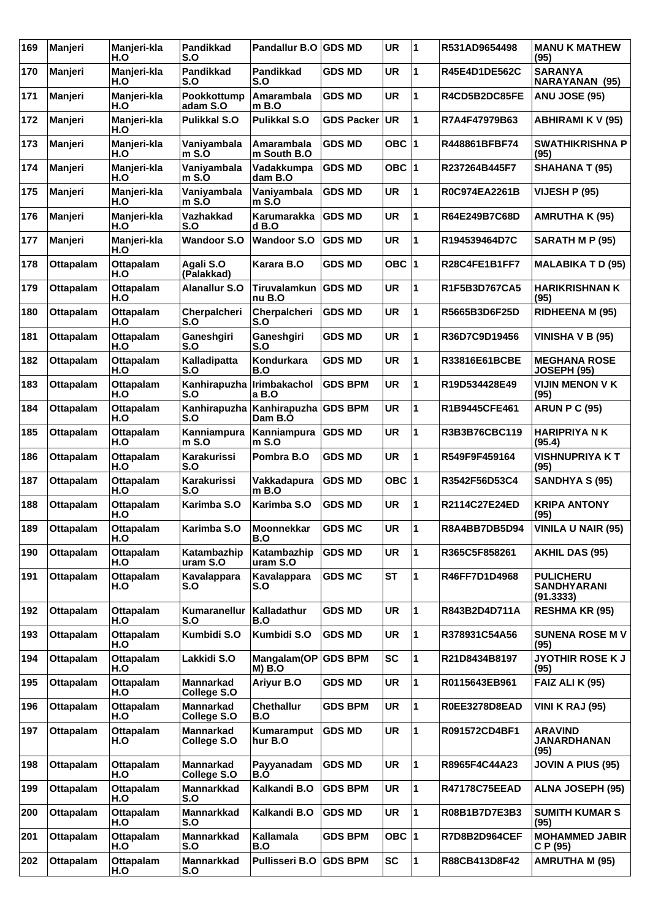| 169 | Manjeri          | Manjeri-kla<br>H.O      | Pandikkad<br>S.O         | Pandallur B.O GDS MD         |                | <b>UR</b> | 1 | R531AD9654498        | <b>MANU K MATHEW</b><br>(95)                        |
|-----|------------------|-------------------------|--------------------------|------------------------------|----------------|-----------|---|----------------------|-----------------------------------------------------|
| 170 | Manjeri          | Manjeri-kla<br>H.O      | <b>Pandikkad</b><br>S.O  | <b>Pandikkad</b><br>S.O      | GDS MD         | <b>UR</b> | 1 | R45E4D1DE562C        | <b>SARANYA</b><br>NARAYANAN (95)                    |
| 171 | Manjeri          | Manjeri-kla<br>H.O      | Pookkottump<br>adam S.O  | Amarambala<br>$m$ B.O        | <b>GDS MD</b>  | <b>UR</b> | 1 | R4CD5B2DC85FE        | <b>ANU JOSE (95)</b>                                |
| 172 | Manjeri          | Manjeri-kla<br>H.O      | <b>Pulikkal S.O</b>      | Pulikkal S.O                 | GDS Packer     | <b>UR</b> | 1 | R7A4F47979B63        | ABHIRAMI K V (95)                                   |
| 173 | Manjeri          | Manjeri-kla<br>H.O      | Vaniyambala<br>$m$ S.O   | Amarambala<br>m South B.O    | <b>GDS MD</b>  | OBC $ 1$  |   | R448861BFBF74        | <b>SWATHIKRISHNA P</b><br>(95)                      |
| 174 | Manjeri          | Manjeri-kla<br>H.O      | Vaniyambala<br>$m S.$ O  | Vadakkumpa<br>dam B.O        | <b>GDS MD</b>  | OBC $ 1$  |   | R237264B445F7        | <b>SHAHANA T (95)</b>                               |
| 175 | Manjeri          | Manjeri-kla<br>H.O      | Vaniyambala<br>m S.O     | Vaniyambala<br>m S.O         | <b>GDS MD</b>  | UR        | 1 | R0C974EA2261B        | <b>VIJESH P (95)</b>                                |
| 176 | Manjeri          | Manjeri-kla<br>H.O      | Vazhakkad<br>S.O         | Karumarakka<br>$d$ B.O       | <b>GDS MD</b>  | <b>UR</b> | 1 | R64E249B7C68D        | AMRUTHA K (95)                                      |
| 177 | Manjeri          | Manjeri-kla<br>H.O      | <b>Wandoor S.O</b>       | <b>Wandoor S.O</b>           | <b>GDS MD</b>  | <b>UR</b> | 1 | R194539464D7C        | SARATH M P (95)                                     |
| 178 | <b>Ottapalam</b> | Ottapalam<br>H.O        | Agali S.O<br>(Palakkad)  | Karara B.O                   | GDS MD         | OBC $ 1$  |   | R28C4FE1B1FF7        | <b>MALABIKA T D (95)</b>                            |
| 179 | <b>Ottapalam</b> | <b>Ottapalam</b><br>H.O | <b>Alanallur S.O</b>     | Tiruvalamkun<br>nu B.O       | <b>GDS MD</b>  | <b>UR</b> | 1 | R1F5B3D767CA5        | <b>HARIKRISHNAN K</b><br>(95)                       |
| 180 | <b>Ottapalam</b> | Ottapalam<br>H.O        | Cherpalcheri<br>S.O      | Cherpalcheri<br>S.O          | <b>GDS MD</b>  | <b>UR</b> | 1 | R5665B3D6F25D        | <b>RIDHEENA M (95)</b>                              |
| 181 | <b>Ottapalam</b> | <b>Ottapalam</b><br>H.O | Ganeshgiri<br>S.O        | Ganeshgiri<br>S.O            | <b>GDS MD</b>  | <b>UR</b> | 1 | R36D7C9D19456        | <b>VINISHA V B (95)</b>                             |
| 182 | <b>Ottapalam</b> | <b>Ottapalam</b><br>H.O | Kalladipatta<br>S.O      | Kondurkara<br>B.O            | GDS MD         | <b>UR</b> | 1 | R33816E61BCBE        | <b>MEGHANA ROSE</b><br><b>JOSEPH (95)</b>           |
| 183 | <b>Ottapalam</b> | Ottapalam<br>H.O        | Kanhirapuzha<br>S.O      | <b>Irimbakachol</b><br>a B.O | <b>GDS BPM</b> | <b>UR</b> | 1 | R19D534428E49        | <b>VIJIN MENON V K</b><br>(95)                      |
| 184 | <b>Ottapalam</b> | Ottapalam<br>H.O        | Kanhirapuzha<br>S.O      | Kanhirapuzha<br>Dam B.O      | <b>GDS BPM</b> | <b>UR</b> | 1 | R1B9445CFE461        | <b>ARUN P C (95)</b>                                |
| 185 | <b>Ottapalam</b> | <b>Ottapalam</b><br>H.O | Kanniampura<br>$m$ S.O   | Kanniampura<br>m S.O         | <b>GDS MD</b>  | <b>UR</b> | 1 | R3B3B76CBC119        | <b>HARIPRIYA N K</b><br>(95.4)                      |
| 186 | <b>Ottapalam</b> | Ottapalam<br>H.O        | Karakurissi<br>S.O       | Pombra B.O                   | <b>GDS MD</b>  | <b>UR</b> | 1 | R549F9F459164        | <b>VISHNUPRIYA K T</b><br>(95)                      |
| 187 | <b>Ottapalam</b> | <b>Ottapalam</b><br>H.O | Karakurissi<br>S.O       | Vakkadapura<br>m B.O         | <b>GDS MD</b>  | OBC $ 1$  |   | R3542F56D53C4        | <b>SANDHYA S (95)</b>                               |
| 188 | <b>Ottapalam</b> | <b>Ottapalam</b><br>H.O | Karimba S.O              | Karimba S.O                  | GDS MD         | <b>UR</b> | 1 | R2114C27E24ED        | <b>KRIPA ANTONY</b><br>(95)                         |
| 189 | <b>Ottapalam</b> | Ottapalam<br>H.O        | Karimba S.O              | Moonnekkar<br>B.O            | <b>GDS MC</b>  | <b>UR</b> | 1 | R8A4BB7DB5D94        | <b>VINILA U NAIR (95)</b>                           |
| 190 | <b>Ottapalam</b> | Ottapalam<br>H.O        | Katambazhip<br>uram S.O  | Katambazhip<br>uram S.O      | <b>GDS MD</b>  | <b>UR</b> | 1 | R365C5F858261        | <b>AKHIL DAS (95)</b>                               |
| 191 | <b>Ottapalam</b> | Ottapalam<br>H.O        | Kavalappara<br>S.O       | Kavalappara<br>S.O           | <b>GDS MC</b>  | <b>ST</b> | 1 | R46FF7D1D4968        | <b>PULICHERU</b><br><b>SANDHYARANI</b><br>(91.3333) |
| 192 | <b>Ottapalam</b> | <b>Ottapalam</b><br>H.O | Kumaranellur<br>S.O      | Kalladathur<br>B.O           | <b>GDS MD</b>  | <b>UR</b> | 1 | R843B2D4D711A        | <b>RESHMA KR (95)</b>                               |
| 193 | <b>Ottapalam</b> | <b>Ottapalam</b><br>H.O | Kumbidi S.O              | Kumbidi S.O                  | <b>GDS MD</b>  | <b>UR</b> | 1 | R378931C54A56        | <b>SUNENA ROSE M V</b><br>(95)                      |
| 194 | <b>Ottapalam</b> | Ottapalam<br>H.O        | Lakkidi S.O              | Mangalam(OP<br><b>M) B.O</b> | <b>GDS BPM</b> | <b>SC</b> | 1 | R21D8434B8197        | <b>JYOTHIR ROSE K J</b><br>(95)                     |
| 195 | <b>Ottapalam</b> | <b>Ottapalam</b><br>H.O | Mannarkad<br>College S.O | Ariyur B.O                   | <b>GDS MD</b>  | <b>UR</b> | 1 | R0115643EB961        | <b>FAIZ ALI K (95)</b>                              |
| 196 | Ottapalam        | Ottapalam<br>H.O        | Mannarkad<br>College S.O | <b>Chethallur</b><br>B.O     | <b>GDS BPM</b> | <b>UR</b> | 1 | R0EE3278D8EAD        | <b>VINI K RAJ (95)</b>                              |
| 197 | <b>Ottapalam</b> | Ottapalam<br>H.O        | Mannarkad<br>College S.O | Kumaramput<br>hur B.O        | <b>GDS MD</b>  | <b>UR</b> | 1 | R091572CD4BF1        | <b>ARAVIND</b><br><b>JANARDHANAN</b><br>(95)        |
| 198 | <b>Ottapalam</b> | Ottapalam<br>H.O        | Mannarkad<br>College S.O | Payyanadam<br>B.O            | <b>GDS MD</b>  | <b>UR</b> | 1 | R8965F4C44A23        | <b>JOVIN A PIUS (95)</b>                            |
| 199 | <b>Ottapalam</b> | Ottapalam<br>H.O        | <b>Mannarkkad</b><br>S.O | Kalkandi B.O                 | <b>GDS BPM</b> | UR        | 1 | <b>R47178C75EEAD</b> | <b>ALNA JOSEPH (95)</b>                             |
| 200 | <b>Ottapalam</b> | Ottapalam<br>H.O        | Mannarkkad<br>S.O        | Kalkandi B.O                 | <b>GDS MD</b>  | <b>UR</b> | 1 | R08B1B7D7E3B3        | <b>SUMITH KUMAR S</b><br>(95)                       |
| 201 | <b>Ottapalam</b> | Ottapalam<br>H.O        | <b>Mannarkkad</b><br>S.O | Kallamala<br>B.O             | <b>GDS BPM</b> | OBC $ 1$  |   | R7D8B2D964CEF        | <b>MOHAMMED JABIR</b><br>C P (95)                   |
| 202 | <b>Ottapalam</b> | <b>Ottapalam</b><br>H.O | <b>Mannarkkad</b><br>S.O | Pullisseri B.O               | <b>GDS BPM</b> | <b>SC</b> | 1 | R88CB413D8F42        | <b>AMRUTHA M (95)</b>                               |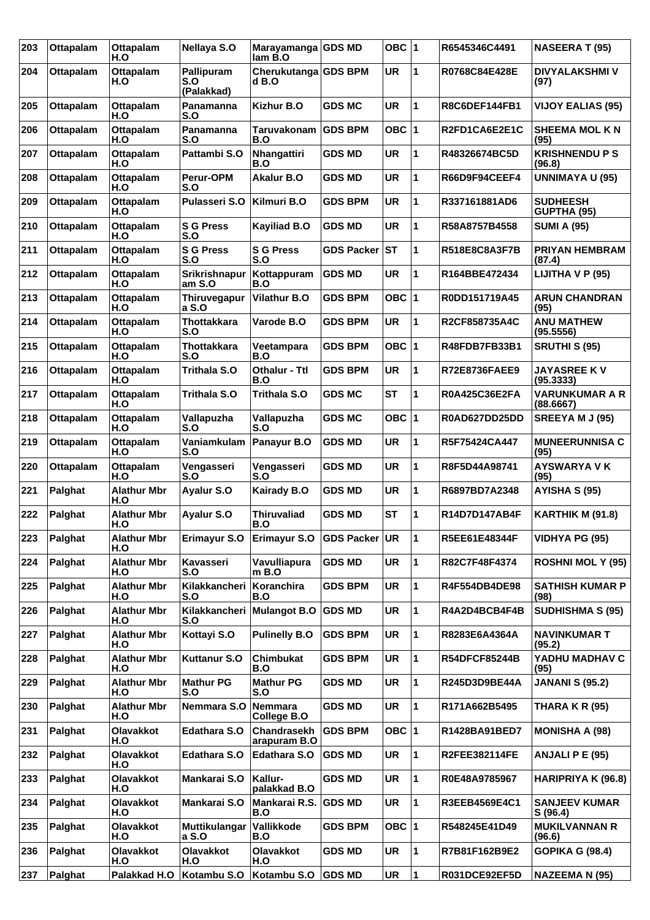| 203 | Ottapalam        | <b>Ottapalam</b><br>H.O   | <b>Nellaya S.O</b>              | Marayamanga GDS MD<br>lam B.O   |                   | OBC ∣1    |   | R6545346C4491        | <b>NASEERA T (95)</b>                 |
|-----|------------------|---------------------------|---------------------------------|---------------------------------|-------------------|-----------|---|----------------------|---------------------------------------|
| 204 | <b>Ottapalam</b> | <b>Ottapalam</b><br>H.O   | Pallipuram<br>S.O<br>(Palakkad) | Cherukutanga GDS BPM<br>$d$ B.O |                   | <b>UR</b> | 1 | R0768C84E428E        | <b>DIVYALAKSHMI V</b><br>(97)         |
| 205 | <b>Ottapalam</b> | <b>Ottapalam</b><br>H.O   | Panamanna<br>S.O                | <b>Kizhur B.O</b>               | <b>GDS MC</b>     | <b>UR</b> | 1 | R8C6DEF144FB1        | <b>VIJOY EALIAS (95)</b>              |
| 206 | <b>Ottapalam</b> | <b>Ottapalam</b><br>H.O   | Panamanna<br>S.O                | Taruvakonam<br>B.O              | <b>GDS BPM</b>    | OBC ∣1    |   | R2FD1CA6E2E1C        | <b>SHEEMA MOL KN</b><br>(95)          |
| 207 | <b>Ottapalam</b> | <b>Ottapalam</b><br>H.O   | Pattambi S.O                    | <b>Nhangattiri</b><br>B.O       | <b>GDS MD</b>     | <b>UR</b> | 1 | R48326674BC5D        | <b>KRISHNENDU P S</b><br>(96.8)       |
| 208 | <b>Ottapalam</b> | <b>Ottapalam</b><br>H.O   | Perur-OPM<br>S.O                | <b>Akalur B.O</b>               | <b>GDS MD</b>     | <b>UR</b> | 1 | R66D9F94CEEF4        | <b>UNNIMAYA U (95)</b>                |
| 209 | <b>Ottapalam</b> | <b>Ottapalam</b><br>H.O   | <b>Pulasseri S.O</b>            | Kilmuri B.O                     | GDS BPM           | <b>UR</b> | 1 | R337161881AD6        | <b>SUDHEESH</b><br><b>GUPTHA (95)</b> |
| 210 | <b>Ottapalam</b> | Ottapalam<br>H.O          | <b>S G Press</b><br>S.O         | <b>Kayiliad B.O</b>             | GDS MD            | <b>UR</b> | 1 | R58A8757B4558        | <b>SUMI A (95)</b>                    |
| 211 | <b>Ottapalam</b> | <b>Ottapalam</b><br>H.O   | <b>S G Press</b><br>S.O         | <b>S G Press</b><br>S.O         | <b>GDS Packer</b> | ∣sт       | 1 | R518E8C8A3F7B        | <b>PRIYAN HEMBRAM</b><br>(87.4)       |
| 212 | <b>Ottapalam</b> | <b>Ottapalam</b><br>H.O   | <b>Srikrishnapur</b><br>am S.O  | Kottappuram<br>B.O              | <b>GDS MD</b>     | <b>UR</b> | 1 | R164BBE472434        | LIJITHA V P (95)                      |
| 213 | <b>Ottapalam</b> | Ottapalam<br>H.O          | Thiruvegapur<br>a S.O           | <b>Vilathur B.O</b>             | <b>GDS BPM</b>    | OBC ∣1    |   | R0DD151719A45        | <b>ARUN CHANDRAN</b><br>(95)          |
| 214 | Ottapalam        | Ottapalam<br>H.O          | <b>Thottakkara</b><br>S.O       | Varode B.O                      | <b>GDS BPM</b>    | <b>UR</b> | 1 | R2CF858735A4C        | <b>ANU MATHEW</b><br>(95.5556)        |
| 215 | <b>Ottapalam</b> | <b>Ottapalam</b><br>H.O   | <b>Thottakkara</b><br>S.O       | Veetampara<br>B.O               | <b>GDS BPM</b>    | OBC  1    |   | R48FDB7FB33B1        | <b>SRUTHI S (95)</b>                  |
| 216 | <b>Ottapalam</b> | <b>Ottapalam</b><br>H.O   | <b>Trithala S.O</b>             | <b>Othalur - Ttl</b><br>B.O     | GDS BPM           | <b>UR</b> | 1 | R72E8736FAEE9        | <b>JAYASREE K V</b><br>(95.3333)      |
| 217 | <b>Ottapalam</b> | <b>Ottapalam</b><br>H.O   | <b>Trithala S.O</b>             | <b>Trithala S.O</b>             | <b>GDS MC</b>     | <b>ST</b> | 1 | R0A425C36E2FA        | <b>VARUNKUMAR A R</b><br>(88.6667)    |
| 218 | <b>Ottapalam</b> | <b>Ottapalam</b><br>H.O   | Vallapuzha<br>S.O               | Vallapuzha<br>S.O               | <b>GDS MC</b>     | OBC ∣1    |   | R0AD627DD25DD        | SREEYA M J (95)                       |
| 219 | <b>Ottapalam</b> | Ottapalam<br>H.O          | Vaniamkulam<br>S.O              | Panayur B.O                     | <b>GDS MD</b>     | <b>UR</b> | 1 | R5F75424CA447        | <b>MUNEERUNNISA C</b><br>(95)         |
| 220 | <b>Ottapalam</b> | <b>Ottapalam</b><br>H.O   | Vengasseri<br>S.O               | Vengasseri<br>S.O               | <b>GDS MD</b>     | <b>UR</b> | 1 | R8F5D44A98741        | <b>AYSWARYA VK</b><br>(95)            |
| 221 | Palghat          | <b>Alathur Mbr</b><br>H.O | Ayalur S.O                      | <b>Kairady B.O</b>              | <b>GDS MD</b>     | <b>UR</b> | 1 | R6897BD7A2348        | AYISHA S (95)                         |
| 222 | Palghat          | <b>Alathur Mbr</b><br>H.O | Ayalur S.O                      | <b>Thiruvaliad</b><br>B.O       | GDS MD            | <b>ST</b> | 1 | R14D7D147AB4F        | <b>KARTHIK M (91.8)</b>               |
| 223 | Palghat          | <b>Alathur Mbr</b><br>H.O | Erimayur S.O                    | <b>Erimayur S.O</b>             | GDS Packer UR     |           | 1 | R5EE61E48344F        | <b>VIDHYA PG (95)</b>                 |
| 224 | Palghat          | <b>Alathur Mbr</b><br>H.O | Kavasseri<br>S.O                | Vavulliapura<br>m B.O           | <b>GDS MD</b>     | <b>UR</b> | 1 | R82C7F48F4374        | <b>ROSHNI MOL Y (95)</b>              |
| 225 | Palghat          | <b>Alathur Mbr</b><br>H.O | Kilakkancheri<br>S.O            | Koranchira<br>B.O               | <b>GDS BPM</b>    | <b>UR</b> | 1 | R4F554DB4DE98        | <b>SATHISH KUMAR P</b><br>(98)        |
| 226 | Palghat          | <b>Alathur Mbr</b><br>H.O | Kilakkancheri<br>S.O            | <b>Mulangot B.O</b>             | <b>GDS MD</b>     | <b>UR</b> | 1 | R4A2D4BCB4F4B        | <b>SUDHISHMA S (95)</b>               |
| 227 | Palghat          | <b>Alathur Mbr</b><br>H.O | Kottayi S.O                     | <b>Pulinelly B.O</b>            | <b>GDS BPM</b>    | <b>UR</b> | 1 | R8283E6A4364A        | <b>NAVINKUMAR T</b><br>(95.2)         |
| 228 | Palghat          | <b>Alathur Mbr</b><br>H.O | Kuttanur S.O                    | Chimbukat<br>B.O                | <b>GDS BPM</b>    | <b>UR</b> | 1 | <b>R54DFCF85244B</b> | YADHU MADHAV C<br>(95)                |
| 229 | Palghat          | <b>Alathur Mbr</b><br>H.O | <b>Mathur PG</b><br>S.O         | <b>Mathur PG</b><br>S.O         | <b>GDS MD</b>     | UR        | 1 | R245D3D9BE44A        | <b>JANANI S (95.2)</b>                |
| 230 | Palghat          | <b>Alathur Mbr</b><br>H.O | Nemmara S.O                     | Nemmara<br>College B.O          | <b>GDS MD</b>     | UR        | 1 | R171A662B5495        | THARA K R (95)                        |
| 231 | Palghat          | Olavakkot<br>H.O          | Edathara S.O                    | Chandrasekh<br>arapuram B.O     | <b>GDS BPM</b>    | OBC 1     |   | R1428BA91BED7        | <b>MONISHA A (98)</b>                 |
| 232 | Palghat          | Olavakkot<br>H.O          | <b>Edathara S.O</b>             | <b>Edathara S.O</b>             | <b>GDS MD</b>     | UR        | 1 | R2FEE382114FE        | <b>ANJALI P E (95)</b>                |
| 233 | Palghat          | Olavakkot<br>H.O          | Mankarai S.O                    | Kallur-<br>palakkad B.O         | <b>GDS MD</b>     | <b>UR</b> | 1 | R0E48A9785967        | HARIPRIYA K (96.8)                    |
| 234 | Palghat          | Olavakkot<br>H.O          | Mankarai S.O                    | Mankarai R.S.<br>B.O            | <b>GDS MD</b>     | <b>UR</b> | 1 | R3EEB4569E4C1        | <b>SANJEEV KUMAR</b><br>S(96.4)       |
| 235 | Palghat          | Olavakkot<br>H.O          | Muttikulangar<br>a S.O          | Vallikkode<br>B.O               | <b>GDS BPM</b>    | OBC  1    |   | R548245E41D49        | <b>MUKILVANNAN R</b><br>(96.6)        |
| 236 | Palghat          | Olavakkot<br>H.O          | Olavakkot<br>H.O                | Olavakkot<br>H.O                | <b>GDS MD</b>     | UR        | 1 | R7B81F162B9E2        | <b>GOPIKA G (98.4)</b>                |
| 237 | Palghat          | Palakkad H.O              | Kotambu S.O                     | Kotambu S.O                     | <b>GDS MD</b>     | <b>UR</b> | 1 | R031DCE92EF5D        | <b>NAZEEMA N (95)</b>                 |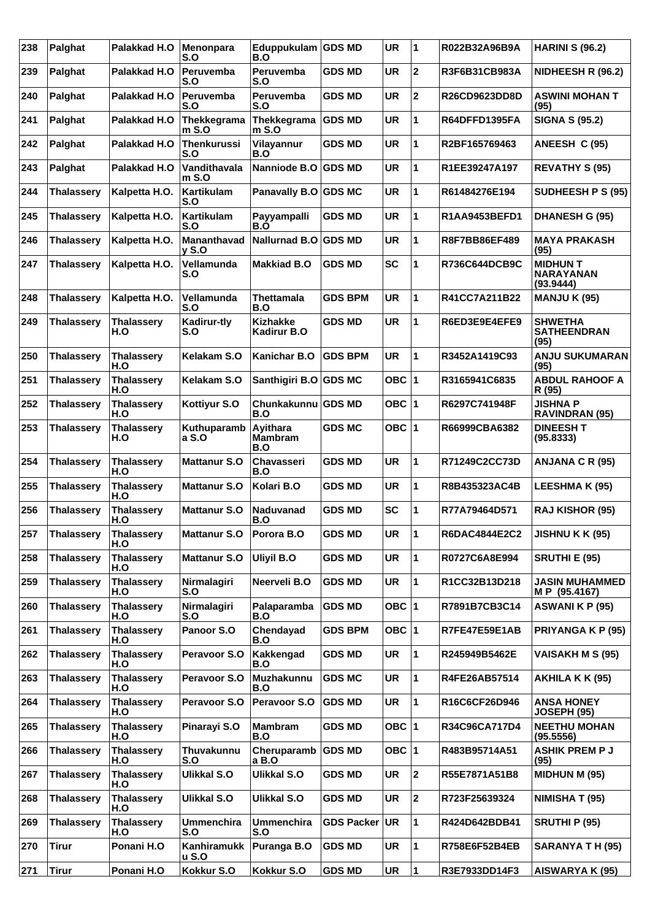| 238 | Palghat           | Palakkad H.O             | Menonpara<br>S.O            | Eduppukulam GDS MD<br>B.O             |                | <b>UR</b> | 1              | R022B32A96B9A | <b>HARINI S (96.2)</b>                           |
|-----|-------------------|--------------------------|-----------------------------|---------------------------------------|----------------|-----------|----------------|---------------|--------------------------------------------------|
| 239 | Palghat           | Palakkad H.O             | Peruvemba<br>S.O            | Peruvemba<br>S.O                      | <b>GDS MD</b>  | <b>UR</b> | $\mathbf{2}$   | R3F6B31CB983A | NIDHEESH R (96.2)                                |
| 240 | Palghat           | Palakkad H.O             | Peruvemba<br>S.O            | Peruvemba<br>S.O                      | GDS MD         | <b>UR</b> | $\mathbf 2$    | R26CD9623DD8D | <b>ASWINI MOHAN T</b><br>(95)                    |
| 241 | Palghat           | Palakkad H.O             | Thekkegrama<br>$m$ S.O      | Thekkegrama<br>m S.O                  | <b>GDS MD</b>  | <b>UR</b> | 1              | R64DFFD1395FA | <b>SIGNA S (95.2)</b>                            |
| 242 | Palghat           | Palakkad H.O             | <b>Thenkurussi</b><br>S.O   | Vilayannur<br>B.O                     | <b>GDS MD</b>  | <b>UR</b> | 1              | R2BF165769463 | ANEESH C (95)                                    |
| 243 | Palghat           | Palakkad H.O             | Vandithavala<br>$m$ S.O     | Nanniode B.O                          | <b>GDS MD</b>  | <b>UR</b> | 1              | R1EE39247A197 | <b>REVATHY S (95)</b>                            |
| 244 | <b>Thalassery</b> | Kalpetta H.O.            | Kartikulam<br>S.O           | Panavally B.O GDS MC                  |                | <b>UR</b> | 1              | R61484276E194 | SUDHEESH P S (95)                                |
| 245 | <b>Thalassery</b> | Kalpetta H.O.            | Kartikulam<br>S.O           | Payyampalli<br>B.O                    | <b>GDS MD</b>  | <b>UR</b> | 1              | R1AA9453BEFD1 | <b>DHANESH G (95)</b>                            |
| 246 | <b>Thalassery</b> | Kalpetta H.O.            | <b>Mananthavad</b><br>y S.O | <b>Nallurnad B.O</b>                  | <b>GDS MD</b>  | <b>UR</b> | 1              | R8F7BB86EF489 | <b>MAYA PRAKASH</b><br>(95)                      |
| 247 | <b>Thalassery</b> | Kalpetta H.O.            | Vellamunda<br>S.O           | <b>Makkiad B.O</b>                    | <b>GDS MD</b>  | <b>SC</b> | 1              | R736C644DCB9C | <b>MIDHUN T</b><br><b>NARAYANAN</b><br>(93.9444) |
| 248 | <b>Thalassery</b> | Kalpetta H.O.            | Vellamunda<br>S.O           | Thettamala<br>B.O                     | <b>GDS BPM</b> | UR        | 1              | R41CC7A211B22 | <b>MANJU K (95)</b>                              |
| 249 | <b>Thalassery</b> | <b>Thalassery</b><br>H.O | Kadirur-tly<br>S.O          | <b>Kizhakke</b><br><b>Kadirur B.O</b> | <b>GDS MD</b>  | <b>UR</b> | 1              | R6ED3E9E4EFE9 | <b>SHWETHA</b><br><b>SATHEENDRAN</b><br>(95)     |
| 250 | <b>Thalassery</b> | <b>Thalassery</b><br>H.O | Kelakam S.O                 | <b>Kanichar B.O</b>                   | <b>GDS BPM</b> | <b>UR</b> | 1              | R3452A1419C93 | <b>ANJU SUKUMARAN</b><br>(95)                    |
| 251 | <b>Thalassery</b> | <b>Thalassery</b><br>H.O | Kelakam S.O                 | Santhigiri B.O                        | <b>GDS MC</b>  | OBC  1    |                | R3165941C6835 | <b>ABDUL RAHOOF A</b><br>R (95)                  |
| 252 | <b>Thalassery</b> | <b>Thalassery</b><br>H.O | Kottiyur S.O                | <b>Chunkakunnu</b><br>B.O             | <b>GDS MD</b>  | OBC ∣1    |                | R6297C741948F | <b>JISHNA P</b><br><b>RAVINDRAN (95)</b>         |
| 253 | <b>Thalassery</b> | <b>Thalassery</b><br>H.O | Kuthuparamb<br>a S.O        | Ayithara<br>Mambram<br>B.O            | <b>GDS MC</b>  | OBC 1     |                | R66999CBA6382 | <b>DINEESH T</b><br>(95.8333)                    |
| 254 | <b>Thalassery</b> | <b>Thalassery</b><br>H.O | <b>Mattanur S.O</b>         | <b>Chavasseri</b><br>B.O              | <b>GDS MD</b>  | <b>UR</b> | 1              | R71249C2CC73D | ANJANA C R (95)                                  |
| 255 | <b>Thalassery</b> | <b>Thalassery</b><br>H.O | <b>Mattanur S.O</b>         | Kolari B.O                            | <b>GDS MD</b>  | <b>UR</b> | 1              | R8B435323AC4B | <b>LEESHMA K (95)</b>                            |
| 256 | <b>Thalassery</b> | <b>Thalassery</b><br>H.O | <b>Mattanur S.O</b>         | Naduvanad<br>B.O                      | <b>GDS MD</b>  | <b>SC</b> | 1              | R77A79464D571 | <b>RAJ KISHOR (95)</b>                           |
| 257 | <b>Thalassery</b> | <b>Thalassery</b><br>H.O | <b>Mattanur S.O</b>         | Porora B.O                            | <b>GDS MD</b>  | UR        | 11             | R6DAC4844E2C2 | <b>JISHNU K K (95)</b>                           |
| 258 | <b>Thalassery</b> | <b>Thalassery</b><br>H.O | <b>Mattanur S.O</b>         | <b>Uliyil B.O</b>                     | <b>GDS MD</b>  | <b>UR</b> | 1              | R0727C6A8E994 | <b>SRUTHI E (95)</b>                             |
| 259 | <b>Thalassery</b> | <b>Thalassery</b><br>H.O | Nirmalagiri<br>S.O          | Neerveli B.O                          | <b>GDS MD</b>  | <b>UR</b> | 1              | R1CC32B13D218 | <b>JASIN MUHAMMED</b><br>M P (95.4167)           |
| 260 | <b>Thalassery</b> | <b>Thalassery</b><br>H.O | Nirmalagiri<br>S.O          | Palaparamba<br>B.O                    | <b>GDS MD</b>  | OBC $ 1$  |                | R7891B7CB3C14 | <b>ASWANI K P (95)</b>                           |
| 261 | <b>Thalassery</b> | <b>Thalassery</b><br>H.O | Panoor S.O                  | Chendayad<br>B.O                      | <b>GDS BPM</b> | OBC $ 1$  |                | R7FE47E59E1AB | PRIYANGA K P (95)                                |
| 262 | <b>Thalassery</b> | <b>Thalassery</b><br>H.O | Peravoor S.O                | Kakkengad<br>B.O                      | <b>GDS MD</b>  | <b>UR</b> | 1              | R245949B5462E | <b>VAISAKH M S (95)</b>                          |
| 263 | <b>Thalassery</b> | <b>Thalassery</b><br>H.O | Peravoor S.O                | Muzhakunnu<br>B.O                     | <b>GDS MC</b>  | UR        | 1              | R4FE26AB57514 | AKHILA K K (95)                                  |
| 264 | <b>Thalassery</b> | <b>Thalassery</b><br>H.O | Peravoor S.O                | Peravoor S.O                          | <b>GDS MD</b>  | <b>UR</b> | 1              | R16C6CF26D946 | <b>ANSA HONEY</b><br><b>JOSEPH (95)</b>          |
| 265 | <b>Thalassery</b> | <b>Thalassery</b><br>H.O | Pinarayi S.O                | <b>Mambram</b><br>B.O                 | <b>GDS MD</b>  | OBC 1     |                | R34C96CA717D4 | <b>NEETHU MOHAN</b><br>(95.5556)                 |
| 266 | <b>Thalassery</b> | <b>Thalassery</b><br>H.O | Thuvakunnu<br>S.O           | Cheruparamb<br>a B.O                  | <b>GDS MD</b>  | OBC  1    |                | R483B95714A51 | <b>ASHIK PREM P J</b><br>(95)                    |
| 267 | <b>Thalassery</b> | <b>Thalassery</b><br>H.O | <b>Ulikkal S.O</b>          | Ulikkal S.O                           | <b>GDS MD</b>  | <b>UR</b> | $\overline{2}$ | R55E7871A51B8 | <b>MIDHUN M (95)</b>                             |
| 268 | <b>Thalassery</b> | <b>Thalassery</b><br>H.O | Ulikkal S.O                 | Ulikkal S.O                           | <b>GDS MD</b>  | <b>UR</b> | $\mathbf 2$    | R723F25639324 | NIMISHA T (95)                                   |
| 269 | <b>Thalassery</b> | <b>Thalassery</b><br>H.O | <b>Ummenchira</b><br>S.O    | <b>Ummenchira</b><br>S.O              | GDS Packer UR  |           | 1              | R424D642BDB41 | <b>SRUTHI P (95)</b>                             |
| 270 | <b>Tirur</b>      | Ponani H.O               | Kanhiramukk<br>u S.O        | Puranga B.O                           | <b>GDS MD</b>  | <b>UR</b> | 1              | R758E6F52B4EB | SARANYA T H (95)                                 |
| 271 | <b>Tirur</b>      | Ponani H.O               | Kokkur S.O                  | Kokkur S.O                            | <b>GDS MD</b>  | <b>UR</b> | 1              | R3E7933DD14F3 | AISWARYA K (95)                                  |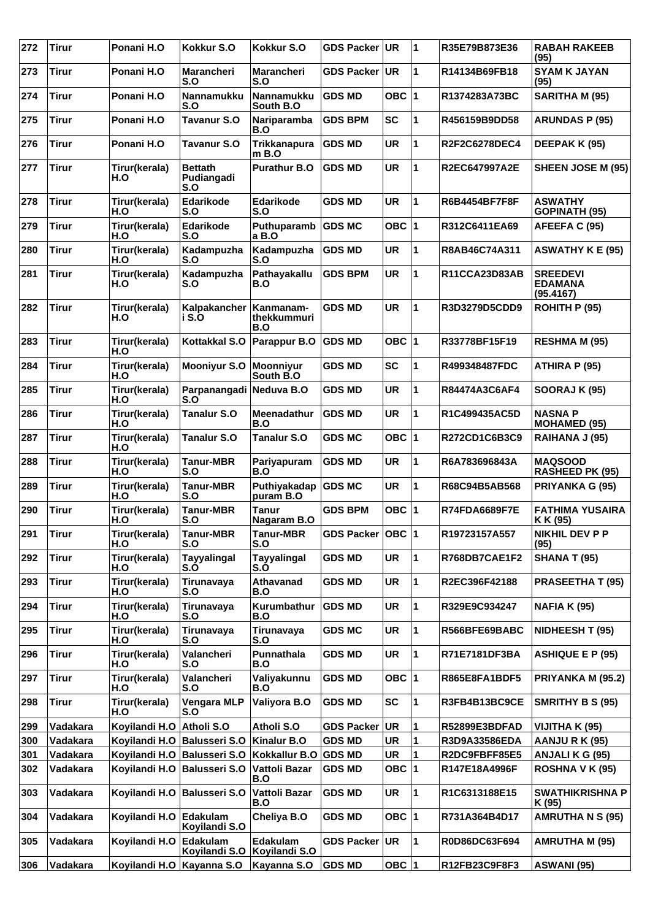| 272 | <b>Tirur</b> | Ponani H.O                | Kokkur S.O                          | Kokkur S.O                      | GDS Packer UR        |           | 1            | R35E79B873E36        | <b>RABAH RAKEEB</b><br>(95)                    |
|-----|--------------|---------------------------|-------------------------------------|---------------------------------|----------------------|-----------|--------------|----------------------|------------------------------------------------|
| 273 | <b>Tirur</b> | Ponani H.O                | Marancheri<br>S.O                   | <b>Marancheri</b><br>S.O        | <b>GDS Packer</b>    | <b>UR</b> | $\mathbf 1$  | R14134B69FB18        | <b>SYAM K JAYAN</b><br>(95)                    |
| 274 | <b>Tirur</b> | Ponani H.O                | <b>Nannamukku</b><br>S.O            | <b>Nannamukku</b><br>South B.O  | <b>GDS MD</b>        | OBC ∣1    |              | R1374283A73BC        | <b>SARITHA M (95)</b>                          |
| 275 | <b>Tirur</b> | Ponani H.O                | <b>Tavanur S.O</b>                  | Nariparamba<br>B.O              | <b>GDS BPM</b>       | <b>SC</b> | 1            | R456159B9DD58        | <b>ARUNDAS P (95)</b>                          |
| 276 | <b>Tirur</b> | Ponani H.O                | <b>Tavanur S.O</b>                  | <b>Trikkanapura</b><br>m B.O    | <b>GDS MD</b>        | <b>UR</b> | 1            | R2F2C6278DEC4        | DEEPAK K (95)                                  |
| 277 | <b>Tirur</b> | Tirur(kerala)<br>H.O      | <b>Bettath</b><br>Pudiangadi<br>S.O | <b>Purathur B.O</b>             | <b>GDS MD</b>        | <b>UR</b> | 1            | R2EC647997A2E        | SHEEN JOSE M (95)                              |
| 278 | <b>Tirur</b> | Tirur(kerala)<br>H.O      | Edarikode<br>S.O                    | Edarikode<br>S.O                | <b>GDS MD</b>        | <b>UR</b> | 1            | <b>R6B4454BF7F8F</b> | <b>ASWATHY</b><br><b>GOPINATH (95)</b>         |
| 279 | <b>Tirur</b> | Tirur(kerala)<br>H.O      | Edarikode<br>S.O                    | Puthuparamb<br>a B.O            | <b>GDS MC</b>        | OBC $ 1$  |              | R312C6411EA69        | AFEEFA C (95)                                  |
| 280 | <b>Tirur</b> | Tirur(kerala)<br>H.O      | Kadampuzha<br>S.O                   | Kadampuzha<br>S.O               | <b>GDS MD</b>        | <b>UR</b> | 1            | R8AB46C74A311        | <b>ASWATHY K E (95)</b>                        |
| 281 | <b>Tirur</b> | Tirur(kerala)<br>H.O      | Kadampuzha<br>S.O                   | Pathayakallu<br>B.O             | <b>GDS BPM</b>       | <b>UR</b> | $\mathbf{1}$ | R11CCA23D83AB        | <b>SREEDEVI</b><br><b>EDAMANA</b><br>(95.4167) |
| 282 | <b>Tirur</b> | Tirur(kerala)<br>H.O      | Kalpakancher<br>i S.O               | Kanmanam-<br>thekkummuri<br>B.O | <b>GDS MD</b>        | <b>UR</b> | $\mathbf 1$  | R3D3279D5CDD9        | ROHITH P (95)                                  |
| 283 | <b>Tirur</b> | Tirur(kerala)<br>H.O      | Kottakkal S.O                       | Parappur B.O                    | <b>GDS MD</b>        | OBC 1     |              | R33778BF15F19        | <b>RESHMA M (95)</b>                           |
| 284 | <b>Tirur</b> | Tirur(kerala)<br>H.O      | <b>Mooniyur S.O</b>                 | <b>Moonniyur</b><br>South B.O   | <b>GDS MD</b>        | <b>SC</b> | $\mathbf 1$  | R499348487FDC        | ATHIRA P (95)                                  |
| 285 | <b>Tirur</b> | Tirur(kerala)<br>H.O      | Parpanangadi<br>S.O                 | Neduva B.O                      | <b>GDS MD</b>        | <b>UR</b> | 1            | R84474A3C6AF4        | <b>SOORAJ K (95)</b>                           |
| 286 | <b>Tirur</b> | Tirur(kerala)<br>H.O      | Tanalur S.O                         | <b>Meenadathur</b><br>B.O       | <b>GDS MD</b>        | <b>UR</b> | 1            | R1C499435AC5D        | <b>NASNAP</b><br><b>MOHAMED (95)</b>           |
| 287 | <b>Tirur</b> | Tirur(kerala)<br>H.O      | Tanalur S.O                         | <b>Tanalur S.O</b>              | <b>GDS MC</b>        | OBC 1     |              | R272CD1C6B3C9        | RAIHANA J (95)                                 |
| 288 | <b>Tirur</b> | Tirur(kerala)<br>H.O      | <b>Tanur-MBR</b><br>S.O             | Pariyapuram<br>B.O              | <b>GDS MD</b>        | UR        | 1            | R6A783696843A        | <b>MAQSOOD</b><br><b>RASHEED PK (95)</b>       |
| 289 | <b>Tirur</b> | Tirur(kerala)<br>H.O      | <b>Tanur-MBR</b><br>S.O             | Puthiyakadap<br>puram B.O       | <b>GDS MC</b>        | <b>UR</b> | 1            | R68C94B5AB568        | <b>PRIYANKA G (95)</b>                         |
| 290 | <b>Tirur</b> | Tirur(kerala)<br>H.O      | <b>Tanur-MBR</b><br>S.O             | <b>Tanur</b><br>Nagaram B.O     | <b>GDS BPM</b>       | OBC 1     |              | R74FDA6689F7E        | <b>FATHIMA YUSAIRA</b><br>K K (95)             |
| 291 | Tirur        | Tirur(kerala)<br>H.O      | Tanur-MBR<br>S.O                    | Tanur-MBR<br>S.O                | GDS Packer   OBC   1 |           |              | R19723157A557        | NIKHIL DEV P P<br>(95)                         |
| 292 | <b>Tirur</b> | Tirur(kerala)<br>H.O      | <b>Tayyalingal</b><br>S.Ò           | <b>Tayyalingal</b><br>S.O       | <b>GDS MD</b>        | <b>UR</b> | 1            | R768DB7CAE1F2        | <b>SHANA T (95)</b>                            |
| 293 | <b>Tirur</b> | Tirur(kerala)<br>H.O      | Tirunavaya<br>S.O                   | Athavanad<br>B.O                | <b>GDS MD</b>        | <b>UR</b> | 1            | R2EC396F42188        | <b>PRASEETHA T (95)</b>                        |
| 294 | <b>Tirur</b> | Tirur(kerala)<br>H.O      | Tirunavaya<br>S.O                   | Kurumbathur<br>B.O              | <b>GDS MD</b>        | UR        | 1            | R329E9C934247        | <b>NAFIA K (95)</b>                            |
| 295 | <b>Tirur</b> | Tirur(kerala)<br>H.O      | Tirunavaya<br>S.O                   | Tirunavaya<br>S.O               | <b>GDS MC</b>        | UR        | 1            | R566BFE69BABC        | NIDHEESH T (95)                                |
| 296 | <b>Tirur</b> | Tirur(kerala)<br>H.O      | Valancheri<br>S.O                   | Punnathala<br>B.O               | <b>GDS MD</b>        | <b>UR</b> | 1            | R71E7181DF3BA        | <b>ASHIQUE E P (95)</b>                        |
| 297 | <b>Tirur</b> | Tirur(kerala)<br>H.O      | Valancheri<br>S.O                   | Valiyakunnu<br>B.O              | <b>GDS MD</b>        | OBC  1    |              | <b>R865E8FA1BDF5</b> | PRIYANKA M (95.2)                              |
| 298 | <b>Tirur</b> | Tirur(kerala)<br>H.O      | Vengara MLP<br>S.O                  | Valiyora B.O                    | <b>GDS MD</b>        | <b>SC</b> | 1            | R3FB4B13BC9CE        | SMRITHY B S (95)                               |
| 299 | Vadakara     | Koyilandi H.O             | Atholi S.O                          | Atholi S.O                      | <b>GDS Packer</b>    | UR.       | $\mathbf 1$  | R52899E3BDFAD        | VIJITHA K (95)                                 |
| 300 | Vadakara     | Koyilandi H.O             | <b>Balusseri S.O</b>                | Kinalur B.O                     | <b>GDS MD</b>        | UR        | 1            | R3D9A33586EDA        | AANJURK (95)                                   |
| 301 | Vadakara     | Koyilandi H.O             | <b>Balusseri S.O</b>                | Kokkallur B.O GDS MD            |                      | UR        | 1            | R2DC9FBFF85E5        | ANJALI K G (95)                                |
| 302 | Vadakara     | Koyilandi H.O             | <b>Balusseri S.O</b>                | Vattoli Bazar<br>B.O            | <b>GDS MD</b>        | OBC $ 1$  |              | R147E18A4996F        | <b>ROSHNA V K (95)</b>                         |
| 303 | Vadakara     | Koyilandi H.O             | <b>Balusseri S.O</b>                | Vattoli Bazar<br>B.O            | <b>GDS MD</b>        | UR        | 1            | R1C6313188E15        | <b>SWATHIKRISHNA P</b><br>K (95)               |
| 304 | Vadakara     | Koyilandi H.O             | Edakulam<br>Koyilandi S.O           | Cheliya B.O                     | <b>GDS MD</b>        | OBC 1     |              | R731A364B4D17        | <b>AMRUTHA N S (95)</b>                        |
| 305 | Vadakara     | Koyilandi H.O             | Edakulam<br>Koyilandi S.O           | Edakulam<br>Koyilandi S.O       | GDS Packer UR        |           | $\mathbf 1$  | R0D86DC63F694        | <b>AMRUTHA M (95)</b>                          |
| 306 | Vadakara     | Koyilandi H.O Kayanna S.O |                                     | Kayanna S.O                     | <b>GDS MD</b>        | OBC $ 1$  |              | R12FB23C9F8F3        | ASWANI (95)                                    |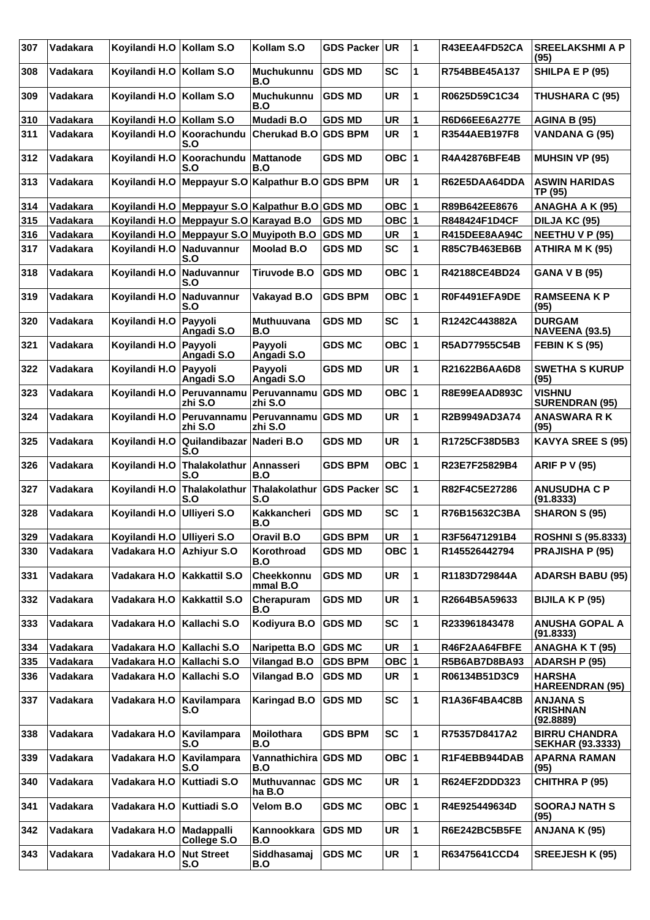| 307 | Vadakara | Koyilandi H.O              | Kollam S.O                     | Kollam S.O                        | <b>GDS Packer</b> | UR.       | 1           | R43EEA4FD52CA        | <b>SREELAKSHMI A P</b><br>(95)                  |
|-----|----------|----------------------------|--------------------------------|-----------------------------------|-------------------|-----------|-------------|----------------------|-------------------------------------------------|
| 308 | Vadakara | Koyilandi H.O Kollam S.O   |                                | <b>Muchukunnu</b><br>B.O          | <b>GDS MD</b>     | <b>SC</b> | 1           | R754BBE45A137        | SHILPA E P (95)                                 |
| 309 | Vadakara | Koyilandi H.O              | Kollam S.O                     | <b>Muchukunnu</b><br>B.O          | <b>GDS MD</b>     | <b>UR</b> | 1           | R0625D59C1C34        | <b>THUSHARA C (95)</b>                          |
| 310 | Vadakara | Koyilandi H.O              | Kollam S.O                     | Mudadi B.O                        | <b>GDS MD</b>     | <b>UR</b> | 1           | <b>R6D66EE6A277E</b> | <b>AGINA B (95)</b>                             |
| 311 | Vadakara | Koyilandi H.O              | Koorachundu<br>S.O             | <b>Cherukad B.O</b>               | <b>GDS BPM</b>    | <b>UR</b> | 1           | R3544AEB197F8        | <b>VANDANA G (95)</b>                           |
| 312 | Vadakara | Koyilandi H.O              | Koorachundu<br>S.O             | <b>Mattanode</b><br>B.O           | <b>GDS MD</b>     | OBC $ 1$  |             | R4A42876BFE4B        | <b>MUHSIN VP (95)</b>                           |
| 313 | Vadakara | Koyilandi H.O              | Meppayur S.O                   | Kalpathur B.O GDS BPM             |                   | <b>UR</b> | 1           | R62E5DAA64DDA        | <b>ASWIN HARIDAS</b><br>TP (95)                 |
| 314 | Vadakara | Koyilandi H.O              | Meppayur S.O                   | Kalpathur B.O GDS MD              |                   | OBC $ 1$  |             | R89B642EE8676        | ANAGHA A K (95)                                 |
| 315 | Vadakara | Koyilandi H.O              | Meppayur S.O                   | <b>Karayad B.O</b>                | <b>GDS MD</b>     | OBC $ 1$  |             | R848424F1D4CF        | DILJA KC (95)                                   |
| 316 | Vadakara | Koyilandi H.O              | Meppayur S.O Muyipoth B.O      |                                   | <b>GDS MD</b>     | UR        | 1           | R415DEE8AA94C        | <b>NEETHU V P (95)</b>                          |
| 317 | Vadakara | Koyilandi H.O              | Naduvannur<br>S.O              | Moolad B.O                        | <b>GDS MD</b>     | <b>SC</b> | 1           | R85C7B463EB6B        | ATHIRA M K (95)                                 |
| 318 | Vadakara | Koyilandi H.O              | Naduvannur<br>S.O              | Tiruvode B.O                      | <b>GDS MD</b>     | OBC ∣1    |             | R42188CE4BD24        | <b>GANA V B (95)</b>                            |
| 319 | Vadakara | Koyilandi H.O              | Naduvannur<br>S.O              | Vakayad B.O                       | <b>GDS BPM</b>    | OBC ∣1    |             | R0F4491EFA9DE        | <b>RAMSEENAKP</b><br>(95)                       |
| 320 | Vadakara | Koyilandi H.O              | Payyoli<br>Angadi S.O          | <b>Muthuuvana</b><br>B.O          | <b>GDS MD</b>     | <b>SC</b> | 1           | R1242C443882A        | <b>DURGAM</b><br><b>NAVEENA (93.5)</b>          |
| 321 | Vadakara | Koyilandi H.O              | Payyoli<br>Angadi S.O          | Payyoli<br>Angadi S.O             | <b>GDS MC</b>     | OBC ∣1    |             | R5AD77955C54B        | <b>FEBIN K S (95)</b>                           |
| 322 | Vadakara | Koyilandi H.O              | Payyoli<br>Angadi S.O          | Payyoli<br>Angadi S.O             | <b>GDS MD</b>     | <b>UR</b> | 1           | R21622B6AA6D8        | <b>SWETHA S KURUP</b><br>(95)                   |
| 323 | Vadakara | Koyilandi H.O              | Peruvannamu<br>zhi S.O         | Peruvannamu GDS MD<br>zhi S.O     |                   | OBC $ 1$  |             | R8E99EAAD893C        | <b>VISHNU</b><br><b>SURENDRAN (95)</b>          |
| 324 | Vadakara | Koyilandi H.O              | Peruvannamu<br>zhi S.O         | Peruvannamu GDS MD<br>zhi S.O     |                   | <b>UR</b> | 1           | R2B9949AD3A74        | <b>ANASWARA RK</b><br>(95)                      |
| 325 | Vadakara | Koyilandi H.O              | Quilandibazar<br>S.O           | Naderi B.O                        | <b>GDS MD</b>     | <b>UR</b> | 1           | R1725CF38D5B3        | <b>KAVYA SREE S (95)</b>                        |
| 326 | Vadakara | Koyilandi H.O              | Thalakolathur Annasseri<br>S.O | B.O                               | <b>GDS BPM</b>    | OBC $ 1$  |             | R23E7F25829B4        | <b>ARIF P V (95)</b>                            |
| 327 | Vadakara |                            | Thalakolathur                  | Thalakolathur                     | GDS Packer SC     |           | 1           | R82F4C5E27286        | <b>ANUSUDHA C P</b>                             |
|     |          | Koyilandi H.O              | S.O                            | S.O                               |                   |           |             |                      | (91.8333)                                       |
| 328 | Vadakara | Koyilandi H.O              | <b>Ulliyeri S.O</b>            | Kakkancheri<br>B.O                | <b>GDS MD</b>     | <b>SC</b> | 1           | R76B15632C3BA        | <b>SHARON S (95)</b>                            |
| 329 | Vadakara | Koyilandi H.O Ulliyeri S.O |                                | Oravil B.O                        | <b>GDS BPM</b>    | <b>UR</b> | $\mathbf 1$ | R3F56471291B4        | <b>ROSHNI S (95.8333)</b>                       |
| 330 | Vadakara | Vadakara H.O               | Azhiyur S.O                    | Korothroad<br>B.O                 | <b>GDS MD</b>     | OBC $ 1$  |             | R145526442794        | <b>PRAJISHA P (95)</b>                          |
| 331 | Vadakara | Vadakara H.O               | Kakkattil S.O                  | Cheekkonnu<br>mmal B.O            | <b>GDS MD</b>     | UR        | $\mathbf 1$ | R1183D729844A        | <b>ADARSH BABU (95)</b>                         |
| 332 | Vadakara | Vadakara H.O               | <b>Kakkattil S.O</b>           | Cherapuram<br>B.O                 | <b>GDS MD</b>     | UR        | 1           | R2664B5A59633        | <b>BIJILA K P (95)</b>                          |
| 333 | Vadakara | Vadakara H.O               | Kallachi S.O                   | Kodiyura B.O                      | <b>GDS MD</b>     | SC        | 1           | R233961843478        | <b>ANUSHA GOPAL A</b><br>(91.8333)              |
| 334 | Vadakara | Vadakara H.O               | Kallachi S.O                   | Naripetta B.O                     | <b>GDS MC</b>     | <b>UR</b> | 1           | R46F2AA64FBFE        | <b>ANAGHAKT (95)</b>                            |
| 335 | Vadakara | Vadakara H.O               | Kallachi S.O                   | <b>Vilangad B.O</b>               | <b>GDS BPM</b>    | OBC  1    |             | R5B6AB7D8BA93        | <b>ADARSH P (95)</b>                            |
| 336 | Vadakara | Vadakara H.O               | Kallachi S.O                   | <b>Vilangad B.O</b>               | <b>GDS MD</b>     | UR        | 1           | R06134B51D3C9        | <b>HARSHA</b><br><b>HAREENDRAN (95)</b>         |
| 337 | Vadakara | Vadakara H.O               | Kavilampara<br>S.O             | <b>Karingad B.O</b>               | <b>GDS MD</b>     | <b>SC</b> | $\mathbf 1$ | R1A36F4BA4C8B        | <b>ANJANA S</b><br><b>KRISHNAN</b><br>(92.8889) |
| 338 | Vadakara | Vadakara H.O               | Kavilampara<br>S.O             | Moilothara<br>B.O                 | <b>GDS BPM</b>    | <b>SC</b> | 1           | R75357D8417A2        | <b>BIRRU CHANDRA</b><br><b>SEKHAR (93.3333)</b> |
| 339 | Vadakara | Vadakara H.O               | Kavilampara<br>S.O             | Vannathichira<br>B.O              | <b>GDS MD</b>     | OBC 1     |             | R1F4EBB944DAB        | <b>APARNA RAMAN</b><br>(95)                     |
| 340 | Vadakara | Vadakara H.O               | Kuttiadi S.O                   | <b>Muthuvannac</b><br>ha B.O      | <b>GDS MC</b>     | UR        | 1           | R624EF2DDD323        | <b>CHITHRA P (95)</b>                           |
| 341 | Vadakara | Vadakara H.O               | <b>Kuttiadi S.O</b>            | Velom B.O                         | <b>GDS MC</b>     | OBC 1     |             | R4E925449634D        | <b>SOORAJ NATH S</b><br>(95)                    |
| 342 | Vadakara | Vadakara H.O               | Madappalli<br>College S.O      | Kannookkara<br>B.O<br>Siddhasamaj | <b>GDS MD</b>     | UR        | $\mathbf 1$ | R6E242BC5B5FE        | ANJANA K (95)                                   |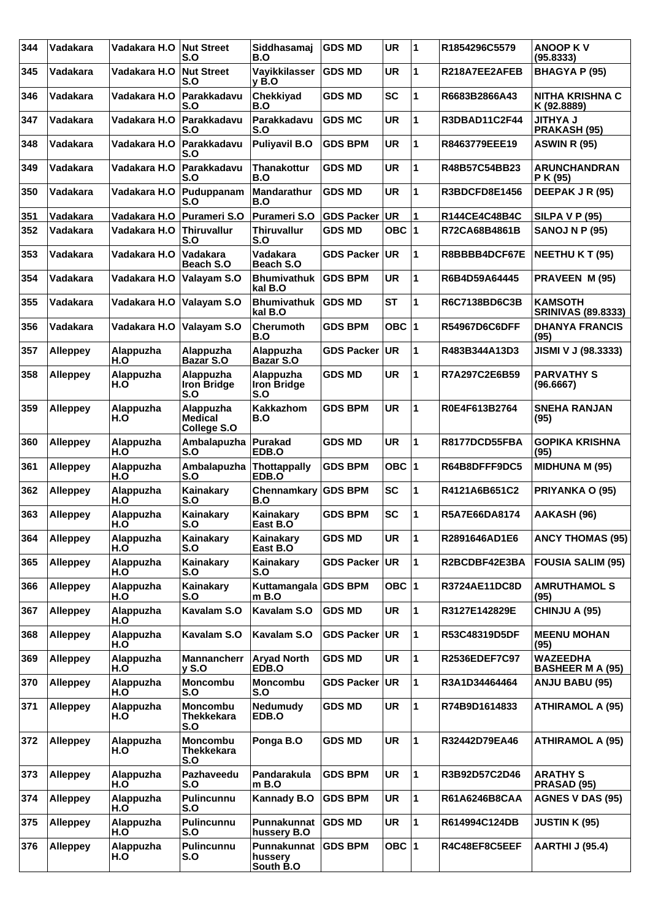| 344 | Vadakara        | Vadakara H.O     | <b>Nut Street</b><br>S.O                    | Siddhasamaj<br>B.O                     | <b>GDS MD</b>     | <b>UR</b> | 1           | R1854296C5579        | <b>ANOOP KV</b><br>(95.8333)                |
|-----|-----------------|------------------|---------------------------------------------|----------------------------------------|-------------------|-----------|-------------|----------------------|---------------------------------------------|
| 345 | Vadakara        | Vadakara H.O     | <b>Nut Street</b><br>S.O                    | Vayikkilasser<br>$v$ B.O               | <b>GDS MD</b>     | <b>UR</b> | 1           | R218A7EE2AFEB        | <b>BHAGYA P (95)</b>                        |
| 346 | Vadakara        | Vadakara H.O     | Parakkadavu<br>S.O                          | Chekkiyad<br>B.O                       | <b>GDS MD</b>     | <b>SC</b> | 1           | R6683B2866A43        | NITHA KRISHNA C<br>K (92.8889)              |
| 347 | Vadakara        | Vadakara H.O     | Parakkadavu<br>S.O                          | Parakkadavu<br>S.O                     | <b>GDS MC</b>     | <b>UR</b> | 1           | <b>R3DBAD11C2F44</b> | <b>U AYHTIL</b><br>PRAKASH (95)             |
| 348 | Vadakara        | Vadakara H.O     | Parakkadavu<br>S.O                          | <b>Puliyavil B.O</b>                   | <b>GDS BPM</b>    | <b>UR</b> | 1           | R8463779EEE19        | <b>ASWIN R (95)</b>                         |
| 349 | Vadakara        | Vadakara H.O     | Parakkadavu<br>S.O                          | <b>Thanakottur</b><br>B.O              | <b>GDS MD</b>     | <b>UR</b> | 1           | R48B57C54BB23        | <b>ARUNCHANDRAN</b><br>P K (95)             |
| 350 | Vadakara        | Vadakara H.O     | Puduppanam<br>S.O                           | Mandarathur<br>B.O                     | <b>GDS MD</b>     | <b>UR</b> | 1           | R3BDCFD8E1456        | DEEPAK J R (95)                             |
| 351 | Vadakara        | Vadakara H.O     | Purameri S.O                                | <b>Purameri S.O</b>                    | GDS Packer UR     |           | 1           | R144CE4C48B4C        | <b>SILPA V P (95)</b>                       |
| 352 | Vadakara        | Vadakara H.O     | Thiruvallur<br>S.O                          | <b>Thiruvallur</b><br>S.O              | <b>GDS MD</b>     | OBC $ 1$  |             | R72CA68B4861B        | <b>SANOJ N P (95)</b>                       |
| 353 | Vadakara        | Vadakara H.O     | Vadakara<br>Beach S.O                       | Vadakara<br>Beach S.O                  | <b>GDS Packer</b> | UR        | 1           | R8BBBB4DCF67E        | <b>NEETHU K T (95)</b>                      |
| 354 | Vadakara        | Vadakara H.O     | Valayam S.O                                 | <b>Bhumivathuk</b><br>kal B.O          | <b>GDS BPM</b>    | <b>UR</b> | 1           | R6B4D59A64445        | <b>PRAVEEN M (95)</b>                       |
| 355 | Vadakara        | Vadakara H.O     | Valayam S.O                                 | <b>Bhumivathuk</b><br>kal B.O          | <b>GDS MD</b>     | <b>ST</b> | 1           | R6C7138BD6C3B        | <b>KAMSOTH</b><br><b>SRINIVAS (89.8333)</b> |
| 356 | Vadakara        | Vadakara H.O     | Valayam S.O                                 | <b>Cherumoth</b><br>B.O                | <b>GDS BPM</b>    | OBC ∣1    |             | R54967D6C6DFF        | <b>DHANYA FRANCIS</b><br>(95)               |
| 357 | <b>Alleppey</b> | Alappuzha<br>H.O | Alappuzha<br>Bazar S.O                      | Alappuzha<br>Bazar S.O                 | GDS Packer UR     |           | 1           | R483B344A13D3        | JISMI V J (98.3333)                         |
| 358 | <b>Alleppey</b> | Alappuzha<br>H.O | Alappuzha<br>Iron Bridge<br>S.O             | Alappuzha<br><b>Iron Bridge</b><br>S.O | <b>GDS MD</b>     | <b>UR</b> | 1           | R7A297C2E6B59        | <b>PARVATHY S</b><br>(96.6667)              |
| 359 | <b>Alleppey</b> | Alappuzha<br>H.O | Alappuzha<br>Medical<br>College S.O         | <b>Kakkazhom</b><br>B.O                | <b>GDS BPM</b>    | <b>UR</b> | 1           | R0E4F613B2764        | <b>SNEHA RANJAN</b><br>(95)                 |
| 360 | <b>Alleppey</b> | Alappuzha<br>H.O | Ambalapuzha<br>S.O                          | <b>Purakad</b><br>EDB.O                | <b>GDS MD</b>     | <b>UR</b> | 1           | R8177DCD55FBA        | <b>GOPIKA KRISHNA</b><br>(95)               |
| 361 | <b>Alleppey</b> | Alappuzha<br>H.O | Ambalapuzha<br>S.O                          | <b>Thottappally</b><br>EDB.O           | <b>GDS BPM</b>    | OBC  1    |             | R64B8DFFF9DC5        | <b>MIDHUNA M (95)</b>                       |
| 362 | <b>Alleppey</b> | Alappuzha<br>H.O | Kainakary<br>S.O                            | Chennamkary<br>B.O                     | <b>GDS BPM</b>    | <b>SC</b> | 1           | R4121A6B651C2        | PRIYANKA O (95)                             |
| 363 | <b>Alleppey</b> | Alappuzha<br>H.O | Kainakary<br>S.O                            | Kainakary<br>East B.O                  | <b>GDS BPM</b>    | <b>SC</b> | 1           | R5A7E66DA8174        | AAKASH (96)                                 |
| 364 | Alleppey        | Alappuzha<br>H.O | Kainakary<br>S.O                            | Kainakary<br>East B.O                  | <b>GDS MD</b>     | <b>UR</b> | $\mathbf 1$ | R2891646AD1E6        | <b>ANCY THOMAS (95)</b>                     |
| 365 | <b>Alleppey</b> | Alappuzha<br>H.O | Kainakary<br>S.O                            | Kainakary<br>S.O                       | <b>GDS Packer</b> | UR.       | 1           | R2BCDBF42E3BA        | <b>FOUSIA SALIM (95)</b>                    |
| 366 | <b>Alleppey</b> | Alappuzha<br>H.O | Kainakary<br>S.O                            | Kuttamangala GDS BPM<br>m B.O          |                   | OBC $ 1$  |             | R3724AE11DC8D        | <b>AMRUTHAMOL S</b><br>(95)                 |
| 367 | <b>Alleppey</b> | Alappuzha<br>H.O | Kavalam S.O                                 | Kavalam S.O                            | <b>GDS MD</b>     | <b>UR</b> | 1           | R3127E142829E        | CHINJU A (95)                               |
| 368 | <b>Alleppey</b> | Alappuzha<br>H.O | Kavalam S.O                                 | <b>Kavalam S.O</b>                     | <b>GDS Packer</b> | <b>UR</b> | 1           | R53C48319D5DF        | <b>MEENU MOHAN</b><br>(95)                  |
| 369 | Alleppey        | Alappuzha<br>H.O | <b>Mannancherr</b><br>$y$ S.O               | <b>Aryad North</b><br>EDB.O            | <b>GDS MD</b>     | <b>UR</b> | 1           | R2536EDEF7C97        | <b>WAZEEDHA</b><br><b>BASHEER M A (95)</b>  |
| 370 | <b>Alleppey</b> | Alappuzha<br>H.O | Moncombu<br>S.O                             | Moncombu<br>S.O                        | <b>GDS Packer</b> | UR        | 1           | R3A1D34464464        | ANJU BABU (95)                              |
| 371 | Alleppey        | Alappuzha<br>H.O | <b>Moncombu</b><br><b>Thekkekara</b><br>S.O | Nedumudy<br>EDB.O                      | <b>GDS MD</b>     | UR        | 1           | R74B9D1614833        | <b>ATHIRAMOL A (95)</b>                     |
| 372 | <b>Alleppey</b> | Alappuzha<br>H.O | <b>Moncombu</b><br><b>Thekkekara</b><br>S.O | Ponga B.O                              | <b>GDS MD</b>     | <b>UR</b> | 1           | R32442D79EA46        | <b>ATHIRAMOL A (95)</b>                     |
| 373 | <b>Alleppey</b> | Alappuzha<br>H.O | Pazhaveedu<br>S.O                           | Pandarakula<br>m B.O                   | <b>GDS BPM</b>    | <b>UR</b> | 1           | R3B92D57C2D46        | <b>ARATHY S</b><br>PRASAD (95)              |
| 374 | <b>Alleppey</b> | Alappuzha<br>H.O | <b>Pulincunnu</b><br>S.O                    | <b>Kannady B.O</b>                     | <b>GDS BPM</b>    | <b>UR</b> | 1           | R61A6246B8CAA        | <b>AGNES V DAS (95)</b>                     |
| 375 | <b>Alleppey</b> | Alappuzha<br>H.O | <b>Pulincunnu</b><br>S.O                    | Punnakunnat<br>hussery B.O             | <b>GDS MD</b>     | UR        | 1           | R614994C124DB        | <b>JUSTIN K (95)</b>                        |
| 376 | <b>Alleppey</b> | Alappuzha<br>H.O | Pulincunnu<br>S.O                           | Punnakunnat<br>hussery<br>South B.O    | <b>GDS BPM</b>    | OBC $ 1$  |             | R4C48EF8C5EEF        | <b>AARTHI J (95.4)</b>                      |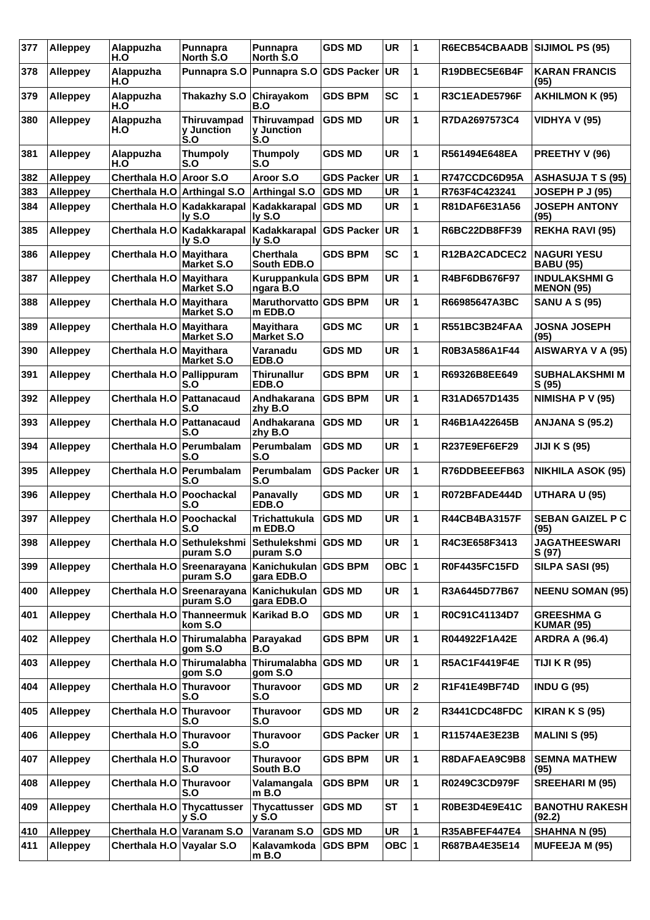| 377 | <b>Alleppey</b> | Alappuzha<br>H.O              | Punnapra<br>North S.O                                                  | <b>Punnapra</b><br>North S.O                   | <b>GDS MD</b>     | <b>UR</b>    | 1                       | R6ECB54CBAADB        | <b>SIJIMOL PS (95)</b>                   |
|-----|-----------------|-------------------------------|------------------------------------------------------------------------|------------------------------------------------|-------------------|--------------|-------------------------|----------------------|------------------------------------------|
| 378 | <b>Alleppey</b> | Alappuzha<br>H.O              | <b>Punnapra S.O</b>                                                    | Punnapra S.O GDS Packer                        |                   | UR           | 1                       | R19DBEC5E6B4F        | <b>KARAN FRANCIS</b><br>(95)             |
| 379 | <b>Alleppey</b> | Alappuzha<br>H.O              | Thakazhy S.O                                                           | Chirayakom<br>B.O                              | <b>GDS BPM</b>    | <b>SC</b>    | 1                       | R3C1EADE5796F        | <b>AKHILMON K (95)</b>                   |
| 380 | <b>Alleppey</b> | Alappuzha<br>H.O              | Thiruvampad<br><b>v</b> Junction<br>$\overline{\mathsf{S}}.\mathsf{O}$ | <b>Thiruvampad</b><br><b>v</b> Junction<br>S.O | <b>GDS MD</b>     | <b>UR</b>    | 1                       | R7DA2697573C4        | VIDHYA V (95)                            |
| 381 | <b>Alleppey</b> | Alappuzha<br>H.O              | <b>Thumpoly</b><br>S.O                                                 | <b>Thumpoly</b><br>S.O                         | <b>GDS MD</b>     | <b>UR</b>    | 1                       | R561494E648EA        | PREETHY V (96)                           |
| 382 | <b>Alleppey</b> | Cherthala H.O                 | <b>Aroor S.O</b>                                                       | Aroor S.O                                      | <b>GDS Packer</b> | UR           | 1                       | R747CCDC6D95A        | <b>ASHASUJA T S (95)</b>                 |
| 383 | <b>Alleppey</b> | Cherthala H.O   Arthingal S.O |                                                                        | <b>Arthingal S.O</b>                           | <b>GDS MD</b>     | <b>UR</b>    | 1                       | R763F4C423241        | <b>JOSEPH P J (95)</b>                   |
| 384 | <b>Alleppey</b> | Cherthala H.O                 | Kadakkarapal<br>Iv S.0                                                 | Kadakkarapal<br>IyS.0                          | <b>GDS MD</b>     | <b>UR</b>    | 1                       | R81DAF6E31A56        | <b>JOSEPH ANTONY</b><br>(95)             |
| 385 | <b>Alleppey</b> | Cherthala H.O                 | Kadakkarapal<br>ly S.O                                                 | Kadakkarapal<br>ly S.O                         | <b>GDS Packer</b> | UR           | 1                       | R6BC22DB8FF39        | <b>REKHA RAVI (95)</b>                   |
| 386 | <b>Alleppey</b> | <b>Cherthala H.O</b>          | Mayithara<br>Market S.O                                                | <b>Cherthala</b><br>South EDB.O                | <b>GDS BPM</b>    | <b>SC</b>    | 1                       | R12BA2CADCEC2        | <b>NAGURI YESU</b><br><b>BABU (95)</b>   |
| 387 | <b>Alleppey</b> | Cherthala H.O                 | <b>Mayithara</b><br>Market S.O                                         | Kuruppankula GDS BPM<br>ngara B.O              |                   | <b>UR</b>    | 1                       | R4BF6DB676F97        | <b>INDULAKSHMIG</b><br><b>MENON (95)</b> |
| 388 | <b>Alleppey</b> | Cherthala H.O                 | Mayithara<br><b>Market S.O</b>                                         | Maruthorvatto GDS BPM<br>m EDB.O               |                   | <b>UR</b>    | 1                       | R66985647A3BC        | <b>SANU A S (95)</b>                     |
| 389 | <b>Alleppey</b> | Cherthala H.O                 | Mayithara<br><b>Market S.O</b>                                         | <b>Mayithara</b><br><b>Market S.O</b>          | <b>GDS MC</b>     | <b>UR</b>    | 1                       | R551BC3B24FAA        | <b>JOSNA JOSEPH</b><br>(95)              |
| 390 | <b>Alleppey</b> | Cherthala H.O                 | <b>Mayithara</b><br>Market S.O                                         | Varanadu<br>EDB.O                              | <b>GDS MD</b>     | <b>UR</b>    | 1                       | R0B3A586A1F44        | AISWARYA V A (95)                        |
| 391 | <b>Alleppey</b> | Cherthala H.O                 | Pallippuram<br>S.O                                                     | <b>Thirunallur</b><br>EDB.O                    | <b>GDS BPM</b>    | <b>UR</b>    | 1                       | R69326B8EE649        | <b>SUBHALAKSHMI M</b><br>S (95)          |
| 392 | <b>Alleppey</b> | Cherthala H.O                 | Pattanacaud<br>S.O                                                     | Andhakarana<br>zhy B.O                         | <b>GDS BPM</b>    | UR           | 1                       | R31AD657D1435        | NIMISHA P V (95)                         |
| 393 | <b>Alleppey</b> | <b>Cherthala H.O</b>          | Pattanacaud<br>S.O                                                     | Andhakarana<br>zhy B.O                         | <b>GDS MD</b>     | <b>UR</b>    | 1                       | R46B1A422645B        | <b>ANJANA S (95.2)</b>                   |
| 394 | <b>Alleppey</b> | <b>Cherthala H.O</b>          | Perumbalam<br>S.O                                                      | Perumbalam<br>S.O                              | <b>GDS MD</b>     | <b>UR</b>    | 1                       | R237E9EF6EF29        | <b>JIJI K S (95)</b>                     |
| 395 | <b>Alleppey</b> | Cherthala H.O                 | Perumbalam<br>S.O                                                      | Perumbalam<br>S.O                              | <b>GDS Packer</b> | <b>UR</b>    | 1                       | R76DDBEEEFB63        | NIKHILA ASOK (95)                        |
| 396 | <b>Alleppey</b> | Cherthala H.O                 | Poochackal<br>S.O                                                      | Panavally<br>EDB.O                             | <b>GDS MD</b>     | <b>UR</b>    | 1                       | R072BFADE444D        | UTHARA U (95)                            |
| 397 | <b>Alleppey</b> | Cherthala H.O                 | Poochackal<br>S.O                                                      | Trichattukula<br>m EDB.O                       | <b>GDS MD</b>     | <b>UR</b>    | 1                       | R44CB4BA3157F        | <b>SEBAN GAIZEL P C</b><br>(95)          |
| 398 | <b>Alleppey</b> | Cherthala H.O Sethulekshmi    | puram S.O                                                              | Sethulekshmi GDS MD<br>puram S.O               |                   | UR           | $\overline{\mathbf{1}}$ | R4C3E658F3413        | <b>JAGATHEESWARI</b><br>S (97)           |
| 399 | <b>Alleppey</b> | Cherthala H.O                 | Sreenarayana<br>puram S.O                                              | Kanichukulan<br>gara EDB.O                     | <b>GDS BPM</b>    | <b>OBC 1</b> |                         | <b>R0F4435FC15FD</b> | SILPA SASI (95)                          |
| 400 | <b>Alleppey</b> | Cherthala H.O                 | Sreenarayana<br>puram S.O                                              | Kanichukulan<br>gara EDB.O                     | <b>GDS MD</b>     | UR           | 1                       | R3A6445D77B67        | <b>NEENU SOMAN (95)</b>                  |
| 401 | <b>Alleppey</b> |                               | Cherthala H.O Thanneermuk<br>kom S.O                                   | Karikad B.O                                    | <b>GDS MD</b>     | UR           | 1                       | R0C91C41134D7        | <b>GREESHMA G</b><br><b>KUMAR (95)</b>   |
| 402 | <b>Alleppey</b> | Cherthala H.O                 | Thirumalabha<br>gom S.O                                                | Parayakad<br>B.O                               | <b>GDS BPM</b>    | UR           | 1                       | R044922F1A42E        | <b>ARDRA A (96.4)</b>                    |
| 403 | <b>Alleppey</b> | Cherthala H.O                 | Thirumalabha<br>gom S.O                                                | Thirumalabha<br>gom S.O                        | <b>GDS MD</b>     | UR           | 1                       | R5AC1F4419F4E        | TIJI K R (95)                            |
| 404 | <b>Alleppey</b> | Cherthala H.O                 | Thuravoor<br>S.O                                                       | <b>Thuravoor</b><br>S.O                        | <b>GDS MD</b>     | UR           | $\mathbf{2}$            | R1F41E49BF74D        | <b>INDU G (95)</b>                       |
| 405 | <b>Alleppey</b> | Cherthala H.O                 | Thuravoor<br>S.O                                                       | <b>Thuravoor</b><br>S.O                        | <b>GDS MD</b>     | <b>UR</b>    | $\mathbf{2}$            | R3441CDC48FDC        | <b>KIRAN K S (95)</b>                    |
| 406 | <b>Alleppey</b> | Cherthala H.O                 | Thuravoor<br>S.O                                                       | <b>Thuravoor</b><br>S.O                        | <b>GDS Packer</b> | UR           | 1                       | R11574AE3E23B        | <b>MALINI S (95)</b>                     |
| 407 | Alleppey        | Cherthala H.O Thuravoor       | S.O                                                                    | <b>Thuravoor</b><br>South B.O                  | <b>GDS BPM</b>    | UR           | 1                       | R8DAFAEA9C9B8        | <b>SEMNA MATHEW</b><br>(95)              |
| 408 | <b>Alleppey</b> | Cherthala H.O                 | <b>Thuravoor</b><br>S.O                                                | Valamangala<br>$m$ B.O                         | <b>GDS BPM</b>    | UR           | 1                       | R0249C3CD979F        | <b>SREEHARI M (95)</b>                   |
| 409 | Alleppey        | Cherthala H.O                 | <b>Thycattusser</b><br>v S.O                                           | <b>Thycattusser</b><br>y S.O                   | <b>GDS MD</b>     | <b>ST</b>    | 1                       | R0BE3D4E9E41C        | <b>BANOTHU RAKESH</b><br>(92.2)          |
| 410 | <b>Alleppey</b> | Cherthala H.O                 | Varanam S.O                                                            | Varanam S.O                                    | <b>GDS MD</b>     | UR           | 1                       | R35ABFEF447E4        | <b>SHAHNA N (95)</b>                     |
| 411 | <b>Alleppey</b> | Cherthala H.O                 | Vayalar S.O                                                            | Kalavamkoda                                    | <b>GDS BPM</b>    | OBC $ 1$     |                         | R687BA4E35E14        | <b>MUFEEJA M (95)</b>                    |
|     |                 |                               |                                                                        | $m$ B.O                                        |                   |              |                         |                      |                                          |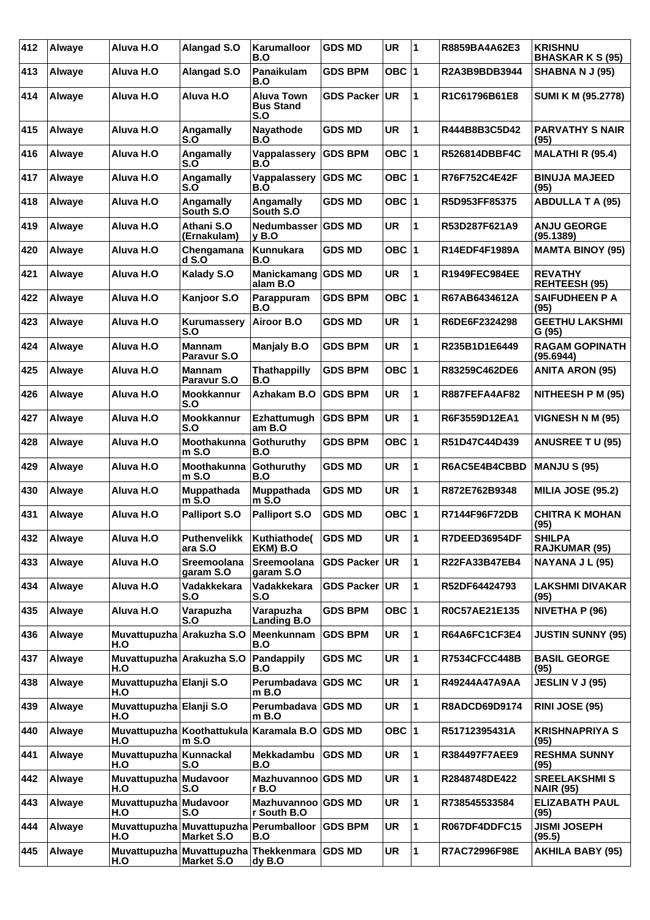| 412 | Alwaye | Aluva H.O                        | Alangad S.O                                                       | Karumalloor<br>B.O                           | <b>GDS MD</b>     | <b>UR</b> | 1           | R8859BA4A62E3        | <b>KRISHNU</b><br><b>BHASKAR K S (95)</b> |
|-----|--------|----------------------------------|-------------------------------------------------------------------|----------------------------------------------|-------------------|-----------|-------------|----------------------|-------------------------------------------|
| 413 | Alwaye | Aluva H.O                        | Alangad S.O                                                       | Panaikulam<br>B.O                            | <b>GDS BPM</b>    | OBC $ 1$  |             | R2A3B9BDB3944        | SHABNA N J (95)                           |
| 414 | Alwaye | Aluva H.O                        | Aluva H.O                                                         | <b>Aluva Town</b><br><b>Bus Stand</b><br>S.O | <b>GDS Packer</b> | UR.       | 1           | R1C61796B61E8        | SUMI K M (95.2778)                        |
| 415 | Alwaye | Aluva H.O                        | Angamally<br>S.O                                                  | Nayathode<br>B.O                             | <b>GDS MD</b>     | <b>UR</b> | 1           | R444B8B3C5D42        | <b>PARVATHY S NAIR</b><br>(95)            |
| 416 | Alwaye | Aluva H.O                        | Angamally<br>S.O                                                  | Vappalassery<br>B.O                          | <b>GDS BPM</b>    | OBC $ 1$  |             | <b>R526814DBBF4C</b> | <b>MALATHI R (95.4)</b>                   |
| 417 | Alwaye | Aluva H.O                        | Angamally<br>$S.\overline{O}$                                     | Vappalassery<br>B.Ò                          | <b>GDS MC</b>     | OBC $ 1$  |             | R76F752C4E42F        | <b>BINUJA MAJEED</b><br>(95)              |
| 418 | Alwaye | Aluva H.O                        | Angamally<br>South S.O                                            | Angamally<br>South S.O                       | <b>GDS MD</b>     | OBC $ 1$  |             | R5D953FF85375        | <b>ABDULLA T A (95)</b>                   |
| 419 | Alwaye | Aluva H.O                        | Athani S.O<br>(Ernakulam)                                         | <b>Nedumbasser</b><br>y B.O                  | <b>GDS MD</b>     | <b>UR</b> | 1           | R53D287F621A9        | <b>ANJU GEORGE</b><br>(95.1389)           |
| 420 | Alwaye | Aluva H.O                        | Chengamana<br>dS.O                                                | Kunnukara<br>B.O                             | <b>GDS MD</b>     | OBC $ 1$  |             | R14EDF4F1989A        | <b>MAMTA BINOY (95)</b>                   |
| 421 | Alwaye | Aluva H.O                        | Kalady S.O                                                        | Manickamang GDS MD<br>alam B.O               |                   | UR        | 1           | <b>R1949FEC984EE</b> | <b>REVATHY</b><br><b>REHTEESH (95)</b>    |
| 422 | Alwaye | Aluva H.O                        | Kanjoor S.O                                                       | Parappuram<br>B.O                            | <b>GDS BPM</b>    | OBC $ 1$  |             | R67AB6434612A        | <b>SAIFUDHEEN P A</b><br>(95)             |
| 423 | Alwaye | Aluva H.O                        | Kurumassery<br>S.O                                                | Airoor B.O                                   | GDS MD            | <b>UR</b> | 1           | R6DE6F2324298        | <b>GEETHU LAKSHMI</b><br>G (95)           |
| 424 | Alwaye | Aluva H.O                        | <b>Mannam</b><br>Paravur S.O                                      | <b>Manjaly B.O</b>                           | GDS BPM           | UR        | 1           | R235B1D1E6449        | <b>RAGAM GOPINATH</b><br>(95.6944)        |
| 425 | Alwaye | Aluva H.O                        | <b>Mannam</b><br>Paravur S.O                                      | <b>Thathappilly</b><br>B.O                   | GDS BPM           | OBC $ 1$  |             | R83259C462DE6        | <b>ANITA ARON (95)</b>                    |
| 426 | Alwaye | Aluva H.O                        | Mookkannur<br>S.O                                                 | Azhakam B.O                                  | <b>GDS BPM</b>    | <b>UR</b> | 1           | R887FEFA4AF82        | NITHEESH P M (95)                         |
| 427 | Alwaye | Aluva H.O                        | <b>Mookkannur</b><br>S.O                                          | Ezhattumugh<br>amB.O                         | <b>GDS BPM</b>    | <b>UR</b> | 1           | R6F3559D12EA1        | <b>VIGNESH N M (95)</b>                   |
| 428 | Alwaye | Aluva H.O                        | Moothakunna<br>$m$ S.O                                            | Gothuruthy<br>B.O                            | <b>GDS BPM</b>    | OBC $ 1$  |             | R51D47C44D439        | <b>ANUSREE T U (95)</b>                   |
| 429 | Alwaye | Aluva H.O                        | Moothakunna<br>$m$ S.O                                            | Gothuruthy<br>B.O                            | <b>GDS MD</b>     | <b>UR</b> | 1           | R6AC5E4B4CBBD        | <b>MANJU S (95)</b>                       |
| 430 | Alwaye | Aluva H.O                        | Muppathada<br>$m$ S.O                                             | Muppathada<br>m S.O                          | <b>GDS MD</b>     | <b>UR</b> | 1           | R872E762B9348        | <b>MILIA JOSE (95.2)</b>                  |
| 431 | Alwaye | Aluva H.O                        | <b>Palliport S.O</b>                                              | <b>Palliport S.O</b>                         | GDS MD            | OBC 1     |             | R7144F96F72DB        | <b>CHITRA K MOHAN</b><br>(95)             |
| 432 | Alwaye | Aluva H.O                        | <b>Puthenvelikk</b><br>ara S.O                                    | Kuthiathode(<br>EKM) B.O                     | <b>GDS MD</b>     | <b>UR</b> | 11          | R7DEED36954DF        | <b>SHILPA</b><br><b>RAJKUMAR (95)</b>     |
| 433 | Alwaye | Aluva H.O                        | Sreemoolana<br>garam S.O                                          | Sreemoolana<br>garam S.O                     | <b>GDS Packer</b> | <b>UR</b> | 1           | R22FA33B47EB4        | NAYANA J L (95)                           |
| 434 | Alwaye | Aluva H.O                        | Vadakkekara<br>S.O                                                | Vadakkekara<br>S.O                           | <b>GDS Packer</b> | <b>UR</b> | 1           | R52DF64424793        | <b>LAKSHMI DIVAKAR</b><br>(95)            |
| 435 | Alwaye | Aluva H.O                        | Varapuzha<br>S.O                                                  | Varapuzha<br><b>Landing B.O</b>              | <b>GDS BPM</b>    | OBC $ 1$  |             | R0C57AE21E135        | NIVETHA P (96)                            |
| 436 | Alwaye | Muvattupuzha Arakuzha S.O<br>H.O |                                                                   | Meenkunnam   GDS BPM<br>B.O                  |                   | <b>UR</b> | 1           | <b>R64A6FC1CF3E4</b> | <b>JUSTIN SUNNY (95)</b>                  |
| 437 | Alwaye | Muvattupuzha Arakuzha S.O<br>H.O |                                                                   | Pandappily<br>B.O                            | <b>GDS MC</b>     | <b>UR</b> | 1           | <b>R7534CFCC448B</b> | <b>BASIL GEORGE</b><br>(95)               |
| 438 | Alwaye | Muvattupuzha Elanji S.O<br>H.O   |                                                                   | Perumbadava GDS MC<br>m B.O                  |                   | <b>UR</b> | 1           | R49244A47A9AA        | <b>JESLIN V J (95)</b>                    |
| 439 | Alwaye | Muvattupuzha Elanji S.O<br>H.O   |                                                                   | Perumbadava GDS MD<br>$m$ B.O                |                   | <b>UR</b> | 1           | R8ADCD69D9174        | <b>RINI JOSE (95)</b>                     |
| 440 | Alwaye | H.O                              | Muvattupuzha Koothattukula<br>$m$ S.O                             | Karamala B.O GDS MD                          |                   | OBC $ 1$  |             | R51712395431A        | <b>KRISHNAPRIYA S</b><br>(95)             |
| 441 | Alwaye | Muvattupuzha Kunnackal<br>H.O    | S.O                                                               | Mekkadambu<br>B.O                            | <b>GDS MD</b>     | <b>UR</b> | 1           | R384497F7AEE9        | <b>RESHMA SUNNY</b><br>(95)               |
| 442 | Alwaye | Muvattupuzha Mudavoor<br>H.O     | S.O                                                               | Mazhuvannoo GDS MD<br>r B.O                  |                   | <b>UR</b> | 1           | R2848748DE422        | <b>SREELAKSHMIS</b><br><b>NAIR (95)</b>   |
| 443 | Alwaye | Muvattupuzha Mudavoor<br>H.O     | S.O                                                               | Mazhuvannoo GDS MD<br>r South B.O            |                   | UR        | 1           | R738545533584        | <b>ELIZABATH PAUL</b><br>(95)             |
| 444 | Alwaye | H.O                              | Muvattupuzha Muvattupuzha<br><b>Market S.O</b>                    | <b>Perumballoor</b><br>B.O                   | <b>GDS BPM</b>    | <b>UR</b> | 1           | R067DF4DDFC15        | <b>JISMI JOSEPH</b><br>(95.5)             |
| 445 | Alwaye | H.O                              | Muvattupuzha Muvattupuzha Thekkenmara GDS MD<br><b>Market S.O</b> | dy B.O                                       |                   | <b>UR</b> | $\mathbf 1$ | R7AC72996F98E        | <b>AKHILA BABY (95)</b>                   |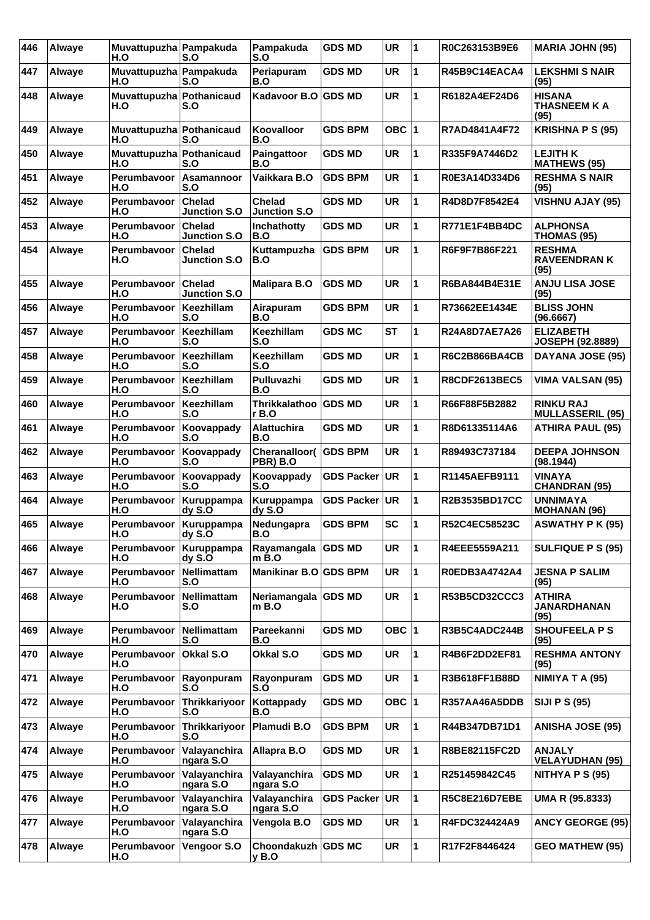| 446 | <b>Alwaye</b> | Muvattupuzha Pampakuda<br>H.O   | S.O                                  | Pampakuda<br>S.O                     | <b>GDS MD</b>     | <b>UR</b> | $\overline{\mathbf{1}}$ | R0C263153B9E6        | <b>MARIA JOHN (95)</b>                       |
|-----|---------------|---------------------------------|--------------------------------------|--------------------------------------|-------------------|-----------|-------------------------|----------------------|----------------------------------------------|
| 447 | Alwaye        | Muvattupuzha Pampakuda<br>H.O   | S.O                                  | Periapuram<br>B.O                    | <b>GDS MD</b>     | <b>UR</b> | 1                       | R45B9C14EACA4        | <b>LEKSHMI S NAIR</b><br>(95)                |
| 448 | Alwaye        | Muvattupuzha Pothanicaud<br>H.O | S.O                                  | Kadavoor B.O                         | <b>GDS MD</b>     | <b>UR</b> | 1                       | R6182A4EF24D6        | <b>HISANA</b><br><b>THASNEEM K A</b><br>(95) |
| 449 | Alwaye        | Muvattupuzha Pothanicaud<br>H.O | S.O                                  | Koovalloor<br>B.O                    | <b>GDS BPM</b>    | OBC $ 1$  |                         | R7AD4841A4F72        | <b>KRISHNA P S (95)</b>                      |
| 450 | Alwaye        | Muvattupuzha Pothanicaud<br>H.O | S.O                                  | Paingattoor<br>B.O                   | <b>GDS MD</b>     | UR        | 1                       | R335F9A7446D2        | <b>LEJITH K</b><br><b>MATHEWS (95)</b>       |
| 451 | Alwaye        | Perumbayoor<br>H.O              | Asamannoor<br>S.O                    | Vaikkara B.O                         | <b>GDS BPM</b>    | <b>UR</b> | 1                       | R0E3A14D334D6        | <b>RESHMA S NAIR</b><br>(95)                 |
| 452 | Alwaye        | Perumbavoor<br>H.O              | <b>Chelad</b><br><b>Junction S.O</b> | <b>Chelad</b><br><b>Junction S.O</b> | <b>GDS MD</b>     | <b>UR</b> | 1                       | R4D8D7F8542E4        | <b>VISHNU AJAY (95)</b>                      |
| 453 | Alwaye        | Perumbavoor<br>H.O              | <b>Chelad</b><br><b>Junction S.O</b> | Inchathotty<br>B.O                   | <b>GDS MD</b>     | <b>UR</b> | 1                       | R771E1F4BB4DC        | <b>ALPHONSA</b><br>THOMAS (95)               |
| 454 | <b>Alwaye</b> | Perumbayoor<br>H.O              | <b>Chelad</b><br><b>Junction S.O</b> | Kuttampuzha<br>B.O                   | <b>GDS BPM</b>    | <b>UR</b> | 1                       | R6F9F7B86F221        | <b>RESHMA</b><br><b>RAVEENDRANK</b><br>(95)  |
| 455 | Alwaye        | Perumbavoor<br>H.O              | <b>Chelad</b><br><b>Junction S.O</b> | <b>Malipara B.O</b>                  | <b>GDS MD</b>     | <b>UR</b> | 1                       | R6BA844B4E31E        | <b>ANJU LISA JOSE</b><br>(95)                |
| 456 | Alwaye        | Perumbavoor<br>H.O              | Keezhillam<br>S.O                    | Airapuram<br>B.O                     | <b>GDS BPM</b>    | <b>UR</b> | 1                       | R73662EE1434E        | <b>BLISS JOHN</b><br>(96.6667)               |
| 457 | Alwaye        | Perumbavoor<br>H.O              | Keezhillam<br>S.O                    | <b>Keezhillam</b><br>S.O             | <b>GDS MC</b>     | <b>ST</b> | 1                       | R24A8D7AE7A26        | <b>ELIZABETH</b><br>JOSEPH (92.8889)         |
| 458 | Alwaye        | Perumbavoor<br>H.O              | Keezhillam<br>S.O                    | Keezhillam<br>S.O                    | <b>GDS MD</b>     | <b>UR</b> | 1                       | <b>R6C2B866BA4CB</b> | DAYANA JOSE (95)                             |
| 459 | Alwaye        | Perumbavoor<br>H.O              | Keezhillam<br>S.O                    | Pulluvazhi<br>B.O                    | <b>GDS MD</b>     | <b>UR</b> | 1                       | <b>R8CDF2613BEC5</b> | <b>VIMA VALSAN (95)</b>                      |
| 460 | Alwaye        | Perumbavoor<br>H.O              | Keezhillam<br>S.O                    | Thrikkalathoo<br>r B.O               | <b>GDS MD</b>     | <b>UR</b> | 1                       | R66F88F5B2882        | <b>RINKU RAJ</b><br><b>MULLASSERIL (95)</b>  |
| 461 | Alwaye        | Perumbavoor<br>H.O              | Koovappady<br>S.O                    | <b>Alattuchira</b><br>B.O            | <b>GDS MD</b>     | <b>UR</b> | 1                       | R8D61335114A6        | <b>ATHIRA PAUL (95)</b>                      |
| 462 | Alwaye        | Perumbavoor<br>H.O              | Koovappady<br>S.O                    | Cheranalloor( GDS BPM<br>PBR) B.O    |                   | <b>UR</b> | 1                       | R89493C737184        | <b>DEEPA JOHNSON</b><br>(98.1944)            |
| 463 | Alwaye        | Perumbavoor<br>H.O              | Koovappady<br>S.O                    | Koovappady<br>S.O                    | <b>GDS Packer</b> | UR        | 1                       | R1145AEFB9111        | <b>VINAYA</b><br><b>CHANDRAN (95)</b>        |
| 464 | Alwaye        | Perumbavoor<br>H.O              | Kuruppampa<br>dyS.O                  | Kuruppampa<br>dyS.0                  | <b>GDS Packer</b> | UR        | 1                       | R2B3535BD17CC        | <b>UNNIMAYA</b><br>MOHANAN (96)              |
| 465 | <b>Alwaye</b> | Perumbavoor   Kuruppampa<br>H.O | dyS.O                                | Nedungapra<br>B.O                    | <b>GDS BPM</b>    | <b>SC</b> | 1                       | R52C4EC58523C        | <b>ASWATHY P K (95)</b>                      |
| 466 | <b>Alwave</b> | Perumbavoor<br>H.O              | Kuruppampa<br>dy S.O                 | Rayamangala<br>m B.O                 | <b>GDS MD</b>     | <b>UR</b> | 1                       | R4EEE5559A211        | <b>SULFIQUE P S (95)</b>                     |
| 467 | Alwaye        | Perumbavoor<br>H.O              | <b>Nellimattam</b><br>S.O            | Manikinar B.O GDS BPM                |                   | <b>UR</b> | 1                       | R0EDB3A4742A4        | <b>JESNA P SALIM</b><br>(95)                 |
| 468 | Alwaye        | Perumbavoor<br>H.O              | Nellimattam<br>S.O                   | Neriamangala GDS MD<br>$m$ B.O       |                   | <b>UR</b> | 1                       | R53B5CD32CCC3        | <b>ATHIRA</b><br><b>JANARDHANAN</b><br>(95)  |
| 469 | Alwaye        | Perumbayoor<br>H.O              | Nellimattam<br>S.O                   | Pareekanni<br>B.O                    | <b>GDS MD</b>     | OBC $ 1$  |                         | R3B5C4ADC244B        | <b>SHOUFEELA P S</b><br>(95)                 |
| 470 | Alwaye        | Perumbavoor<br>H.O              | Okkal S.O                            | Okkal S.O                            | <b>GDS MD</b>     | <b>UR</b> | $\mathbf{1}$            | R4B6F2DD2EF81        | <b>RESHMA ANTONY</b><br>(95)                 |
| 471 | Alwaye        | Perumbavoor<br>H.O              | Rayonpuram<br>S.O                    | Rayonpuram<br>S.O                    | <b>GDS MD</b>     | <b>UR</b> | 1                       | R3B618FF1B88D        | NIMIYA T A (95)                              |
| 472 | Alwaye        | Perumbavoor<br>H.O              | Thrikkariyoor<br>S.O                 | Kottappady<br>B.O                    | <b>GDS MD</b>     | OBC $ 1$  |                         | R357AA46A5DDB        | <b>SIJI P S (95)</b>                         |
| 473 | Alwaye        | Perumbavoor<br>H.O              | Thrikkariyoor<br>S.O                 | Plamudi B.O                          | <b>GDS BPM</b>    | <b>UR</b> | 1                       | R44B347DB71D1        | <b>ANISHA JOSE (95)</b>                      |
| 474 | Alwaye        | Perumbavoor<br>H.O              | Valayanchira<br>ngara S.O            | Allapra B.O                          | <b>GDS MD</b>     | UR        | 1                       | R8BE82115FC2D        | <b>ANJALY</b><br><b>VELAYUDHAN (95)</b>      |
| 475 | Alwaye        | Perumbavoor<br>H.O              | Valayanchira<br>ngara S.O            | Valayanchira<br>ngara S.O            | <b>GDS MD</b>     | <b>UR</b> | 1                       | R251459842C45        | NITHYA P $S(95)$                             |
| 476 | Alwaye        | Perumbavoor<br>H.O              | Valayanchira<br>ngara S.O            | Valayanchira<br>ngara S.O            | <b>GDS Packer</b> | UR.       | 1                       | R5C8E216D7EBE        | UMA R (95.8333)                              |
| 477 | Alwaye        | Perumbavoor<br>H.O              | Valayanchira<br>ngara S.O            | Vengola B.O                          | <b>GDS MD</b>     | UR        | 1                       | R4FDC324424A9        | <b>ANCY GEORGE (95)</b>                      |
| 478 | Alwaye        | Perumbavoor<br>H.O              | Vengoor S.O                          | Choondakuzh GDS MC<br>y B.O          |                   | UR        | 1                       | R17F2F8446424        | <b>GEO MATHEW (95)</b>                       |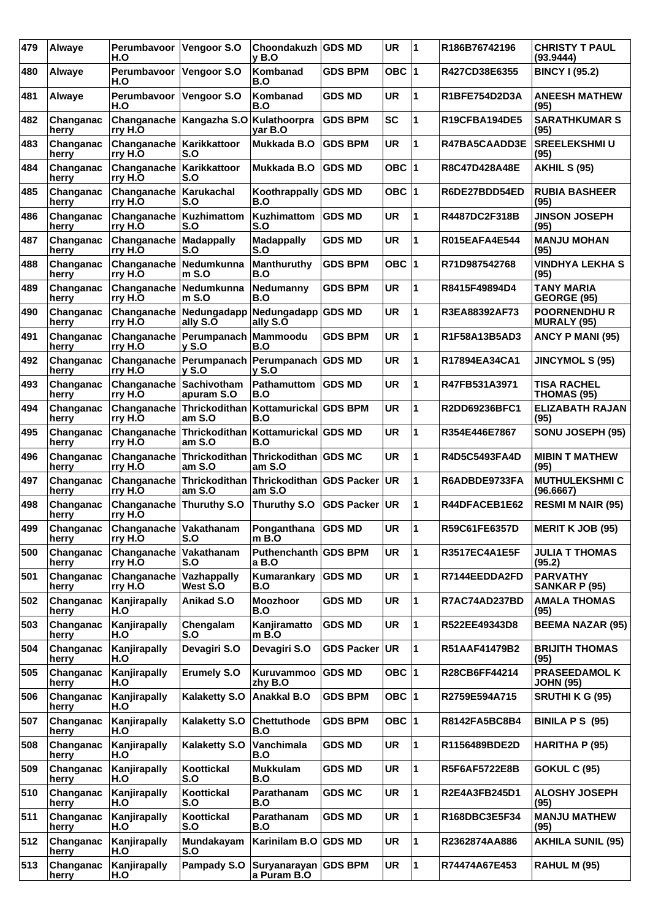| 479 | Alwaye             | Perumbavoor<br>H.O                        | Vengoor S.O                                                 | Choondakuzh GDS MD<br><b>v</b> B.O  |                   | <b>UR</b>  | 1            | R186B76742196        | <b>CHRISTY T PAUL</b><br>(93.9444)      |
|-----|--------------------|-------------------------------------------|-------------------------------------------------------------|-------------------------------------|-------------------|------------|--------------|----------------------|-----------------------------------------|
| 480 | Alwaye             | Perumbavoor<br>H.O                        | Vengoor S.O                                                 | Kombanad<br>B.O                     | GDS BPM           | <b>OBC</b> | 1            | R427CD38E6355        | <b>BINCY I (95.2)</b>                   |
| 481 | Alwaye             | Perumbavoor<br>H.O                        | Vengoor S.O                                                 | Kombanad<br>B.O                     | GDS MD            | <b>UR</b>  | $\mathbf{1}$ | R1BFE754D2D3A        | <b>ANEESH MATHEW</b><br>(95)            |
| 482 | Changanac<br>herry | Changanache<br>∣rry H.O                   | Kangazha S.O                                                | Kulathoorpra<br>var B.O             | <b>GDS BPM</b>    | <b>SC</b>  | 1            | R19CFBA194DE5        | <b>SARATHKUMAR S</b><br>(95)            |
| 483 | Changanac<br>herry | Changanache   Karikkattoor<br>rry H.O     | S.O                                                         | Mukkada B.O                         | <b>GDS BPM</b>    | UR         | $\mathbf{1}$ | R47BA5CAADD3E        | <b>SREELEKSHMIU</b><br>(95)             |
| 484 | Changanac<br>herry | Changanache<br>rry H.O                    | Karikkattoor<br>S.O                                         | Mukkada B.O                         | <b>GDS MD</b>     | OBC ∣1     |              | R8C47D428A48E        | <b>AKHIL S (95)</b>                     |
| 485 | Changanac<br>herry | Changanache<br>rry H.O                    | Karukachal<br>S.O                                           | Koothrappally GDS MD<br>B.O         |                   | OBC $ 1$   |              | R6DE27BDD54ED        | <b>RUBIA BASHEER</b><br>(95)            |
| 486 | Changanac<br>herry | <b>Changanache Kuzhimattom</b><br>rry H.O | S.O                                                         | Kuzhimattom<br>S.O                  | IGDS MD           | UR         | $\mathbf{1}$ | R4487DC2F318B        | <b>JINSON JOSEPH</b><br>(95)            |
| 487 | Changanac<br>herry | Changanache<br>rry H.O                    | Madappally<br>S.O                                           | <b>Madappally</b><br>S.O            | <b>GDS MD</b>     | <b>UR</b>  | 1            | <b>R015EAFA4E544</b> | <b>MANJU MOHAN</b><br>(95)              |
| 488 | Changanac<br>herry | Changanache<br>∣rry H.O                   | Nedumkunna<br>$m$ S.O                                       | <b>Manthuruthy</b><br>B.O           | <b>GDS BPM</b>    | OBC $ 1$   |              | R71D987542768        | <b>VINDHYA LEKHA S</b><br>(95)          |
| 489 | Changanac<br>herry | Changanache Nedumkunna<br>rry H.O         | m S.O                                                       | Nedumanny<br>B.O                    | <b>GDS BPM</b>    | UR         | 1            | R8415F49894D4        | <b>TANY MARIA</b><br><b>GEORGE (95)</b> |
| 490 | Changanac<br>herry | Changanache<br>rry H.O                    | Nedungadapp<br>ally S.O                                     | Nedungadapp GDS MD<br>ally S.O      |                   | <b>UR</b>  | 1            | R3EA88392AF73        | <b>POORNENDHUR</b><br>MURALY (95)       |
| 491 | Changanac<br>herry | Changanache<br>lrrv H.O                   | Perumpanach<br>$y$ S.O                                      | Mammoodu<br>B.O                     | <b>GDS BPM</b>    | <b>UR</b>  | 1            | R1F58A13B5AD3        | ANCY P MANI (95)                        |
| 492 | Changanac<br>herry | rry H.O                                   | Changanache   Perumpanach   Perumpanach   GDS MD<br>$v$ S.O | <b>v</b> S.O                        |                   | UR         | 1            | R17894EA34CA1        | <b>JINCYMOL S (95)</b>                  |
| 493 | Changanac<br>herry | Changanache<br>rry H.O                    | Sachivotham<br>apuram S.O                                   | Pathamuttom<br>B.O                  | <b>GDS MD</b>     | <b>UR</b>  | 1            | R47FB531A3971        | TISA RACHEL<br>THOMAS (95)              |
| 494 | Changanac<br>herry | Changanache<br>∣rry H.O                   | Thrickodithan<br>am S.O                                     | Kottamurickal GDS BPM<br>B.O        |                   | <b>UR</b>  | 1            | R2DD69236BFC1        | <b>ELIZABATH RAJAN</b><br>(95)          |
| 495 | Changanac<br>herry | Changanache<br>rry H.O                    | Thrickodithan<br>am S.O                                     | Kottamurickal GDS MD<br>B.O         |                   | <b>UR</b>  | $\mathbf{1}$ | R354E446E7867        | SONU JOSEPH (95)                        |
| 496 | Changanac<br>herry | Changanache<br>rry H.O                    | Thrickodithan<br>am S.O                                     | Thrickodithan GDS MC<br>am S.O      |                   | <b>UR</b>  | 1            | R4D5C5493FA4D        | <b>MIBIN T MATHEW</b><br>(95)           |
| 497 | Changanac<br>herry | Changanache<br>∣rry H.O                   | Thrickodithan<br>am S.O                                     | Thrickodithan GDS Packer<br>am S.O  |                   | <b>UR</b>  | 1            | R6ADBDE9733FA        | <b>MUTHULEKSHMIC</b><br>(96.6667)       |
| 498 | Changanac<br>herry | Changanache<br>rry H.O                    | Thuruthy S.O                                                | Thuruthy S.O GDS Packer             |                   | <b>UR</b>  | 1            | R44DFACEB1E62        | <b>RESMI M NAIR (95)</b>                |
| 499 | Changanac<br>herry | <b>Changanache Vakathanam</b><br>rry H.O  | S.O                                                         | Ponganthana<br>$m$ B.O              | <b>GDS MD</b>     | <b>UR</b>  | 1            | R59C61FE6357D        | <b>MERIT K JOB (95)</b>                 |
| 500 | Changanac<br>herry | Changanache<br>rry H.O                    | Vakathanam<br>S.O                                           | Puthenchanth GDS BPM<br>a B.O       |                   | <b>UR</b>  | $\mathbf{1}$ | R3517EC4A1E5F        | <b>JULIA T THOMAS</b><br>(95.2)         |
| 501 | Changanac<br>herry | Changanache<br>rry H.O                    | Vazhappally<br>West S.O                                     | Kumarankary<br>B.O                  | <b>GDS MD</b>     | UR         | 1            | R7144EEDDA2FD        | <b>PARVATHY</b><br>SANKAR P (95)        |
| 502 | Changanac<br>herry | Kanjirapally<br>H.O                       | Anikad S.O                                                  | <b>Moozhoor</b><br>B.O              | <b>GDS MD</b>     | UR         | $\mathbf{1}$ | R7AC74AD237BD        | <b>AMALA THOMAS</b><br>(95)             |
| 503 | Changanac<br>herry | Kanjirapally<br>H.O                       | Chengalam<br>S.O                                            | Kanjiramatto<br>$m$ B.O             | <b>GDS MD</b>     | UR         | $\mathbf{1}$ | R522EE49343D8        | <b>BEEMA NAZAR (95)</b>                 |
| 504 | Changanac<br>herry | Kanjirapally<br>H.O                       | Devagiri S.O                                                | Devagiri S.O                        | <b>GDS Packer</b> | <b>UR</b>  | $\mathbf{1}$ | R51AAF41479B2        | <b>BRIJITH THOMAS</b><br>(95)           |
| 505 | Changanac<br>herry | Kanjirapally<br>H.O                       | <b>Erumely S.O</b>                                          | Kuruvammoo<br>zhy B.O               | <b>GDS MD</b>     | OBC 1      |              | R28CB6FF44214        | PRASEEDAMOL K<br><b>JOHN (95)</b>       |
| 506 | Changanac<br>herry | Kanjirapally<br>H.O                       | <b>Kalaketty S.O</b>                                        | Anakkal B.O                         | <b>GDS BPM</b>    | OBC $ 1$   |              | R2759E594A715        | <b>SRUTHI K G (95)</b>                  |
| 507 | Changanac<br>herry | Kanjirapally<br>H.O                       | <b>Kalaketty S.O</b>                                        | Chettuthode<br>B.O                  | <b>GDS BPM</b>    | OBC $ 1$   |              | R8142FA5BC8B4        | <b>BINILA P S (95)</b>                  |
| 508 | Changanac<br>herry | Kanjirapally<br>H.O                       | <b>Kalaketty S.O</b>                                        | Vanchimala<br>B.O                   | <b>GDS MD</b>     | UR         | $\mathbf{1}$ | R1156489BDE2D        | HARITHA P (95)                          |
| 509 | Changanac<br>herry | Kanjirapally<br>H.O                       | Koottickal<br>S.O                                           | <b>Mukkulam</b><br>B.O              | <b>GDS MD</b>     | UR         | $\mathbf{1}$ | R5F6AF5722E8B        | <b>GOKUL C (95)</b>                     |
| 510 | Changanac<br>herry | Kanjirapally<br>H.O                       | Koottickal<br>S.O                                           | Parathanam<br>B.O                   | <b>GDS MC</b>     | <b>UR</b>  | 1            | R2E4A3FB245D1        | <b>ALOSHY JOSEPH</b><br>(95)            |
| 511 | Changanac<br>herry | Kanjirapally<br>H.O                       | Koottickal<br>S.O                                           | Parathanam<br>B.O                   | <b>GDS MD</b>     | UR         | $\mathbf{1}$ | R168DBC3E5F34        | <b>MANJU MATHEW</b><br>(95)             |
| 512 | Changanac<br>herry | Kanjirapally<br>H.O                       | Mundakayam<br>S.O                                           | Karinilam B.O GDS MD                |                   | UR         | 1            | R2362874AA886        | <b>AKHILA SUNIL (95)</b>                |
| 513 | Changanac<br>herry | Kanjirapally<br>H.O                       | Pampady S.O                                                 | Suryanarayan GDS BPM<br>a Puram B.O |                   | UR         | $\mathbf{1}$ | R74474A67E453        | <b>RAHUL M (95)</b>                     |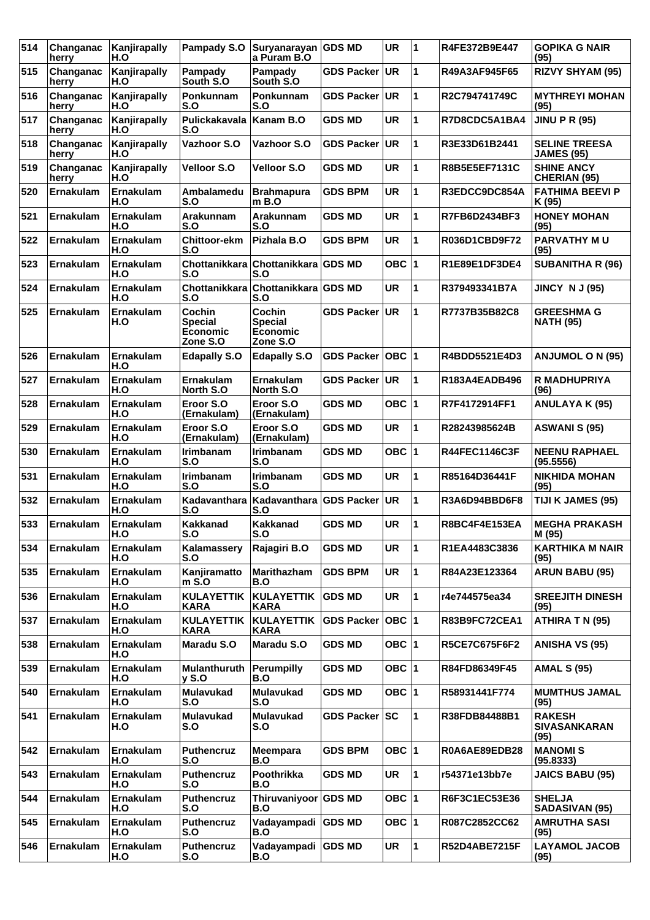| 514 | Changanac<br>herry | Kanjirapally<br>H.O     | Pampady S.O                                      | Suryanarayan GDS MD<br>a Puram B.O               |                   | <b>UR</b> | 11           | R4FE372B9E447        | <b>GOPIKA G NAIR</b><br>(95)                 |
|-----|--------------------|-------------------------|--------------------------------------------------|--------------------------------------------------|-------------------|-----------|--------------|----------------------|----------------------------------------------|
| 515 | Changanac<br>herry | Kanjirapally<br>H.O     | Pampady<br>South S.O                             | Pampady<br>South S.O.                            | <b>GDS Packer</b> | UR.       | 1            | R49A3AF945F65        | <b>RIZVY SHYAM (95)</b>                      |
| 516 | Changanac<br>herry | Kanjirapally<br>H.O     | Ponkunnam<br>S.O                                 | Ponkunnam<br>S.O                                 | <b>GDS Packer</b> | UR.       | 1            | R2C794741749C        | <b>MYTHREYI MOHAN</b><br>(95)                |
| 517 | Changanac<br>herry | Kanjirapally<br>H.O     | Pulickakavala<br>S.O                             | Kanam B.O                                        | <b>GDS MD</b>     | <b>UR</b> | 1            | R7D8CDC5A1BA4        | <b>JINU P R (95)</b>                         |
| 518 | Changanac<br>herry | Kanjirapally<br>H.O     | Vazhoor S.O                                      | Vazhoor S.O                                      | <b>GDS Packer</b> | UR.       | 1            | R3E33D61B2441        | <b>SELINE TREESA</b><br><b>JAMES (95)</b>    |
| 519 | Changanac<br>herry | Kanjirapally<br>H.O     | <b>Velloor S.O</b>                               | <b>Velloor S.O</b>                               | <b>GDS MD</b>     | <b>UR</b> | 1            | R8B5E5EF7131C        | <b>SHINE ANCY</b><br>CHERIAN (95)            |
| 520 | Ernakulam          | Ernakulam<br>H.O        | Ambalamedu<br>S.O                                | <b>Brahmapura</b><br>$m$ B.O                     | <b>GDS BPM</b>    | <b>UR</b> | 1            | R3EDCC9DC854A        | <b>FATHIMA BEEVI P</b><br>K (95)             |
| 521 | <b>Ernakulam</b>   | Ernakulam<br>H.O        | Arakunnam<br>S.O                                 | Arakunnam<br>S.O                                 | <b>GDS MD</b>     | <b>UR</b> | 1            | R7FB6D2434BF3        | <b>HONEY MOHAN</b><br>(95)                   |
| 522 | Ernakulam          | Ernakulam<br>H.O        | Chittoor-ekm<br>S.O                              | Pizhala B.O                                      | GDS BPM           | <b>UR</b> | 1            | R036D1CBD9F72        | <b>PARVATHY MU</b><br>(95)                   |
| 523 | Ernakulam          | Ernakulam<br>H.O        | Chottanikkara<br>S.O                             | Chottanikkara GDS MD<br>S.O                      |                   | OBC $ 1$  |              | R1E89E1DF3DE4        | <b>SUBANITHA R (96)</b>                      |
| 524 | <b>Ernakulam</b>   | Ernakulam<br>H.O        | S.O                                              | Chottanikkara Chottanikkara GDS MD<br>S.O        |                   | <b>UR</b> | 1            | R379493341B7A        | <b>JINCY N J (95)</b>                        |
| 525 | Ernakulam          | Ernakulam<br>H.O        | Cochin<br><b>Special</b><br>Economic<br>Zone S.O | Cochin<br><b>Special</b><br>Economic<br>Zone S.O | <b>GDS Packer</b> | UR.       | 1            | R7737B35B82C8        | <b>GREESHMA G</b><br><b>NATH (95)</b>        |
| 526 | Ernakulam          | <b>Ernakulam</b><br>H.O | <b>Edapally S.O</b>                              | <b>Edapally S.O</b>                              | <b>GDS Packer</b> | OBC  1    |              | R4BDD5521E4D3        | <b>ANJUMOL O N (95)</b>                      |
| 527 | <b>Ernakulam</b>   | Ernakulam<br>H.O        | <b>Ernakulam</b><br>North S.O                    | <b>Ernakulam</b><br>North S.O                    | <b>GDS Packer</b> | UR.       | 1            | R183A4EADB496        | R MADHUPRIYA<br>(96)                         |
| 528 | Ernakulam          | Ernakulam<br>H.O        | Eroor S.O<br>(Ernakulam)                         | Eroor S.O<br>(Ernakulam)                         | <b>GDS MD</b>     | OBC $ 1$  |              | R7F4172914FF1        | <b>ANULAYA K (95)</b>                        |
| 529 | Ernakulam          | Ernakulam<br>H.O        | Eroor S.O<br>(Ernakulam)                         | Eroor S.O<br>(Ernakulam)                         | <b>GDS MD</b>     | <b>UR</b> | 1            | R28243985624B        | <b>ASWANI S (95)</b>                         |
| 530 | Ernakulam          | Ernakulam<br>H.O        | <b>Irimbanam</b><br>S.O                          | <b>Irimbanam</b><br>S.O                          | <b>GDS MD</b>     | OBC $ 1$  |              | <b>R44FEC1146C3F</b> | <b>NEENU RAPHAEL</b><br>(95.5556)            |
| 531 | Ernakulam          | Ernakulam<br>H.O        | <b>Irimbanam</b><br>S.O                          | <b>Irimbanam</b><br>S.O                          | <b>GDS MD</b>     | <b>UR</b> | 1            | R85164D36441F        | <b>NIKHIDA MOHAN</b><br>(95)                 |
| 532 | Ernakulam          | Ernakulam<br>H.O        | Kadavanthara<br>S.O                              | Kadavanthara GDS Packer<br>S.O                   |                   | UR.       | 1            | R3A6D94BBD6F8        | TIJI K JAMES (95)                            |
| 533 | <b>Ernakulam</b>   | Ernakulam<br>H.O        | <b>Kakkanad</b><br>S.O                           | <b>Kakkanad</b><br>S.O                           | <b>GDS MD</b>     | <b>UR</b> | $\mathbf 1$  | R8BC4F4E153EA        | <b>MEGHA PRAKASH</b><br>M (95)               |
| 534 | Ernakulam          | Ernakulam<br>H.O        | Kalamassery<br>S.O                               | Rajagiri B.O                                     | <b>GDS MD</b>     | <b>UR</b> | 1            | R1EA4483C3836        | <b>KARTHIKA M NAIR</b><br>(95)               |
| 535 | Ernakulam          | Ernakulam<br>H.O        | Kanjiramatto<br>$m$ S.O                          | Marithazham<br>B.O                               | <b>GDS BPM</b>    | <b>UR</b> | 1            | R84A23E123364        | <b>ARUN BABU (95)</b>                        |
| 536 | <b>Ernakulam</b>   | Ernakulam<br>H.O        | <b>KULAYETTIK</b><br><b>KARA</b>                 | KULAYETTIK<br>KARA                               | <b>GDS MD</b>     | <b>UR</b> | $\mathbf{1}$ | r4e744575ea34        | <b>SREEJITH DINESH</b><br>(95)               |
| 537 | Ernakulam          | Ernakulam<br>H.O        | <b>KULAYETTIK</b><br><b>KARA</b>                 | <b>KULAYETTIK</b><br>KARA                        | <b>GDS Packer</b> | OBC  1    |              | R83B9FC72CEA1        | <b>ATHIRA T N (95)</b>                       |
| 538 | Ernakulam          | Ernakulam<br>H.O        | Maradu S.O                                       | Maradu S.O                                       | <b>GDS MD</b>     | OBC $ 1$  |              | R5CE7C675F6F2        | <b>ANISHA VS (95)</b>                        |
| 539 | <b>Ernakulam</b>   | Ernakulam<br>H.O        | <b>Mulanthuruth</b><br>$v$ S.O                   | <b>Perumpilly</b><br>B.O                         | <b>GDS MD</b>     | OBC $ 1$  |              | R84FD86349F45        | <b>AMAL S (95)</b>                           |
| 540 | Ernakulam          | Ernakulam<br>H.O        | <b>Mulavukad</b><br>S.O                          | Mulavukad<br>S.O                                 | <b>GDS MD</b>     | OBC $ 1$  |              | R58931441F774        | <b>MUMTHUS JAMAL</b><br>(95)                 |
| 541 | Ernakulam          | Ernakulam<br>H.O        | Mulavukad<br>S.O                                 | <b>Mulavukad</b><br>S.O                          | <b>GDS Packer</b> | sc        | 1            | R38FDB84488B1        | <b>RAKESH</b><br><b>SIVASANKARAN</b><br>(95) |
| 542 | Ernakulam          | Ernakulam<br>H.O        | <b>Puthencruz</b><br>S.O                         | <b>Meempara</b><br>B.O                           | <b>GDS BPM</b>    | OBC $ 1$  |              | R0A6AE89EDB28        | <b>MANOMIS</b><br>(95.8333)                  |
| 543 | <b>Ernakulam</b>   | Ernakulam<br>H.O        | Puthencruz<br>S.O                                | Poothrikka<br>B.O                                | <b>GDS MD</b>     | <b>UR</b> | 1            | r54371e13bb7e        | <b>JAICS BABU (95)</b>                       |
| 544 | Ernakulam          | Ernakulam<br>H.O        | <b>Puthencruz</b><br>S.O                         | Thiruvaniyoor GDS MD<br>B.O                      |                   | OBC $ 1$  |              | R6F3C1EC53E36        | <b>SHELJA</b><br><b>SADASIVAN (95)</b>       |
| 545 | Ernakulam          | Ernakulam<br>H.O        | <b>Puthencruz</b><br>S.O                         | Vadayampadi<br>B.O                               | <b>GDS MD</b>     | OBC $ 1$  |              | R087C2852CC62        | <b>AMRUTHA SASI</b><br>(95)                  |
| 546 | <b>Ernakulam</b>   | Ernakulam<br>H.O        | <b>Puthencruz</b><br>S.O                         | Vadayampadi GDS MD<br>B.O                        |                   | <b>UR</b> | 1            | <b>R52D4ABE7215F</b> | <b>LAYAMOL JACOB</b><br>(95)                 |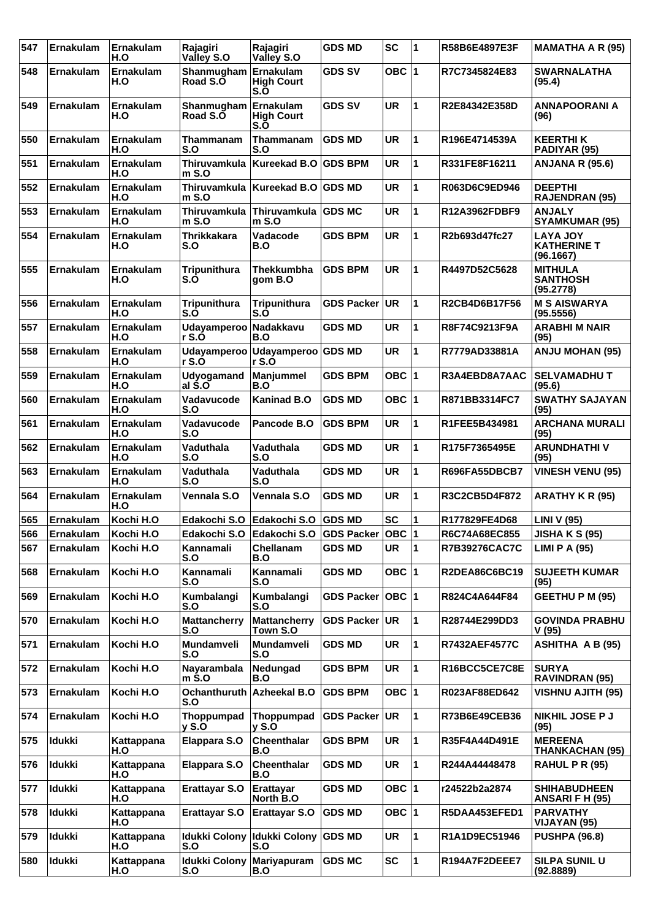| 547 | <b>Ernakulam</b> | Ernakulam<br>H.O  | Rajagiri<br>Valley S.O         | Rajagiri<br>Valley S.O                | <b>GDS MD</b>        | <b>SC</b> | 1 | R58B6E4897E3F        | <b>MAMATHA A R (95)</b>                            |
|-----|------------------|-------------------|--------------------------------|---------------------------------------|----------------------|-----------|---|----------------------|----------------------------------------------------|
| 548 | Ernakulam        | Ernakulam<br>H.O  | Shanmugham<br>Road S.O         | Ernakulam<br><b>High Court</b><br>S.O | <b>GDS SV</b>        | OBC ∣1    |   | R7C7345824E83        | <b>SWARNALATHA</b><br>(95.4)                       |
| 549 | <b>Ernakulam</b> | Ernakulam<br>H.O  | Shanmugham<br>Road S.O         | Ernakulam<br><b>High Court</b><br>S.O | <b>GDS SV</b>        | <b>UR</b> | 1 | R2E84342E358D        | <b>ANNAPOORANI A</b><br>(96)                       |
| 550 | Ernakulam        | Ernakulam<br>H.O  | Thammanam<br>S.O               | Thammanam<br>S.O                      | <b>GDS MD</b>        | <b>UR</b> | 1 | R196E4714539A        | <b>KEERTHIK</b><br>PADIYAR (95)                    |
| 551 | Ernakulam        | Ernakulam<br>H.O  | <b>Thiruvamkula</b><br>m S.O   | <b>Kureekad B.O</b>                   | <b>GDS BPM</b>       | <b>UR</b> | 1 | R331FE8F16211        | <b>ANJANA R (95.6)</b>                             |
| 552 | <b>Ernakulam</b> | Ernakulam<br>H.O  | <b>Thiruvamkula</b><br>$m$ S.O | <b>Kureekad B.O</b>                   | <b>GDS MD</b>        | <b>UR</b> | 1 | R063D6C9ED946        | <b>DEEPTHI</b><br><b>RAJENDRAN (95)</b>            |
| 553 | <b>Ernakulam</b> | Ernakulam<br>H.O  | <b>Thiruvamkula</b><br>$m$ S.O | Thiruvamkula<br>$m$ S.O               | <b>GDS MC</b>        | <b>UR</b> | 1 | R12A3962FDBF9        | <b>ANJALY</b><br><b>SYAMKUMAR (95)</b>             |
| 554 | Ernakulam        | Ernakulam<br>H.O  | <b>Thrikkakara</b><br>S.O      | Vadacode<br>B.O                       | <b>GDS BPM</b>       | <b>UR</b> | 1 | R2b693d47fc27        | <b>LAYA JOY</b><br><b>KATHERINE T</b><br>(96.1667) |
| 555 | <b>Ernakulam</b> | Ernakulam<br>H.O  | <b>Tripunithura</b><br>S.Ó     | <b>Thekkumbha</b><br>aom B.O          | <b>GDS BPM</b>       | <b>UR</b> | 1 | R4497D52C5628        | <b>MITHULA</b><br><b>SANTHOSH</b><br>(95.2778)     |
| 556 | <b>Ernakulam</b> | Ernakulam<br>H.O  | <b>Tripunithura</b><br>S.O     | <b>Tripunithura</b><br>S.O            | <b>GDS Packer</b>    | UR.       | 1 | R2CB4D6B17F56        | <b>M S AISWARYA</b><br>(95.5556)                   |
| 557 | Ernakulam        | Ernakulam<br>H.O  | Udayamperoo Nadakkavu<br>r S.Ó | B.O                                   | <b>GDS MD</b>        | <b>UR</b> | 1 | R8F74C9213F9A        | <b>ARABHIMNAIR</b><br>(95)                         |
| 558 | <b>Ernakulam</b> | Ernakulam<br>H.O  | Udayamperoo<br>r S.Ó           | Udayamperoo GDS MD<br>r S.Ó           |                      | <b>UR</b> | 1 | R7779AD33881A        | <b>ANJU MOHAN (95)</b>                             |
| 559 | <b>Ernakulam</b> | Ernakulam<br>H.O  | <b>Udyogamand</b><br>al S.O    | <b>Manjummel</b><br>B.O               | <b>GDS BPM</b>       | OBC ∣1    |   | R3A4EBD8A7AAC        | <b>SELVAMADHUT</b><br>(95.6)                       |
| 560 | Ernakulam        | Ernakulam<br>H.O  | Vadavucode<br>S.O              | <b>Kaninad B.O</b>                    | <b>GDS MD</b>        | OBC  1    |   | R871BB3314FC7        | <b>SWATHY SAJAYAN</b><br>(95)                      |
| 561 | Ernakulam        | Ernakulam<br>H.O  | Vadavucode<br>S.O              | Pancode B.O                           | <b>GDS BPM</b>       | <b>UR</b> | 1 | R1FEE5B434981        | <b>ARCHANA MURALI</b><br>(95)                      |
| 562 | Ernakulam        | Ernakulam<br>H.O  | Vaduthala<br>S.O               | Vaduthala<br>S.O                      | <b>GDS MD</b>        | <b>UR</b> | 1 | R175F7365495E        | <b>ARUNDHATHIV</b><br>(95)                         |
| 563 | Ernakulam        | Ernakulam<br>H.O  | Vaduthala<br>S.O               | Vaduthala<br>S.O                      | <b>GDS MD</b>        | <b>UR</b> | 1 | R696FA55DBCB7        | <b>VINESH VENU (95)</b>                            |
| 564 | Ernakulam        | Ernakulam<br>H.O  | Vennala S.O                    | Vennala S.O                           | <b>GDS MD</b>        | <b>UR</b> | 1 | R3C2CB5D4F872        | <b>ARATHY K R (95)</b>                             |
| 565 | Ernakulam        | Kochi H.O         | Edakochi S.O                   | Edakochi S.O                          | <b>GDS MD</b>        | <b>SC</b> | 1 | R177829FE4D68        | LINI V (95)                                        |
| 566 | Ernakulam        | Kochi H.O         | Edakochi S.O                   | Edakochi S.O                          | <b>GDS Packer</b>    | OBC  1    |   | R6C74A68EC855        | <b>JISHA K S (95)</b>                              |
| 567 | Ernakulam        | Kochi H.O         | Kannamali<br>S.O               | <b>Chellanam</b><br>B.O               | <b>GDS MD</b>        | <b>UR</b> | 1 | <b>R7B39276CAC7C</b> | <b>LIMI P A (95)</b>                               |
| 568 | <b>Ernakulam</b> | Kochi H.O         | Kannamali<br>S.O               | Kannamali<br>S.O                      | <b>GDS MD</b>        | OBC $ 1$  |   | R2DEA86C6BC19        | <b>SUJEETH KUMAR</b><br>(95)                       |
| 569 | <b>Ernakulam</b> | Kochi H.O         | Kumbalangi<br>S.O              | Kumbalangi<br>S.O                     | GDS Packer   OBC   1 |           |   | R824C4A644F84        | <b>GEETHU P M (95)</b>                             |
| 570 | Ernakulam        | Kochi H.O         | <b>Mattancherry</b><br>S.O     | <b>Mattancherry</b><br>Town S.O       | <b>GDS Packer</b>    | <b>UR</b> | 1 | R28744E299DD3        | <b>GOVINDA PRABHU</b><br>V(95)                     |
| 571 | <b>Ernakulam</b> | Kochi H.O         | Mundamveli<br>S.O              | Mundamveli<br>S.O                     | <b>GDS MD</b>        | <b>UR</b> | 1 | <b>R7432AEF4577C</b> | <b>ASHITHA A B (95)</b>                            |
| 572 | Ernakulam        | Kochi H.O         | Nayarambala<br>$m$ S.O         | Nedungad<br>B.O                       | <b>GDS BPM</b>       | <b>UR</b> | 1 | R16BCC5CE7C8E        | <b>SURYA</b><br><b>RAVINDRAN (95)</b>              |
| 573 | Ernakulam        | Kochi H.O         | Ochanthuruth<br>S.O            | <b>Azheekal B.O</b>                   | <b>GDS BPM</b>       | OBC 1     |   | R023AF88ED642        | <b>VISHNU AJITH (95)</b>                           |
| 574 | Ernakulam        | Kochi H.O         | Thoppumpad<br>y S.O            | Thoppumpad<br>$y$ S.O                 | <b>GDS Packer UR</b> |           | 1 | R73B6E49CEB36        | <b>NIKHIL JOSE P J</b><br>(95)                     |
| 575 | Idukki           | Kattappana<br>H.O | <b>Elappara S.O</b>            | Cheenthalar<br>B.O                    | <b>GDS BPM</b>       | <b>UR</b> | 1 | R35F4A44D491E        | <b>MEREENA</b><br>THANKACHAN (95)                  |
| 576 | <b>Idukki</b>    | Kattappana<br>H.O | <b>Elappara S.O</b>            | Cheenthalar<br>B.O                    | <b>GDS MD</b>        | <b>UR</b> | 1 | R244A44448478        | <b>RAHUL P R (95)</b>                              |
| 577 | Idukki           | Kattappana<br>H.O | <b>Erattayar S.O</b>           | Erattayar<br>North B.O                | <b>GDS MD</b>        | OBC  1    |   | r24522b2a2874        | <b>SHIHABUDHEEN</b><br>ANSARI F H (95)             |
| 578 | <b>Idukki</b>    | Kattappana<br>H.O | <b>Erattayar S.O</b>           | <b>Erattayar S.O</b>                  | <b>GDS MD</b>        | OBC 1     |   | R5DAA453EFED1        | <b>PARVATHY</b><br>VIJAYAN (95)                    |
| 579 | <b>Idukki</b>    | Kattappana<br>H.O | <b>Idukki Colony</b><br>S.O    | <b>Idukki Colony</b><br>S.O           | <b>GDS MD</b>        | <b>UR</b> | 1 | R1A1D9EC51946        | <b>PUSHPA (96.8)</b>                               |
| 580 | Idukki           | Kattappana<br>H.O | <b>Idukki Colony</b><br>S.O    | <b>Mariyapuram</b><br>B.O             | <b>GDS MC</b>        | <b>SC</b> | 1 | R194A7F2DEEE7        | <b>SILPA SUNIL U</b><br>(92.8889)                  |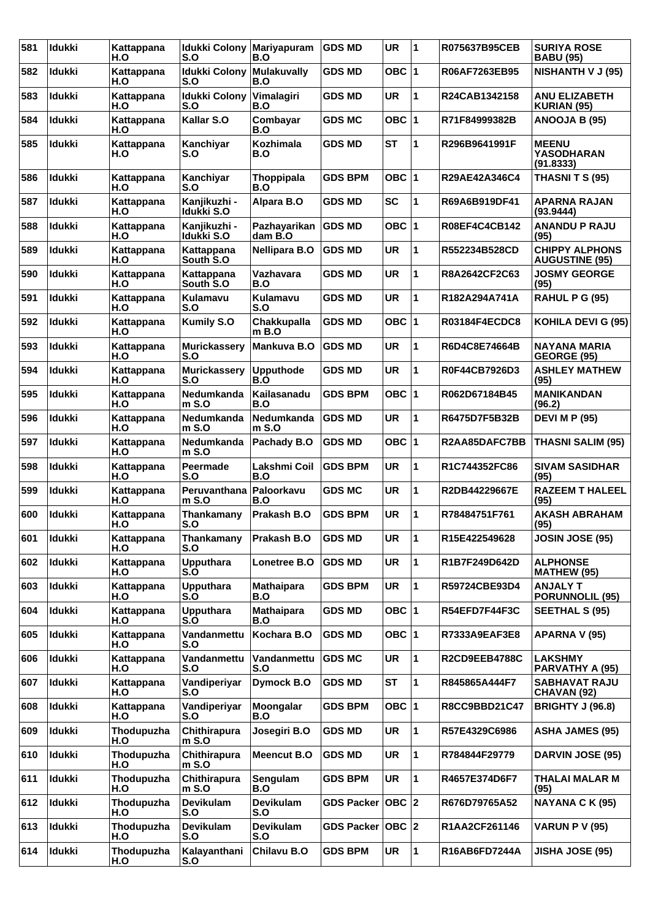| 581 | Idukki        | Kattappana<br>H.O | <b>Idukki Colony</b><br>S.O | <b>Mariyapuram</b><br>B.O | <b>GDS MD</b>      | <b>UR</b>  | 1                       | R075637B95CEB        | <b>SURIYA ROSE</b><br><b>BABU (95)</b>         |
|-----|---------------|-------------------|-----------------------------|---------------------------|--------------------|------------|-------------------------|----------------------|------------------------------------------------|
| 582 | <b>Idukki</b> | Kattappana<br>H.O | <b>Idukki Colony</b><br>S.O | <b>Mulakuvally</b><br>B.O | <b>GDS MD</b>      | <b>OBC</b> | 1                       | R06AF7263EB95        | <b>NISHANTH V J (95)</b>                       |
| 583 | <b>Idukki</b> | Kattappana<br>H.O | <b>Idukki Colony</b><br>S.O | Vimalagiri<br>B.O         | <b>GDS MD</b>      | <b>UR</b>  | 1                       | R24CAB1342158        | <b>ANU ELIZABETH</b><br>KURIAN (95)            |
| 584 | <b>Idukki</b> | Kattappana<br>H.O | Kallar S.O                  | Combayar<br>B.O           | <b>GDS MC</b>      | OBC ∣1     |                         | R71F84999382B        | ANOOJA B (95)                                  |
| 585 | <b>Idukki</b> | Kattappana<br>H.O | Kanchiyar<br>S.O            | <b>Kozhimala</b><br>B.O   | <b>GDS MD</b>      | <b>ST</b>  | 1                       | R296B9641991F        | <b>MEENU</b><br><b>YASODHARAN</b><br>(91.8333) |
| 586 | <b>Idukki</b> | Kattappana<br>H.O | Kanchiyar<br>S.O            | Thoppipala<br>B.O         | <b>GDS BPM</b>     | OBC ∣1     |                         | R29AE42A346C4        | <b>THASNITS (95)</b>                           |
| 587 | <b>Idukki</b> | Kattappana<br>H.O | Kanjikuzhi -<br>Idukki S.O  | Alpara B.O                | <b>GDS MD</b>      | <b>SC</b>  | 1                       | R69A6B919DF41        | <b>APARNA RAJAN</b><br>(93.9444)               |
| 588 | <b>Idukki</b> | Kattappana<br>H.O | Kanjikuzhi -<br>Idukki S.O  | Pazhayarikan<br>dam B.O   | <b>GDS MD</b>      | OBC $ 1$   |                         | R08EF4C4CB142        | <b>ANANDU P RAJU</b><br>(95)                   |
| 589 | <b>Idukki</b> | Kattappana<br>H.O | Kattappana<br>South S.O     | <b>Nellipara B.O</b>      | <b>GDS MD</b>      | <b>UR</b>  | 1                       | R552234B528CD        | <b>CHIPPY ALPHONS</b><br><b>AUGUSTINE (95)</b> |
| 590 | <b>Idukki</b> | Kattappana<br>H.O | Kattappana<br>South S.O     | Vazhavara<br>B.O          | <b>GDS MD</b>      | <b>UR</b>  | 1                       | R8A2642CF2C63        | <b>JOSMY GEORGE</b><br>(95)                    |
| 591 | Idukki        | Kattappana<br>H.O | Kulamavu<br>S.O             | <b>Kulamavu</b><br>S.O    | <b>GDS MD</b>      | <b>UR</b>  | 1                       | R182A294A741A        | <b>RAHUL P G (95)</b>                          |
| 592 | <b>Idukki</b> | Kattappana<br>H.O | <b>Kumily S.O</b>           | Chakkupalla<br>m B.O      | <b>GDS MD</b>      | OBC ∣1     |                         | <b>R03184F4ECDC8</b> | KOHILA DEVI G (95)                             |
| 593 | <b>Idukki</b> | Kattappana<br>H.O | <b>Murickassery</b><br>S.O  | Mankuva B.O               | <b>GDS MD</b>      | <b>UR</b>  | 1                       | R6D4C8E74664B        | <b>NAYANA MARIA</b><br>GEORGE (95)             |
| 594 | <b>Idukki</b> | Kattappana<br>H.O | <b>Murickassery</b><br>S.O  | <b>Upputhode</b><br>B.O   | <b>GDS MD</b>      | <b>UR</b>  | 1                       | R0F44CB7926D3        | <b>ASHLEY MATHEW</b><br>(95)                   |
| 595 | <b>Idukki</b> | Kattappana<br>H.O | Nedumkanda<br>$m$ S.O       | Kailasanadu<br>B.O        | <b>GDS BPM</b>     | OBC 1      |                         | R062D67184B45        | <b>MANIKANDAN</b><br>(96.2)                    |
| 596 | <b>Idukki</b> | Kattappana<br>H.O | Nedumkanda<br>$m$ S.O       | Nedumkanda<br>m S.O       | <b>GDS MD</b>      | <b>UR</b>  | 1                       | R6475D7F5B32B        | <b>DEVI M P (95)</b>                           |
| 597 | <b>Idukki</b> | Kattappana<br>H.O | Nedumkanda<br>m S.O         | Pachady B.O               | <b>GDS MD</b>      | OBC ∣1     |                         | R2AA85DAFC7BB        | <b>THASNI SALIM (95)</b>                       |
| 598 | <b>Idukki</b> | Kattappana<br>H.O | Peermade<br>S.O             | Lakshmi Coil<br>B.O       | <b>GDS BPM</b>     | <b>UR</b>  | 1                       | R1C744352FC86        | <b>SIVAM SASIDHAR</b><br>(95)                  |
| 599 | <b>Idukki</b> | Kattappana<br>H.O | Peruvanthana<br>m S.O       | Paloorkavu<br>B.O         | <b>GDS MC</b>      | <b>UR</b>  | 1                       | R2DB44229667E        | <b>RAZEEM T HALEEL</b><br>(95)                 |
| 600 | Idukki        | Kattappana<br>H.O | Thankamany<br>S.O           | Prakash B.O               | <b>GDS BPM</b>     | <b>UR</b>  | 1                       | R78484751F761        | <b>AKASH ABRAHAM</b><br>(95)                   |
| 601 | Idukki        | Kattappana<br>H.O | Thankamany<br>S.O           | Prakash B.O               | <b>GDS MD</b>      | <b>UR</b>  | $\overline{\mathbf{1}}$ | R15E422549628        | <b>JOSIN JOSE (95)</b>                         |
| 602 | <b>Idukki</b> | Kattappana<br>H.O | <b>Upputhara</b><br>S.O     | Lonetree B.O              | <b>GDS MD</b>      | <b>UR</b>  | 1                       | R1B7F249D642D        | <b>ALPHONSE</b><br><b>MATHEW (95)</b>          |
| 603 | Idukki        | Kattappana<br>H.O | <b>Upputhara</b><br>S.O     | <b>Mathaipara</b><br>B.O  | <b>GDS BPM</b>     | <b>UR</b>  | 1                       | R59724CBE93D4        | <b>ANJALY T</b><br><b>PORUNNOLIL (95)</b>      |
| 604 | <b>Idukki</b> | Kattappana<br>H.O | <b>Upputhara</b><br>S.O     | <b>Mathaipara</b><br>B.O  | <b>GDS MD</b>      | OBC 1      |                         | R54EFD7F44F3C        | <b>SEETHAL S (95)</b>                          |
| 605 | Idukki        | Kattappana<br>H.O | Vandanmettu<br>S.O          | Kochara B.O               | <b>GDS MD</b>      | OBC 1      |                         | R7333A9EAF3E8        | APARNA V (95)                                  |
| 606 | <b>Idukki</b> | Kattappana<br>H.O | Vandanmettu<br>S.O          | Vandanmettu<br>S.O        | <b>GDS MC</b>      | UR         | 1                       | R2CD9EEB4788C        | <b>LAKSHMY</b><br>PARVATHY A (95)              |
| 607 | Idukki        | Kattappana<br>H.O | Vandiperiyar<br>S.O         | Dymock B.O                | <b>GDS MD</b>      | <b>ST</b>  | 1                       | R845865A444F7        | <b>SABHAVAT RAJU</b><br>CHAVAN (92)            |
| 608 | <b>Idukki</b> | Kattappana<br>H.O | Vandiperiyar<br>S.O         | Moongalar<br>B.O          | <b>GDS BPM</b>     | OBC 1      |                         | R8CC9BBD21C47        | <b>BRIGHTY J (96.8)</b>                        |
| 609 | Idukki        | Thodupuzha<br>H.O | Chithirapura<br>$m$ S.O     | Josegiri B.O              | <b>GDS MD</b>      | <b>UR</b>  | 1                       | R57E4329C6986        | <b>ASHA JAMES (95)</b>                         |
| 610 | <b>Idukki</b> | Thodupuzha<br>H.O | Chithirapura<br>$m$ S.O     | <b>Meencut B.O</b>        | <b>GDS MD</b>      | <b>UR</b>  | 1                       | R784844F29779        | <b>DARVIN JOSE (95)</b>                        |
| 611 | Idukki        | Thodupuzha<br>H.O | Chithirapura<br>$m$ S.O     | Sengulam<br>B.O           | <b>GDS BPM</b>     | <b>UR</b>  | 1                       | R4657E374D6F7        | THALAI MALAR M<br>(95)                         |
| 612 | Idukki        | Thodupuzha<br>H.O | Devikulam<br>S.O            | Devikulam<br>S.O          | <b>GDS Packer</b>  | OBC 2      |                         | R676D79765A52        | NAYANA C K (95)                                |
| 613 | Idukki        | Thodupuzha<br>H.O | Devikulam<br>S.O            | Devikulam<br>S.O          | GDS Packer   OBC 2 |            |                         | R1AA2CF261146        | <b>VARUN P V (95)</b>                          |
| 614 | <b>Idukki</b> | Thodupuzha<br>H.O | Kalayanthani<br>S.O         | Chilavu B.O               | <b>GDS BPM</b>     | UR         | 1                       | R16AB6FD7244A        | <b>JISHA JOSE (95)</b>                         |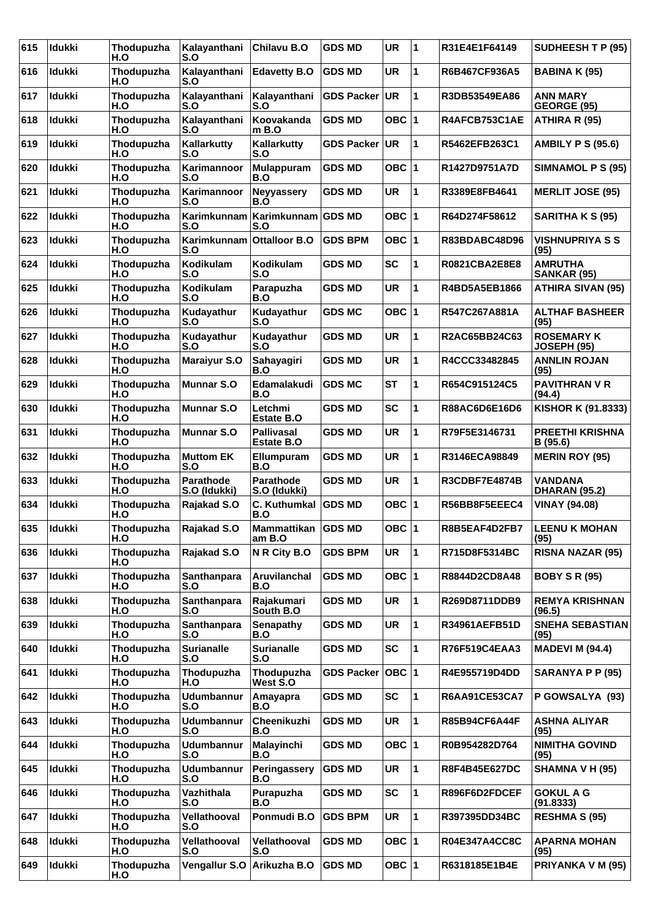| 615 | <b>Idukki</b> | Thodupuzha<br>H.O | Kalayanthani<br>S.O       | Chilavu B.O                      | <b>GDS MD</b>     | <b>UR</b> | 1            | R31E4E1F64149        | SUDHEESH T P (95)                       |
|-----|---------------|-------------------|---------------------------|----------------------------------|-------------------|-----------|--------------|----------------------|-----------------------------------------|
| 616 | <b>Idukki</b> | Thodupuzha<br>H.O | Kalayanthani<br>S.O       | <b>Edavetty B.O</b>              | <b>GDS MD</b>     | <b>UR</b> | 1            | R6B467CF936A5        | <b>BABINA K (95)</b>                    |
| 617 | <b>Idukki</b> | Thodupuzha<br>H.O | Kalayanthani<br>S.O       | Kalayanthani<br>S.O              | <b>GDS Packer</b> | UR        | 1            | R3DB53549EA86        | <b>ANN MARY</b><br>GEORGE (95)          |
| 618 | Idukki        | Thodupuzha<br>H.O | Kalayanthani<br>S.O       | Koovakanda<br>$m$ B.O            | GDS MD            | OBC $ 1$  |              | R4AFCB753C1AE        | ATHIRA R (95)                           |
| 619 | <b>Idukki</b> | Thodupuzha<br>H.O | Kallarkutty<br>S.O        | Kallarkutty<br>S.O               | <b>GDS Packer</b> | UR.       | 1            | R5462EFB263C1        | <b>AMBILY P S (95.6)</b>                |
| 620 | <b>Idukki</b> | Thodupuzha<br>H.O | Karimannoor<br>S.O        | Mulappuram<br>B.O                | <b>GDS MD</b>     | OBC $ 1$  |              | R1427D9751A7D        | SIMNAMOL P S (95)                       |
| 621 | Idukki        | Thodupuzha<br>H.O | Karimannoor<br>S.O        | <b>Neyyassery</b><br>B.O         | <b>GDS MD</b>     | UR        | 1            | R3389E8FB4641        | <b>MERLIT JOSE (95)</b>                 |
| 622 | <b>Idukki</b> | Thodupuzha<br>H.O | Karimkunnam<br>S.O        | Karimkunnam<br>S.O               | <b>GDS MD</b>     | OBC $ 1$  |              | R64D274F58612        | <b>SARITHA K S (95)</b>                 |
| 623 | <b>Idukki</b> | Thodupuzha<br>H.O | Karimkunnam<br>S.O        | <b>Ottalloor B.O</b>             | <b>GDS BPM</b>    | OBC $ 1$  |              | R83BDABC48D96        | <b>VISHNUPRIYA S S</b><br>(95)          |
| 624 | Idukki        | Thodupuzha<br>H.O | Kodikulam<br>S.O          | Kodikulam<br>S.O                 | GDS MD            | SC        | 1            | R0821CBA2E8E8        | <b>AMRUTHA</b><br>SANKAR (95)           |
| 625 | <b>Idukki</b> | Thodupuzha<br>H.O | <b>Kodikulam</b><br>S.O   | Parapuzha<br>B.O                 | <b>GDS MD</b>     | <b>UR</b> | 1            | R4BD5A5EB1866        | <b>ATHIRA SIVAN (95)</b>                |
| 626 | <b>Idukki</b> | Thodupuzha<br>H.O | Kudayathur<br>S.O         | Kudayathur<br>S.O                | <b>GDS MC</b>     | OBC $ 1$  |              | R547C267A881A        | <b>ALTHAF BASHEER</b><br>(95)           |
| 627 | Idukki        | Thodupuzha<br>H.O | Kudayathur<br>S.O         | Kudayathur<br>S.O                | <b>GDS MD</b>     | <b>UR</b> | 1            | R2AC65BB24C63        | <b>ROSEMARY K</b><br><b>JOSEPH (95)</b> |
| 628 | <b>Idukki</b> | Thodupuzha<br>H.O | <b>Maraiyur S.O</b>       | Sahayagiri<br>B.O                | GDS MD            | <b>UR</b> | 1            | R4CCC33482845        | <b>ANNLIN ROJAN</b><br>(95)             |
| 629 | <b>Idukki</b> | Thodupuzha<br>H.O | <b>Munnar S.O</b>         | Edamalakudi<br>B.O               | <b>GDS MC</b>     | <b>ST</b> | 1            | R654C915124C5        | <b>PAVITHRAN V R</b><br>(94.4)          |
| 630 | <b>Idukki</b> | Thodupuzha<br>H.O | <b>Munnar S.O</b>         | Letchmi<br>Estate B.O            | GDS MD            | <b>SC</b> | 1            | <b>R88AC6D6E16D6</b> | KISHOR K (91.8333)                      |
| 631 | <b>Idukki</b> | Thodupuzha<br>H.O | <b>Munnar S.O</b>         | <b>Pallivasal</b><br>Estate B.O  | <b>GDS MD</b>     | <b>UR</b> | 1            | R79F5E3146731        | <b>PREETHI KRISHNA</b><br>B (95.6)      |
| 632 | <b>Idukki</b> | Thodupuzha<br>H.O | <b>Muttom EK</b><br>S.O   | Ellumpuram<br>B.O                | <b>GDS MD</b>     | <b>UR</b> | 1            | R3146ECA98849        | <b>MERIN ROY (95)</b>                   |
| 633 | Idukki        | Thodupuzha<br>H.O | Parathode<br>S.O (Idukki) | <b>Parathode</b><br>S.O (Idukki) | <b>GDS MD</b>     | <b>UR</b> | 1            | R3CDBF7E4874B        | <b>VANDANA</b><br><b>DHARAN (95.2)</b>  |
| 634 | <b>Idukki</b> | Thodupuzha<br>H.O | Rajakad S.O               | C. Kuthumkal   GDS MD<br>B.O     |                   | OBC $ 1$  |              | R56BB8F5EEEC4        | <b>VINAY (94.08)</b>                    |
| 635 | <b>Idukki</b> | Thodupuzha<br>H.O | Rajakad S.O               | Mammattikan GDS MD<br>am B.O     |                   | OBC $ 1$  |              | R8B5EAF4D2FB7        | <b>LEENU K MOHAN</b><br>(95)            |
| 636 | <b>Idukki</b> | Thodupuzha<br>H.O | Rajakad S.O               | N R City B.O                     | <b>GDS BPM</b>    | <b>UR</b> | $\mathbf{1}$ | R715D8F5314BC        | <b>RISNA NAZAR (95)</b>                 |
| 637 | <b>Idukki</b> | Thodupuzha<br>H.O | Santhanpara<br>S.O        | Aruvilanchal<br>B.O              | <b>GDS MD</b>     | OBC $ 1$  |              | R8844D2CD8A48        | <b>BOBY S R (95)</b>                    |
| 638 | <b>Idukki</b> | Thodupuzha<br>H.O | Santhanpara<br>S.O        | Rajakumari<br>South B.O          | <b>GDS MD</b>     | UR        | 1            | R269D8711DDB9        | <b>REMYA KRISHNAN</b><br>(96.5)         |
| 639 | <b>Idukki</b> | Thodupuzha<br>H.O | Santhanpara<br>S.O        | <b>Senapathy</b><br>B.O          | <b>GDS MD</b>     | UR        | 1            | <b>R34961AEFB51D</b> | <b>SNEHA SEBASTIAN</b><br>(95)          |
| 640 | <b>Idukki</b> | Thodupuzha<br>H.O | <b>Surianalle</b><br>S.O  | <b>Surianalle</b><br>S.O         | <b>GDS MD</b>     | <b>SC</b> | 1            | R76F519C4EAA3        | <b>MADEVI M (94.4)</b>                  |
| 641 | Idukki        | Thodupuzha<br>H.O | Thodupuzha<br>H.O         | Thodupuzha<br>West S.O           | <b>GDS Packer</b> | OBC 1     |              | R4E955719D4DD        | SARANYA P P (95)                        |
| 642 | Idukki        | Thodupuzha<br>H.O | <b>Udumbannur</b><br>S.O  | Amayapra<br>B.O                  | <b>GDS MD</b>     | SC        | 1            | <b>R6AA91CE53CA7</b> | P GOWSALYA (93)                         |
| 643 | <b>Idukki</b> | Thodupuzha<br>H.O | <b>Udumbannur</b><br>S.O  | Cheenikuzhi<br>B.O               | <b>GDS MD</b>     | UR        | 1            | R85B94CF6A44F        | <b>ASHNA ALIYAR</b><br>(95)             |
| 644 | <b>Idukki</b> | Thodupuzha<br>H.O | <b>Udumbannur</b><br>S.O  | Malayinchi<br>B.O                | <b>GDS MD</b>     | OBC $ 1$  |              | R0B954282D764        | <b>NIMITHA GOVIND</b><br>(95)           |
| 645 | Idukki        | Thodupuzha<br>H.O | <b>Udumbannur</b><br>S.O  | Peringassery<br>B.O              | <b>GDS MD</b>     | UR        | $\mathbf{1}$ | R8F4B45E627DC        | SHAMNA V H (95)                         |
| 646 | <b>Idukki</b> | Thodupuzha<br>H.O | Vazhithala<br>S.O         | Purapuzha<br>B.O                 | <b>GDS MD</b>     | <b>SC</b> | 1            | R896F6D2FDCEF        | <b>GOKUL A G</b><br>(91.8333)           |
| 647 | Idukki        | Thodupuzha<br>H.O | Vellathooval<br>S.O       | Ponmudi B.O                      | <b>GDS BPM</b>    | UR        | 1            | R397395DD34BC        | <b>RESHMA S (95)</b>                    |
| 648 | Idukki        | Thodupuzha<br>H.O | Vellathooval<br>S.O       | Vellathooval<br>S.O              | <b>GDS MD</b>     | OBC $ 1$  |              | R04E347A4CC8C        | <b>APARNA MOHAN</b><br>(95)             |
| 649 | <b>Idukki</b> | Thodupuzha<br>H.O | Vengallur S.O             | Arikuzha B.O                     | <b>GDS MD</b>     | OBC $ 1$  |              | R6318185E1B4E        | PRIYANKA V M (95)                       |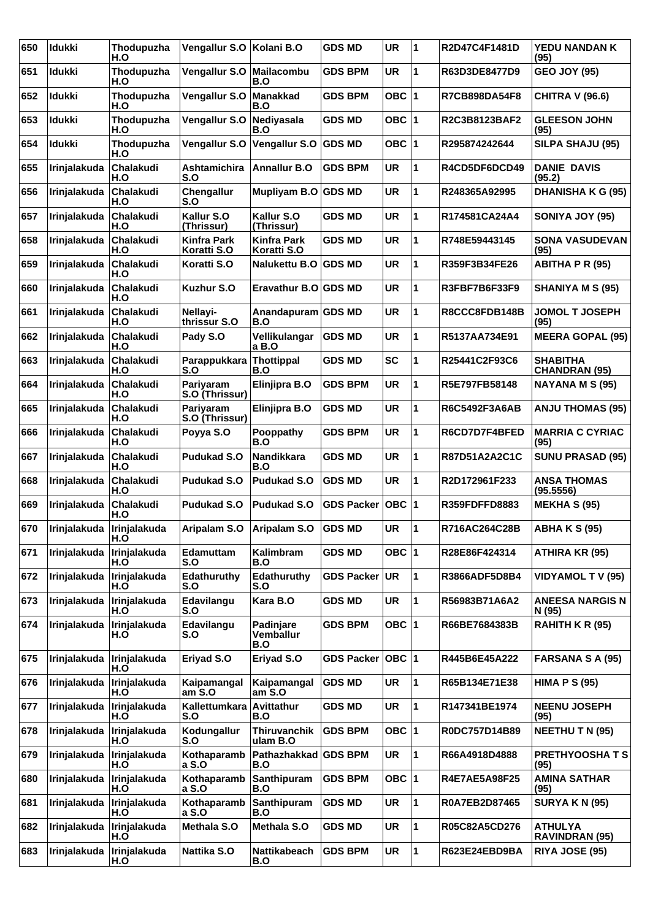| 650 | Idukki                      | Thodupuzha<br>H.O       | Vengallur S.O   Kolani B.O        |                                             | <b>GDS MD</b>        | <b>UR</b> | 1            | R2D47C4F1481D        | YEDU NANDAN K<br>(95)                   |
|-----|-----------------------------|-------------------------|-----------------------------------|---------------------------------------------|----------------------|-----------|--------------|----------------------|-----------------------------------------|
| 651 | <b>Idukki</b>               | Thodupuzha<br>H.O       | Vengallur S.O   Mailacombu        | B.O                                         | <b>GDS BPM</b>       | <b>UR</b> | 1            | R63D3DE8477D9        | <b>GEO JOY (95)</b>                     |
| 652 | Idukki                      | Thodupuzha<br>H.O       | Vengallur S.O                     | <b>Manakkad</b><br>B.O                      | <b>GDS BPM</b>       | OBC  1    |              | R7CB898DA54F8        | <b>CHITRA V (96.6)</b>                  |
| 653 | <b>Idukki</b>               | Thodupuzha<br>H.O       | Vengallur S.O                     | Nediyasala<br>B.O                           | <b>GDS MD</b>        | OBC $ 1$  |              | R2C3B8123BAF2        | <b>GLEESON JOHN</b><br>(95)             |
| 654 | <b>Idukki</b>               | Thodupuzha<br>H.O       | Vengallur S.O                     | Vengallur S.O                               | <b>GDS MD</b>        | OBC  1    |              | R295874242644        | SILPA SHAJU (95)                        |
| 655 | Irinjalakuda                | Chalakudi<br>H.O        | Ashtamichira<br>S.O               | Annallur B.O                                | <b>GDS BPM</b>       | <b>UR</b> | 1            | R4CD5DF6DCD49        | <b>DANIE DAVIS</b><br>(95.2)            |
| 656 | Irinjalakuda                | <b>Chalakudi</b><br>H.O | Chengallur<br>S.O                 | Mupliyam B.O GDS MD                         |                      | <b>UR</b> | 1            | R248365A92995        | <b>DHANISHA K G (95)</b>                |
| 657 | Irinjalakuda                | Chalakudi<br>H.O        | Kallur S.O<br>(Thrissur)          | Kallur S.O<br>(Thrissur)                    | GDS MD               | UR        | 1            | R174581CA24A4        | SONIYA JOY (95)                         |
| 658 | Irinjalakuda                | Chalakudi<br>H.O        | <b>Kinfra Park</b><br>Koratti S.O | <b>Kinfra Park</b><br>Koratti S.O           | GDS MD               | <b>UR</b> | 1            | R748E59443145        | <b>SONA VASUDEVAN</b><br>(95)           |
| 659 | Irinjalakuda                | Chalakudi<br>H.O        | Koratti S.O                       | <b>Nalukettu B.O</b>                        | <b>GDS MD</b>        | <b>UR</b> | 1            | R359F3B34FE26        | <b>ABITHA P R (95)</b>                  |
| 660 | Irinjalakuda                | Chalakudi<br>H.O        | <b>Kuzhur S.O</b>                 | Eravathur B.O GDS MD                        |                      | <b>UR</b> | 1            | R3FBF7B6F33F9        | <b>SHANIYA M S (95)</b>                 |
| 661 | Irinjalakuda                | Chalakudi<br>H.O        | Nellavi-<br>thrissur S.O          | Anandapuram GDS MD<br>B.O                   |                      | <b>UR</b> | 1            | R8CCC8FDB148B        | <b>JOMOL T JOSEPH</b><br>(95)           |
| 662 | Irinjalakuda                | Chalakudi<br>H.O        | Pady S.O                          | Vellikulangar<br>a B.O                      | <b>GDS MD</b>        | <b>UR</b> | 1            | R5137AA734E91        | <b>MEERA GOPAL (95)</b>                 |
| 663 | Irinjalakuda                | Chalakudi<br>H.O        | Parappukkara<br>S.O               | Thottippal<br>B.O                           | <b>GDS MD</b>        | <b>SC</b> | 1            | R25441C2F93C6        | <b>SHABITHA</b><br><b>CHANDRAN (95)</b> |
| 664 | Irinjalakuda                | Chalakudi<br>H.O        | Pariyaram<br>S.O (Thrissur)       | Elinjipra B.O                               | GDS BPM              | <b>UR</b> | 1            | R5E797FB58148        | NAYANA M S (95)                         |
| 665 | Irinjalakuda                | Chalakudi<br>H.O        | Pariyaram<br>S.O (Thrissur)       | Elinjipra B.O                               | <b>GDS MD</b>        | <b>UR</b> | 1            | R6C5492F3A6AB        | <b>ANJU THOMAS (95)</b>                 |
| 666 | Irinjalakuda                | Chalakudi<br>H.O        | Poyya S.O                         | Pooppathy<br>B.O                            | <b>GDS BPM</b>       | <b>UR</b> | 1            | R6CD7D7F4BFED        | <b>MARRIA C CYRIAC</b><br>(95)          |
| 667 | Irinjalakuda                | Chalakudi<br>H.O        | <b>Pudukad S.O</b>                | Nandikkara<br>B.O                           | <b>GDS MD</b>        | <b>UR</b> | 1            | R87D51A2A2C1C        | <b>SUNU PRASAD (95)</b>                 |
| 668 | Irinjalakuda                | Chalakudi<br>H.O        | <b>Pudukad S.O</b>                | <b>Pudukad S.O</b>                          | <b>GDS MD</b>        | <b>UR</b> | 1            | R2D172961F233        | <b>ANSA THOMAS</b><br>(95.5556)         |
| 669 | Irinjalakuda                | Chalakudi<br>H.O        | <b>Pudukad S.O</b>                | <b>Pudukad S.O</b>                          | <b>GDS Packer</b>    | OBC  1    |              | R359FDFFD8883        | <b>MEKHA S (95)</b>                     |
| 670 | Irinjalakuda   Irinjalakuda | H.O                     |                                   | Aripalam S.O   Aripalam S.O                 | <b>GDS MD</b>        | <b>UR</b> | 1            | R716AC264C28B        | <b>ABHA K S (95)</b>                    |
| 671 | Irinjalakuda                | Irinjalakuda<br>H.O     | Edamuttam<br>S.O                  | Kalimbram<br>B.O                            | <b>GDS MD</b>        | OBC 1     |              | R28E86F424314        | ATHIRA KR (95)                          |
| 672 | Irinjalakuda                | Irinjalakuda<br>H.O     | Edathuruthy<br>S.O                | Edathuruthy<br>S.O                          | GDS Packer UR        |           | 1            | R3866ADF5D8B4        | <b>VIDYAMOL T V (95)</b>                |
| 673 | Irinjalakuda                | Irinjalakuda<br>H.O     | Edavilangu<br>S.O                 | Kara B.O                                    | <b>GDS MD</b>        | UR        | 1            | R56983B71A6A2        | <b>ANEESA NARGIS N</b><br>N (95)        |
| 674 | Irinjalakuda                | Irinjalakuda<br>H.O     | Edavilangu<br>S.O                 | <b>Padinjare</b><br><b>Vemballur</b><br>B.O | <b>GDS BPM</b>       | OBC 1     |              | R66BE7684383B        | RAHITH K R (95)                         |
| 675 | Irinjalakuda                | Irinjalakuda<br>H.O     | Eriyad S.O                        | Eriyad S.O                                  | GDS Packer   OBC   1 |           |              | R445B6E45A222        | <b>FARSANA S A (95)</b>                 |
| 676 | Irinjalakuda                | Irinjalakuda<br>H.O     | Kaipamangal<br>amS.O              | Kaipamangal<br>am S.O                       | <b>GDS MD</b>        | <b>UR</b> | 1            | R65B134E71E38        | <b>HIMA P S (95)</b>                    |
| 677 | Irinjalakuda                | Irinjalakuda<br>H.O     | Kallettumkara Avittathur<br>S.O   | B.O                                         | <b>GDS MD</b>        | UR        | $\mathbf{1}$ | R147341BE1974        | <b>NEENU JOSEPH</b><br>(95)             |
| 678 | Irinjalakuda                | Irinjalakuda<br>H.O     | Kodungallur<br>S.O                | Thiruvanchik<br>ulam B.O                    | <b>GDS BPM</b>       | OBC 1     |              | R0DC757D14B89        | <b>NEETHU T N (95)</b>                  |
| 679 | Irinjalakuda                | Irinjalakuda<br>H.O     | Kothaparamb<br>a S.O              | Pathazhakkad GDS BPM<br>B.O                 |                      | <b>UR</b> | 1            | R66A4918D4888        | <b>PRETHYOOSHATS</b><br>(95)            |
| 680 | Irinjalakuda                | Irinjalakuda<br>H.O     | Kothaparamb<br>a S.O              | Santhipuram<br>B.O                          | <b>GDS BPM</b>       | OBC 1     |              | <b>R4E7AE5A98F25</b> | <b>AMINA SATHAR</b><br>(95)             |
| 681 | Irinjalakuda                | Irinjalakuda<br>H.O     | Kothaparamb<br>a S.O              | Santhipuram<br>B.O                          | <b>GDS MD</b>        | UR        | 1            | R0A7EB2D87465        | <b>SURYA K N (95)</b>                   |
| 682 | Irinjalakuda                | Irinjalakuda<br>H.O     | Methala S.O                       | Methala S.O                                 | <b>GDS MD</b>        | <b>UR</b> | 1            | R05C82A5CD276        | <b>ATHULYA</b><br><b>RAVINDRAN (95)</b> |
| 683 | Irinjalakuda                | Irinjalakuda<br>H.O     | Nattika S.O                       | Nattikabeach<br>B.O                         | <b>GDS BPM</b>       | UR        | $\mathbf{1}$ | R623E24EBD9BA        | <b>RIYA JOSE (95)</b>                   |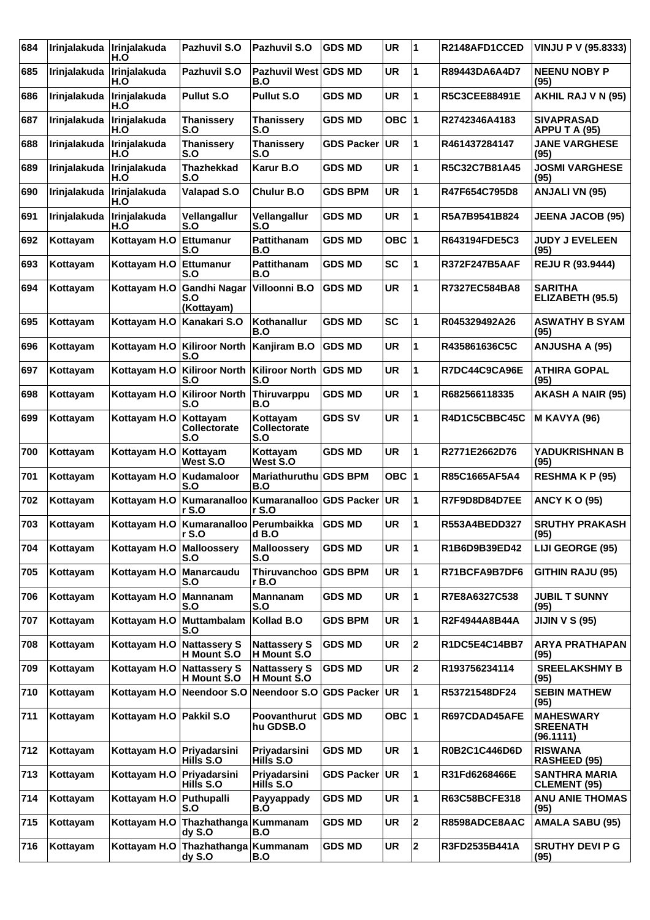| 684 | Irinjalakuda | Irinjalakuda<br>H.O         | Pazhuvil S.O                                       | Pazhuvil S.O                       | <b>GDS MD</b>     | <b>UR</b> | 11             | R2148AFD1CCED        | VINJU P V (95.8333)                              |
|-----|--------------|-----------------------------|----------------------------------------------------|------------------------------------|-------------------|-----------|----------------|----------------------|--------------------------------------------------|
| 685 | Irinjalakuda | Irinjalakuda<br>H.O         | Pazhuvil S.O                                       | Pazhuvil West GDS MD<br>B.O        |                   | <b>UR</b> | 1              | R89443DA6A4D7        | <b>NEENU NOBY P</b><br>(95)                      |
| 686 | Irinjalakuda | Irinjalakuda<br>H.O         | <b>Pullut S.O.</b>                                 | <b>Pullut S.O</b>                  | <b>GDS MD</b>     | <b>UR</b> | 1              | <b>R5C3CEE88491E</b> | AKHIL RAJ V N (95)                               |
| 687 | Irinjalakuda | Irinjalakuda<br>H.O         | <b>Thanissery</b><br>S.O                           | <b>Thanissery</b><br>S.O           | <b>GDS MD</b>     | OBC $ 1$  |                | R2742346A4183        | <b>SIVAPRASAD</b><br>APPU T A (95)               |
| 688 | Irinjalakuda | Irinjalakuda<br>H.O         | <b>Thanissery</b><br>S.O                           | <b>Thanissery</b><br>S.O           | <b>GDS Packer</b> | UR.       | 1              | R461437284147        | <b>JANE VARGHESE</b><br>(95)                     |
| 689 | Irinjalakuda | Irinjalakuda<br>H.O         | <b>Thazhekkad</b><br>S.O                           | Karur B.O                          | <b>GDS MD</b>     | <b>UR</b> | 1              | R5C32C7B81A45        | <b>JOSMI VARGHESE</b><br>(95)                    |
| 690 | Irinjalakuda | Irinjalakuda<br>H.O         | <b>Valapad S.O</b>                                 | <b>Chulur B.O</b>                  | <b>GDS BPM</b>    | <b>UR</b> | 1              | R47F654C795D8        | <b>ANJALI VN (95)</b>                            |
| 691 | Irinjalakuda | Irinjalakuda<br>H.O         | Vellangallur<br>S.O                                | Vellangallur<br>S.O                | <b>GDS MD</b>     | <b>UR</b> | 1              | R5A7B9541B824        | <b>JEENA JACOB (95)</b>                          |
| 692 | Kottayam     | Kottayam H.O                | Ettumanur<br>S.O                                   | <b>Pattithanam</b><br>B.O          | GDS MD            | OBC       | 1              | R643194FDE5C3        | <b>JUDY J EVELEEN</b><br>(95)                    |
| 693 | Kottayam     | Kottayam H.O                | Ettumanur<br>S.O                                   | Pattithanam<br>B.O                 | <b>GDS MD</b>     | <b>SC</b> | 1              | <b>R372F247B5AAF</b> | <b>REJU R (93.9444)</b>                          |
| 694 | Kottayam     | Kottayam H.O                | <b>Gandhi Nagar</b><br>S.O<br>(Kottayam)           | Villoonni B.O                      | <b>GDS MD</b>     | <b>UR</b> | 1              | R7327EC584BA8        | <b>SARITHA</b><br>ELIZABETH (95.5)               |
| 695 | Kottayam     | Kottayam H.O                | Kanakari S.O                                       | Kothanallur<br>B.O                 | <b>GDS MD</b>     | <b>SC</b> | 1              | R045329492A26        | <b>ASWATHY B SYAM</b><br>(95)                    |
| 696 | Kottayam     | Kottayam H.O                | Kiliroor North<br>S.O                              | Kanjiram B.O                       | <b>GDS MD</b>     | <b>UR</b> | 1              | R435861636C5C        | <b>ANJUSHA A (95)</b>                            |
| 697 | Kottayam     | Kottayam H.O                | Kiliroor North<br>S.O                              | <b>Kiliroor North</b><br>S.O       | <b>GDS MD</b>     | <b>UR</b> | 1              | R7DC44C9CA96E        | <b>ATHIRA GOPAL</b><br>(95)                      |
| 698 | Kottayam     | Kottayam H.O                | <b>Kiliroor North</b><br>S.O                       | Thiruvarppu<br>B.O                 | <b>GDS MD</b>     | <b>UR</b> | 1              | R682566118335        | <b>AKASH A NAIR (95)</b>                         |
| 699 | Kottayam     | Kottayam H.O                | Kottayam<br>Collectorate<br>S.O                    | Kottayam<br>Collectorate<br>S.O    | <b>GDS SV</b>     | <b>UR</b> | 1              | R4D1C5CBBC45C        | <b>M KAVYA (96)</b>                              |
| 700 | Kottayam     | Kottayam H.O                | Kottayam<br>West S.O                               | Kottayam<br>West S.O               | <b>GDS MD</b>     | <b>UR</b> | 1              | R2771E2662D76        | YADUKRISHNAN B<br>(95)                           |
| 701 | Kottayam     | Kottayam H.O                | Kudamaloor<br>S.O                                  | Mariathuruthu<br>B.O               | <b>GDS BPM</b>    | OBC $ 1$  |                | R85C1665AF5A4        | <b>RESHMAKP(95)</b>                              |
| 702 | Kottayam     | Kottayam H.O                | Kumaranalloo<br>r S.O                              | Kumaranalloo<br>r S.O              | <b>GDS Packer</b> | UR.       | 1              | R7F9D8D84D7EE        | <b>ANCY K O (95)</b>                             |
| 703 | Kottayam     |                             | Kottayam H.O   Kumaranalloo   Perumbaikka<br>r S.O | d B.O                              | <b>GDS MD</b>     | <b>UR</b> | 1              | R553A4BEDD327        | <b>SRUTHY PRAKASH</b><br>(95)                    |
| 704 | Kottayam     | Kottayam H.O                | Malloosserv<br>S.O                                 | <b>Malloossery</b><br>S.O          | <b>GDS MD</b>     | <b>UR</b> | 1              | R1B6D9B39ED42        | LIJI GEORGE (95)                                 |
| 705 | Kottayam     | Kottayam H.O                | Manarcaudu<br>S.O                                  | Thiruvanchoo<br>r B.O              | <b>GDS BPM</b>    | <b>UR</b> | 1              | R71BCFA9B7DF6        | <b>GITHIN RAJU (95)</b>                          |
| 706 | Kottayam     | Kottayam H.O                | Mannanam<br>S.O                                    | Mannanam<br>S.O                    | <b>GDS MD</b>     | <b>UR</b> | 1              | R7E8A6327C538        | <b>JUBIL T SUNNY</b><br>(95)                     |
| 707 | Kottayam     | Kottayam H.O                | Muttambalam<br>S.O                                 | Kollad B.O                         | <b>GDS BPM</b>    | UR        | 1              | R2F4944A8B44A        | <b>JIJIN V S (95)</b>                            |
| 708 | Kottayam     | Kottayam H.O                | Nattassery S<br>H Mount S.O                        | <b>Nattassery S</b><br>H Mount S.O | <b>GDS MD</b>     | <b>UR</b> | $\overline{2}$ | R1DC5E4C14BB7        | <b>ARYA PRATHAPAN</b><br>(95)                    |
| 709 | Kottayam     | Kottayam H.O Nattassery S   | H Mount S.O                                        | <b>Nattassery S</b><br>H Mount S.O | <b>GDS MD</b>     | <b>UR</b> | 2              | R193756234114        | <b>SREELAKSHMY B</b><br>(95)                     |
| 710 | Kottayam     | Kottayam H.O                | Neendoor S.O                                       | Neendoor S.O                       | <b>GDS Packer</b> | UR.       | 1              | R53721548DF24        | <b>SEBIN MATHEW</b><br>(95)                      |
| 711 | Kottayam     | Kottayam H.O Pakkil S.O     |                                                    | Poovanthurut GDS MD<br>hu GDSB.O   |                   | OBC $ 1$  |                | R697CDAD45AFE        | <b>MAHESWARY</b><br><b>SREENATH</b><br>(96.1111) |
| 712 | Kottayam     | Kottayam H.O Priyadarsini   | Hills S.O                                          | Priyadarsini<br>Hills S.O          | <b>GDS MD</b>     | <b>UR</b> | 1              | R0B2C1C446D6D        | <b>RISWANA</b><br><b>RASHEED (95)</b>            |
| 713 | Kottayam     | Kottayam H.O   Priyadarsini | Hills S.O                                          | Priyadarsini<br>Hills S.O          | <b>GDS Packer</b> | UR.       | 1              | R31Fd6268466E        | <b>SANTHRA MARIA</b><br><b>CLEMENT (95)</b>      |
| 714 | Kottayam     | Kottayam H.O                | Puthupalli<br>S.O                                  | Payyappady<br>B.O                  | <b>GDS MD</b>     | <b>UR</b> | 1              | R63C58BCFE318        | <b>ANU ANIE THOMAS</b><br>(95)                   |
| 715 | Kottayam     | Kottayam H.O                | Thazhathanga<br>dyS.O                              | Kummanam<br>B.O                    | <b>GDS MD</b>     | <b>UR</b> | 2              | R8598ADCE8AAC        | <b>AMALA SABU (95)</b>                           |
| 716 | Kottayam     | Kottayam H.O                | Thazhathanga Kummanam<br>dy S.O                    | B.O                                | <b>GDS MD</b>     | <b>UR</b> | $\overline{2}$ | R3FD2535B441A        | <b>SRUTHY DEVI P G</b><br>(95)                   |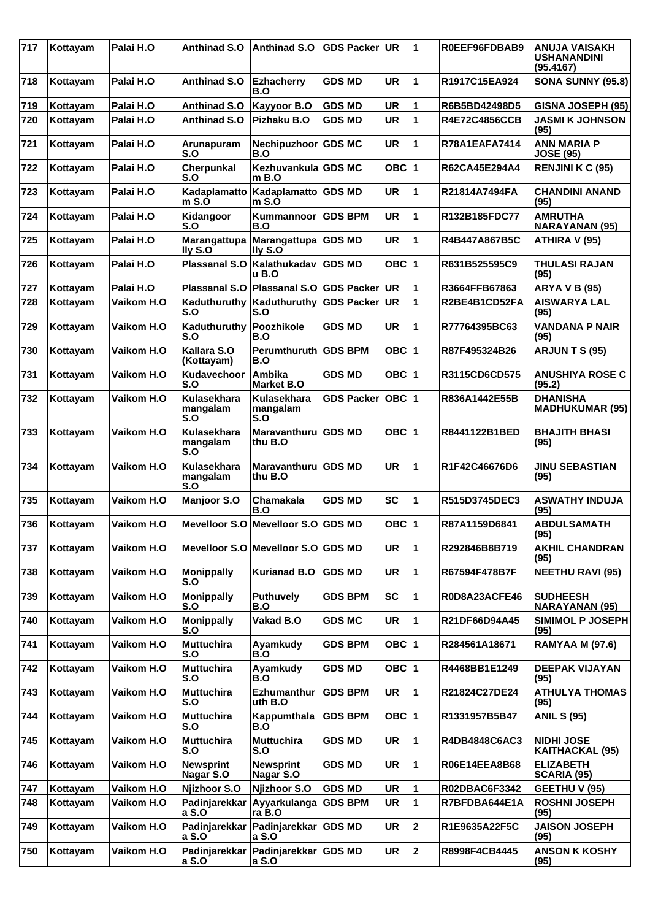| 717 | Kottayam | Palai H.O  | Anthinad S.O                   | <b>Anthinad S.O</b>                | <b>GDS Packer</b> | <b>UR</b> | 1                       | R0EEF96FDBAB9        | ANUJA VAISAKH<br><b>USHANANDINI</b><br>(95.4167) |
|-----|----------|------------|--------------------------------|------------------------------------|-------------------|-----------|-------------------------|----------------------|--------------------------------------------------|
| 718 | Kottayam | Palai H.O  | <b>Anthinad S.O</b>            | <b>Ezhacherry</b><br>B.O           | <b>GDS MD</b>     | <b>UR</b> | $\mathbf{1}$            | R1917C15EA924        | <b>SONA SUNNY (95.8)</b>                         |
| 719 | Kottayam | Palai H.O  | <b>Anthinad S.O</b>            | Kayyoor B.O                        | <b>GDS MD</b>     | <b>UR</b> | 1                       | R6B5BD42498D5        | GISNA JOSEPH (95)                                |
| 720 | Kottayam | Palai H.O  | <b>Anthinad S.O</b>            | Pizhaku B.O                        | <b>GDS MD</b>     | <b>UR</b> | 1                       | <b>R4E72C4856CCB</b> | JASMI K JOHNSON<br>(95)                          |
| 721 | Kottayam | Palai H.O  | Arunapuram<br>S.O              | Nechipuzhoor GDS MC<br>B.O         |                   | <b>UR</b> | 1                       | <b>R78A1EAFA7414</b> | <b>ANN MARIA P</b><br><b>JOSE (95)</b>           |
| 722 | Kottayam | Palai H.O  | Cherpunkal<br>S.O              | Kezhuvankula GDS MC<br>$m$ B.O     |                   | OBC $ 1$  |                         | R62CA45E294A4        | <b>RENJINI K C (95)</b>                          |
| 723 | Kottayam | Palai H.O  | Kadaplamatto<br>m S.O          | Kadaplamatto GDS MD<br>m S.O       |                   | <b>UR</b> | $\mathbf{1}$            | R21814A7494FA        | <b>CHANDINI ANAND</b><br>(95)                    |
| 724 | Kottayam | Palai H.O  | Kidangoor<br>S.O               | Kummannoor<br>B.O                  | <b>GDS BPM</b>    | <b>UR</b> | $\mathbf{1}$            | R132B185FDC77        | <b>AMRUTHA</b><br><b>NARAYANAN (95)</b>          |
| 725 | Kottayam | Palai H.O  | Marangattupa<br>Ily S.O        | Marangattupa GDS MD<br>Ily S.O     |                   | <b>UR</b> | $\mathbf{1}$            | R4B447A867B5C        | ATHIRA V (95)                                    |
| 726 | Kottayam | Palai H.O  | <b>Plassanal S.O</b>           | Kalathukadav<br><b>u</b> B.O       | <b>GDS MD</b>     | OBC $ 1$  |                         | R631B525595C9        | <b>THULASI RAJAN</b><br>(95)                     |
| 727 | Kottayam | Palai H.O  | <b>Plassanal S.O</b>           | Plassanal S.O GDS Packer           |                   | UR.       | 1                       | R3664FFB67863        | <b>ARYA V B (95)</b>                             |
| 728 | Kottayam | Vaikom H.O | Kaduthuruthy<br>S.O            | Kaduthuruthy<br>S.O                | <b>GDS Packer</b> | <b>UR</b> | 1                       | R2BE4B1CD52FA        | <b>AISWARYA LAL</b><br>(95)                      |
| 729 | Kottayam | Vaikom H.O | Kaduthuruthy<br>S.O            | Poozhikole<br>B.O                  | <b>GDS MD</b>     | <b>UR</b> | 1                       | R77764395BC63        | <b>VANDANA P NAIR</b><br>(95)                    |
| 730 | Kottayam | Vaikom H.O | Kallara S.O<br>(Kottayam)      | Perumthuruth<br>B.O                | <b>GDS BPM</b>    | OBC $ 1$  |                         | R87F495324B26        | ARJUNTS (95)                                     |
| 731 | Kottayam | Vaikom H.O | Kudavechoor<br>S.O             | Ambika<br><b>Market B.O</b>        | <b>GDS MD</b>     | OBC $ 1$  |                         | R3115CD6CD575        | <b>ANUSHIYA ROSE C</b><br>(95.2)                 |
| 732 | Kottayam | Vaikom H.O | Kulasekhara<br>mangalam<br>S.O | Kulasekhara<br>mangalam<br>S.O     | <b>GDS Packer</b> | $OBC$  1  |                         | R836A1442E55B        | <b>DHANISHA</b><br><b>MADHUKUMAR (95)</b>        |
| 733 | Kottayam | Vaikom H.O | Kulasekhara<br>mangalam<br>S.O | <b>Maravanthuru</b><br>thu B.O     | <b>GDS MD</b>     | OBC $ 1$  |                         | R8441122B1BED        | <b>BHAJITH BHASI</b><br>(95)                     |
| 734 | Kottayam | Vaikom H.O | Kulasekhara<br>mangalam<br>S.O | Maravanthuru<br>thu B.O            | <b>GDS MD</b>     | <b>UR</b> | 1                       | R1F42C46676D6        | <b>JINU SEBASTIAN</b><br>(95)                    |
| 735 | Kottayam | Vaikom H.O | <b>Manjoor S.O</b>             | Chamakala<br>B.O                   | <b>GDS MD</b>     | <b>SC</b> | 1                       | R515D3745DEC3        | <b>ASWATHY INDUJA</b><br>(95)                    |
| 736 | Kottayam | Vaikom H.O |                                | Mevelloor S.O Mevelloor S.O GDS MD |                   | OBC $ 1$  |                         | R87A1159D6841        | <b>ABDULSAMATH</b><br>(95)                       |
| 737 | Kottayam | Vaikom H.O |                                | Mevelloor S.O Mevelloor S.O GDS MD |                   | <b>UR</b> | 1                       | R292846B8B719        | <b>AKHIL CHANDRAN</b><br>(95)                    |
| 738 | Kottayam | Vaikom H.O | <b>Monippally</b><br>S.O       | <b>Kurianad B.O</b>                | <b>GDS MD</b>     | <b>UR</b> | 1                       | R67594F478B7F        | <b>NEETHU RAVI (95)</b>                          |
| 739 | Kottayam | Vaikom H.O | <b>Monippally</b><br>S.O       | <b>Puthuvely</b><br>B.O            | <b>GDS BPM</b>    | <b>SC</b> | 1                       | R0D8A23ACFE46        | <b>SUDHEESH</b><br><b>NARAYANAN (95)</b>         |
| 740 | Kottayam | Vaikom H.O | <b>Monippally</b><br>S.O       | Vakad B.O                          | <b>GDS MC</b>     | <b>UR</b> | $\mathbf{1}$            | R21DF66D94A45        | SIMIMOL P JOSEPH<br>(95)                         |
| 741 | Kottayam | Vaikom H.O | <b>Muttuchira</b><br>S.O       | Ayamkudy<br>B.O                    | <b>GDS BPM</b>    | OBC $ 1$  |                         | R284561A18671        | <b>RAMYAA M (97.6)</b>                           |
| 742 | Kottayam | Vaikom H.O | <b>Muttuchira</b><br>S.O       | Ayamkudy<br>B.O                    | <b>GDS MD</b>     | OBC $ 1$  |                         | R4468BB1E1249        | <b>DEEPAK VIJAYAN</b><br>(95)                    |
| 743 | Kottayam | Vaikom H.O | <b>Muttuchira</b><br>S.O       | <b>Ezhumanthur</b><br>uth B.O      | <b>GDS BPM</b>    | <b>UR</b> | 1                       | R21824C27DE24        | <b>ATHULYA THOMAS</b><br>(95)                    |
| 744 | Kottayam | Vaikom H.O | <b>Muttuchira</b><br>S.O       | Kappumthala<br>B.O                 | <b>GDS BPM</b>    | OBC $ 1$  |                         | R1331957B5B47        | <b>ANIL S (95)</b>                               |
| 745 | Kottayam | Vaikom H.O | <b>Muttuchira</b><br>S.O       | <b>Muttuchira</b><br>S.O           | <b>GDS MD</b>     | <b>UR</b> | $\mathbf{1}$            | R4DB4848C6AC3        | <b>NIDHI JOSE</b><br><b>KAITHACKAL (95)</b>      |
| 746 | Kottayam | Vaikom H.O | <b>Newsprint</b><br>Nagar S.O  | <b>Newsprint</b><br>Nagar S.O      | <b>GDS MD</b>     | <b>UR</b> | $\mathbf{1}$            | R06E14EEA8B68        | <b>ELIZABETH</b><br>SCARIA (95)                  |
| 747 | Kottayam | Vaikom H.O | Njizhoor S.O                   | Njizhoor S.O                       | <b>GDS MD</b>     | UR        | 1                       | R02DBAC6F3342        | GEETHU V (95)                                    |
| 748 | Kottayam | Vaikom H.O | Padinjarekkar<br>a S.O         | Ayyarkulanga<br>ra B.O             | <b>GDS BPM</b>    | <b>UR</b> | $\mathbf{1}$            | R7BFDBA644E1A        | <b>ROSHNI JOSEPH</b><br>(95)                     |
| 749 | Kottayam | Vaikom H.O | Padinjarekkar<br>a S.O         | Padinjarekkar<br>a S.O             | <b>GDS MD</b>     | <b>UR</b> | $\mathbf 2$             | R1E9635A22F5C        | <b>JAISON JOSEPH</b><br>(95)                     |
| 750 | Kottayam | Vaikom H.O | Padinjarekkar<br>a S.O         | Padinjarekkar   GDS MD<br>a S.O    |                   | UR        | $\overline{\mathbf{2}}$ | R8998F4CB4445        | <b>ANSON K KOSHY</b><br>(95)                     |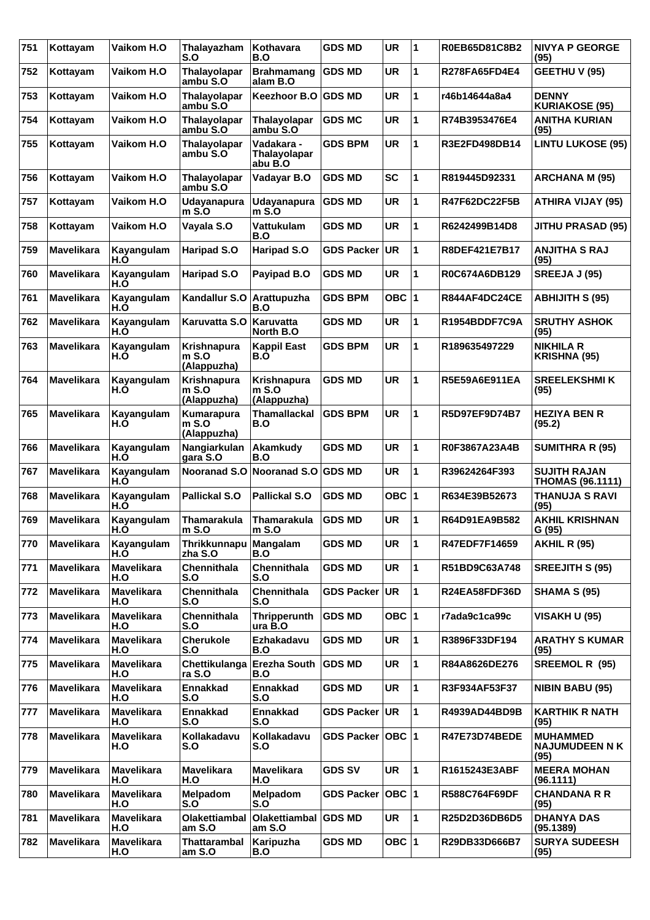| 751 | Kottayam          | Vaikom H.O               | Thalayazham<br>S.O                           | Kothavara<br>B.O                      | <b>GDS MD</b>        | <b>UR</b> | 1                    | R0EB65D81C8B2 | <b>NIVYA P GEORGE</b><br>(95)                    |
|-----|-------------------|--------------------------|----------------------------------------------|---------------------------------------|----------------------|-----------|----------------------|---------------|--------------------------------------------------|
| 752 | Kottayam          | Vaikom H.O               | Thalayolapar<br>ambu S.O                     | <b>Brahmamang</b><br>alam B.O         | <b>GDS MD</b>        | <b>UR</b> | 1                    | R278FA65FD4E4 | GEETHU V (95)                                    |
| 753 | Kottayam          | Vaikom H.O               | Thalayolapar<br>ambu S.O                     | <b>Keezhoor B.O</b>                   | <b>GDS MD</b>        | <b>UR</b> | 1                    | r46b14644a8a4 | <b>DENNY</b><br><b>KURIAKOSE (95)</b>            |
| 754 | Kottayam          | Vaikom H.O               | Thalayolapar<br>ambu S.O                     | <b>Thalayolapar</b><br>ambu S.O       | <b>GDS MC</b>        | <b>UR</b> | 1                    | R74B3953476E4 | <b>ANITHA KURIAN</b><br>(95)                     |
| 755 | Kottayam          | Vaikom H.O               | Thalayolapar<br>ambu S.O                     | Vadakara -<br>Thalayolapar<br>abu B.O | <b>GDS BPM</b>       | <b>UR</b> | 1                    | R3E2FD498DB14 | <b>LINTU LUKOSE (95)</b>                         |
| 756 | Kottayam          | Vaikom H.O               | <b>Thalayolapar</b><br>ambu S.O              | Vadayar B.O                           | <b>GDS MD</b>        | <b>SC</b> | 1                    | R819445D92331 | <b>ARCHANA M (95)</b>                            |
| 757 | Kottayam          | Vaikom H.O               | <b>Udayanapura</b><br>$m$ S.O                | Udayanapura<br>$m$ S.O                | <b>GDS MD</b>        | <b>UR</b> | 1                    | R47F62DC22F5B | <b>ATHIRA VIJAY (95)</b>                         |
| 758 | Kottayam          | Vaikom H.O               | Vayala S.O                                   | Vattukulam<br>B.O                     | <b>GDS MD</b>        | <b>UR</b> | 1                    | R6242499B14D8 | JITHU PRASAD (95)                                |
| 759 | Mavelikara        | Kayangulam<br>H.Õ        | Haripad S.O                                  | <b>Haripad S.O</b>                    | <b>GDS Packer</b>    | UR.       | 1                    | R8DEF421E7B17 | <b>ANJITHA S RAJ</b><br>(95)                     |
| 760 | <b>Mavelikara</b> | Kayangulam<br>H.O        | Haripad S.O                                  | Payipad B.O                           | <b>GDS MD</b>        | <b>UR</b> | 1                    | R0C674A6DB129 | <b>SREEJA J (95)</b>                             |
| 761 | Mavelikara        | Kayangulam<br>H.O        | Kandallur S.O                                | Arattupuzha<br>B.O                    | <b>GDS BPM</b>       | OBC $ 1$  |                      | R844AF4DC24CE | <b>ABHIJITH S (95)</b>                           |
| 762 | <b>Mavelikara</b> | Kayangulam<br>H.Õ        | Karuvatta S.O                                | ∣Karuvatta<br>North B.O               | <b>GDS MD</b>        | <b>UR</b> | 1                    | R1954BDDF7C9A | <b>SRUTHY ASHOK</b><br>(95)                      |
| 763 | <b>Mavelikara</b> | Kayangulam<br>H.O        | <b>Krishnapura</b><br>$m$ S.O<br>(Alappuzha) | <b>Kappil East</b><br>B.Ò             | <b>GDS BPM</b>       | <b>UR</b> | 1                    | R189635497229 | <b>NIKHILA R</b><br><b>KRISHNA (95)</b>          |
| 764 | Mavelikara        | Kayangulam<br>H.O        | Krishnapura<br>$m$ S.O<br>(Alappuzha)        | Krishnapura<br>m S.O<br>(Alappuzha)   | <b>GDS MD</b>        | <b>UR</b> | 1                    | R5E59A6E911EA | <b>SREELEKSHMIK</b><br>(95)                      |
| 765 | <b>Mavelikara</b> | Kayangulam<br>H.O        | Kumarapura<br>$m$ S.O<br>(Alappuzha)         | Thamallackal<br>B.O                   | <b>GDS BPM</b>       | <b>UR</b> | 1                    | R5D97EF9D74B7 | <b>HEZIYA BEN R</b><br>(95.2)                    |
| 766 | <b>Mavelikara</b> | Kayangulam<br>H.O        | Nangiarkulan<br>gara S.O                     | Akamkudy<br>B.O                       | <b>GDS MD</b>        | <b>UR</b> | 1                    | R0F3867A23A4B | <b>SUMITHRA R (95)</b>                           |
| 767 | <b>Mavelikara</b> | Kayangulam<br>H.O        | Nooranad S.O                                 | <b>Nooranad S.O</b>                   | <b>GDS MD</b>        | <b>UR</b> | 1                    | R39624264F393 | <b>SUJITH RAJAN</b><br><b>THOMAS (96.1111)</b>   |
| 768 | <b>Mavelikara</b> | Kayangulam<br>H.O        | <b>Pallickal S.O</b>                         | <b>Pallickal S.O</b>                  | <b>GDS MD</b>        | OBC ∣1    |                      | R634E39B52673 | THANUJA S RAVI<br>(95)                           |
| 769 | <b>Mavelikara</b> | Kayangulam<br>H.O        | <b>Thamarakula</b><br>$m$ S.O                | <b>Thamarakula</b><br>$m$ S.O         | <b>GDS MD</b>        | <b>UR</b> | 1                    | R64D91EA9B582 | <b>AKHIL KRISHNAN</b><br>G(95)                   |
| 770 | <b>Mavelikara</b> | Kayangulam<br>H.O        | Thrikkunnapu   Mangalam<br>zha S.O           | B.O                                   | <b>GDS MD</b>        | UR.       | $\blacktriangleleft$ | R47EDF7F14659 | <b>AKHIL R (95)</b>                              |
| 771 | <b>Mavelikara</b> | <b>Mavelikara</b><br>H.O | Chennithala<br>S.O                           | Chennithala<br>S.O                    | <b>GDS MD</b>        | UR        | 1                    | R51BD9C63A748 | <b>SREEJITH S (95)</b>                           |
| 772 | <b>Mavelikara</b> | <b>Mavelikara</b><br>H.O | Chennithala<br>S.O                           | Chennithala<br>S.O                    | GDS Packer UR        |           | 1                    | R24EA58FDF36D | <b>SHAMA S (95)</b>                              |
| 773 | <b>Mavelikara</b> | <b>Mavelikara</b><br>H.O | Chennithala<br>S.O                           | Thripperunth<br>ura B.O               | <b>GDS MD</b>        | OBC $ 1$  |                      | r7ada9c1ca99c | VISAKH U (95)                                    |
| 774 | <b>Mavelikara</b> | <b>Mavelikara</b><br>H.O | <b>Cherukole</b><br>S.O                      | Ezhakadavu<br>B.O                     | <b>GDS MD</b>        | <b>UR</b> | $\mathbf{1}$         | R3896F33DF194 | <b>ARATHY S KUMAR</b><br>(95)                    |
| 775 | <b>Mavelikara</b> | <b>Mavelikara</b><br>H.O | Chettikulanga<br>ra S.O                      | <b>Erezha South</b><br>B.O            | <b>GDS MD</b>        | <b>UR</b> | 1                    | R84A8626DE276 | SREEMOL R (95)                                   |
| 776 | <b>Mavelikara</b> | <b>Mavelikara</b><br>H.O | <b>Ennakkad</b><br>S.O                       | <b>Ennakkad</b><br>S.O                | <b>GDS MD</b>        | <b>UR</b> | 1                    | R3F934AF53F37 | <b>NIBIN BABU (95)</b>                           |
| 777 | Mavelikara        | <b>Mavelikara</b><br>H.O | <b>Ennakkad</b><br>S.O                       | <b>Ennakkad</b><br>S.O                | GDS Packer UR        |           | $\mathbf{1}$         | R4939AD44BD9B | <b>KARTHIK R NATH</b><br>(95)                    |
| 778 | <b>Mavelikara</b> | <b>Mavelikara</b><br>H.O | Kollakadavu<br>S.O                           | Kollakadavu<br>S.O                    | GDS Packer   OBC   1 |           |                      | R47E73D74BEDE | <b>MUHAMMED</b><br><b>NAJUMUDEEN N K</b><br>(95) |
| 779 | <b>Mavelikara</b> | <b>Mavelikara</b><br>H.O | <b>Mavelikara</b><br>H.O                     | <b>Mavelikara</b><br>H.O              | <b>GDS SV</b>        | <b>UR</b> | 1                    | R1615243E3ABF | <b>MEERA MOHAN</b><br>(96.1111)                  |
| 780 | <b>Mavelikara</b> | <b>Mavelikara</b><br>H.O | Melpadom<br>S.O                              | <b>Melpadom</b><br>S.O                | GDS Packer   OBC   1 |           |                      | R588C764F69DF | <b>CHANDANA R R</b><br>(95)                      |
| 781 | <b>Mavelikara</b> | <b>Mavelikara</b><br>H.O | Olakettiambal<br>am S.O                      | <b>Olakettiambal</b><br>am S.O        | <b>GDS MD</b>        | UR        | $\mathbf{1}$         | R25D2D36DB6D5 | <b>DHANYA DAS</b><br>(95.1389)                   |
| 782 | <b>Mavelikara</b> | <b>Mavelikara</b><br>H.O | Thattarambal<br>am S.O                       | Karipuzha<br>B.O                      | <b>GDS MD</b>        | OBC $ 1$  |                      | R29DB33D666B7 | <b>SURYA SUDEESH</b><br>(95)                     |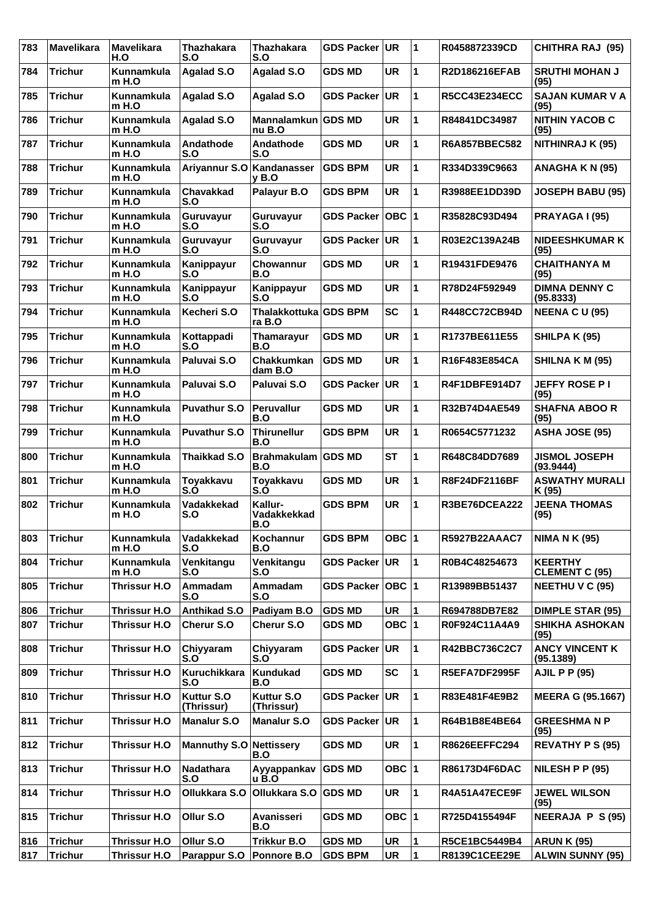| 783 | <b>Mavelikara</b> | <b>Mavelikara</b><br>H.O     | <b>Thazhakara</b><br>S.O | <b>Thazhakara</b><br>S.O        | <b>GDS Packer</b> | UR.       | 11                      | R0458872339CD        | <b>CHITHRA RAJ (95)</b>                 |
|-----|-------------------|------------------------------|--------------------------|---------------------------------|-------------------|-----------|-------------------------|----------------------|-----------------------------------------|
| 784 | <b>Trichur</b>    | Kunnamkula<br>$m$ H.O        | <b>Agalad S.O</b>        | <b>Agalad S.O</b>               | <b>GDS MD</b>     | <b>UR</b> | 1                       | R2D186216EFAB        | <b>SRUTHI MOHAN J</b><br>(95)           |
| 785 | <b>Trichur</b>    | <b>Kunnamkula</b><br>$m$ H.O | <b>Agalad S.O</b>        | <b>Agalad S.O</b>               | <b>GDS Packer</b> | UR        | 1                       | <b>R5CC43E234ECC</b> | <b>SAJAN KUMAR V A</b><br>(95)          |
| 786 | <b>Trichur</b>    | Kunnamkula<br>m H.O          | <b>Agalad S.O</b>        | Mannalamkun GDS MD<br>nu B.O    |                   | <b>UR</b> | 1                       | R84841DC34987        | <b>NITHIN YACOB C</b><br>(95)           |
| 787 | <b>Trichur</b>    | Kunnamkula<br>$m$ H.O        | Andathode<br>S.O         | Andathode<br>S.O                | <b>GDS MD</b>     | <b>UR</b> | 1                       | R6A857BBEC582        | NITHINRAJ K (95)                        |
| 788 | <b>Trichur</b>    | Kunnamkula<br>$m$ H.O        | Ariyannur S.O            | Kandanasser<br>v B.O            | <b>GDS BPM</b>    | <b>UR</b> | 1                       | R334D339C9663        | ANAGHA K N (95)                         |
| 789 | <b>Trichur</b>    | Kunnamkula<br>$m$ H.O        | <b>Chavakkad</b><br>S.O  | Palayur B.O                     | <b>GDS BPM</b>    | <b>UR</b> | 1                       | R3988EE1DD39D        | <b>JOSEPH BABU (95)</b>                 |
| 790 | <b>Trichur</b>    | Kunnamkula<br>$m$ H.O        | Guruvayur<br>S.O         | Guruvayur<br>S.O                | <b>GDS Packer</b> | OBC  1    |                         | R35828C93D494        | PRAYAGA I (95)                          |
| 791 | <b>Trichur</b>    | <b>Kunnamkula</b><br>$m$ H.O | Guruvayur<br>S.O         | Guruvayur<br>S.O                | <b>GDS Packer</b> | UR        | 1                       | R03E2C139A24B        | <b>NIDEESHKUMAR K</b><br>(95)           |
| 792 | <b>Trichur</b>    | Kunnamkula<br>$m$ H.O        | Kanippayur<br>S.O        | Chowannur<br>B.O                | <b>GDS MD</b>     | <b>UR</b> | 1                       | R19431FDE9476        | <b>CHAITHANYA M</b><br>(95)             |
| 793 | <b>Trichur</b>    | Kunnamkula<br>$m$ H.O        | Kanippayur<br>S.O        | Kanippayur<br>S.O               | <b>GDS MD</b>     | <b>UR</b> | 1                       | R78D24F592949        | <b>DIMNA DENNY C</b><br>(95.8333)       |
| 794 | <b>Trichur</b>    | Kunnamkula<br>m H.O          | Kecheri S.O              | Thalakkottuka GDS BPM<br>ra B.O |                   | <b>SC</b> | 1                       | R448CC72CB94D        | <b>NEENA C U (95)</b>                   |
| 795 | <b>Trichur</b>    | Kunnamkula<br>$m$ H.O        | Kottappadi<br>S.O        | Thamarayur<br>B.O               | <b>GDS MD</b>     | <b>UR</b> | 1                       | R1737BE611E55        | <b>SHILPA K (95)</b>                    |
| 796 | <b>Trichur</b>    | Kunnamkula<br>$m$ H.O        | Paluvai S.O              | Chakkumkan<br>dam B.O           | <b>GDS MD</b>     | <b>UR</b> | 1                       | R16F483E854CA        | SHILNA K M (95)                         |
| 797 | <b>Trichur</b>    | <b>Kunnamkula</b><br>m H.O   | Paluvai S.O              | Paluvai S.O                     | <b>GDS Packer</b> | UR        | 1                       | R4F1DBFE914D7        | <b>JEFFY ROSE PI</b><br>(95)            |
| 798 | <b>Trichur</b>    | Kunnamkula<br>$m$ H.O        | Puvathur S.O             | <b>Peruvallur</b><br>B.O        | <b>GDS MD</b>     | <b>UR</b> | 1                       | R32B74D4AE549        | <b>SHAFNA ABOO R</b><br>(95)            |
| 799 | <b>Trichur</b>    | Kunnamkula<br>$m$ H.O        | <b>Puvathur S.O</b>      | <b>Thirunellur</b><br>B.O       | <b>GDS BPM</b>    | <b>UR</b> | 1                       | R0654C5771232        | ASHA JOSE (95)                          |
| 800 | <b>Trichur</b>    | Kunnamkula<br>m H.O          | Thaikkad S.O             | Brahmakulam GDS MD<br>B.O       |                   | <b>ST</b> | 1                       | R648C84DD7689        | <b>JISMOL JOSEPH</b><br>(93.9444)       |
| 801 | <b>Trichur</b>    | Kunnamkula<br>m H.O          | Toyakkavu<br>S.Ó         | Toyakkavu<br>S.Ó                | <b>GDS MD</b>     | <b>UR</b> | 1                       | R8F24DF2116BF        | <b>ASWATHY MURALI</b><br>K (95)         |
| 802 | <b>Trichur</b>    | Kunnamkula<br>$m$ H.O        | Vadakkekad<br>S.O        | Kallur-<br>Vadakkekkad<br>B.O   | <b>GDS BPM</b>    | <b>UR</b> | 1                       | R3BE76DCEA222        | <b>JEENA THOMAS</b><br>(95)             |
| 803 | <b>Trichur</b>    | Kunnamkula<br>$m$ H.O        | Vadakkekad<br>S.O        | Kochannur<br>B.O                | <b>GDS BPM</b>    | OBC $ 1$  |                         | R5927B22AAAC7        | <b>NIMA N K (95)</b>                    |
| 804 | <b>Trichur</b>    | Kunnamkula<br>$m$ H.O        | Venkitangu<br>S.O        | Venkitangu<br>S.O               | GDS Packer UR     |           | $\mathbf 1$             | R0B4C48254673        | <b>KEERTHY</b><br><b>CLEMENT C (95)</b> |
| 805 | <b>Trichur</b>    | Thrissur H.O                 | Ammadam<br>S.O           | Ammadam<br>S.O                  | <b>GDS Packer</b> | OBC  1    |                         | R13989BB51437        | <b>NEETHU V C (95)</b>                  |
| 806 | <b>Trichur</b>    | Thrissur H.O                 | <b>Anthikad S.O</b>      | Padiyam B.O                     | <b>GDS MD</b>     | <b>UR</b> | $\overline{\mathbf{1}}$ | R694788DB7E82        | <b>DIMPLE STAR (95)</b>                 |
| 807 | <b>Trichur</b>    | Thrissur H.O                 | Cherur S.O               | Cherur S.O                      | <b>GDS MD</b>     | OBC $ 1$  |                         | R0F924C11A4A9        | <b>SHIKHA ASHOKAN</b><br>(95)           |
| 808 | <b>Trichur</b>    | Thrissur H.O                 | Chiyyaram<br>S.O         | Chiyyaram<br>S.O                | GDS Packer   UR   |           | 1                       | R42BBC736C2C7        | <b>ANCY VINCENT K</b><br>(95.1389)      |
| 809 | <b>Trichur</b>    | Thrissur H.O                 | Kuruchikkara<br>S.O      | <b>Kundukad</b><br>B.O          | <b>GDS MD</b>     | <b>SC</b> | 1                       | R5EFA7DF2995F        | <b>AJIL P P (95)</b>                    |
| 810 | <b>Trichur</b>    | Thrissur H.O                 | Kuttur S.O<br>(Thrissur) | Kuttur S.O<br>(Thrissur)        | GDS Packer UR     |           | 1                       | R83E481F4E9B2        | <b>MEERA G (95.1667)</b>                |
| 811 | <b>Trichur</b>    | Thrissur H.O                 | <b>Manalur S.O</b>       | <b>Manalur S.O</b>              | GDS Packer UR     |           | 1                       | R64B1B8E4BE64        | <b>GREESHMANP</b><br>(95)               |
| 812 | <b>Trichur</b>    | Thrissur H.O                 | <b>Mannuthy S.O</b>      | <b>Nettissery</b><br>B.O        | <b>GDS MD</b>     | <b>UR</b> | 1                       | <b>R8626EEFFC294</b> | <b>REVATHY P S (95)</b>                 |
| 813 | <b>Trichur</b>    | Thrissur H.O                 | Nadathara<br>S.O         | Ayyappankav<br>u B.O            | <b>GDS MD</b>     | OBC $ 1$  |                         | R86173D4F6DAC        | NILESH P P (95)                         |
| 814 | <b>Trichur</b>    | Thrissur H.O                 | Ollukkara S.O            | Ollukkara S.O                   | <b>GDS MD</b>     | <b>UR</b> | 1                       | R4A51A47ECE9F        | <b>JEWEL WILSON</b><br>(95)             |
| 815 | <b>Trichur</b>    | Thrissur H.O                 | Ollur S.O                | Avanisseri<br>B.O               | <b>GDS MD</b>     | OBC $ 1$  |                         | R725D4155494F        | <b>NEERAJA P S (95)</b>                 |
| 816 | <b>Trichur</b>    | Thrissur H.O                 | Ollur S.O                | <b>Trikkur B.O</b>              | <b>GDS MD</b>     | <b>UR</b> | 1                       | <b>R5CE1BC5449B4</b> | <b>ARUN K (95)</b>                      |
| 817 | <b>Trichur</b>    | Thrissur H.O                 | Parappur S.O             | Ponnore B.O                     | <b>GDS BPM</b>    | UR        | $\blacktriangleleft$    | <b>R8139C1CEE29E</b> | <b>ALWIN SUNNY (95)</b>                 |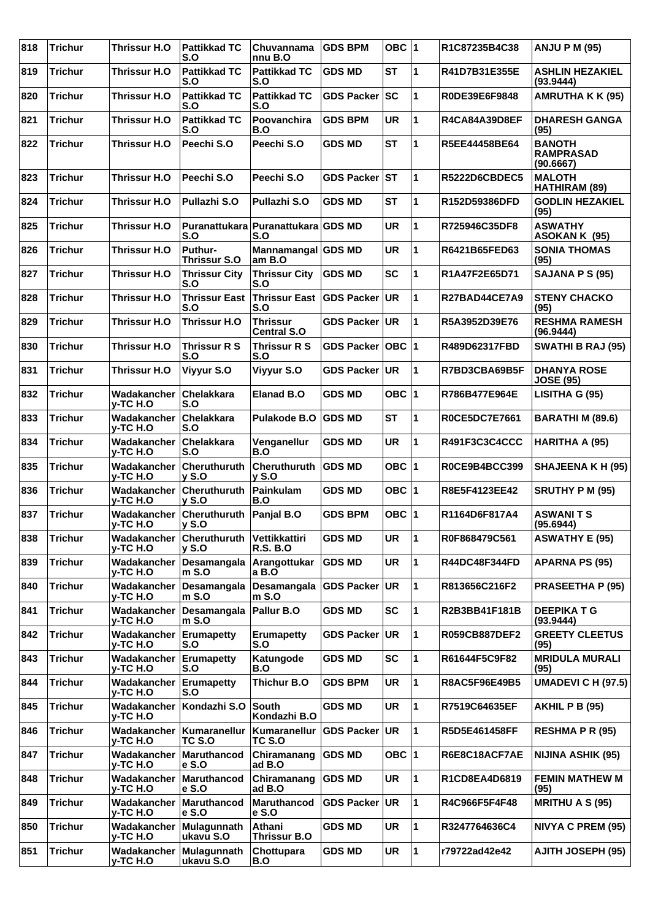| 818 | <b>Trichur</b> | <b>Thrissur H.O</b>                  | <b>Pattikkad TC</b><br>S.O            | Chuvannama<br>nnu B.O                 | <b>GDS BPM</b>    | OBC $ 1$  |    | R1C87235B4C38        | <b>ANJU P M (95)</b>                           |
|-----|----------------|--------------------------------------|---------------------------------------|---------------------------------------|-------------------|-----------|----|----------------------|------------------------------------------------|
| 819 | <b>Trichur</b> | <b>Thrissur H.O</b>                  | <b>Pattikkad TC</b><br>S.O            | <b>Pattikkad TC</b><br>S.O            | <b>GDS MD</b>     | <b>ST</b> | 1  | R41D7B31E355E        | <b>ASHLIN HEZAKIEL</b><br>(93.9444)            |
| 820 | <b>Trichur</b> | <b>Thrissur H.O</b>                  | <b>Pattikkad TC</b><br>S.O            | <b>Pattikkad TC</b><br>S.O            | <b>GDS Packer</b> | SC        | 1  | R0DE39E6F9848        | <b>AMRUTHA K K (95)</b>                        |
| 821 | <b>Trichur</b> | <b>Thrissur H.O</b>                  | <b>Pattikkad TC</b><br>S.O            | <b>Poovanchira</b><br>B.O             | <b>GDS BPM</b>    | <b>UR</b> | 1  | <b>R4CA84A39D8EF</b> | <b>DHARESH GANGA</b><br>(95)                   |
| 822 | <b>Trichur</b> | Thrissur H.O                         | Peechi S.O                            | Peechi S.O                            | <b>GDS MD</b>     | <b>ST</b> | 1  | R5EE44458BE64        | <b>BANOTH</b><br><b>RAMPRASAD</b><br>(90.6667) |
| 823 | <b>Trichur</b> | Thrissur H.O                         | Peechi S.O                            | Peechi S.O                            | <b>GDS Packer</b> | <b>ST</b> | 1  | <b>R5222D6CBDEC5</b> | <b>MALOTH</b><br>HATHIRAM (89)                 |
| 824 | <b>Trichur</b> | <b>Thrissur H.O</b>                  | <b>Pullazhi S.O</b>                   | Pullazhi S.O                          | <b>GDS MD</b>     | <b>ST</b> | 1  | R152D59386DFD        | <b>GODLIN HEZAKIEL</b><br>(95)                 |
| 825 | <b>Trichur</b> | <b>Thrissur H.O</b>                  | <b>Puranattukara</b><br>S.O           | <b>Puranattukara GDS MD</b><br>S.O    |                   | <b>UR</b> | 1  | R725946C35DF8        | <b>ASWATHY</b><br>ASOKAN K (95)                |
| 826 | <b>Trichur</b> | Thrissur H.O                         | <b>Puthur-</b><br><b>Thrissur S.O</b> | Mannamangal GDS MD<br>am B.O          |                   | <b>UR</b> | 1  | R6421B65FED63        | <b>SONIA THOMAS</b><br>(95)                    |
| 827 | <b>Trichur</b> | <b>Thrissur H.O</b>                  | <b>Thrissur City</b><br>S.O           | <b>Thrissur City</b><br>S.O           | <b>GDS MD</b>     | <b>SC</b> | 1  | R1A47F2E65D71        | SAJANA P S (95)                                |
| 828 | <b>Trichur</b> | <b>Thrissur H.O</b>                  | <b>Thrissur East</b><br>S.O           | <b>Thrissur East</b><br>S.O           | <b>GDS Packer</b> | UR.       | 1  | R27BAD44CE7A9        | <b>STENY CHACKO</b><br>(95)                    |
| 829 | <b>Trichur</b> | <b>Thrissur H.O</b>                  | Thrissur H.O                          | <b>Thrissur</b><br><b>Central S.O</b> | GDS Packer UR     |           | 1  | R5A3952D39E76        | <b>RESHMA RAMESH</b><br>(96.9444)              |
| 830 | <b>Trichur</b> | Thrissur H.O                         | <b>Thrissur R S</b><br>S.O            | <b>Thrissur R S</b><br>S.O            | <b>GDS Packer</b> | ОВС  1    |    | R489D62317FBD        | <b>SWATHI B RAJ (95)</b>                       |
| 831 | <b>Trichur</b> | <b>Thrissur H.O</b>                  | Viyyur S.O                            | Viyyur S.O                            | <b>GDS Packer</b> | UR.       | 1  | R7BD3CBA69B5F        | <b>DHANYA ROSE</b><br><b>JOSE (95)</b>         |
| 832 | <b>Trichur</b> | Wadakancher<br>y-TC H.O              | <b>Chelakkara</b><br>S.O              | <b>Elanad B.O</b>                     | <b>GDS MD</b>     | OBC $ 1$  |    | R786B477E964E        | LISITHA G (95)                                 |
| 833 | <b>Trichur</b> | Wadakancher<br>y-TC H.O              | Chelakkara<br>S.O                     | Pulakode B.O                          | <b>GDS MD</b>     | <b>ST</b> | 1  | <b>R0CE5DC7E7661</b> | BARATHI M (89.6)                               |
| 834 | <b>Trichur</b> | Wadakancher<br>y-TC H.O              | Chelakkara<br>S.O                     | Venganellur<br>B.O                    | <b>GDS MD</b>     | <b>UR</b> | 1  | R491F3C3C4CCC        | HARITHA A (95)                                 |
| 835 | <b>Trichur</b> | Wadakancher<br>y-TC H.O              | Cheruthuruth<br>y S.0                 | Cheruthuruth<br><b>y S.O</b>          | <b>GDS MD</b>     | OBC $ 1$  |    | R0CE9B4BCC399        | <b>SHAJEENA K H (95)</b>                       |
| 836 | <b>Trichur</b> | Wadakancher<br>y-TC H.O              | Cheruthuruth<br><b>y S.O</b>          | Painkulam<br>B.O                      | <b>GDS MD</b>     | OBC $ 1$  |    | R8E5F4123EE42        | <b>SRUTHY P M (95)</b>                         |
| 837 | <b>Trichur</b> | Wadakancher<br>y-TC H.O              | Cheruthuruth<br>$v$ S.O               | Panjal B.O                            | <b>GDS BPM</b>    | OBC $ 1$  |    | R1164D6F817A4        | <b>ASWANITS</b><br>(95.6944)                   |
| 838 | <b>Trichur</b> | Wadakancher Cheruthuruth<br>y-TC H.O | $v$ S.O                               | Vettikkattiri<br><b>R.S. B.O</b>      | <b>GDS MD</b>     | <b>UR</b> | 11 | R0F868479C561        | <b>ASWATHY E (95)</b>                          |
| 839 | <b>Trichur</b> | Wadakancher<br>y-TC H.O              | Desamangala<br>$m$ S.O                | Arangottukar<br>a B.O                 | <b>GDS MD</b>     | <b>UR</b> | 1  | R44DC48F344FD        | <b>APARNA PS (95)</b>                          |
| 840 | <b>Trichur</b> | Wadakancher<br>$y$ -TC H.O           | Desamangala<br>$m$ S.O                | Desamangala<br>$m$ S.O                | <b>GDS Packer</b> | UR.       | 1  | R813656C216F2        | <b>PRASEETHA P (95)</b>                        |
| 841 | <b>Trichur</b> | Wadakancher<br>y-TC H.O              | Desamangala<br>$m$ S.O                | Pallur B.O                            | <b>GDS MD</b>     | <b>SC</b> | 1  | R2B3BB41F181B        | <b>DEEPIKATG</b><br>(93.9444)                  |
| 842 | <b>Trichur</b> | Wadakancher<br>y-TC H.O              | Erumapetty<br>S.O                     | <b>Erumapetty</b><br>S.O              | <b>GDS Packer</b> | UR.       | 1  | R059CB887DEF2        | <b>GREETY CLEETUS</b><br>(95)                  |
| 843 | <b>Trichur</b> | Wadakancher<br>y-TC H.O              | Erumapetty<br>S.O                     | Katungode<br>B.O                      | <b>GDS MD</b>     | <b>SC</b> | 1  | R61644F5C9F82        | <b>MRIDULA MURALI</b><br>(95)                  |
| 844 | <b>Trichur</b> | Wadakancher<br>y-TC H.O              | Erumapetty<br>S.O                     | <b>Thichur B.O</b>                    | <b>GDS BPM</b>    | <b>UR</b> | 1  | <b>R8AC5F96E49B5</b> | <b>UMADEVI C H (97.5)</b>                      |
| 845 | <b>Trichur</b> | Wadakancher<br>y-TC H.O              | Kondazhi S.O                          | <b>South</b><br>Kondazhi B.O          | <b>GDS MD</b>     | <b>UR</b> | 1  | R7519C64635EF        | <b>AKHIL P B (95)</b>                          |
| 846 | <b>Trichur</b> | Wadakancher<br>y-TC H.O              | Kumaranellur<br>TC S.O                | Kumaranellur<br>TC S.O                | <b>GDS Packer</b> | UR.       | 1  | R5D5E461458FF        | <b>RESHMA P R (95)</b>                         |
| 847 | <b>Trichur</b> | Wadakancher<br>y-TC H.O              | Maruthancod<br>$e$ S.O                | Chiramanang<br>ad B.O                 | <b>GDS MD</b>     | OBC $ 1$  |    | R6E8C18ACF7AE        | <b>NIJINA ASHIK (95)</b>                       |
| 848 | <b>Trichur</b> | Wadakancher<br>y-TC H.O              | Maruthancod<br>e S.O                  | Chiramanang<br>ad B.O                 | <b>GDS MD</b>     | <b>UR</b> | 1  | R1CD8EA4D6819        | <b>FEMIN MATHEW M</b><br>(95)                  |
| 849 | <b>Trichur</b> | Wadakancher<br>y-TC H.O              | Maruthancod<br>$e$ S.O                | <b>Maruthancod</b><br>e S.O           | <b>GDS Packer</b> | <b>UR</b> | 1  | R4C966F5F4F48        | <b>MRITHU A S (95)</b>                         |
| 850 | <b>Trichur</b> | Wadakancher<br>y-TC H.O              | Mulagunnath<br>ukavu S.O              | Athani<br>Thrissur B.O                | <b>GDS MD</b>     | <b>UR</b> | 1  | R3247764636C4        | <b>NIVYA C PREM (95)</b>                       |
| 851 | <b>Trichur</b> | Wadakancher<br>y-TC H.O              | Mulagunnath<br>ukavu S.O              | Chottupara<br>B.O                     | <b>GDS MD</b>     | <b>UR</b> | 1  | r79722ad42e42        | <b>AJITH JOSEPH (95)</b>                       |
|     |                |                                      |                                       |                                       |                   |           |    |                      |                                                |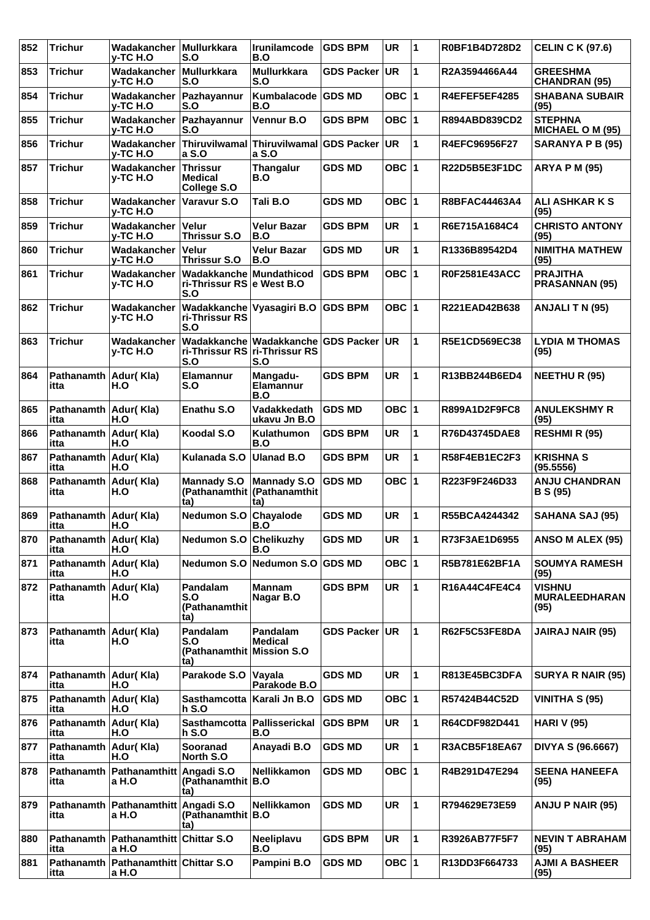| 852 | <b>Trichur</b>                  | Wadakancher<br>v-TC H.O                           | <b>Mullurkkara</b><br>S.O                                          | Irunilamcode<br>B.O                                                        | <b>GDS BPM</b>    | <b>UR</b> | 11             | R0BF1B4D728D2        | <b>CELIN C K (97.6)</b>                       |
|-----|---------------------------------|---------------------------------------------------|--------------------------------------------------------------------|----------------------------------------------------------------------------|-------------------|-----------|----------------|----------------------|-----------------------------------------------|
| 853 | <b>Trichur</b>                  | Wadakancher<br><b>v-TC H.O</b>                    | <b>Mullurkkara</b><br>S.O                                          | <b>Mullurkkara</b><br>S.O                                                  | <b>GDS Packer</b> | ∣UR.      | 1              | R2A3594466A44        | <b>GREESHMA</b><br><b>CHANDRAN (95)</b>       |
| 854 | <b>Trichur</b>                  | Wadakancher<br>y-TC H.O                           | Pazhayannur<br>S.O                                                 | Kumbalacode<br>B.O                                                         | <b>GDS MD</b>     | OBC $ 1$  |                | R4EFEF5EF4285        | <b>SHABANA SUBAIR</b><br>(95)                 |
| 855 | <b>Trichur</b>                  | Wadakancher<br><b>v-TC H.O</b>                    | Pazhayannur<br>S.O                                                 | Vennur B.O                                                                 | <b>GDS BPM</b>    | OBC $ 1$  |                | R894ABD839CD2        | <b>STEPHNA</b><br><b>MICHAEL O M (95)</b>     |
| 856 | <b>Trichur</b>                  | Wadakancher<br>y-TC H.O                           | <b>Thiruvilwamal</b><br>a S.O                                      | Thiruvilwamal GDS Packer<br>a S.O                                          |                   | ∣UR.      | 1              | R4EFC96956F27        | SARANYA P B (95)                              |
| 857 | <b>Trichur</b>                  | Wadakancher<br>v-TC H.O                           | <b>Thrissur</b><br><b>Medical</b><br>College S.O                   | <b>Thangalur</b><br>B.O                                                    | <b>GDS MD</b>     | OBC $ 1$  |                | R22D5B5E3F1DC        | <b>ARYA P M (95)</b>                          |
| 858 | <b>Trichur</b>                  | Wadakancher<br><b>v-TC H.O</b>                    | Varavur S.O                                                        | Tali B.O                                                                   | <b>GDS MD</b>     | OBC $ 1$  |                | <b>R8BFAC44463A4</b> | <b>ALI ASHKAR K S</b><br>(95)                 |
| 859 | <b>Trichur</b>                  | Wadakancher<br>y-TC H.O                           | <b>Velur</b><br><b>Thrissur S.O</b>                                | Velur Bazar<br>B.O                                                         | <b>GDS BPM</b>    | <b>UR</b> | 1              | R6E715A1684C4        | <b>CHRISTO ANTONY</b><br>(95)                 |
| 860 | <b>Trichur</b>                  | Wadakancher<br>y-TC H.O                           | <b>Velur</b><br><b>Thrissur S.O</b>                                | <b>Velur Bazar</b><br>B.O                                                  | <b>GDS MD</b>     | <b>UR</b> | 1              | R1336B89542D4        | <b>NIMITHA MATHEW</b><br>(95)                 |
| 861 | <b>Trichur</b>                  | Wadakancher<br><b>v-TC H.O</b>                    | <b>Wadakkanche Mundathicod</b><br>ri-Thrissur RS e West B.O<br>S.O |                                                                            | <b>GDS BPM</b>    | OBC $ 1$  |                | R0F2581E43ACC        | <b>PRAJITHA</b><br><b>PRASANNAN (95)</b>      |
| 862 | <b>Trichur</b>                  | Wadakancher<br>v-TC H.O                           | ri-Thrissur RS<br>S.O                                              | Wadakkanche Vyasagiri B.O GDS BPM                                          |                   | OBC $ 1$  |                | R221EAD42B638        | ANJALI T N (95)                               |
| 863 | <b>Trichur</b>                  | Wadakancher<br>v-TC H.O                           | S.O                                                                | Wadakkanche Wadakkanche GDS Packer<br>ri-Thrissur RS ri-Thrissur RS<br>S.O |                   | <b>UR</b> | 1              | <b>R5E1CD569EC38</b> | <b>LYDIA M THOMAS</b><br>(95)                 |
| 864 | Pathanamth<br>itta              | Adur(Kla)<br>H.O                                  | Elamannur<br>S.O                                                   | Mangadu-<br>Elamannur<br>B.O                                               | <b>GDS BPM</b>    | <b>UR</b> | 1              | R13BB244B6ED4        | <b>NEETHU R (95)</b>                          |
| 865 | <b>Pathanamth</b><br>itta       | Adur(Kla)<br>H.O                                  | Enathu S.O                                                         | Vadakkedath<br>ukavu Jn B.O                                                | <b>GDS MD</b>     | OBC $ 1$  |                | R899A1D2F9FC8        | <b>ANULEKSHMY R</b><br>(95)                   |
| 866 | Pathanamth<br>itta              | Adur(Kla)<br>H.O                                  | Koodal S.O                                                         | Kulathumon<br>B.O                                                          | <b>GDS BPM</b>    | <b>UR</b> | 1              | R76D43745DAE8        | <b>RESHMI R (95)</b>                          |
| 867 | Pathanamth<br>itta              | Adur(Kla)<br>H.O                                  | Kulanada S.O                                                       | <b>Ulanad B.O</b>                                                          | <b>GDS BPM</b>    | <b>UR</b> | 1              | R58F4EB1EC2F3        | <b>KRISHNA S</b><br>(95.5556)                 |
| 868 | Pathanamth<br>itta              | Adur(Kla)<br>H.O                                  | <b>Mannady S.O</b><br>(ta                                          | <b>Mannady S.O</b><br>(Pathanamthit   (Pathanamthit<br>ta)                 | <b>GDS MD</b>     | OBC $ 1$  |                | R223F9F246D33        | <b>ANJU CHANDRAN</b><br><b>B</b> S (95)       |
| 869 | Pathanamth<br>itta              | Adur(Kla)<br>H.O                                  | <b>Nedumon S.O</b>                                                 | Chayalode<br>B.O                                                           | <b>GDS MD</b>     | <b>UR</b> | 1              | R55BCA4244342        | <b>SAHANA SAJ (95)</b>                        |
| 870 | Pathanamth Adur(Kla)<br>itta    | H.O                                               | Nedumon S.O Chelikuzhy                                             | B.O                                                                        | <b>GDS MD</b>     | <b>UR</b> | 11             | R73F3AE1D6955        | ANSO M ALEX (95)                              |
| 871 | Pathanamth   Adur (Kla)<br>itta | H.O                                               | <b>Nedumon S.O</b>                                                 | ∣Nedumon S.O ∣GDS MD                                                       |                   | OBC $ 1$  |                | R5B781E62BF1A        | <b>SOUMYA RAMESH</b><br>(95)                  |
| 872 | <b>Pathanamth</b><br>itta       | Adur(Kla)<br>H.O                                  | Pandalam<br>S.O<br>(Pathanamthit<br>(ta                            | <b>Mannam</b><br>Nagar B.O                                                 | <b>GDS BPM</b>    | UR        | 1              | R16A44C4FE4C4        | <b>VISHNU</b><br><b>MURALEEDHARAN</b><br>(95) |
| 873 | Pathanamth<br>itta              | Adur(Kla)<br>H.O                                  | Pandalam<br>S.O<br>(Pathanamthit<br>ta)                            | Pandalam<br><b>Medical</b><br><b>Mission S.O</b>                           | <b>GDS Packer</b> | UR.       | 1              | R62F5C53FE8DA        | <b>JAIRAJ NAIR (95)</b>                       |
| 874 | Pathanamth   Adur(Kla)<br>itta  | H.O                                               | Parakode S.O                                                       | Vayala<br>Parakode B.O                                                     | <b>GDS MD</b>     | <b>UR</b> | 1              | R813E45BC3DFA        | <b>SURYA R NAIR (95)</b>                      |
| 875 | Pathanamth<br>itta              | Adur(Kla)<br>H.O                                  | <b>Sasthamcotta</b><br><b>h</b> S.O                                | Karali Jn B.O                                                              | <b>GDS MD</b>     | OBC $ 1$  |                | R57424B44C52D        | <b>VINITHA S (95)</b>                         |
| 876 | Pathanamth<br>itta              | Adur(Kla)<br>H.O                                  | <b>Sasthamcotta</b><br>$h$ S.O                                     | Pallisserickal<br>B.O                                                      | <b>GDS BPM</b>    | <b>UR</b> | 1              | R64CDF982D441        | <b>HARI V (95)</b>                            |
| 877 | Pathanamth<br>itta              | Adur(Kla)<br>H.O                                  | Sooranad<br>North S.O                                              | Anayadi B.O                                                                | <b>GDS MD</b>     | <b>UR</b> | 1              | R3ACB5F18EA67        | DIVYA S (96.6667)                             |
| 878 | <b>Pathanamth</b><br>itta       | Pathanamthitt<br>a H.O                            | Angadi S.O<br>(Pathanamthit B.O<br>ta)                             | Nellikkamon                                                                | <b>GDS MD</b>     | OBC $ 1$  |                | R4B291D47E294        | <b>SEENA HANEEFA</b><br>(95)                  |
| 879 | Pathanamth<br>itta              | Pathanamthitt Angadi S.O<br>a H.O                 | (Pathanamthit B.O<br>ta)                                           | Nellikkamon                                                                | <b>GDS MD</b>     | <b>UR</b> | $\overline{1}$ | R794629E73E59        | <b>ANJU P NAIR (95)</b>                       |
| 880 | itta                            | Pathanamth   Pathanamthitt   Chittar S.O<br>a H.O |                                                                    | Neeliplavu<br>B.O                                                          | <b>GDS BPM</b>    | <b>UR</b> | 1              | R3926AB77F5F7        | <b>NEVIN T ABRAHAM</b><br>(95)                |
| 881 | Pathanamth<br>itta              | Pathanamthitt Chittar S.O<br>a H.O                |                                                                    | Pampini B.O                                                                | <b>GDS MD</b>     | OBC $ 1$  |                | R13DD3F664733        | <b>AJMI A BASHEER</b><br>(95)                 |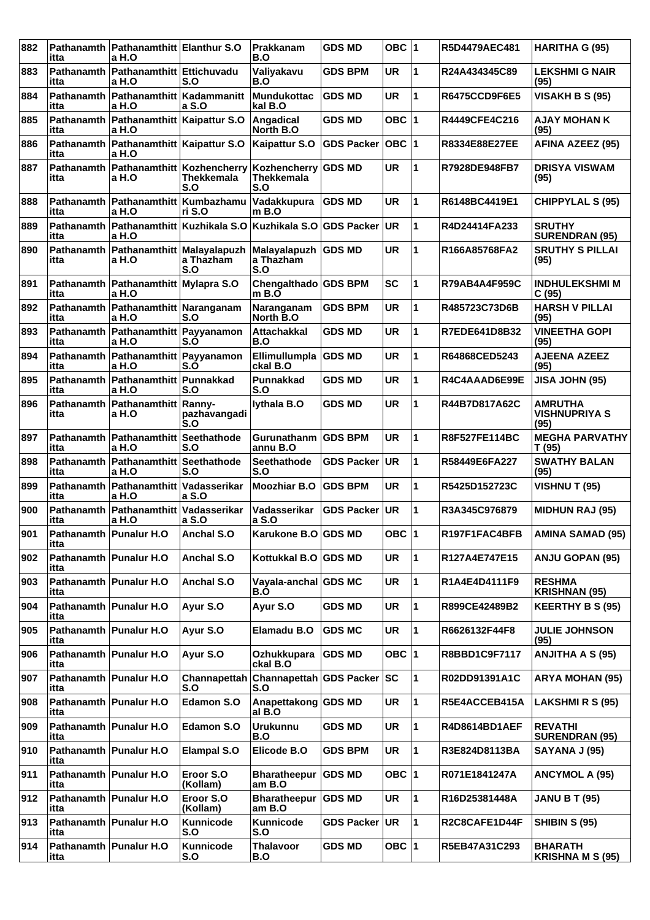| 882 | itta                      | Pathanamth   Pathanamthitt   Elanthur S.O<br>a H.O  |                             | Prakkanam<br>B.O                                | <b>GDS MD</b>     | OBC $ 1$  |   | R5D4479AEC481        | <b>HARITHA G (95)</b>                          |
|-----|---------------------------|-----------------------------------------------------|-----------------------------|-------------------------------------------------|-------------------|-----------|---|----------------------|------------------------------------------------|
| 883 | itta                      | Pathanamth   Pathanamthitt   Ettichuvadu<br>a H.O   | S.O                         | Valiyakavu<br>B.O                               | <b>GDS BPM</b>    | <b>UR</b> | 1 | R24A434345C89        | <b>LEKSHMI G NAIR</b><br>(95)                  |
| 884 | <b>Pathanamth</b><br>itta | Pathanamthitt   Kadammanitt<br>a H.O                | a S.O                       | <b>Mundukottac</b><br>kal B.O                   | <b>GDS MD</b>     | <b>UR</b> | 1 | <b>R6475CCD9F6E5</b> | <b>VISAKH B S (95)</b>                         |
| 885 | Pathanamth<br>itta        | Pathanamthitt   Kaipattur S.O<br>a H.O              |                             | Angadical<br>North B.O                          | <b>GDS MD</b>     | OBC $ 1$  |   | R4449CFE4C216        | <b>AJAY MOHAN K</b><br>(95)                    |
| 886 | itta                      | Pathanamth   Pathanamthitt   Kaipattur S.O<br>a H.O |                             | <b>Kaipattur S.O</b>                            | <b>GDS Packer</b> | OBC  1    |   | R8334E88E27EE        | <b>AFINA AZEEZ (95)</b>                        |
| 887 | <b>Pathanamth</b><br>itta | Pathanamthitt   Kozhencherry<br>a H.O               | <b>Thekkemala</b><br>S.O    | Kozhencherry GDS MD<br><b>Thekkemala</b><br>S.O |                   | <b>UR</b> | 1 | R7928DE948FB7        | <b>DRISYA VISWAM</b><br>(95)                   |
| 888 | Pathanamth<br>itta        | <b>Pathanamthitt</b><br>a H.O                       | <b>Kumbazhamu</b><br>ri S.O | Vadakkupura<br>m B.O                            | <b>GDS MD</b>     | <b>UR</b> | 1 | R6148BC4419E1        | <b>CHIPPYLAL S (95)</b>                        |
| 889 | Pathanamth<br>itta        | Pathanamthitt<br>a H.O                              | Kuzhikala S.O               | Kuzhikala S.O                                   | <b>GDS Packer</b> | <b>UR</b> | 1 | R4D24414FA233        | <b>SRUTHY</b><br><b>SURENDRAN (95)</b>         |
| 890 | itta                      | Pathanamth   Pathanamthitt   Malayalapuzh<br>a H.O  | a Thazham<br>S.O            | Malayalapuzh GDS MD<br>a Thazham<br>S.O         |                   | <b>UR</b> | 1 | R166A85768FA2        | <b>SRUTHY S PILLAI</b><br>(95)                 |
| 891 | Pathanamth<br>itta        | Pathanamthitt Mylapra S.O<br>a H.O                  |                             | Chengalthado GDS BPM<br>$m$ B.O                 |                   | <b>SC</b> | 1 | <b>R79AB4A4F959C</b> | <b>INDHULEKSHMI M</b><br>C(95)                 |
| 892 | itta                      | Pathanamth   Pathanamthitt   Naranganam<br>a H.O    | S.O                         | Naranganam<br>North B.O                         | <b>GDS BPM</b>    | <b>UR</b> | 1 | R485723C73D6B        | <b>HARSH V PILLAI</b><br>(95)                  |
| 893 | Pathanamth<br>itta        | Pathanamthitt Payyanamon<br>a H.O                   | S.O                         | <b>Attachakkal</b><br>B.O                       | <b>GDS MD</b>     | <b>UR</b> | 1 | R7EDE641D8B32        | <b>VINEETHA GOPI</b><br>(95)                   |
| 894 | Pathanamth<br>itta        | Pathanamthitt Payyanamon<br>a H.O                   | S.Ő                         | Ellimullumpla GDS MD<br>ckal B.O                |                   | <b>UR</b> | 1 | R64868CED5243        | <b>AJEENA AZEEZ</b><br>(95)                    |
| 895 | itta                      | Pathanamth   Pathanamthitt   Punnakkad<br>a H.O     | S.O                         | Punnakkad<br>S.O                                | <b>GDS MD</b>     | <b>UR</b> | 1 | R4C4AAAD6E99E        | <b>JISA JOHN (95)</b>                          |
| 896 | Pathanamth<br>itta        | Pathanamthitt   Ranny-<br>a H.O                     | pazhavangadi<br>S.O         | lythala B.O                                     | <b>GDS MD</b>     | <b>UR</b> | 1 | R44B7D817A62C        | <b>AMRUTHA</b><br><b>VISHNUPRIYA S</b><br>(95) |
| 897 | Pathanamth<br>itta        | Pathanamthitt<br>a H.O                              | Seethathode<br>S.O          | <b>Gurunathanm</b><br>annu B.O                  | <b>GDS BPM</b>    | <b>UR</b> | 1 | R8F527FE114BC        | <b>MEGHA PARVATHY</b><br>T (95)                |
| 898 | Pathanamth<br>itta        | Pathanamthitt<br>a H.O                              | Seethathode<br>S.O          | <b>Seethathode</b><br>S.O                       | <b>GDS Packer</b> | UR        | 1 | R58449E6FA227        | <b>SWATHY BALAN</b><br>(95)                    |
| 899 | itta                      | Pathanamth   Pathanamthitt   Vadasserikar<br>a H.O  | a S.O                       | <b>Moozhiar B.O</b>                             | <b>GDS BPM</b>    | <b>UR</b> | 1 | R5425D152723C        | <b>VISHNU T (95)</b>                           |
| 900 | itta                      | Pathanamth   Pathanamthitt<br>a H.O                 | Vadasserikar<br>a S.O       | Vadasserikar<br>a S.O                           | <b>GDS Packer</b> | UR        | 1 | R3A345C976879        | <b>MIDHUN RAJ (95)</b>                         |
| 901 | itta                      | Pathanamth   Punalur H.O                            | Anchal S.O                  | Karukone B.O GDS MD                             |                   | OBC $ 1$  |   | R197F1FAC4BFB        | <b>AMINA SAMAD (95)</b>                        |
| 902 | itta                      | Pathanamth Punalur H.O                              | Anchal S.O                  | Kottukkal B.O GDS MD                            |                   | UR        | 1 | R127A4E747E15        | <b>ANJU GOPAN (95)</b>                         |
| 903 | itta                      | Pathanamth Punalur H.O                              | Anchal S.O                  | Vayala-anchal GDS MC<br>B.O                     |                   | UR        | 1 | R1A4E4D4111F9        | <b>RESHMA</b><br><b>KRISHNAN (95)</b>          |
| 904 | itta                      | Pathanamth   Punalur H.O                            | Ayur S.O                    | Ayur S.O                                        | <b>GDS MD</b>     | UR        | 1 | R899CE42489B2        | <b>KEERTHY B S (95)</b>                        |
| 905 | itta                      | Pathanamth Punalur H.O                              | Ayur S.O                    | Elamadu B.O                                     | <b>GDS MC</b>     | UR        | 1 | R6626132F44F8        | <b>JULIE JOHNSON</b><br>(95)                   |
| 906 | itta                      | Pathanamth Punalur H.O                              | Ayur S.O                    | Ozhukkupara<br>ckal B.O                         | <b>GDS MD</b>     | OBC  1    |   | R8BBD1C9F7117        | <b>ANJITHA A S (95)</b>                        |
| 907 | itta                      | Pathanamth   Punalur H.O                            | Channapettah<br>S.O         | Channapettah GDS Packer SC<br>S.O               |                   |           | 1 | R02DD91391A1C        | <b>ARYA MOHAN (95)</b>                         |
| 908 | itta                      | Pathanamth Punalur H.O                              | <b>Edamon S.O</b>           | Anapettakong GDS MD<br>al B.O                   |                   | UR        | 1 | R5E4ACCEB415A        | <b>LAKSHMI R S (95)</b>                        |
| 909 | itta                      | Pathanamth Punalur H.O                              | <b>Edamon S.O</b>           | <b>Urukunnu</b><br>B.O                          | <b>GDS MD</b>     | UR        | 1 | R4D8614BD1AEF        | <b>REVATHI</b><br><b>SURENDRAN (95)</b>        |
| 910 | itta                      | Pathanamth   Punalur H.O                            | <b>Elampal S.O</b>          | Elicode B.O                                     | <b>GDS BPM</b>    | UR        | 1 | R3E824D8113BA        | SAYANA J (95)                                  |
| 911 | itta                      | Pathanamth Punalur H.O                              | Eroor S.O<br>(Kollam)       | Bharatheepur   GDS MD<br>am B.O                 |                   | OBC  1    |   | R071E1841247A        | <b>ANCYMOL A (95)</b>                          |
| 912 | itta                      | Pathanamth Punalur H.O                              | Eroor S.O<br>(Kollam)       | Bharatheepur<br>am B.O                          | <b>GDS MD</b>     | <b>UR</b> | 1 | R16D25381448A        | <b>JANU B T (95)</b>                           |
| 913 | itta                      | Pathanamth   Punalur H.O                            | Kunnicode<br>S.O            | Kunnicode<br>S.O                                | GDS Packer UR     |           | 1 | R2C8CAFE1D44F        | <b>SHIBIN S (95)</b>                           |
| 914 | itta                      | Pathanamth Punalur H.O                              | Kunnicode<br>S.O            | <b>Thalavoor</b><br>B.O                         | <b>GDS MD</b>     | OBC $ 1$  |   | R5EB47A31C293        | <b>BHARATH</b><br><b>KRISHNA M S (95)</b>      |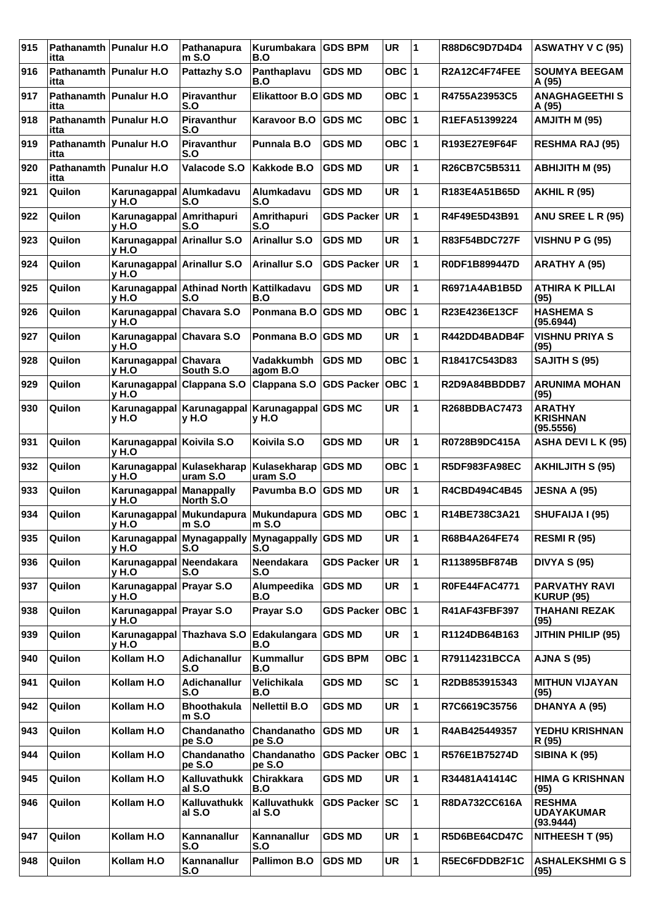| 915 | itta                             | Pathanamth Punalur H.O              | Pathanapura<br>$m$ S.O                        | Kurumbakara<br>B.O                | <b>GDS BPM</b>    | <b>UR</b> | 1  | R88D6C9D7D4D4        | <b>ASWATHY V C (95)</b>                         |
|-----|----------------------------------|-------------------------------------|-----------------------------------------------|-----------------------------------|-------------------|-----------|----|----------------------|-------------------------------------------------|
| 916 | Pathanamth   Punalur H.O<br>itta |                                     | Pattazhy S.O                                  | Panthaplavu<br>B.O                | <b>GDS MD</b>     | OBC $ 1$  |    | R2A12C4F74FEE        | <b>SOUMYA BEEGAM</b><br>A (95)                  |
| 917 | itta                             | Pathanamth   Punalur H.O            | Piravanthur<br>S.O                            | Elikattoor B.O                    | <b>GDS MD</b>     | OBC $ 1$  |    | R4755A23953C5        | <b>ANAGHAGEETHIS</b><br>A (95)                  |
| 918 | Pathanamth Punalur H.O<br>itta   |                                     | Piravanthur<br>S.O                            | Karavoor B.O                      | <b>GDS MC</b>     | OBC $ 1$  |    | R1EFA51399224        | AMJITH M (95)                                   |
| 919 | Pathanamth   Punalur H.O<br>itta |                                     | Piravanthur<br>S.O                            | <b>Punnala B.O</b>                | <b>GDS MD</b>     | OBC $ 1$  |    | R193E27E9F64F        | <b>RESHMA RAJ (95)</b>                          |
| 920 | itta                             | Pathanamth   Punalur H.O            | Valacode S.O                                  | Kakkode B.O                       | <b>GDS MD</b>     | <b>UR</b> | 1  | R26CB7C5B5311        | <b>ABHIJITH M (95)</b>                          |
| 921 | Quilon                           | Karunagappal Alumkadavu<br>v H.O    | S.O                                           | Alumkadavu<br>S.O                 | <b>GDS MD</b>     | <b>UR</b> | 1  | R183E4A51B65D        | <b>AKHIL R (95)</b>                             |
| 922 | Quilon                           | Karunagappal Amrithapuri<br>v H.O   | S.O                                           | Amrithapuri<br>S.O                | <b>GDS Packer</b> | ∣UR       | 1  | R4F49E5D43B91        | ANU SREE L R (95)                               |
| 923 | Quilon                           | Karunagappal Arinallur S.O<br>v H.O |                                               | <b>Arinallur S.O</b>              | <b>GDS MD</b>     | <b>UR</b> | 1  | <b>R83F54BDC727F</b> | <b>VISHNU P G (95)</b>                          |
| 924 | Quilon                           | Karunagappal Arinallur S.O<br>v H.O |                                               | <b>Arinallur S.O</b>              | <b>GDS Packer</b> | UR.       | 1  | R0DF1B899447D        | ARATHY A (95)                                   |
| 925 | Quilon                           | v H.O                               | Karunagappal Athinad North<br>S.O             | Kattilkadavu<br>B.O               | <b>GDS MD</b>     | <b>UR</b> | 1  | R6971A4AB1B5D        | <b>ATHIRA K PILLAI</b><br>(95)                  |
| 926 | Quilon                           | Karunagappal Chavara S.O<br>v H.O   |                                               | Ponmana B.O                       | <b>GDS MD</b>     | OBC $ 1$  |    | R23E4236E13CF        | <b>HASHEMA S</b><br>(95.6944)                   |
| 927 | Quilon                           | Karunagappal Chavara S.O<br>y H.O   |                                               | Ponmana B.O                       | <b>GDS MD</b>     | <b>UR</b> | 1  | R442DD4BADB4F        | <b>VISHNU PRIYA S</b><br>(95)                   |
| 928 | Quilon                           | Karunagappal Chavara<br>v H.O       | South S.O                                     | <b>Vadakkumbh</b><br>agom B.O     | <b>GDS MD</b>     | OBC $ 1$  |    | R18417C543D83        | SAJITH S (95)                                   |
| 929 | Quilon                           | Karunagappal Clappana S.O<br>v H.O  |                                               | Clappana S.O                      | <b>GDS Packer</b> | OBC  1    |    | R2D9A84BBDDB7        | <b>ARUNIMA MOHAN</b><br>(95)                    |
| 930 | Quilon                           | v H.O                               | Karunagappal Karunagappal<br>v H.O            | Karunagappal GDS MC<br>v H.O      |                   | <b>UR</b> | 1  | <b>R268BDBAC7473</b> | <b>ARATHY</b><br><b>KRISHNAN</b><br>(95.5556)   |
| 931 | Quilon                           | Karunagappal Koivila S.O<br>v H.O   |                                               | Koivila S.O                       | <b>GDS MD</b>     | UR        | 1  | R0728B9DC415A        | ASHA DEVI L K (95)                              |
| 932 | Quilon                           | y H.O                               | Karunagappal Kulasekharap<br>uram S.O         | Kulasekharap   GDS MD<br>uram S.O |                   | OBC $ 1$  |    | <b>R5DF983FA98EC</b> | <b>AKHILJITH S (95)</b>                         |
| 933 | Quilon                           | Karunagappal Manappally<br>y H.O    | North S.O                                     | Pavumba B.O                       | <b>GDS MD</b>     | <b>UR</b> | 1  | R4CBD494C4B45        | <b>JESNA A (95)</b>                             |
| 934 | Quilon                           | y H.O                               | Karunagappal Mukundapura<br>$m$ S.O           | <b>Mukundapura</b><br>$m$ S.O     | <b>GDS MD</b>     | OBC 11    |    | R14BE738C3A21        | SHUFAIJA I (95)                                 |
| 935 | Quilon                           | v H.O                               | Karunagappal Mynagappally Mynagappally<br>S.O | S.O                               | <b>GDS MD</b>     | <b>UR</b> | 11 | R68B4A264FE74        | <b>RESMI R (95)</b>                             |
| 936 | Quilon                           | Karunagappal Neendakara<br>v H.O    | S.O                                           | <b>Neendakara</b><br>S.O          | GDS Packer UR     |           | 1  | R113895BF874B        | <b>DIVYA S (95)</b>                             |
| 937 | Quilon                           | Karunagappal Prayar S.O<br>y H.O    |                                               | Alumpeedika<br>B.O                | <b>GDS MD</b>     | UR        | 1  | <b>R0FE44FAC4771</b> | <b>PARVATHY RAVI</b><br><b>KURUP (95)</b>       |
| 938 | Quilon                           | Karunagappal Prayar S.O<br>y H.O    |                                               | Prayar S.O                        | <b>GDS Packer</b> | OBC 1     |    | R41AF43FBF397        | <b>THAHANI REZAK</b><br>(95)                    |
| 939 | Quilon                           | Karunagappal Thazhava S.O<br>v H.O  |                                               | Edakulangara GDS MD<br>B.O        |                   | <b>UR</b> | 1  | R1124DB64B163        | JITHIN PHILIP (95)                              |
| 940 | Quilon                           | Kollam H.O                          | Adichanallur<br>S.O                           | Kummallur<br>B.O                  | <b>GDS BPM</b>    | OBC $ 1$  |    | R79114231BCCA        | <b>AJNA S (95)</b>                              |
| 941 | Quilon                           | Kollam H.O                          | Adichanallur<br>S.O                           | Velichikala<br>B.O                | <b>GDS MD</b>     | <b>SC</b> | 1  | R2DB853915343        | <b>MITHUN VIJAYAN</b><br>(95)                   |
| 942 | Quilon                           | Kollam H.O                          | <b>Bhoothakula</b><br>$m$ S.O                 | <b>Nellettil B.O</b>              | <b>GDS MD</b>     | <b>UR</b> | 1  | R7C6619C35756        | DHANYA A (95)                                   |
| 943 | Quilon                           | Kollam H.O                          | Chandanatho<br>pe S.O                         | Chandanatho<br>pe S.O             | <b>GDS MD</b>     | <b>UR</b> | 1  | R4AB425449357        | YEDHU KRISHNAN<br>R (95)                        |
| 944 | Quilon                           | Kollam H.O                          | Chandanatho<br>pe S.O                         | Chandanatho<br>pe S.O             | <b>GDS Packer</b> | OBC  1    |    | R576E1B75274D        | <b>SIBINA K (95)</b>                            |
| 945 | Quilon                           | Kollam H.O                          | Kalluvathukk<br>al S.O                        | Chirakkara<br>B.O                 | <b>GDS MD</b>     | <b>UR</b> | 1  | R34481A41414C        | <b>HIMA G KRISHNAN</b><br>(95)                  |
| 946 | Quilon                           | Kollam H.O                          | Kalluvathukk<br>al S.O                        | Kalluvathukk<br>al S.O            | GDS Packer SC     |           | 1  | R8DA732CC616A        | <b>RESHMA</b><br><b>UDAYAKUMAR</b><br>(93.9444) |
| 947 | Quilon                           | Kollam H.O                          | Kannanallur<br>S.O                            | Kannanallur<br>S.O                | <b>GDS MD</b>     | <b>UR</b> | 1  | R5D6BE64CD47C        | NITHEESH T (95)                                 |
| 948 | Quilon                           | Kollam H.O                          | Kannanallur<br>S.O                            | Pallimon B.O                      | <b>GDS MD</b>     | <b>UR</b> | 1  | R5EC6FDDB2F1C        | <b>ASHALEKSHMIGS</b><br>(95)                    |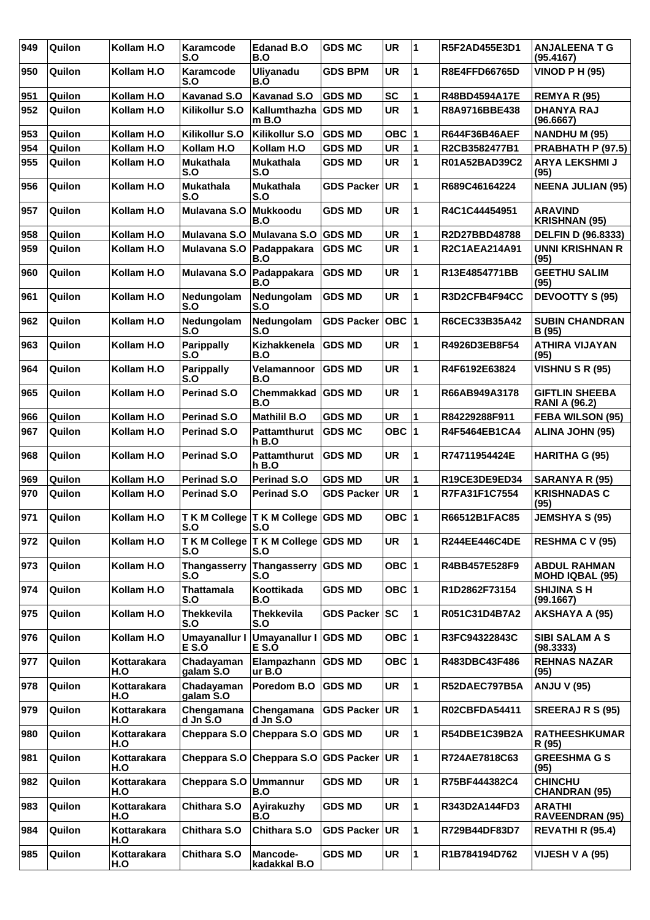| 949 | Quilon | Kollam H.O         | Karamcode<br>S.O             | <b>Edanad B.O</b><br>B.O                  | <b>GDS MC</b>     | <b>UR</b> | 1 | R5F2AD455E3D1        | <b>ANJALEENA T G</b><br>(95.4167)             |
|-----|--------|--------------------|------------------------------|-------------------------------------------|-------------------|-----------|---|----------------------|-----------------------------------------------|
| 950 | Quilon | Kollam H.O         | Karamcode<br>S.O             | Uliyanadu<br>B.Ó                          | <b>GDS BPM</b>    | <b>UR</b> | 1 | <b>R8E4FFD66765D</b> | <b>VINOD P H (95)</b>                         |
| 951 | Quilon | Kollam H.O         | <b>Kavanad S.O</b>           | <b>Kavanad S.O</b>                        | <b>GDS MD</b>     | <b>SC</b> | 1 | R48BD4594A17E        | <b>REMYA R (95)</b>                           |
| 952 | Quilon | Kollam H.O         | Kilikollur S.O               | Kallumthazha<br>$m$ B.O                   | <b>GDS MD</b>     | <b>UR</b> | 1 | R8A9716BBE438        | <b>DHANYA RAJ</b><br>(96.6667)                |
| 953 | Quilon | Kollam H.O         | Kilikollur S.O               | Kilikollur S.O                            | <b>GDS MD</b>     | OBC       | 1 | <b>R644F36B46AEF</b> | <b>NANDHU M (95)</b>                          |
| 954 | Quilon | Kollam H.O         | Kollam H.O                   | Kollam H.O                                | <b>GDS MD</b>     | <b>UR</b> | 1 | R2CB3582477B1        | <b>PRABHATH P (97.5)</b>                      |
| 955 | Quilon | Kollam H.O         | <b>Mukathala</b><br>S.O      | <b>Mukathala</b><br>S.O                   | <b>GDS MD</b>     | <b>UR</b> | 1 | R01A52BAD39C2        | <b>ARYA LEKSHMI J</b><br>(95)                 |
| 956 | Quilon | Kollam H.O         | <b>Mukathala</b><br>S.O      | <b>Mukathala</b><br>S.O                   | <b>GDS Packer</b> | <b>UR</b> | 1 | R689C46164224        | <b>NEENA JULIAN (95)</b>                      |
| 957 | Quilon | Kollam H.O         | Mulavana S.O                 | <b>Mukkoodu</b><br>B.O                    | <b>GDS MD</b>     | <b>UR</b> | 1 | R4C1C44454951        | <b>ARAVIND</b><br><b>KRISHNAN (95)</b>        |
| 958 | Quilon | Kollam H.O         | Mulavana S.O                 | Mulavana S.O GDS MD                       |                   | <b>UR</b> | 1 | R2D27BBD48788        | <b>DELFIN D (96.8333)</b>                     |
| 959 | Quilon | Kollam H.O         | Mulavana S.O Padappakara     | B.O                                       | <b>GDS MC</b>     | <b>UR</b> | 1 | R2C1AEA214A91        | <b>UNNI KRISHNAN R</b><br>(95)                |
| 960 | Quilon | Kollam H.O         | Mulavana S.O                 | Padappakara<br>B.O                        | <b>GDS MD</b>     | <b>UR</b> | 1 | R13E4854771BB        | <b>GEETHU SALIM</b><br>(95)                   |
| 961 | Quilon | Kollam H.O         | Nedungolam<br>S.O            | Nedungolam<br>S.O                         | <b>GDS MD</b>     | <b>UR</b> | 1 | R3D2CFB4F94CC        | <b>DEVOOTTY S (95)</b>                        |
| 962 | Quilon | Kollam H.O         | Nedungolam<br>S.O            | Nedungolam<br>S.O                         | <b>GDS Packer</b> | OBC  1    |   | R6CEC33B35A42        | <b>SUBIN CHANDRAN</b><br>B (95)               |
| 963 | Quilon | Kollam H.O         | <b>Parippally</b><br>S.O     | Kizhakkenela<br>B.O                       | <b>GDS MD</b>     | <b>UR</b> | 1 | R4926D3EB8F54        | <b>ATHIRA VIJAYAN</b><br>(95)                 |
| 964 | Quilon | Kollam H.O         | <b>Parippally</b><br>S.O     | Velamannoor<br>B.O                        | <b>GDS MD</b>     | <b>UR</b> | 1 | R4F6192E63824        | <b>VISHNU S R (95)</b>                        |
| 965 | Quilon | Kollam H.O         | Perinad S.O                  | Chemmakkad<br>B.O                         | <b>GDS MD</b>     | <b>UR</b> | 1 | R66AB949A3178        | <b>GIFTLIN SHEEBA</b><br><b>RANI A (96.2)</b> |
| 966 | Quilon | Kollam H.O         | Perinad S.O                  | <b>Mathilil B.O</b>                       | <b>GDS MD</b>     | <b>UR</b> | 1 | R84229288F911        | <b>FEBA WILSON (95)</b>                       |
| 967 | Quilon | Kollam H.O         | <b>Perinad S.O</b>           | Pattamthurut<br>h B.O                     | <b>GDS MC</b>     | OBC $ 1$  |   | R4F5464EB1CA4        | <b>ALINA JOHN (95)</b>                        |
| 968 | Quilon | Kollam H.O         | <b>Perinad S.O</b>           | <b>Pattamthurut</b><br>h B.O              | <b>GDS MD</b>     | <b>UR</b> | 1 | R74711954424E        | <b>HARITHA G (95)</b>                         |
| 969 | Quilon | Kollam H.O         | <b>Perinad S.O</b>           | <b>Perinad S.O</b>                        | <b>GDS MD</b>     | <b>UR</b> | 1 | R19CE3DE9ED34        | <b>SARANYA R (95)</b>                         |
| 970 | Quilon | Kollam H.O         | <b>Perinad S.O</b>           | Perinad S.O                               | <b>GDS Packer</b> | UR.       | 1 | R7FA31F1C7554        | <b>KRISHNADAS C</b><br>(95)                   |
| 971 | Quilon | Kollam H.O         | S.O                          | TK M College TK M College GDS MD<br>S.O   |                   | OBC  1    |   | R66512B1FAC85        | <b>JEMSHYA S (95)</b>                         |
| 972 | Quilon | Kollam H.O         | S.O                          | T K M College T K M College GDS MD<br>S.O |                   | <b>UR</b> | 1 | <b>R244EE446C4DE</b> | <b>RESHMA C V (95)</b>                        |
| 973 | Quilon | Kollam H.O         | <b>Thangasserry</b><br>S.O   | <b>Thangasserry</b><br>S.O                | <b>GDS MD</b>     | OBC 1     |   | R4BB457E528F9        | <b>ABDUL RAHMAN</b><br><b>MOHD IQBAL (95)</b> |
| 974 | Quilon | Kollam H.O         | <b>Thattamala</b><br>S.O     | Koottikada<br>B.O                         | <b>GDS MD</b>     | OBC 1     |   | R1D2862F73154        | <b>SHIJINA SH</b><br>(99.1667)                |
| 975 | Quilon | Kollam H.O         | <b>Thekkevila</b><br>S.O     | <b>Thekkevila</b><br>S.O                  | GDS Packer SC     |           | 1 | R051C31D4B7A2        | <b>AKSHAYA A (95)</b>                         |
| 976 | Quilon | Kollam H.O         | Umayanallur I<br><b>ES.0</b> | Umayanallur I<br>E S.O                    | <b>GDS MD</b>     | OBC 1     |   | R3FC94322843C        | <b>SIBI SALAM A S</b><br>(98.3333)            |
| 977 | Quilon | Kottarakara<br>H.O | Chadayaman<br>galam S.O      | <b>Elampazhann</b><br>ur B.O              | <b>GDS MD</b>     | OBC 1     |   | R483DBC43F486        | <b>REHNAS NAZAR</b><br>(95)                   |
| 978 | Quilon | Kottarakara<br>H.O | Chadayaman<br>galam S.O      | Poredom B.O                               | <b>GDS MD</b>     | <b>UR</b> | 1 | R52DAEC797B5A        | <b>ANJU V (95)</b>                            |
| 979 | Quilon | Kottarakara<br>H.O | Chengamana<br>d Jn S.O       | Chengamana<br>d Jn S.O                    | GDS Packer UR     |           | 1 | R02CBFDA54411        | <b>SREERAJ R S (95)</b>                       |
| 980 | Quilon | Kottarakara<br>H.O |                              | Cheppara S.O Cheppara S.O                 | <b>GDS MD</b>     | <b>UR</b> | 1 | R54DBE1C39B2A        | <b>RATHEESHKUMAR</b><br>R (95)                |
| 981 | Quilon | Kottarakara<br>H.O | Cheppara S.O                 | Cheppara S.O                              | <b>GDS Packer</b> | UR.       | 1 | R724AE7818C63        | <b>GREESHMA G S</b><br>(95)                   |
| 982 | Quilon | Kottarakara<br>H.O | Cheppara S.O                 | <b>Ummannur</b><br>B.O                    | <b>GDS MD</b>     | <b>UR</b> | 1 | R75BF444382C4        | <b>CHINCHU</b><br><b>CHANDRAN (95)</b>        |
| 983 | Quilon | Kottarakara<br>H.O | Chithara S.O                 | Ayirakuzhy<br>B.O                         | <b>GDS MD</b>     | <b>UR</b> | 1 | R343D2A144FD3        | <b>ARATHI</b><br><b>RAVEENDRAN (95)</b>       |
| 984 | Quilon | Kottarakara<br>H.O | Chithara S.O                 | Chithara S.O                              | <b>GDS Packer</b> | <b>UR</b> | 1 | R729B44DF83D7        | <b>REVATHI R (95.4)</b>                       |
| 985 | Quilon | Kottarakara<br>H.O | Chithara S.O                 | Mancode-<br>kadakkal B.O                  | <b>GDS MD</b>     | UR        | 1 | R1B784194D762        | <b>VIJESH V A (95)</b>                        |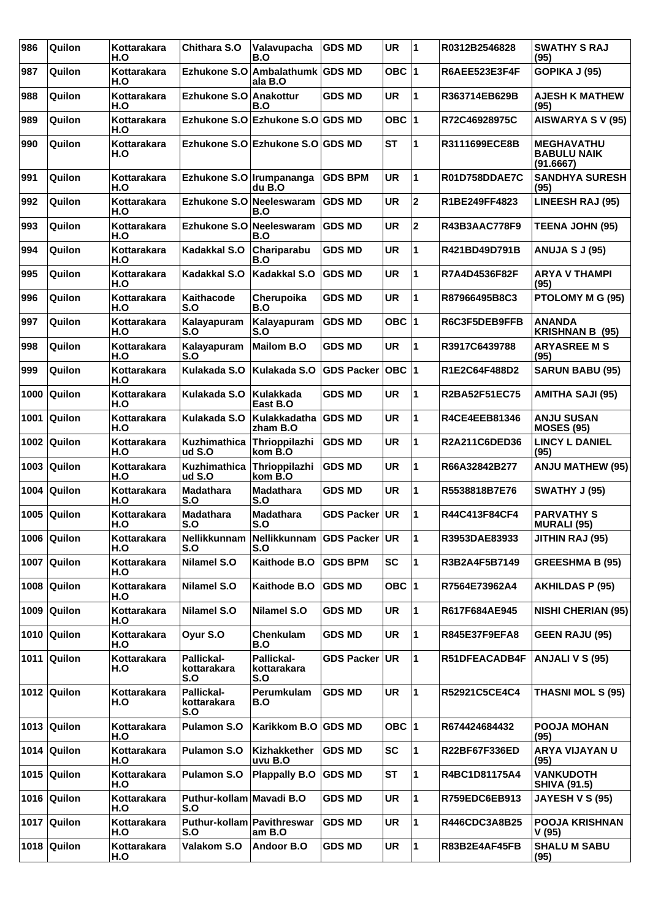| 986  | Quilon                 | Kottarakara<br>H.O | Chithara S.O                     | Valavupacha<br>B.O                             | <b>GDS MD</b>     | <b>UR</b> | 11           | R0312B2546828        | <b>SWATHY S RAJ</b><br>(95)                          |
|------|------------------------|--------------------|----------------------------------|------------------------------------------------|-------------------|-----------|--------------|----------------------|------------------------------------------------------|
| 987  | Quilon                 | Kottarakara<br>H.O |                                  | Ezhukone S.O Ambalathumk GDS MD<br>ala B.O     |                   | OBC $ 1$  |              | <b>R6AEE523E3F4F</b> | GOPIKA J (95)                                        |
| 988  | Quilon                 | Kottarakara<br>H.O | Ezhukone S.O Anakottur           | B.O                                            | <b>GDS MD</b>     | <b>UR</b> | 1            | R363714EB629B        | <b>AJESH K MATHEW</b><br>(95)                        |
| 989  | Quilon                 | Kottarakara<br>H.O |                                  | Ezhukone S.O Ezhukone S.O GDS MD               |                   | OBC $ 1$  |              | R72C46928975C        | <b>AISWARYA S V (95)</b>                             |
| 990  | Quilon                 | Kottarakara<br>H.O |                                  | Ezhukone S.O Ezhukone S.O GDS MD               |                   | <b>ST</b> | 1            | R3111699ECE8B        | <b>MEGHAVATHU</b><br><b>BABULU NAIK</b><br>(91.6667) |
| 991  | Quilon                 | Kottarakara<br>H.O | Ezhukone S.O Irumpananga         | $du$ B.O                                       | <b>GDS BPM</b>    | <b>UR</b> | 1            | <b>R01D758DDAE7C</b> | <b>SANDHYA SURESH</b><br>(95)                        |
| 992  | Quilon                 | Kottarakara<br>H.O | Ezhukone S.O Neeleswaram         | B.O                                            | <b>GDS MD</b>     | <b>UR</b> | $\mathbf{2}$ | R1BE249FF4823        | <b>LINEESH RAJ (95)</b>                              |
| 993  | Quilon                 | Kottarakara<br>H.O | Ezhukone S.O                     | <b>Neeleswaram</b><br>B.O                      | <b>GDS MD</b>     | <b>UR</b> | $\mathbf 2$  | R43B3AAC778F9        | <b>TEENA JOHN (95)</b>                               |
| 994  | Quilon                 | Kottarakara<br>H.O | Kadakkal S.O                     | Chariparabu<br>B.O                             | <b>GDS MD</b>     | <b>UR</b> | 1            | R421BD49D791B        | <b>ANUJA S J (95)</b>                                |
| 995  | Quilon                 | Kottarakara<br>H.O | Kadakkal S.O                     | Kadakkal S.O                                   | <b>GDS MD</b>     | <b>UR</b> | 1            | R7A4D4536F82F        | <b>ARYA V THAMPI</b><br>(95)                         |
| 996  | Quilon                 | Kottarakara<br>H.O | Kaithacode<br>S.O                | Cherupoika<br>B.O                              | <b>GDS MD</b>     | <b>UR</b> | 1            | R87966495B8C3        | PTOLOMY M G (95)                                     |
| 997  | Quilon                 | Kottarakara<br>H.O | Kalayapuram<br>S.O               | Kalayapuram<br>S.O                             | <b>GDS MD</b>     | OBC $ 1$  |              | R6C3F5DEB9FFB        | <b>ANANDA</b><br><b>KRISHNAN B (95)</b>              |
| 998  | Quilon                 | Kottarakara<br>H.O | Kalayapuram<br>S.O               | <b>Mailom B.O</b>                              | <b>GDS MD</b>     | <b>UR</b> | 1            | R3917C6439788        | <b>ARYASREE M S</b><br>(95)                          |
| 999  | Quilon                 | Kottarakara<br>H.O | Kulakada S.O                     | Kulakada S.O                                   | <b>GDS Packer</b> | OBC  1    |              | R1E2C64F488D2        | <b>SARUN BABU (95)</b>                               |
| 1000 | Quilon                 | Kottarakara<br>H.O | Kulakada S.O                     | Kulakkada<br>East B.O                          | <b>GDS MD</b>     | <b>UR</b> | 1            | R2BA52F51EC75        | <b>AMITHA SAJI (95)</b>                              |
| 1001 | Quilon                 | Kottarakara<br>H.O | Kulakada S.O                     | Kulakkadatha<br>zham B.O                       | <b>GDS MD</b>     | <b>UR</b> | 1            | R4CE4EEB81346        | <b>ANJU SUSAN</b><br><b>MOSES (95)</b>               |
| 1002 | Quilon                 | Kottarakara<br>H.O | Kuzhimathica<br>ud S.O           | Thrioppilazhi<br>kom B.O                       | <b>GDS MD</b>     | <b>UR</b> | 1            | R2A211C6DED36        | <b>LINCY L DANIEL</b><br>(95)                        |
| 1003 | Quilon                 | Kottarakara<br>H.O | Kuzhimathica<br>ud S.O           | Thrioppilazhi<br>kom B.O                       | <b>GDS MD</b>     | <b>UR</b> | 1            | R66A32842B277        | <b>ANJU MATHEW (95)</b>                              |
| 1004 | Quilon                 | Kottarakara<br>H.O | <b>Madathara</b><br>S.O          | <b>Madathara</b><br>S.O                        | GDS MD            | UR        | 1            | R5538818B7E76        | <b>SWATHY J (95)</b>                                 |
| 1005 | Quilon                 | Kottarakara<br>H.O | <b>Madathara</b><br>S.O          | <b>Madathara</b><br>S.O                        | <b>GDS Packer</b> | UR        | 1            | R44C413F84CF4        | <b>PARVATHY S</b><br><b>MURALI (95)</b>              |
|      | 1006 Quilon            | Kottarakara<br>H.O | S.O                              | Nellikkunnam Nellikkunnam GDS Packer UR<br>S.O |                   |           | 11           | R3953DAE83933        | <b>JITHIN RAJ (95)</b>                               |
|      | 1007 Quilon            | Kottarakara<br>H.O | <b>Nilamel S.O</b>               | Kaithode B.O                                   | <b>GDS BPM</b>    | <b>SC</b> | $\mathbf{1}$ | R3B2A4F5B7149        | <b>GREESHMA B (95)</b>                               |
| 1008 | Quilon                 | Kottarakara<br>H.O | Nilamel S.O                      | Kaithode B.O                                   | <b>GDS MD</b>     | OBC $ 1$  |              | R7564E73962A4        | <b>AKHILDAS P (95)</b>                               |
|      | 1009 $\sqrt{q}$ Quilon | Kottarakara<br>H.O | <b>Nilamel S.O</b>               | Nilamel S.O                                    | <b>GDS MD</b>     | UR        | 1            | R617F684AE945        | <b>NISHI CHERIAN (95)</b>                            |
|      | 1010 Quilon            | Kottarakara<br>H.O | Oyur S.O                         | Chenkulam<br>B.O                               | <b>GDS MD</b>     | <b>UR</b> | $\mathbf{1}$ | R845E37F9EFA8        | <b>GEEN RAJU (95)</b>                                |
| 1011 | Quilon                 | Kottarakara<br>H.O | Pallickal-<br>kottarakara<br>S.O | Pallickal-<br>kottarakara<br>S.O               | GDS Packer UR     |           | $\mathbf{1}$ | R51DFEACADB4F        | <b>ANJALI V S (95)</b>                               |
|      | 1012 Quilon            | Kottarakara<br>H.O | Pallickal-<br>kottarakara<br>S.O | Perumkulam<br>B.O                              | <b>GDS MD</b>     | UR        | 1            | R52921C5CE4C4        | <b>THASNI MOL S (95)</b>                             |
|      | 1013 $\sqrt{q}$ Quilon | Kottarakara<br>H.O | <b>Pulamon S.O</b>               | Karikkom B.O                                   | <b>GDS MD</b>     | OBC $ 1$  |              | R674424684432        | <b>POOJA MOHAN</b><br>(95)                           |
|      | 1014 Quilon            | Kottarakara<br>H.O | <b>Pulamon S.O</b>               | Kizhakkether<br>uvu B.O                        | <b>GDS MD</b>     | SC        | 1            | R22BF67F336ED        | ARYA VIJAYAN U<br>(95)                               |
|      | 1015 Quilon            | Kottarakara<br>H.O | <b>Pulamon S.O</b>               | <b>Plappally B.O</b>                           | <b>GDS MD</b>     | <b>ST</b> | $\mathbf{1}$ | R4BC1D81175A4        | <b>VANKUDOTH</b><br><b>SHIVA (91.5)</b>              |
|      | 1016 Quilon            | Kottarakara<br>H.O | Puthur-kollam Mavadi B.O<br>S.O  |                                                | <b>GDS MD</b>     | <b>UR</b> | 1            | R759EDC6EB913        | <b>JAYESH V S (95)</b>                               |
|      | 1017 Quilon            | Kottarakara<br>H.O | Puthur-kollam<br>S.O             | Pavithreswar<br>am B.O                         | <b>GDS MD</b>     | UR        | 1            | R446CDC3A8B25        | <b>POOJA KRISHNAN</b><br>V (95)                      |
|      | 1018 Quilon            | Kottarakara<br>H.O | Valakom S.O                      | Andoor B.O                                     | <b>GDS MD</b>     | UR        | $\mathbf{1}$ | R83B2E4AF45FB        | <b>SHALU M SABU</b><br>(95)                          |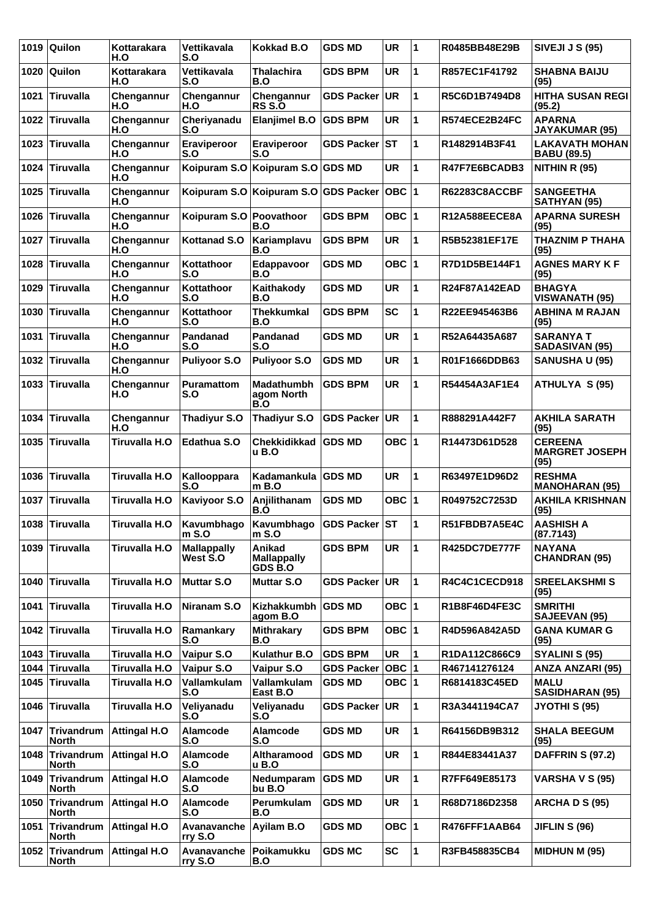|      | 1019 Quilon                       | Kottarakara<br>H.O   | Vettikavala<br>S.O             | <b>Kokkad B.O</b>                       | <b>GDS MD</b>     | <b>UR</b>       | 1 | R0485BB48E29B        | <b>SIVEJI J S (95)</b>                          |
|------|-----------------------------------|----------------------|--------------------------------|-----------------------------------------|-------------------|-----------------|---|----------------------|-------------------------------------------------|
| 1020 | <b>Quilon</b>                     | Kottarakara<br>H.O   | Vettikavala<br>S.O             | <b>Thalachira</b><br>B.O                | <b>GDS BPM</b>    | <b>UR</b>       | 1 | R857EC1F41792        | <b>SHABNA BAIJU</b><br>(95)                     |
| 1021 | <b>Tiruvalla</b>                  | Chengannur<br>H.O    | Chengannur<br>H.O              | Chengannur<br><b>RS S.O</b>             | <b>GDS Packer</b> | UR.             | 1 | R5C6D1B7494D8        | <b>HITHA SUSAN REGI</b><br>(95.2)               |
| 1022 | <b>Tiruvalla</b>                  | Chengannur<br>H.O    | Cheriyanadu<br>S.O             | <b>Elanjimel B.O</b>                    | <b>GDS BPM</b>    | <b>UR</b>       | 1 | R574ECE2B24FC        | <b>APARNA</b><br><b>JAYAKUMAR (95)</b>          |
| 1023 | <b>Tiruvalla</b>                  | Chengannur<br>H.O    | Eraviperoor<br>S.O             | Eraviperoor<br>S.O                      | GDS Packer ST     |                 | 1 | R1482914B3F41        | <b>LAKAVATH MOHAN</b><br><b>BABU (89.5)</b>     |
| 1024 | Tiruvalla                         | Chengannur<br>H.O    |                                | Koipuram S.O Koipuram S.O GDS MD        |                   | <b>UR</b>       | 1 | R47F7E6BCADB3        | NITHIN R (95)                                   |
| 1025 | <b>Tiruvalla</b>                  | Chengannur<br>H.O    |                                | Koipuram S.O Koipuram S.O GDS Packer    |                   | OBC 1           |   | <b>R62283C8ACCBF</b> | <b>SANGEETHA</b><br><b>SATHYAN (95)</b>         |
| 1026 | <b>Tiruvalla</b>                  | Chengannur<br>H.O    | Koipuram S.O Poovathoor        | B.O                                     | <b>GDS BPM</b>    | OBC $ 1$        |   | R12A588EECE8A        | <b>APARNA SURESH</b><br>(95)                    |
| 1027 | <b>Tiruvalla</b>                  | Chengannur<br>H.O    | <b>Kottanad S.O</b>            | Kariamplavu<br>B.O                      | <b>GDS BPM</b>    | <b>UR</b>       | 1 | R5B52381EF17E        | THAZNIM P THAHA<br>(95)                         |
| 1028 | <b>Tiruvalla</b>                  | Chengannur<br>H.O    | Kottathoor<br>S.O              | Edappavoor<br>B.O                       | <b>GDS MD</b>     | OBC $ 1$        |   | R7D1D5BE144F1        | <b>AGNES MARY K F</b><br>(95)                   |
| 1029 | <b>Tiruvalla</b>                  | Chengannur<br>H.O    | Kottathoor<br>S.O              | Kaithakody<br>B.O                       | <b>GDS MD</b>     | <b>UR</b>       | 1 | <b>R24F87A142EAD</b> | <b>BHAGYA</b><br><b>VISWANATH (95)</b>          |
| 1030 | <b>Tiruvalla</b>                  | Chengannur<br>H.O    | Kottathoor<br>S.O              | <b>Thekkumkal</b><br>B.O                | <b>GDS BPM</b>    | <b>SC</b>       | 1 | R22EE945463B6        | <b>ABHINA M RAJAN</b><br>(95)                   |
| 1031 | <b>Tiruvalla</b>                  | Chengannur<br>H.O    | Pandanad<br>S.O                | Pandanad<br>S.O                         | <b>GDS MD</b>     | <b>UR</b>       | 1 | R52A64435A687        | <b>SARANYA T</b><br><b>SADASIVAN (95)</b>       |
| 1032 | <b>Tiruvalla</b>                  | Chengannur<br>H.O    | Puliyoor S.O                   | <b>Puliyoor S.O</b>                     | <b>GDS MD</b>     | <b>UR</b>       | 1 | R01F1666DDB63        | <b>SANUSHA U (95)</b>                           |
| 1033 | Tiruvalla                         | Chengannur<br>H.O    | Puramattom<br>S.O              | Madathumbh<br>agom North<br>B.O         | <b>GDS BPM</b>    | <b>UR</b>       | 1 | R54454A3AF1E4        | ATHULYA S (95)                                  |
| 1034 | <b>Tiruvalla</b>                  | Chengannur<br>H.O    | <b>Thadiyur S.O</b>            | <b>Thadiyur S.O</b>                     | <b>GDS Packer</b> | UR              | 1 | R888291A442F7        | <b>AKHILA SARATH</b><br>(95)                    |
| 1035 | <b>Tiruvalla</b>                  | <b>Tiruvalla H.O</b> | Edathua S.O                    | Chekkidikkad<br>u B.O                   | <b>GDS MD</b>     | OBC ∣1          |   | R14473D61D528        | <b>CEREENA</b><br><b>MARGRET JOSEPH</b><br>(95) |
| 1036 | <b>Tiruvalla</b>                  | Tiruvalla H.O        | Kallooppara<br>S.O             | Kadamankula<br>m B.O                    | <b>GDS MD</b>     | <b>UR</b>       | 1 | R63497E1D96D2        | <b>RESHMA</b><br><b>MANOHARAN (95)</b>          |
| 1037 | <b>Tiruvalla</b>                  | Tiruvalla H.O        | <b>Kaviyoor S.O</b>            | Anjilithanam<br>B.O                     | <b>GDS MD</b>     | OBC $ 1$        |   | R049752C7253D        | <b>AKHILA KRISHNAN</b><br>(95)                  |
|      | 1038 Tiruvalla                    | Tiruvalla H.O        | Kavumbhago<br>$m$ S.O          | Kavumbhago<br>m S.O                     | GDS Packer ST     |                 | 1 | R51FBDB7A5E4C        | <b>AASHISH A</b><br>(87.7143)                   |
| 1039 | <b>Tiruvalla</b>                  | Tiruvalla H.O        | <b>Mallappally</b><br>West S.O | Anikad<br><b>Mallappally</b><br>GDS B.O | <b>GDS BPM</b>    | <b>UR</b>       | 1 | <b>R425DC7DE777F</b> | <b>NAYANA</b><br><b>CHANDRAN (95)</b>           |
| 1040 | <b>Tiruvalla</b>                  | Tiruvalla H.O        | <b>Muttar S.O</b>              | <b>Muttar S.O</b>                       | <b>GDS Packer</b> | <b>UR</b>       | 1 | R4C4C1CECD918        | <b>SREELAKSHMIS</b><br>(95)                     |
| 1041 | <b>Tiruvalla</b>                  | <b>Tiruvalla H.O</b> | Niranam S.O                    | Kizhakkumbh<br>agom B.O                 | <b>GDS MD</b>     | OBC 1           |   | R1B8F46D4FE3C        | <b>SMRITHI</b><br><b>SAJEEVAN (95)</b>          |
| 1042 | <b>Tiruvalla</b>                  | Tiruvalla H.O        | Ramankary<br>S.O               | <b>Mithrakary</b><br>B.O                | <b>GDS BPM</b>    | OBC  1          |   | R4D596A842A5D        | <b>GANA KUMAR G</b><br>(95)                     |
|      | 1043 Tiruvalla                    | <b>Tiruvalla H.O</b> | Vaipur S.O                     | Kulathur B.O                            | <b>GDS BPM</b>    | <b>UR</b>       | 1 | R1DA112C866C9        | SYALINI S (95)                                  |
| 1044 | <b>Tiruvalla</b>                  | Tiruvalla H.O        | Vaipur S.O                     | Vaipur S.O                              | <b>GDS Packer</b> | OBC  1          |   | R467141276124        | <b>ANZA ANZARI (95)</b>                         |
| 1045 | <b>Tiruvalla</b>                  | Tiruvalla H.O        | Vallamkulam<br>S.O             | Vallamkulam<br>East B.O                 | <b>GDS MD</b>     | OBC  1          |   | R6814183C45ED        | <b>MALU</b><br><b>SASIDHARAN (95)</b>           |
| 1046 | <b>Tiruvalla</b>                  | Tiruvalla H.O        | Veliyanadu<br>S.O              | Veliyanadu<br>S.O                       | <b>GDS Packer</b> | UR <sup> </sup> | 1 | R3A3441194CA7        | JYOTHI S (95)                                   |
|      | 1047 Trivandrum<br><b>North</b>   | <b>Attingal H.O</b>  | <b>Alamcode</b><br>S.O         | <b>Alamcode</b><br>S.O                  | <b>GDS MD</b>     | <b>UR</b>       | 1 | R64156DB9B312        | <b>SHALA BEEGUM</b><br>(95)                     |
| 1048 | Trivandrum<br><b>North</b>        | <b>Attingal H.O</b>  | Alamcode<br>S.O                | Altharamood<br>u B.O                    | <b>GDS MD</b>     | <b>UR</b>       | 1 | R844E83441A37        | <b>DAFFRIN S (97.2)</b>                         |
| 1049 | <b>Trivandrum</b><br><b>North</b> | <b>Attingal H.O</b>  | Alamcode<br>S.O                | Nedumparam<br>bu B.O                    | <b>GDS MD</b>     | <b>UR</b>       | 1 | R7FF649E85173        | <b>VARSHA V S (95)</b>                          |
| 1050 | <b>Trivandrum</b><br>North        | <b>Attingal H.O</b>  | <b>Alamcode</b><br>S.O         | Perumkulam<br>B.O                       | <b>GDS MD</b>     | <b>UR</b>       | 1 | R68D7186D2358        | ARCHA D S (95)                                  |
| 1051 | Trivandrum<br><b>North</b>        | <b>Attingal H.O</b>  | Avanavanche<br>rry S.O         | Ayilam B.O                              | <b>GDS MD</b>     | OBC  1          |   | R476FFF1AAB64        | <b>JIFLIN S (96)</b>                            |
| 1052 | <b>Trivandrum</b><br><b>North</b> | <b>Attingal H.O</b>  | Avanavanche<br>rry S.O         | Poikamukku<br>B.O                       | <b>GDS MC</b>     | <b>SC</b>       | 1 | R3FB458835CB4        | <b>MIDHUN M (95)</b>                            |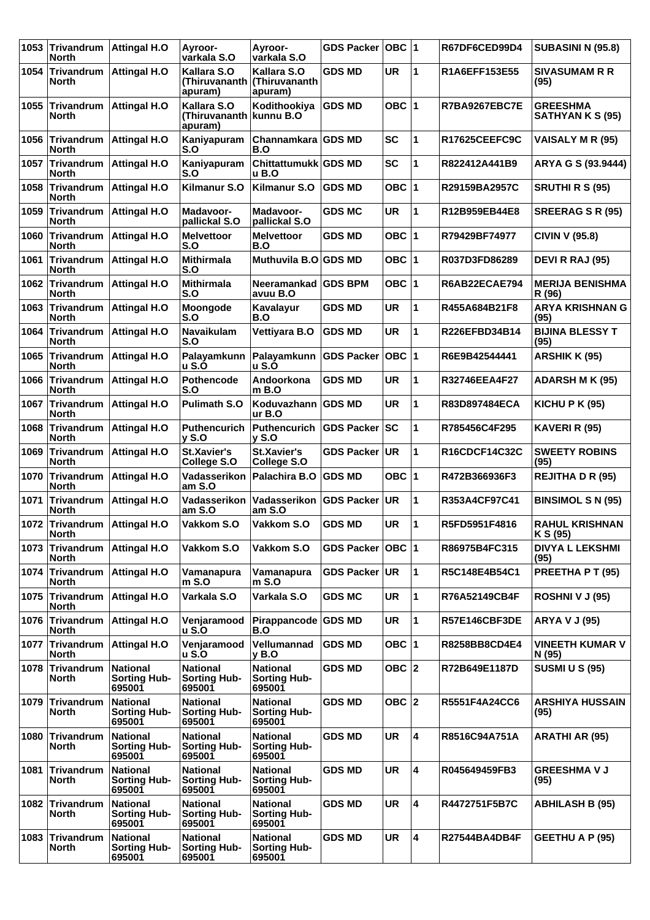| 1053   | <b>Trivandrum</b><br><b>North</b>              | <b>Attingal H.O</b>                              | Ayroor-<br>varkala S.O                            | Ayroor-<br>varkala S.O                           | <b>GDS Packer</b> | OBC  1    |                         | R67DF6CED99D4        | <b>SUBASINI N (95.8)</b>            |
|--------|------------------------------------------------|--------------------------------------------------|---------------------------------------------------|--------------------------------------------------|-------------------|-----------|-------------------------|----------------------|-------------------------------------|
| 1054 l | <b>North</b>                                   | Trivandrum   Attingal H.O                        | Kallara S.O<br>(Thiruvananth<br>apuram)           | Kallara S.O<br>(Thiruvananth<br>apuram)          | <b>GDS MD</b>     | <b>UR</b> | 1                       | R1A6EFF153E55        | <b>SIVASUMAM R R</b><br>(95)        |
| 1055   | Trivandrum<br><b>North</b>                     | <b>Attingal H.O</b>                              | Kallara S.O<br>(Thiruvananth kunnu B.O<br>apuram) | Kodithookiya                                     | <b>GDS MD</b>     | OBC $ 1$  |                         | R7BA9267EBC7E        | <b>GREESHMA</b><br>SATHYAN K S (95) |
| 1056   | Trivandrum<br><b>North</b>                     | <b>Attingal H.O</b>                              | Kaniyapuram<br>S.O                                | Channamkara GDS MD<br>B.O                        |                   | <b>SC</b> | 1                       | R17625CEEFC9C        | <b>VAISALY M R (95)</b>             |
| 1057   | Trivandrum<br><b>North</b>                     | <b>Attingal H.O</b>                              | Kaniyapuram<br>S.O                                | Chittattumukk GDS MD<br><b>u</b> B.O             |                   | <b>SC</b> | 1                       | R822412A441B9        | ARYA G S (93.9444)                  |
| 1058   | Trivandrum<br><b>North</b>                     | <b>Attingal H.O</b>                              | Kilmanur S.O                                      | <b>Kilmanur S.O</b>                              | <b>GDS MD</b>     | OBC $ 1$  |                         | R29159BA2957C        | SRUTHIRS (95)                       |
| 1059   | <b>Trivandrum</b><br><b>North</b>              | <b>Attingal H.O</b>                              | Madavoor-<br>pallickal S.O                        | <b>Madavoor-</b><br>pallickal S.O                | <b>GDS MC</b>     | <b>UR</b> | 1                       | R12B959EB44E8        | <b>SREERAG S R (95)</b>             |
|        | 1060 Trivandrum<br><b>North</b>                | Attingal H.O                                     | <b>Melvettoor</b><br>S.O                          | <b>Melvettoor</b><br>B.O                         | <b>GDS MD</b>     | OBC $ 1$  |                         | R79429BF74977        | <b>CIVIN V (95.8)</b>               |
| 1061   | Trivandrum<br><b>North</b>                     | <b>Attingal H.O</b>                              | <b>Mithirmala</b><br>S.O                          | Muthuvila B.O GDS MD                             |                   | OBC $ 1$  |                         | R037D3FD86289        | DEVI R RAJ (95)                     |
| 1062   | <b>Trivandrum</b><br><b>North</b>              | <b>Attingal H.O</b>                              | <b>Mithirmala</b><br>S.O                          | Neeramankad   GDS BPM<br>avuu B.O                |                   | OBC $ 1$  |                         | R6AB22ECAE794        | <b>MERIJA BENISHMA</b><br>R (96)    |
|        | 1063 Trivandrum<br><b>North</b>                | Attingal H.O                                     | Moongode<br>S.O                                   | Kavalayur<br>B.O                                 | <b>GDS MD</b>     | <b>UR</b> | 1                       | R455A684B21F8        | <b>ARYA KRISHNAN G</b><br>(95)      |
| 1064   | Trivandrum<br><b>North</b>                     | <b>Attingal H.O</b>                              | Navaikulam<br>S.O                                 | <b>Vettiyara B.O</b>                             | <b>GDS MD</b>     | <b>UR</b> | 1                       | R226EFBD34B14        | <b>BIJINA BLESSY T</b><br>(95)      |
| 1065   | <b>Trivandrum</b><br><b>North</b>              | <b>Attingal H.O</b>                              | Palayamkunn<br><b>u S.O</b>                       | Palayamkunn<br>u S.O                             | <b>GDS Packer</b> | $OBC$  1  |                         | R6E9B42544441        | <b>ARSHIK K (95)</b>                |
|        | 1066 Trivandrum<br><b>North</b>                | <b>Attingal H.O</b>                              | Pothencode<br>S.O                                 | Andoorkona<br>m B.O                              | <b>GDS MD</b>     | <b>UR</b> | 1                       | R32746EEA4F27        | <b>ADARSH M K (95)</b>              |
| 1067   | Trivandrum<br><b>North</b>                     | <b>Attingal H.O</b>                              | <b>Pulimath S.O</b>                               | Koduvazhann GDS MD<br>ur B.O                     |                   | <b>UR</b> | 1                       | R83D897484ECA        | KICHU P K $(95)$                    |
| 1068   | Trivandrum<br><b>North</b>                     | <b>Attingal H.O</b>                              | <b>Puthencurich</b><br>$v$ S.O                    | <b>Puthencurich</b><br><b>v</b> S.O              | <b>GDS Packer</b> | lsc       | 1                       | R785456C4F295        | KAVERI R (95)                       |
|        | 1069 Trivandrum<br><b>North</b>                | <b>Attingal H.O</b>                              | <b>St.Xavier's</b><br>College S.O                 | St.Xavier's<br>College S.O                       | <b>GDS Packer</b> | UR        | 1                       | R16CDCF14C32C        | <b>SWEETY ROBINS</b><br>(95)        |
| 1070   | Trivandrum<br><b>North</b>                     | Attingal H.O                                     | Vadasserikon<br>am S.O                            | Palachira B.O                                    | <b>GDS MD</b>     | OBC $ 1$  |                         | R472B366936F3        | <b>REJITHA D R (95)</b>             |
| 1071   | <b>Trivandrum</b><br><b>North</b>              | <b>Attingal H.O</b>                              | Vadasserikon<br>am S.O                            | Vadasserikon<br>am S.O                           | <b>GDS Packer</b> | <b>UR</b> | 1                       | R353A4CF97C41        | <b>BINSIMOL S N (95)</b>            |
|        | 1072 Trivandrum   Attingal H.O<br><b>North</b> |                                                  | Vakkom S.O                                        | Vakkom S.O                                       | <b>GDS MD</b>     | UR        | $\mathbf{1}$            | R5FD5951F4816        | <b>RAHUL KRISHNAN</b><br>K S (95)   |
| 1073   | Trivandrum<br><b>North</b>                     | <b>Attingal H.O</b>                              | Vakkom S.O                                        | Vakkom S.O                                       | <b>GDS Packer</b> | ∣овс ∣1   |                         | R86975B4FC315        | <b>DIVYA L LEKSHMI</b><br>(95)      |
| 1074   | <b>Trivandrum</b><br><b>North</b>              | <b>Attingal H.O</b>                              | Vamanapura<br>m S.O                               | Vamanapura<br>m S.O                              | <b>GDS Packer</b> | <b>UR</b> | 1                       | R5C148E4B54C1        | PREETHA P T (95)                    |
|        | 1075 Trivandrum<br><b>North</b>                | <b>Attingal H.O</b>                              | Varkala S.O                                       | Varkala S.O                                      | <b>GDS MC</b>     | UR        | 1                       | R76A52149CB4F        | ROSHNI V J (95)                     |
|        | <b>North</b>                                   | 1076 Trivandrum   Attingal H.O                   | Venjaramood<br><b>u S.O</b>                       | Pirappancode GDS MD<br>B.O                       |                   | <b>UR</b> | 1                       | R57E146CBF3DE        | <b>ARYA V J (95)</b>                |
| 1077   | Trivandrum<br><b>North</b>                     | <b>Attingal H.O</b>                              | Venjaramood<br><b>u S.O</b>                       | Vellumannad<br>v B.O                             | <b>GDS MD</b>     | OBC $ 1$  |                         | R8258BB8CD4E4        | VINEETH KUMAR V<br>N (95)           |
|        | 1078 Trivandrum<br><b>North</b>                | <b>National</b><br><b>Sorting Hub-</b><br>695001 | <b>National</b><br><b>Sorting Hub-</b><br>695001  | <b>National</b><br><b>Sorting Hub-</b><br>695001 | <b>GDS MD</b>     | OBC $ 2 $ |                         | R72B649E1187D        | <b>SUSMI U S (95)</b>               |
| 1079   | Trivandrum<br><b>North</b>                     | <b>National</b><br><b>Sorting Hub-</b><br>695001 | <b>National</b><br><b>Sorting Hub-</b><br>695001  | <b>National</b><br><b>Sorting Hub-</b><br>695001 | <b>GDS MD</b>     | $OBC$  2  |                         | R5551F4A24CC6        | <b>ARSHIYA HUSSAIN</b><br>(95)      |
| 1080   | Trivandrum<br><b>North</b>                     | <b>National</b><br><b>Sorting Hub-</b><br>695001 | <b>National</b><br><b>Sorting Hub-</b><br>695001  | <b>National</b><br><b>Sorting Hub-</b><br>695001 | <b>GDS MD</b>     | UR.       | 4                       | R8516C94A751A        | ARATHI AR (95)                      |
| 1081   | <b>Trivandrum</b><br><b>North</b>              | <b>National</b><br><b>Sorting Hub-</b><br>695001 | <b>National</b><br><b>Sorting Hub-</b><br>695001  | <b>National</b><br><b>Sorting Hub-</b><br>695001 | <b>GDS MD</b>     | <b>UR</b> | 4                       | R045649459FB3        | <b>GREESHMA V J</b><br>(95)         |
| 1082   | Trivandrum<br><b>North</b>                     | <b>National</b><br><b>Sorting Hub-</b><br>695001 | <b>National</b><br><b>Sorting Hub-</b><br>695001  | <b>National</b><br><b>Sorting Hub-</b><br>695001 | <b>GDS MD</b>     | <b>UR</b> | $\overline{\mathbf{4}}$ | R4472751F5B7C        | <b>ABHILASH B (95)</b>              |
| 1083   | Trivandrum<br><b>North</b>                     | <b>National</b><br><b>Sorting Hub-</b><br>695001 | <b>National</b><br><b>Sorting Hub-</b><br>695001  | <b>National</b><br><b>Sorting Hub-</b><br>695001 | <b>GDS MD</b>     | <b>UR</b> | $\overline{\mathbf{4}}$ | <b>R27544BA4DB4F</b> | <b>GEETHU A P (95)</b>              |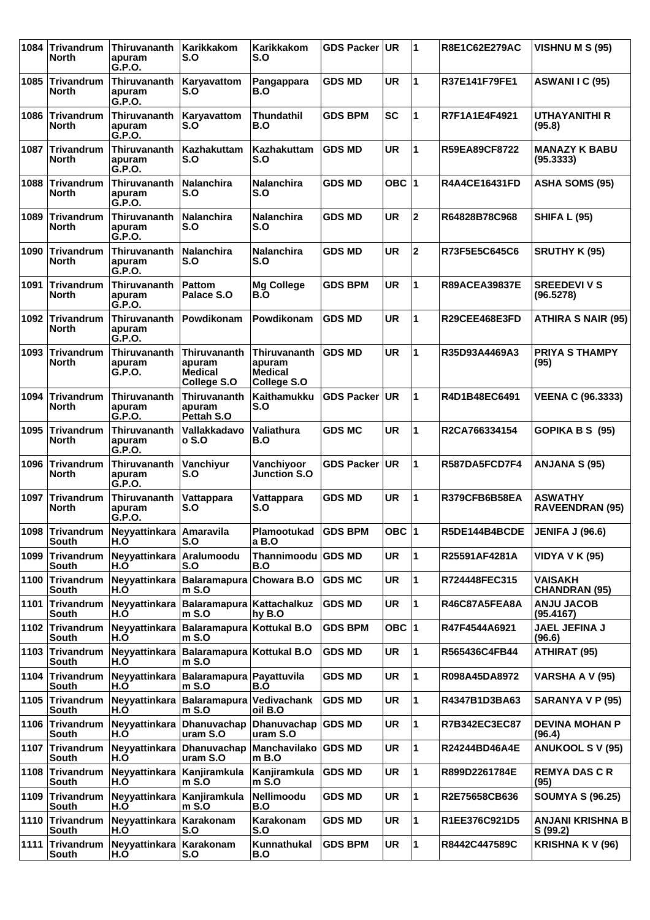| 1084 | <b>Trivandrum</b><br>North      | <b>Thiruvananth</b><br>apuram<br>G.P.O. | Karikkakom<br>S.O                                       | Karikkakom<br>S.O                                       | <b>GDS Packer</b> | UR        | 1            | R8E1C62E279AC        | VISHNU M S (95)                          |
|------|---------------------------------|-----------------------------------------|---------------------------------------------------------|---------------------------------------------------------|-------------------|-----------|--------------|----------------------|------------------------------------------|
| 1085 | <b>Trivandrum</b><br>North      | <b>Thiruvananth</b><br>apuram<br>G.P.O. | Karyavattom<br>S.O                                      | Pangappara<br>B.O                                       | GDS MD            | UR        | $\mathbf{1}$ | R37E141F79FE1        | ASWANI I C (95)                          |
| 1086 | <b>Trivandrum</b><br>North      | Thiruvananth<br>apuram<br>G.P.O.        | Karyavattom<br>S.O                                      | Thundathil<br>B.O                                       | <b>GDS BPM</b>    | SC        | 1            | R7F1A1E4F4921        | <b>UTHAYANITHI R</b><br>(95.8)           |
| 1087 | <b>Trivandrum</b><br>North      | Thiruvananth<br>apuram<br>G.P.O.        | <b>Kazhakuttam</b><br>S.O                               | Kazhakuttam<br>S.O                                      | <b>GDS MD</b>     | <b>UR</b> | 1            | R59EA89CF8722        | <b>MANAZY K BABU</b><br>(95.3333)        |
| 1088 | Trivandrum<br>North             | Thiruvananth<br>apuram<br>G.P.O.        | <b>Nalanchira</b><br>S.O                                | <b>Nalanchira</b><br>S.O                                | <b>GDS MD</b>     | OBC 1     |              | <b>R4A4CE16431FD</b> | <b>ASHA SOMS (95)</b>                    |
| 1089 | <b>Trivandrum</b><br>North      | Thiruvananth<br>apuram<br>G.P.O.        | <b>Nalanchira</b><br>S.O                                | <b>Nalanchira</b><br>S.O                                | <b>GDS MD</b>     | <b>UR</b> | $\mathbf 2$  | R64828B78C968        | <b>SHIFA L (95)</b>                      |
| 1090 | <b>Trivandrum</b><br>North      | Thiruvananth<br>apuram<br>G.P.O.        | <b>Nalanchira</b><br>S.O                                | <b>Nalanchira</b><br>S.O                                | GDS MD            | UR        | $\mathbf 2$  | R73F5E5C645C6        | <b>SRUTHY K (95)</b>                     |
| 1091 | <b>Trivandrum</b><br>North      | Thiruvananth<br>apuram<br>G.P.O.        | Pattom<br>Palace S.O                                    | <b>Mg College</b><br>B.O                                | <b>GDS BPM</b>    | <b>UR</b> | 1            | <b>R89ACEA39837E</b> | <b>SREEDEVI V S</b><br>(96.5278)         |
| 1092 | <b>Trivandrum</b><br>North      | <b>Thiruvananth</b><br>apuram<br>G.P.O. | Powdikonam                                              | Powdikonam                                              | <b>GDS MD</b>     | <b>UR</b> | 1            | R29CEE468E3FD        | <b>ATHIRA S NAIR (95)</b>                |
| 1093 | <b>Trivandrum</b><br>North      | <b>Thiruvananth</b><br>apuram<br>G.P.O. | <b>Thiruvananth</b><br>apuram<br>Medical<br>College S.O | <b>Thiruvananth</b><br>apuram<br>Medical<br>College S.O | <b>GDS MD</b>     | UR        | 1            | R35D93A4469A3        | <b>PRIYA S THAMPY</b><br>(95)            |
| 1094 | <b>Trivandrum</b><br>North      | <b>Thiruvananth</b><br>apuram<br>G.P.O. | <b>Thiruvananth</b><br>apuram<br>Pettah S.O             | Kaithamukku<br>S.O                                      | <b>GDS Packer</b> | <b>UR</b> | 1            | R4D1B48EC6491        | <b>VEENA C (96.3333)</b>                 |
| 1095 | <b>Trivandrum</b><br>North      | Thiruvananth<br>apuram<br>G.P.O.        | Vallakkadavo<br>o S.O                                   | Valiathura<br>B.O                                       | <b>GDS MC</b>     | <b>UR</b> | 1            | R2CA766334154        | GOPIKA B S (95)                          |
| 1096 | <b>Trivandrum</b><br>North      | Thiruvananth<br>apuram<br>G.P.O.        | Vanchiyur<br>S.O                                        | Vanchiyoor<br><b>Junction S.O</b>                       | <b>GDS Packer</b> | <b>UR</b> | 1            | R587DA5FCD7F4        | ANJANA S (95)                            |
| 1097 | <b>Trivandrum</b><br>North      | Thiruvananth<br>apuram<br>G.P.O.        | Vattappara<br>S.O                                       | Vattappara<br>S.O                                       | <b>GDS MD</b>     | <b>UR</b> | 1            | R379CFB6B58EA        | <b>ASWATHY</b><br><b>RAVEENDRAN (95)</b> |
|      | 1098 Trivandrum<br>South        | Neyyattinkara Amaravila<br>H.O          | S.O                                                     | Plamootukad GDS BPM<br>a B.O                            |                   | OBC $ 1$  |              | R5DE144B4BCDE        | <b>JENIFA J (96.6)</b>                   |
| 1099 | Trivandrum<br>South             | Neyyattinkara<br>H.O                    | Aralumoodu<br>S.O                                       | Thannimoodu GDS MD<br>B.O                               |                   | <b>UR</b> | $\mathbf{1}$ | R25591AF4281A        | <b>VIDYA V K (95)</b>                    |
| 1100 | Trivandrum<br>South             | Neyyattinkara<br>H.O                    | Balaramapura Chowara B.O<br>m S.O                       |                                                         | <b>GDS MC</b>     | UR        | 1            | R724448FEC315        | <b>VAISAKH</b><br><b>CHANDRAN (95)</b>   |
|      | 1101 Trivandrum<br><b>South</b> | H.O                                     | Neyyattinkara   Balaramapura   Kattachalkuz<br>$m$ S.O  | hy B.O                                                  | <b>GDS MD</b>     | UR        | $\mathbf{1}$ | R46C87A5FEA8A        | <b>ANJU JACOB</b><br>(95.4167)           |
|      | 1102 Trivandrum<br>South        | Neyyattinkara<br>H.O                    | Balaramapura Kottukal B.O<br>$m$ S.O                    |                                                         | <b>GDS BPM</b>    | OBC $ 1$  |              | R47F4544A6921        | JAEL JEFINA J<br>(96.6)                  |
|      | 1103 Trivandrum<br>South        | Neyyattinkara<br>H.O                    | Balaramapura Kottukal B.O<br>$m$ S.O                    |                                                         | <b>GDS MD</b>     | <b>UR</b> | 1            | R565436C4FB44        | <b>ATHIRAT (95)</b>                      |
|      | 1104 Trivandrum<br>South        | Neyyattinkara<br>H.O                    | Balaramapura Payattuvila<br>$m$ S.O                     | B.O                                                     | <b>GDS MD</b>     | <b>UR</b> | 1            | R098A45DA8972        | <b>VARSHA A V (95)</b>                   |
| 1105 | Trivandrum<br>South             | Neyyattinkara<br>H.O                    | <b>Balaramapura</b><br>$m$ S.O                          | Vedivachank<br>oil B.O                                  | <b>GDS MD</b>     | <b>UR</b> | 1            | R4347B1D3BA63        | SARANYA V P (95)                         |
|      | 1106 Trivandrum<br>South        | Neyyattinkara<br>H.O                    | Dhanuvachap<br>uram S.O                                 | Dhanuvachap GDS MD<br>uram S.O                          |                   | UR        | 1            | R7B342EC3EC87        | <b>DEVINA MOHAN P</b><br>(96.4)          |
|      | 1107 Trivandrum<br>South        | Neyyattinkara<br>H.O                    | Dhanuvachap<br>uram S.O                                 | Manchavilako GDS MD<br>$m$ B.O                          |                   | UR        | 1            | R24244BD46A4E        | <b>ANUKOOL S V (95)</b>                  |
|      | 1108 Trivandrum<br>South        | Neyyattinkara<br>H.O                    | Kanjiramkula<br>$m$ S.O                                 | Kanjiramkula<br>$m$ S.O                                 | <b>GDS MD</b>     | <b>UR</b> | 1            | R899D2261784E        | <b>REMYA DAS C R</b><br>(95)             |
| 1109 | Trivandrum<br>South             | Neyyattinkara<br>H.O                    | Kanjiramkula<br>$m$ S.O                                 | <b>Nellimoodu</b><br>B.O                                | <b>GDS MD</b>     | <b>UR</b> | 1            | R2E75658CB636        | <b>SOUMYA S (96.25)</b>                  |
|      | 1110 Trivandrum<br>South        | Neyyattinkara<br>H.O                    | Karakonam<br>S.O                                        | Karakonam<br>S.O                                        | <b>GDS MD</b>     | UR        | 1            | R1EE376C921D5        | <b>ANJANI KRISHNA B</b><br>S (99.2)      |
| 1111 | Trivandrum<br>South             | Neyyattinkara<br>H.O                    | Karakonam<br>S.O                                        | Kunnathukal<br>B.O                                      | <b>GDS BPM</b>    | UR        | $\mathbf{1}$ | R8442C447589C        | KRISHNA K V (96)                         |
|      |                                 |                                         |                                                         |                                                         |                   |           |              |                      |                                          |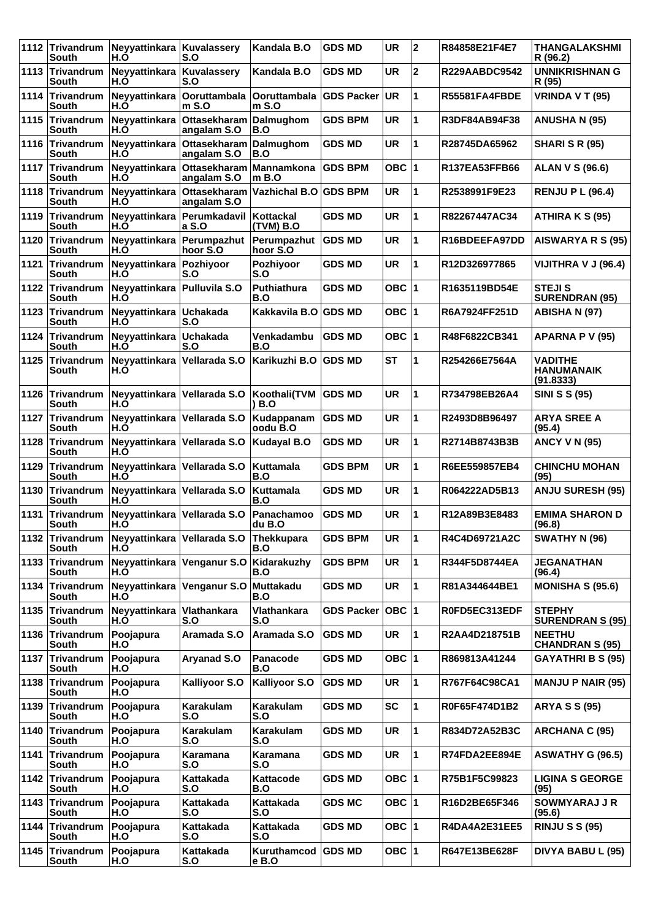| 1112 | Trivandrum<br>South             | Neyyattinkara<br>H.O | Kuvalassery<br>S.O          | Kandala B.O                 | <b>GDS MD</b>     | <b>UR</b> | $\mathbf{2}$ | R84858E21F4E7        | <b>THANGALAKSHMI</b><br>R (96.2)                 |
|------|---------------------------------|----------------------|-----------------------------|-----------------------------|-------------------|-----------|--------------|----------------------|--------------------------------------------------|
|      | 1113 Trivandrum<br>South        | Neyyattinkara<br>H.O | Kuvalassery<br>S.O          | Kandala B.O                 | <b>GDS MD</b>     | UR        | $\mathbf{2}$ | <b>R229AABDC9542</b> | <b>UNNIKRISHNAN G</b><br>R (95)                  |
| 1114 | Trivandrum<br>South             | Neyyattinkara<br>H.O | Ooruttambala<br>$m$ S.O     | Ooruttambala<br>$m$ S.O     | <b>GDS Packer</b> | UR        | 1            | R55581FA4FBDE        | VRINDA V T (95)                                  |
| 1115 | Trivandrum<br>South             | Neyyattinkara<br>H.O | Ottasekharam<br>angalam S.O | Dalmughom<br>B.O            | <b>GDS BPM</b>    | <b>UR</b> | 1            | R3DF84AB94F38        | <b>ANUSHA N (95)</b>                             |
|      | 1116 Trivandrum<br>South        | Neyyattinkara<br>H.Ŏ | Ottasekharam<br>angalam S.O | Dalmughom<br>B.O            | <b>GDS MD</b>     | <b>UR</b> | 1            | R28745DA65962        | <b>SHARI S R (95)</b>                            |
| 1117 | Trivandrum<br>South             | Neyyattinkara<br>H.O | Ottasekharam<br>angalam S.O | Mannamkona<br>$m$ B.O       | <b>GDS BPM</b>    | OBC ∣1    |              | <b>R137EA53FFB66</b> | <b>ALAN V S (96.6)</b>                           |
| 1118 | Trivandrum<br>South             | Neyyattinkara<br>H.O | Ottasekharam<br>angalam S.O | <b>Vazhichal B.O</b>        | <b>GDS BPM</b>    | <b>UR</b> | 1            | R2538991F9E23        | <b>RENJU P L (96.4)</b>                          |
|      | 1119 Trivandrum<br>South        | Neyyattinkara<br>H.Ŏ | Perumkadavil<br>a S.O       | Kottackal<br>(TVM) B.O      | <b>GDS MD</b>     | UR        | 1            | R82267447AC34        | ATHIRA K S (95)                                  |
| 1120 | Trivandrum<br>South             | Neyyattinkara<br>H.O | Perumpazhut<br>hoor S.O     | Perumpazhut<br>hoor S.O     | <b>GDS MD</b>     | <b>UR</b> | 1            | R16BDEEFA97DD        | AISWARYA R S (95)                                |
| 1121 | Trivandrum<br>South             | Neyyattinkara<br>H.O | Pozhiyoor<br>S.O            | Pozhiyoor<br>S.O            | <b>GDS MD</b>     | <b>UR</b> | 1            | R12D326977865        | VIJITHRA V J (96.4)                              |
| 1122 | Trivandrum<br>South             | Neyyattinkara<br>H.O | <b>Pulluvila S.O</b>        | Puthiathura<br>B.O          | <b>GDS MD</b>     | OBC ∣1    |              | R1635119BD54E        | <b>STEJIS</b><br><b>SURENDRAN (95)</b>           |
| 1123 | Trivandrum<br>South             | Neyyattinkara<br>H.O | <b>Uchakada</b><br>S.O      | Kakkavila B.O               | <b>GDS MD</b>     | OBC ∣1    |              | R6A7924FF251D        | <b>ABISHA N (97)</b>                             |
| 1124 | Trivandrum<br>South             | Neyyattinkara<br>H.O | <b>Uchakada</b><br>S.O      | Venkadambu<br>B.O           | <b>GDS MD</b>     | OBC  1    |              | R48F6822CB341        | APARNA P V (95)                                  |
| 1125 | Trivandrum<br>South             | Neyyattinkara<br>H.Õ | Vellarada S.O               | Karikuzhi B.O               | <b>GDS MD</b>     | <b>ST</b> | 1            | R254266E7564A        | <b>VADITHE</b><br><b>HANUMANAIK</b><br>(91.8333) |
| 1126 | Trivandrum<br>South             | Neyyattinkara<br>H.O | Vellarada S.O               | Koothali(TVM<br>) B.O       | <b>GDS MD</b>     | <b>UR</b> | 1            | R734798EB26A4        | <b>SINI S S (95)</b>                             |
| 1127 | Trivandrum<br>South             | Neyyattinkara<br>H.O | Vellarada S.O               | Kudappanam<br>oodu B.O      | <b>GDS MD</b>     | <b>UR</b> | 1            | R2493D8B96497        | <b>ARYA SREE A</b><br>(95.4)                     |
| 1128 | <b>Trivandrum</b><br>South      | Neyyattinkara<br>H.O | Vellarada S.O               | <b>Kudayal B.O</b>          | <b>GDS MD</b>     | <b>UR</b> | 1            | R2714B8743B3B        | <b>ANCY V N (95)</b>                             |
| 1129 | Trivandrum<br>South             | Neyyattinkara<br>H.O | Vellarada S.O               | <b>Kuttamala</b><br>B.O     | <b>GDS BPM</b>    | UR        | 1            | R6EE559857EB4        | <b>CHINCHU MOHAN</b><br>(95)                     |
| 1130 | Trivandrum<br>South             | Neyyattinkara<br>H.O | Vellarada S.O               | <b>Kuttamala</b><br>B.O     | <b>GDS MD</b>     | UR        | 1            | R064222AD5B13        | <b>ANJU SURESH (95)</b>                          |
| 1131 | <b>Trivandrum</b><br>South      | Neyyattinkara<br>H.O | Vellarada S.O               | Panachamoo<br>du B.O        | <b>GDS MD</b>     | UR        | 1            | R12A89B3E8483        | <b>EMIMA SHARON D</b><br>(96.8)                  |
|      | 1132 Trivandrum<br>South        | Neyyattinkara<br>H.O | Vellarada S.O               | Thekkupara<br>B.O           | <b>GDS BPM</b>    | <b>UR</b> | 1            | R4C4D69721A2C        | <b>SWATHY N (96)</b>                             |
|      | 1133 Trivandrum<br>South        | Neyyattinkara<br>H.O | Venganur S.O                | Kidarakuzhy<br>B.O          | <b>GDS BPM</b>    | UR        | 1            | R344F5D8744EA        | <b>JEGANATHAN</b><br>(96.4)                      |
| 1134 | Trivandrum<br>South             | Neyyattinkara<br>H.O | Venganur S.O                | Muttakadu<br>B.O            | <b>GDS MD</b>     | UR        | 1            | R81A344644BE1        | <b>MONISHA S (95.6)</b>                          |
|      | 1135 Trivandrum<br><b>South</b> | Neyyattinkara<br>H.O | Vlathankara<br>S.O          | Vlathankara<br>S.O          | <b>GDS Packer</b> | ∣овс ∣1   |              | R0FD5EC313EDF        | <b>STEPHY</b><br><b>SURENDRAN S (95)</b>         |
|      | 1136 Trivandrum<br>South        | Poojapura<br>H.O     | Aramada S.O                 | Aramada S.O                 | <b>GDS MD</b>     | UR        | 1            | R2AA4D218751B        | <b>NEETHU</b><br><b>CHANDRAN S (95)</b>          |
| 1137 | Trivandrum<br>South             | Poojapura<br>H.O     | Aryanad S.O                 | Panacode<br>B.O             | <b>GDS MD</b>     | OBC 1     |              | R869813A41244        | <b>GAYATHRI B S (95)</b>                         |
| 1138 | Trivandrum<br>South             | Poojapura<br>H.O     | Kalliyoor S.O               | Kalliyoor S.O               | <b>GDS MD</b>     | UR        | 1            | R767F64C98CA1        | <b>MANJU P NAIR (95)</b>                         |
|      | 1139 Trivandrum<br>South        | Poojapura<br>H.O     | Karakulam<br>S.O            | Karakulam<br>S.O            | <b>GDS MD</b>     | <b>SC</b> | 1            | R0F65F474D1B2        | <b>ARYA S S (95)</b>                             |
| 1140 | Trivandrum<br>South             | Poojapura<br>H.O     | Karakulam<br>S.O            | <b>Karakulam</b><br>S.O     | <b>GDS MD</b>     | <b>UR</b> | 1            | R834D72A52B3C        | <b>ARCHANA C (95)</b>                            |
| 1141 | Trivandrum<br>South             | Poojapura<br>H.O     | Karamana<br>S.O             | Karamana<br>S.O             | <b>GDS MD</b>     | <b>UR</b> | 1            | R74FDA2EE894E        | <b>ASWATHY G (96.5)</b>                          |
|      | 1142 Trivandrum<br>South        | Poojapura<br>H.O     | Kattakada<br>S.O            | Kattacode<br>B.O            | <b>GDS MD</b>     | OBC 1     |              | R75B1F5C99823        | <b>LIGINA S GEORGE</b><br>(95)                   |
| 1143 | Trivandrum<br>South             | Poojapura<br>H.O     | Kattakada<br>S.O            | Kattakada<br>S.O            | <b>GDS MC</b>     | OBC 1     |              | R16D2BE65F346        | <b>SOWMYARAJ J R</b><br>(95.6)                   |
|      | 1144 Trivandrum<br>South        | Poojapura<br>H.O     | Kattakada<br>S.O            | Kattakada<br>S.O            | <b>GDS MD</b>     | OBC 1     |              | R4DA4A2E31EE5        | <b>RINJU S S (95)</b>                            |
|      | 1145 Trivandrum<br>South        | Poojapura<br>H.O     | Kattakada<br>S.O            | Kuruthamcod GDS MD<br>e B.O |                   | OBC  1    |              | R647E13BE628F        | DIVYA BABU L (95)                                |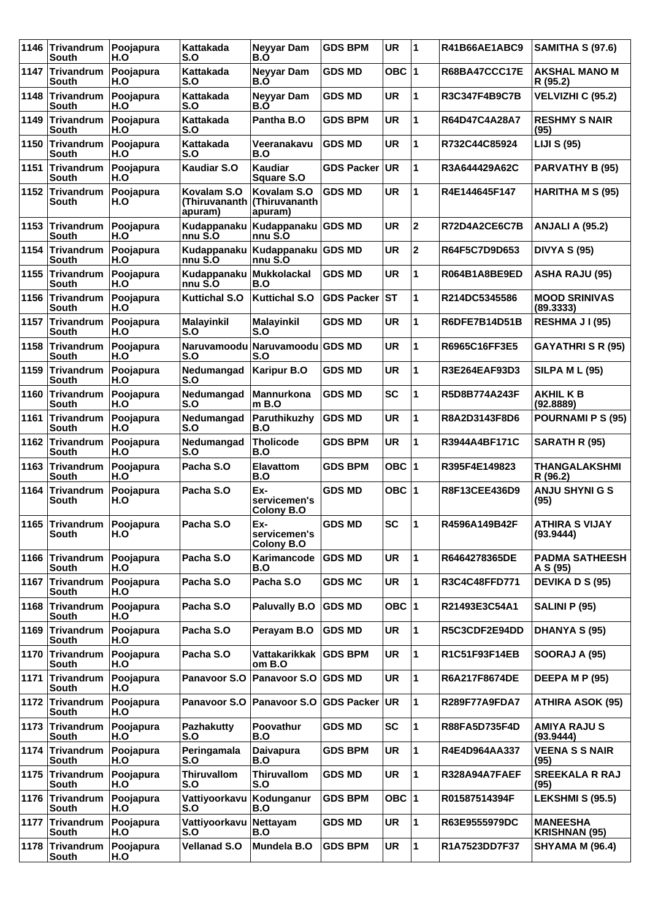| 1146 | Trivandrum<br>South                       | Poojapura<br>H.O | Kattakada<br>S.O                         | <b>Neyyar Dam</b><br>B.O                 | <b>GDS BPM</b>    | <b>UR</b> | 1                       | R41B66AE1ABC9        | <b>SAMITHA S (97.6)</b>                 |
|------|-------------------------------------------|------------------|------------------------------------------|------------------------------------------|-------------------|-----------|-------------------------|----------------------|-----------------------------------------|
|      | 1147 Trivandrum<br>South                  | Poojapura<br>H.O | Kattakada<br>S.O                         | <b>Neyyar Dam</b><br>B.Ó                 | <b>GDS MD</b>     | OBC $ 1$  |                         | <b>R68BA47CCC17E</b> | <b>AKSHAL MANO M</b><br>R (95.2)        |
| 1148 | Trivandrum<br>South                       | Poojapura<br>H.O | Kattakada<br>S.O                         | Neyyar Dam<br>B.O                        | <b>GDS MD</b>     | <b>UR</b> | 1                       | R3C347F4B9C7B        | VELVIZHI C (95.2)                       |
| 1149 | Trivandrum<br>South                       | Poojapura<br>H.O | Kattakada<br>S.O                         | Pantha B.O                               | <b>GDS BPM</b>    | UR        | 1                       | R64D47C4A28A7        | <b>RESHMY S NAIR</b><br>(95)            |
| 1150 | Trivandrum<br>South                       | Poojapura<br>H.O | Kattakada<br>S.O                         | Veeranakavu<br>B.O                       | <b>GDS MD</b>     | <b>UR</b> | 1                       | R732C44C85924        | <b>LIJI S (95)</b>                      |
| 1151 | Trivandrum<br>South                       | Poojapura<br>H.O | <b>Kaudiar S.O</b>                       | Kaudiar<br><b>Square S.O</b>             | <b>GDS Packer</b> | UR        | 1                       | R3A644429A62C        | <b>PARVATHY B (95)</b>                  |
| 1152 | Trivandrum<br>South                       | Poojapura<br>H.O | Kovalam S.O<br>(Thiruvananth)<br>apuram) | Kovalam S.O<br> (Thiruvananth<br>apuram) | <b>GDS MD</b>     | UR        | 1                       | R4E144645F147        | <b>HARITHA M S (95)</b>                 |
| 1153 | Trivandrum<br>South                       | Poojapura<br>H.O | Kudappanaku<br>nnu S.O                   | Kudappanaku<br>nnu S.O                   | <b>GDS MD</b>     | <b>UR</b> | $\mathbf{2}$            | R72D4A2CE6C7B        | <b>ANJALI A (95.2)</b>                  |
| 1154 | Trivandrum<br>South                       | Poojapura<br>H.O | Kudappanaku<br>nnu S.O                   | Kudappanaku GDS MD<br>nnu S.O            |                   | <b>UR</b> | $\overline{\mathbf{2}}$ | R64F5C7D9D653        | <b>DIVYA S (95)</b>                     |
| 1155 | Trivandrum<br>South                       | Poojapura<br>H.O | Kudappanaku<br>nnu S.O                   | Mukkolackal<br>B.O                       | <b>GDS MD</b>     | <b>UR</b> | 1                       | R064B1A8BE9ED        | <b>ASHA RAJU (95)</b>                   |
| 1156 | Trivandrum<br>South                       | Poojapura<br>H.O | <b>Kuttichal S.O</b>                     | <b>Kuttichal S.O</b>                     | <b>GDS Packer</b> | <b>ST</b> | 1                       | R214DC5345586        | <b>MOOD SRINIVAS</b><br>(89.3333)       |
| 1157 | Trivandrum<br>South                       | Poojapura<br>H.O | <b>Malayinkil</b><br>S.O                 | <b>Malayinkil</b><br>S.O                 | <b>GDS MD</b>     | <b>UR</b> | 1                       | R6DFE7B14D51B        | RESHMA JI(95)                           |
| 1158 | Trivandrum<br>South                       | Poojapura<br>H.O | S.O                                      | Naruvamoodu Naruvamoodu GDS MD<br>S.O    |                   | <b>UR</b> | $\mathbf{1}$            | R6965C16FF3E5        | <b>GAYATHRI S R (95)</b>                |
| 1159 | Trivandrum<br>South                       | Poojapura<br>H.O | Nedumangad<br>S.O                        | <b>Karipur B.O</b>                       | <b>GDS MD</b>     | UR        | 1                       | R3E264EAF93D3        | <b>SILPA M L (95)</b>                   |
| 1160 | Trivandrum<br>South                       | Poojapura<br>H.O | Nedumangad<br>S.O                        | Mannurkona<br>$m$ B.O                    | <b>GDS MD</b>     | <b>SC</b> | 1                       | R5D8B774A243F        | <b>AKHILKB</b><br>(92.8889)             |
| 1161 | Trivandrum<br>South                       | Poojapura<br>H.O | Nedumangad<br>S.O                        | Paruthikuzhy<br>B.O                      | <b>GDS MD</b>     | <b>UR</b> | 1                       | R8A2D3143F8D6        | <b>POURNAMI P S (95)</b>                |
| 1162 | Trivandrum<br>South                       | Poojapura<br>H.O | Nedumangad<br>S.O                        | <b>Tholicode</b><br>B.O                  | <b>GDS BPM</b>    | <b>UR</b> | 1                       | R3944A4BF171C        | SARATH R (95)                           |
|      | 1163 Trivandrum<br>South                  | Poojapura<br>H.O | Pacha S.O                                | <b>Elavattom</b><br>B.O                  | <b>GDS BPM</b>    | OBC $ 1$  |                         | R395F4E149823        | THANGALAKSHMI<br>R (96.2)               |
| 1164 | Trivandrum<br>South                       | Poojapura<br>H.O | Pacha S.O                                | Ex-<br>servicemen's<br><b>Colony B.O</b> | <b>GDS MD</b>     | OBC $ 1$  |                         | R8F13CEE436D9        | <b>ANJU SHYNI G S</b><br>(95)           |
|      | 1165 Trivandrum Poojapura<br><b>South</b> | H.O              | Pacha S.O                                | Ex-<br>servicemen's<br><b>Colony B.O</b> | <b>GDS MD</b>     | <b>SC</b> | $\mathbf 1$             | R4596A149B42F        | <b>ATHIRA S VIJAY</b><br>(93.9444)      |
|      | 1166 Trivandrum<br><b>South</b>           | Poojapura<br>H.O | Pacha S.O                                | Karimancode<br>B.O                       | <b>GDS MD</b>     | <b>UR</b> | $\mathbf{1}$            | R6464278365DE        | <b>PADMA SATHEESH</b><br>A S (95)       |
| 1167 | Trivandrum<br>South                       | Poojapura<br>H.O | Pacha S.O                                | Pacha S.O                                | <b>GDS MC</b>     | <b>UR</b> | 1                       | R3C4C48FFD771        | <b>DEVIKA D S (95)</b>                  |
| 1168 | Trivandrum<br>South                       | Poojapura<br>H.O | Pacha S.O                                | <b>Paluvally B.O</b>                     | <b>GDS MD</b>     | OBC $ 1$  |                         | R21493E3C54A1        | SALINI P (95)                           |
|      | 1169 Trivandrum<br>South                  | Poojapura<br>H.O | Pacha S.O                                | Perayam B.O                              | <b>GDS MD</b>     | UR        | $\mathbf{1}$            | R5C3CDF2E94DD        | <b>DHANYA S (95)</b>                    |
| 1170 | Trivandrum<br><b>South</b>                | Poojapura<br>H.O | Pacha S.O                                | Vattakarikkak  <br>om B.O                | <b>GDS BPM</b>    | UR        | 1                       | R1C51F93F14EB        | <b>SOORAJ A (95)</b>                    |
| 1171 | Trivandrum<br>South                       | Poojapura<br>H.O | Panavoor S.O                             | Panavoor S.O GDS MD                      |                   | UR        | 1                       | R6A217F8674DE        | DEEPA M P (95)                          |
| 1172 | Trivandrum<br><b>South</b>                | Poojapura<br>H.O | Panavoor S.O                             | <b>Panavoor S.O</b>                      | <b>GDS Packer</b> | UR        | 1                       | <b>R289F77A9FDA7</b> | <b>ATHIRA ASOK (95)</b>                 |
| 1173 | Trivandrum<br>South                       | Poojapura<br>H.O | <b>Pazhakutty</b><br>S.O                 | Poovathur<br>B.O                         | <b>GDS MD</b>     | <b>SC</b> | 1                       | R88FA5D735F4D        | <b>AMIYA RAJUS</b><br>(93.9444)         |
| 1174 | Trivandrum<br><b>South</b>                | Poojapura<br>H.O | Peringamala<br>S.O                       | <b>Daivapura</b><br>B.O                  | <b>GDS BPM</b>    | UR        | 1                       | R4E4D964AA337        | <b>VEENA S S NAIR</b><br>(95)           |
|      | 1175 Trivandrum<br><b>South</b>           | Poojapura<br>H.O | <b>Thiruvallom</b><br>S.O                | <b>Thiruvallom</b><br>S.O                | <b>GDS MD</b>     | UR        | $\mathbf{1}$            | R328A94A7FAEF        | <b>SREEKALA R RAJ</b><br>(95)           |
|      | 1176 Trivandrum<br>South                  | Poojapura<br>H.O | Vattiyoorkavu<br>S.O                     | Kodunganur<br>B.O                        | <b>GDS BPM</b>    | OBC $ 1$  |                         | R01587514394F        | <b>LEKSHMI S (95.5)</b>                 |
| 1177 | Trivandrum<br>South                       | Poojapura<br>H.O | Vattiyoorkavu<br>S.O                     | <b>Nettayam</b><br>B.O                   | <b>GDS MD</b>     | UR        | 1                       | R63E9555979DC        | <b>MANEESHA</b><br><b>KRISHNAN (95)</b> |
| 1178 | Trivandrum<br>South                       | Poojapura<br>H.O | <b>Vellanad S.O</b>                      | Mundela B.O                              | <b>GDS BPM</b>    | UR        | 1                       | R1A7523DD7F37        | <b>SHYAMA M (96.4)</b>                  |